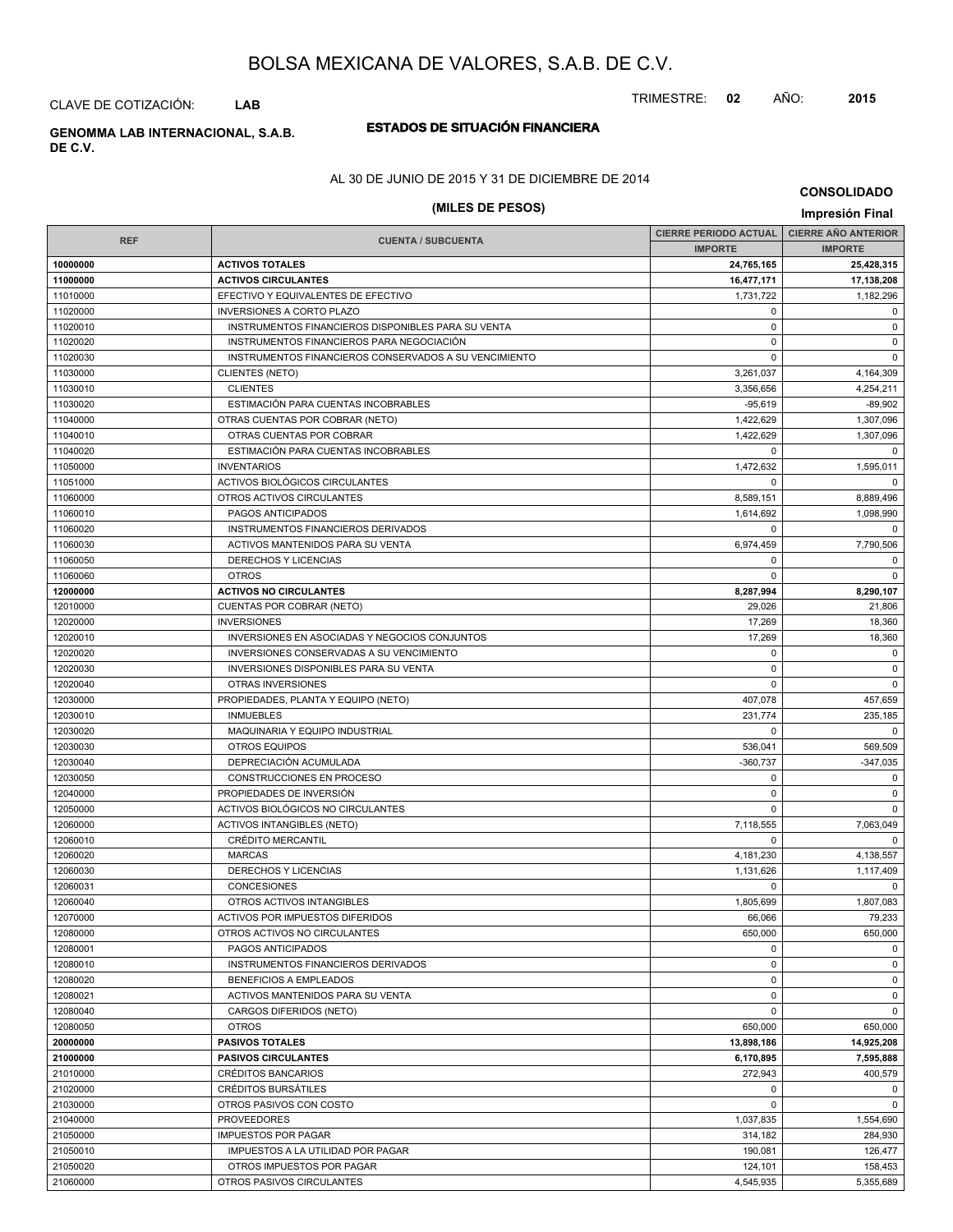TRIMESTRE: **02** AÑO: **2015**

CLAVE DE COTIZACIÓN: **LAB**

## **ESTADOS DE SITUACIÓN FINANCIERA GENOMMA LAB INTERNACIONAL, S.A.B.**

**DE C.V.**

AL 30 DE JUNIO DE 2015 Y 31 DE DICIEMBRE DE 2014

# **(MILES DE PESOS) Impresión Final**

|            |                                                       | <b>CIERRE PERIODO ACTUAL  </b> | <b>CIERRE AÑO ANTERIOR</b> |
|------------|-------------------------------------------------------|--------------------------------|----------------------------|
| <b>REF</b> | <b>CUENTA / SUBCUENTA</b>                             | <b>IMPORTE</b>                 | <b>IMPORTE</b>             |
| 10000000   | <b>ACTIVOS TOTALES</b>                                | 24,765,165                     | 25,428,315                 |
| 11000000   | <b>ACTIVOS CIRCULANTES</b>                            | 16,477,171                     | 17,138,208                 |
| 11010000   | EFECTIVO Y EQUIVALENTES DE EFECTIVO                   | 1,731,722                      | 1,182,296                  |
| 11020000   | <b>INVERSIONES A CORTO PLAZO</b>                      | 0                              | $\mathbf 0$                |
| 11020010   | INSTRUMENTOS FINANCIEROS DISPONIBLES PARA SU VENTA    | $\mathbf 0$                    | $\mathbf 0$                |
| 11020020   | INSTRUMENTOS FINANCIEROS PARA NEGOCIACIÓN             | $\mathbf 0$                    | $\mathbf 0$                |
| 11020030   | INSTRUMENTOS FINANCIEROS CONSERVADOS A SU VENCIMIENTO | 0                              | $\mathbf 0$                |
| 11030000   | <b>CLIENTES (NETO)</b>                                | 3,261,037                      | 4,164,309                  |
| 11030010   | <b>CLIENTES</b>                                       | 3,356,656                      | 4,254,211                  |
| 11030020   | ESTIMACIÓN PARA CUENTAS INCOBRABLES                   | $-95,619$                      | $-89,902$                  |
| 11040000   | OTRAS CUENTAS POR COBRAR (NETO)                       | 1,422,629                      | 1,307,096                  |
| 11040010   | OTRAS CUENTAS POR COBRAR                              | 1,422,629                      | 1,307,096                  |
| 11040020   | ESTIMACIÓN PARA CUENTAS INCOBRABLES                   | 0                              | $\mathbf 0$                |
| 11050000   | <b>INVENTARIOS</b>                                    | 1,472,632                      | 1,595,011                  |
| 11051000   | ACTIVOS BIOLÓGICOS CIRCULANTES                        | $\mathbf 0$                    | $\mathbf 0$                |
| 11060000   | OTROS ACTIVOS CIRCULANTES                             | 8,589,151                      | 8,889,496                  |
| 11060010   | PAGOS ANTICIPADOS                                     | 1,614,692                      | 1,098,990                  |
| 11060020   | INSTRUMENTOS FINANCIEROS DERIVADOS                    | $\mathbf 0$                    | $\mathbf 0$                |
| 11060030   | ACTIVOS MANTENIDOS PARA SU VENTA                      | 6,974,459                      | 7,790,506                  |
| 11060050   | DERECHOS Y LICENCIAS                                  | $\mathbf 0$                    | $\mathbf 0$                |
| 11060060   | <b>OTROS</b>                                          | $\mathbf 0$                    | $\mathbf 0$                |
| 12000000   | <b>ACTIVOS NO CIRCULANTES</b>                         | 8,287,994                      | 8,290,107                  |
| 12010000   | CUENTAS POR COBRAR (NETO)                             | 29,026                         | 21,806                     |
| 12020000   | <b>INVERSIONES</b>                                    | 17,269                         | 18,360                     |
| 12020010   | INVERSIONES EN ASOCIADAS Y NEGOCIOS CONJUNTOS         | 17,269                         | 18,360                     |
| 12020020   | INVERSIONES CONSERVADAS A SU VENCIMIENTO              | $\mathbf 0$                    | $\mathbf 0$                |
| 12020030   | INVERSIONES DISPONIBLES PARA SU VENTA                 | $\mathbf 0$                    | $\mathbf 0$                |
| 12020040   | OTRAS INVERSIONES                                     | 0                              | $\mathbf 0$                |
| 12030000   | PROPIEDADES, PLANTA Y EQUIPO (NETO)                   | 407,078                        | 457,659                    |
| 12030010   | <b>INMUEBLES</b>                                      | 231,774                        | 235,185                    |
| 12030020   | MAQUINARIA Y EQUIPO INDUSTRIAL                        | 0                              | $\mathbf 0$                |
| 12030030   | OTROS EQUIPOS                                         | 536,041                        |                            |
| 12030040   | DEPRECIACIÓN ACUMULADA                                | $-360,737$                     | 569,509                    |
| 12030050   | CONSTRUCCIONES EN PROCESO                             | 0                              | $-347,035$<br>$\mathbf 0$  |
|            |                                                       | $\mathbf 0$                    | $\mathbf 0$                |
| 12040000   | PROPIEDADES DE INVERSIÓN                              | $\mathbf 0$                    |                            |
| 12050000   | ACTIVOS BIOLÓGICOS NO CIRCULANTES                     |                                | $\mathbf 0$                |
| 12060000   | <b>ACTIVOS INTANGIBLES (NETO)</b>                     | 7,118,555                      | 7,063,049<br>$\mathbf 0$   |
| 12060010   | <b>CRÉDITO MERCANTIL</b>                              | $\mathbf 0$                    |                            |
| 12060020   | <b>MARCAS</b>                                         | 4,181,230                      | 4,138,557                  |
| 12060030   | DERECHOS Y LICENCIAS                                  | 1,131,626                      | 1,117,409                  |
| 12060031   | <b>CONCESIONES</b>                                    | $\mathbf 0$                    | $\mathbf 0$                |
| 12060040   | OTROS ACTIVOS INTANGIBLES                             | 1,805,699                      | 1,807,083                  |
| 12070000   | ACTIVOS POR IMPUESTOS DIFERIDOS                       | 66,066                         | 79,233                     |
| 12080000   | OTROS ACTIVOS NO CIRCULANTES                          | 650,000                        | 650,000                    |
| 12080001   | PAGOS ANTICIPADOS                                     | $\mathbf 0$                    | $\mathbf 0$                |
| 12080010   | INSTRUMENTOS FINANCIEROS DERIVADOS                    | $\mathbf 0$                    | $\mathbf 0$                |
| 12080020   | BENEFICIOS A EMPLEADOS                                | $\mathbf 0$                    | $\mathbf 0$                |
| 12080021   | ACTIVOS MANTENIDOS PARA SU VENTA                      | $\mathbf 0$                    | $\mathbf 0$                |
| 12080040   | CARGOS DIFERIDOS (NETO)                               | $\mathbf 0$                    | $\mathbf 0$                |
| 12080050   | <b>OTROS</b>                                          | 650,000                        | 650,000                    |
| 20000000   | <b>PASIVOS TOTALES</b>                                | 13,898,186                     | 14,925,208                 |
| 21000000   | <b>PASIVOS CIRCULANTES</b>                            | 6,170,895                      | 7,595,888                  |
| 21010000   | <b>CRÉDITOS BANCARIOS</b>                             | 272,943                        | 400,579                    |
| 21020000   | CRÉDITOS BURSÁTILES                                   | $\mathbf 0$                    | 0                          |
| 21030000   | OTROS PASIVOS CON COSTO                               | 0                              | $\mathbf 0$                |
| 21040000   | <b>PROVEEDORES</b>                                    | 1,037,835                      | 1,554,690                  |
| 21050000   | <b>IMPUESTOS POR PAGAR</b>                            | 314,182                        | 284,930                    |
| 21050010   | IMPUESTOS A LA UTILIDAD POR PAGAR                     | 190,081                        | 126,477                    |
| 21050020   | OTROS IMPUESTOS POR PAGAR                             | 124,101                        | 158,453                    |
| 21060000   | OTROS PASIVOS CIRCULANTES                             | 4,545,935                      | 5,355,689                  |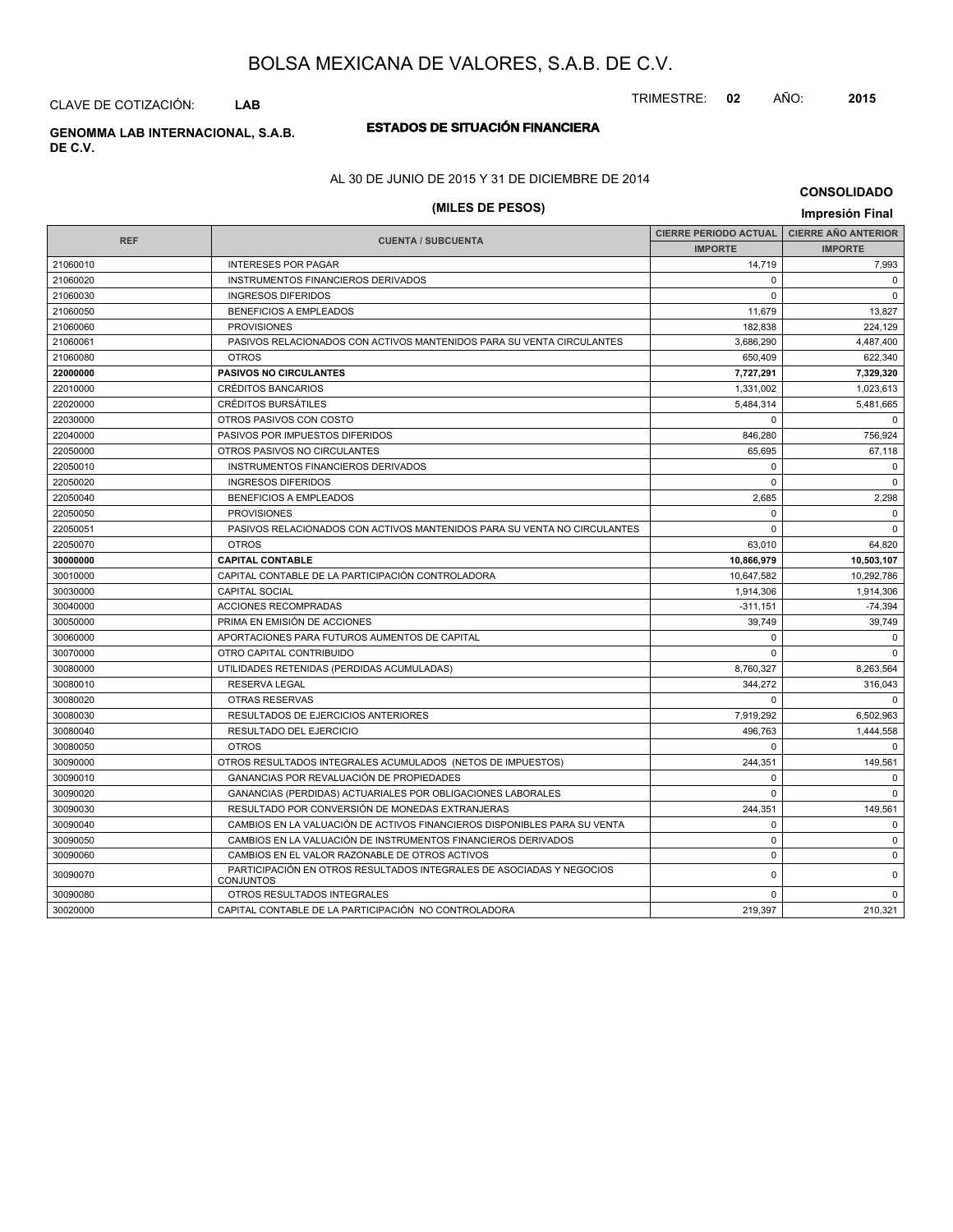CLAVE DE COTIZACIÓN: **LAB**

# **ESTADOS DE SITUACIÓN FINANCIERA GENOMMA LAB INTERNACIONAL, S.A.B.**

**DE C.V.**

### AL 30 DE JUNIO DE 2015 Y 31 DE DICIEMBRE DE 2014

# **(MILES DE PESOS) Impresión Final**

|            |                                                                                          | <b>CIERRE PERIODO ACTUAL</b> | <b>CIERRE AÑO ANTERIOR</b> |
|------------|------------------------------------------------------------------------------------------|------------------------------|----------------------------|
| <b>REF</b> | <b>CUENTA / SUBCUENTA</b>                                                                | <b>IMPORTE</b>               | <b>IMPORTE</b>             |
| 21060010   | <b>INTERESES POR PAGAR</b>                                                               | 14,719                       | 7,993                      |
| 21060020   | INSTRUMENTOS FINANCIEROS DERIVADOS                                                       | $\Omega$                     | $\Omega$                   |
| 21060030   | <b>INGRESOS DIFERIDOS</b>                                                                | $\Omega$                     | $\Omega$                   |
| 21060050   | <b>BENEFICIOS A EMPLEADOS</b>                                                            | 11,679                       | 13,827                     |
| 21060060   | <b>PROVISIONES</b>                                                                       | 182,838                      | 224.129                    |
| 21060061   | PASIVOS RELACIONADOS CON ACTIVOS MANTENIDOS PARA SU VENTA CIRCULANTES                    | 3,686,290                    | 4,487,400                  |
| 21060080   | <b>OTROS</b>                                                                             | 650,409                      | 622,340                    |
| 22000000   | <b>PASIVOS NO CIRCULANTES</b>                                                            | 7,727,291                    | 7,329,320                  |
| 22010000   | <b>CRÉDITOS BANCARIOS</b>                                                                | 1,331,002                    | 1,023,613                  |
| 22020000   | <b>CRÉDITOS BURSÁTILES</b>                                                               | 5,484,314                    | 5,481,665                  |
| 22030000   | OTROS PASIVOS CON COSTO                                                                  | $\Omega$                     | $\Omega$                   |
| 22040000   | PASIVOS POR IMPUESTOS DIFERIDOS                                                          | 846,280                      | 756,924                    |
| 22050000   | OTROS PASIVOS NO CIRCULANTES                                                             | 65,695                       | 67,118                     |
| 22050010   | INSTRUMENTOS FINANCIEROS DERIVADOS                                                       | $\Omega$                     | $\mathbf 0$                |
| 22050020   | <b>INGRESOS DIFERIDOS</b>                                                                | $\mathbf 0$                  | $\overline{0}$             |
| 22050040   | <b>BENEFICIOS A EMPLEADOS</b>                                                            | 2,685                        | 2,298                      |
| 22050050   | <b>PROVISIONES</b>                                                                       | $\Omega$                     | 0                          |
| 22050051   | PASIVOS RELACIONADOS CON ACTIVOS MANTENIDOS PARA SU VENTA NO CIRCULANTES                 | $\mathbf 0$                  | $\mathbf 0$                |
| 22050070   | <b>OTROS</b>                                                                             | 63,010                       | 64,820                     |
| 30000000   | <b>CAPITAL CONTABLE</b>                                                                  | 10,866,979                   | 10,503,107                 |
| 30010000   | CAPITAL CONTABLE DE LA PARTICIPACIÓN CONTROLADORA                                        | 10,647,582                   | 10.292.786                 |
| 30030000   | <b>CAPITAL SOCIAL</b>                                                                    | 1,914,306                    | 1,914,306                  |
| 30040000   | ACCIONES RECOMPRADAS                                                                     | $-311,151$                   | $-74,394$                  |
| 30050000   | PRIMA EN EMISIÓN DE ACCIONES                                                             | 39.749                       | 39,749                     |
| 30060000   | APORTACIONES PARA FUTUROS AUMENTOS DE CAPITAL                                            | $\Omega$                     | $\overline{0}$             |
| 30070000   | OTRO CAPITAL CONTRIBUIDO                                                                 | $\Omega$                     | $\Omega$                   |
| 30080000   | UTILIDADES RETENIDAS (PERDIDAS ACUMULADAS)                                               | 8,760,327                    | 8,263,564                  |
| 30080010   | <b>RESERVA LEGAL</b>                                                                     | 344.272                      | 316,043                    |
| 30080020   | <b>OTRAS RESERVAS</b>                                                                    | $\Omega$                     | $\Omega$                   |
| 30080030   | RESULTADOS DE EJERCICIOS ANTERIORES                                                      | 7,919,292                    | 6,502,963                  |
| 30080040   | RESULTADO DEL EJERCICIO                                                                  | 496.763                      | 1,444,558                  |
| 30080050   | <b>OTROS</b>                                                                             | $\Omega$                     | $\mathbf 0$                |
| 30090000   | OTROS RESULTADOS INTEGRALES ACUMULADOS (NETOS DE IMPUESTOS)                              | 244,351                      | 149,561                    |
| 30090010   | GANANCIAS POR REVALUACIÓN DE PROPIEDADES                                                 | $\Omega$                     | $\mathbf 0$                |
| 30090020   | GANANCIAS (PERDIDAS) ACTUARIALES POR OBLIGACIONES LABORALES                              | $\Omega$                     | $\mathbf 0$                |
| 30090030   | RESULTADO POR CONVERSIÓN DE MONEDAS EXTRANJERAS                                          | 244,351                      | 149,561                    |
| 30090040   | CAMBIOS EN LA VALUACIÓN DE ACTIVOS FINANCIEROS DISPONIBLES PARA SU VENTA                 | $\Omega$                     | $\mathbf 0$                |
| 30090050   | CAMBIOS EN LA VALUACIÓN DE INSTRUMENTOS FINANCIEROS DERIVADOS                            | 0                            | $\mathbf 0$                |
| 30090060   | CAMBIOS EN EL VALOR RAZONABLE DE OTROS ACTIVOS                                           | $\mathbf 0$                  | $\mathbf 0$                |
| 30090070   | PARTICIPACIÓN EN OTROS RESULTADOS INTEGRALES DE ASOCIADAS Y NEGOCIOS<br><b>CONJUNTOS</b> | 0                            | $\mathbf 0$                |
| 30090080   | OTROS RESULTADOS INTEGRALES                                                              | 0                            | 0                          |
| 30020000   | CAPITAL CONTABLE DE LA PARTICIPACIÓN NO CONTROLADORA                                     | 219,397                      | 210,321                    |

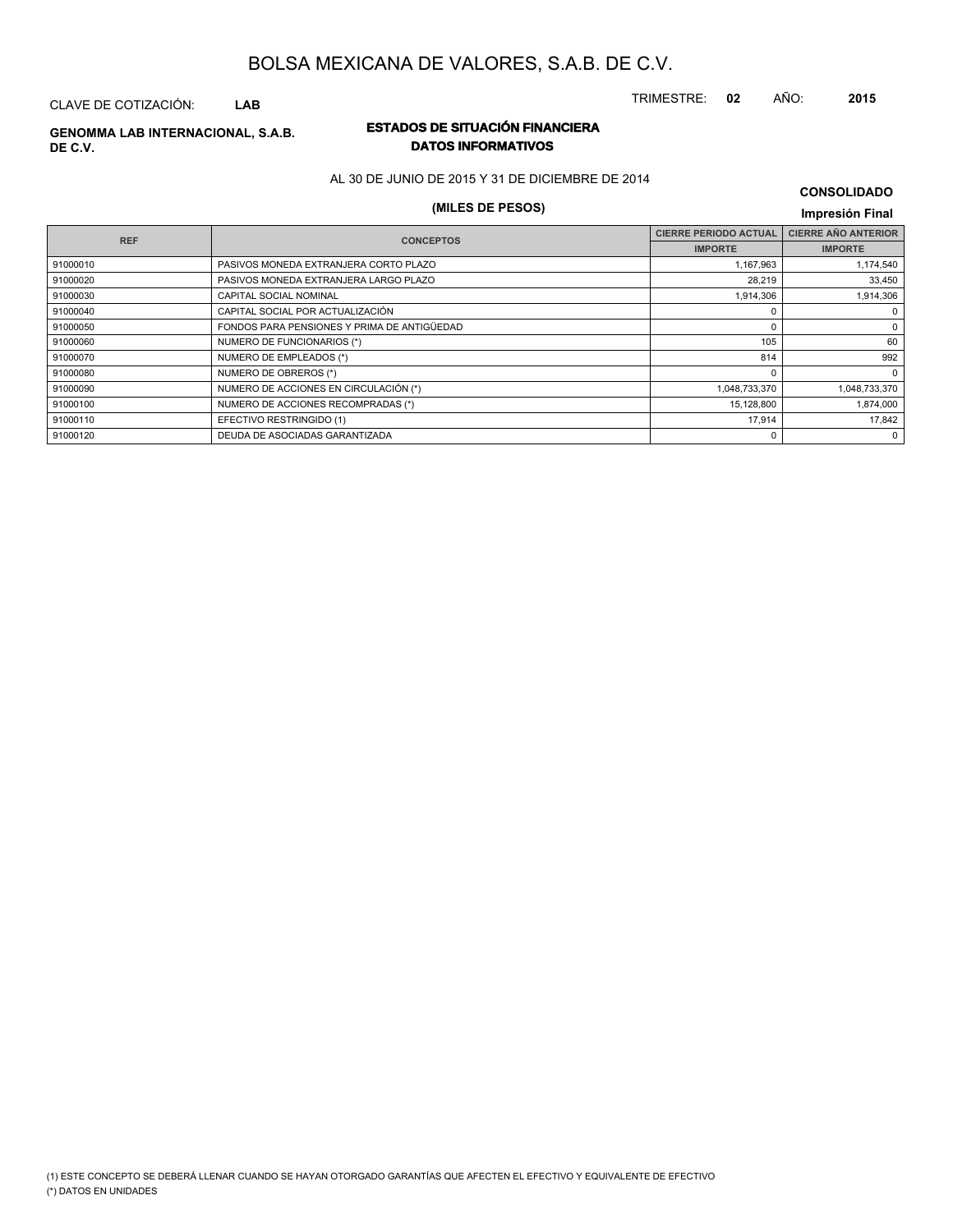CLAVE DE COTIZACIÓN: **LAB**

# **DE C.V.**

### **ESTADOS DE SITUACIÓN FINANCIERA GENOMMA LAB INTERNACIONAL, S.A.B. DATOS INFORMATIVOS**

AL 30 DE JUNIO DE 2015 Y 31 DE DICIEMBRE DE 2014

# **(MILES DE PESOS) Impresión Final**

| <b>REF</b> | <b>CONCEPTOS</b>                            | <b>CIERRE PERIODO ACTUAL</b> | <b>CIERRE AÑO ANTERIOR</b> |  |
|------------|---------------------------------------------|------------------------------|----------------------------|--|
|            |                                             | <b>IMPORTE</b>               | <b>IMPORTE</b>             |  |
| 91000010   | PASIVOS MONEDA EXTRANJERA CORTO PLAZO       | 1,167,963                    | 1,174,540                  |  |
| 91000020   | PASIVOS MONEDA EXTRANJERA LARGO PLAZO       | 28,219                       | 33,450                     |  |
| 91000030   | <b>CAPITAL SOCIAL NOMINAL</b>               | 1,914,306                    | 1,914,306                  |  |
| 91000040   | CAPITAL SOCIAL POR ACTUALIZACIÓN            | $\Omega$                     | $^{\circ}$                 |  |
| 91000050   | FONDOS PARA PENSIONES Y PRIMA DE ANTIGÜEDAD | $\Omega$                     | 0                          |  |
| 91000060   | NUMERO DE FUNCIONARIOS (*)                  | 105                          | 60                         |  |
| 91000070   | NUMERO DE EMPLEADOS (*)                     | 814                          | 992                        |  |
| 91000080   | NUMERO DE OBREROS (*)                       | 0                            | $\mathbf 0$                |  |
| 91000090   | NUMERO DE ACCIONES EN CIRCULACIÓN (*)       | 1,048,733,370                | 1,048,733,370              |  |
| 91000100   | NUMERO DE ACCIONES RECOMPRADAS (*)          | 15,128,800                   | 1,874,000                  |  |
| 91000110   | EFECTIVO RESTRINGIDO (1)                    | 17,914                       | 17,842                     |  |
| 91000120   | DEUDA DE ASOCIADAS GARANTIZADA              | 0                            | $\mathbf 0$                |  |

(\*) DATOS EN UNIDADES (1) ESTE CONCEPTO SE DEBERÁ LLENAR CUANDO SE HAYAN OTORGADO GARANTÍAS QUE AFECTEN EL EFECTIVO Y EQUIVALENTE DE EFECTIVO

TRIMESTRE: **02** AÑO: **2015**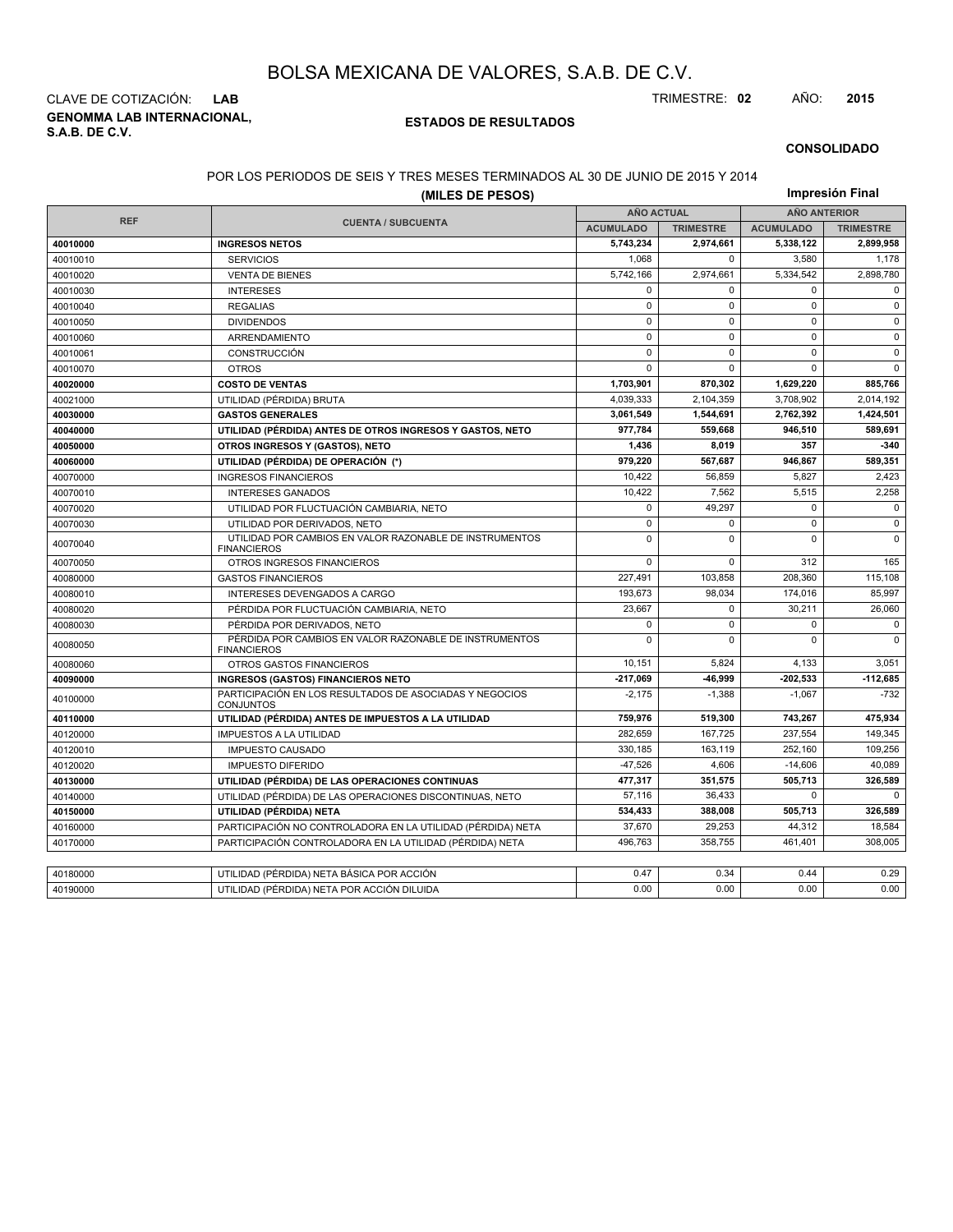**GENOMMA LAB INTERNACIONAL, S.A.B. DE C.V.** CLAVE DE COTIZACIÓN: **LAB** TRIMESTRE: **02** AÑO: **2015**

#### **ESTADOS DE RESULTADOS**

#### **CONSOLIDADO**

#### POR LOS PERIODOS DE SEIS Y TRES MESES TERMINADOS AL 30 DE JUNIO DE 2015 Y 2014

| Impresión Final<br>(MILES DE PESOS) |                                                                               |                   |                  |                     |                  |
|-------------------------------------|-------------------------------------------------------------------------------|-------------------|------------------|---------------------|------------------|
|                                     |                                                                               | <b>AÑO ACTUAL</b> |                  | <b>AÑO ANTERIOR</b> |                  |
| <b>REF</b>                          | <b>CUENTA / SUBCUENTA</b>                                                     | <b>ACUMULADO</b>  | <b>TRIMESTRE</b> | <b>ACUMULADO</b>    | <b>TRIMESTRE</b> |
| 40010000                            | <b>INGRESOS NETOS</b>                                                         | 5,743,234         | 2,974,661        | 5,338,122           | 2,899,958        |
| 40010010                            | <b>SERVICIOS</b>                                                              | 1.068             | $\Omega$         | 3.580               | 1,178            |
| 40010020                            | <b>VENTA DE BIENES</b>                                                        | 5,742,166         | 2,974,661        | 5,334,542           | 2,898,780        |
| 40010030                            | <b>INTERESES</b>                                                              | 0                 | 0                | $\mathbf 0$         | $\mathbf 0$      |
| 40010040                            | <b>REGALIAS</b>                                                               | $\mathsf 0$       | $\mathbf 0$      | $\mathbf 0$         | $\mathbf 0$      |
| 40010050                            | <b>DIVIDENDOS</b>                                                             | $\mathbf 0$       | $\mathbf 0$      | $\mathbf 0$         | $\mathbf 0$      |
| 40010060                            | ARRENDAMIENTO                                                                 | $\mathbf 0$       | $\mathbf 0$      | $\mathbf 0$         | $\mathbf 0$      |
| 40010061                            | <b>CONSTRUCCIÓN</b>                                                           | $\mathbf{0}$      | 0                | $\mathbf 0$         | $\mathbf 0$      |
| 40010070                            | <b>OTROS</b>                                                                  | $\mathbf 0$       | $\Omega$         | $\Omega$            | $\mathbf 0$      |
| 40020000                            | <b>COSTO DE VENTAS</b>                                                        | 1,703,901         | 870,302          | 1,629,220           | 885,766          |
| 40021000                            | UTILIDAD (PÉRDIDA) BRUTA                                                      | 4,039,333         | 2,104,359        | 3,708,902           | 2,014,192        |
| 40030000                            | <b>GASTOS GENERALES</b>                                                       | 3,061,549         | 1,544,691        | 2,762,392           | 1,424,501        |
| 40040000                            | UTILIDAD (PÉRDIDA) ANTES DE OTROS INGRESOS Y GASTOS, NETO                     | 977.784           | 559.668          | 946,510             | 589,691          |
| 40050000                            | OTROS INGRESOS Y (GASTOS), NETO                                               | 1,436             | 8,019            | 357                 | $-340$           |
| 40060000                            | UTILIDAD (PÉRDIDA) DE OPERACIÓN (*)                                           | 979.220           | 567.687          | 946.867             | 589,351          |
| 40070000                            | <b>INGRESOS FINANCIEROS</b>                                                   | 10,422            | 56,859           | 5,827               | 2,423            |
| 40070010                            | <b>INTERESES GANADOS</b>                                                      | 10,422            | 7,562            | 5,515               | 2,258            |
| 40070020                            | UTILIDAD POR FLUCTUACIÓN CAMBIARIA, NETO                                      | $\mathbf 0$       | 49,297           | $\mathbf 0$         | $\mathbf 0$      |
| 40070030                            | UTILIDAD POR DERIVADOS, NETO                                                  | $\mathbf 0$       | $\Omega$         | $\mathbf 0$         | $\mathbf 0$      |
| 40070040                            | UTILIDAD POR CAMBIOS EN VALOR RAZONABLE DE INSTRUMENTOS<br><b>FINANCIEROS</b> | $\mathbf 0$       | $\Omega$         | $\Omega$            | $\mathbf 0$      |
| 40070050                            | OTROS INGRESOS FINANCIEROS                                                    | $\mathbf 0$       | 0                | 312                 | 165              |
| 40080000                            | <b>GASTOS FINANCIEROS</b>                                                     | 227,491           | 103,858          | 208,360             | 115,108          |
| 40080010                            | INTERESES DEVENGADOS A CARGO                                                  | 193,673           | 98,034           | 174,016             | 85,997           |
| 40080020                            | PÉRDIDA POR FLUCTUACIÓN CAMBIARIA, NETO                                       | 23,667            | $\mathbf 0$      | 30,211              | 26,060           |
| 40080030                            | PÉRDIDA POR DERIVADOS, NETO                                                   | $\mathbf 0$       | $\Omega$         | $\mathbf 0$         | $\mathbf 0$      |
| 40080050                            | PÉRDIDA POR CAMBIOS EN VALOR RAZONABLE DE INSTRUMENTOS<br><b>FINANCIEROS</b>  | $\mathbf 0$       | 0                | $\mathbf 0$         | $\Omega$         |
| 40080060                            | OTROS GASTOS FINANCIEROS                                                      | 10,151            | 5,824            | 4,133               | 3,051            |
| 40090000                            | <b>INGRESOS (GASTOS) FINANCIEROS NETO</b>                                     | $-217,069$        | -46,999          | -202,533            | $-112,685$       |
| 40100000                            | PARTICIPACIÓN EN LOS RESULTADOS DE ASOCIADAS Y NEGOCIOS<br><b>CONJUNTOS</b>   | $-2,175$          | $-1,388$         | $-1,067$            | $-732$           |
| 40110000                            | UTILIDAD (PÉRDIDA) ANTES DE IMPUESTOS A LA UTILIDAD                           | 759,976           | 519.300          | 743.267             | 475,934          |
| 40120000                            | <b>IMPUESTOS A LA UTILIDAD</b>                                                | 282,659           | 167,725          | 237,554             | 149,345          |
| 40120010                            | <b>IMPUESTO CAUSADO</b>                                                       | 330,185           | 163,119          | 252,160             | 109,256          |
| 40120020                            | <b>IMPUESTO DIFERIDO</b>                                                      | $-47,526$         | 4,606            | $-14,606$           | 40,089           |
| 40130000                            | UTILIDAD (PÉRDIDA) DE LAS OPERACIONES CONTINUAS                               | 477,317           | 351,575          | 505,713             | 326,589          |
| 40140000                            | UTILIDAD (PÉRDIDA) DE LAS OPERACIONES DISCONTINUAS, NETO                      | 57,116            | 36.433           | O                   | $\Omega$         |
| 40150000                            | UTILIDAD (PÉRDIDA) NETA                                                       | 534,433           | 388,008          | 505,713             | 326,589          |
| 40160000                            | PARTICIPACIÓN NO CONTROLADORA EN LA UTILIDAD (PÉRDIDA) NETA                   | 37,670            | 29,253           | 44,312              | 18,584           |
| 40170000                            | PARTICIPACIÓN CONTROLADORA EN LA UTILIDAD (PÉRDIDA) NETA                      | 496,763           | 358,755          | 461,401             | 308,005          |
|                                     |                                                                               |                   |                  |                     |                  |
| 40180000                            | UTILIDAD (PÉRDIDA) NETA BÁSICA POR ACCIÓN                                     | 0.47              | 0.34             | 0.44                | 0.29             |
| 40190000                            | UTILIDAD (PÉRDIDA) NETA POR ACCIÓN DILUIDA                                    | 0.00              | 0.00             | 0.00                | 0.00             |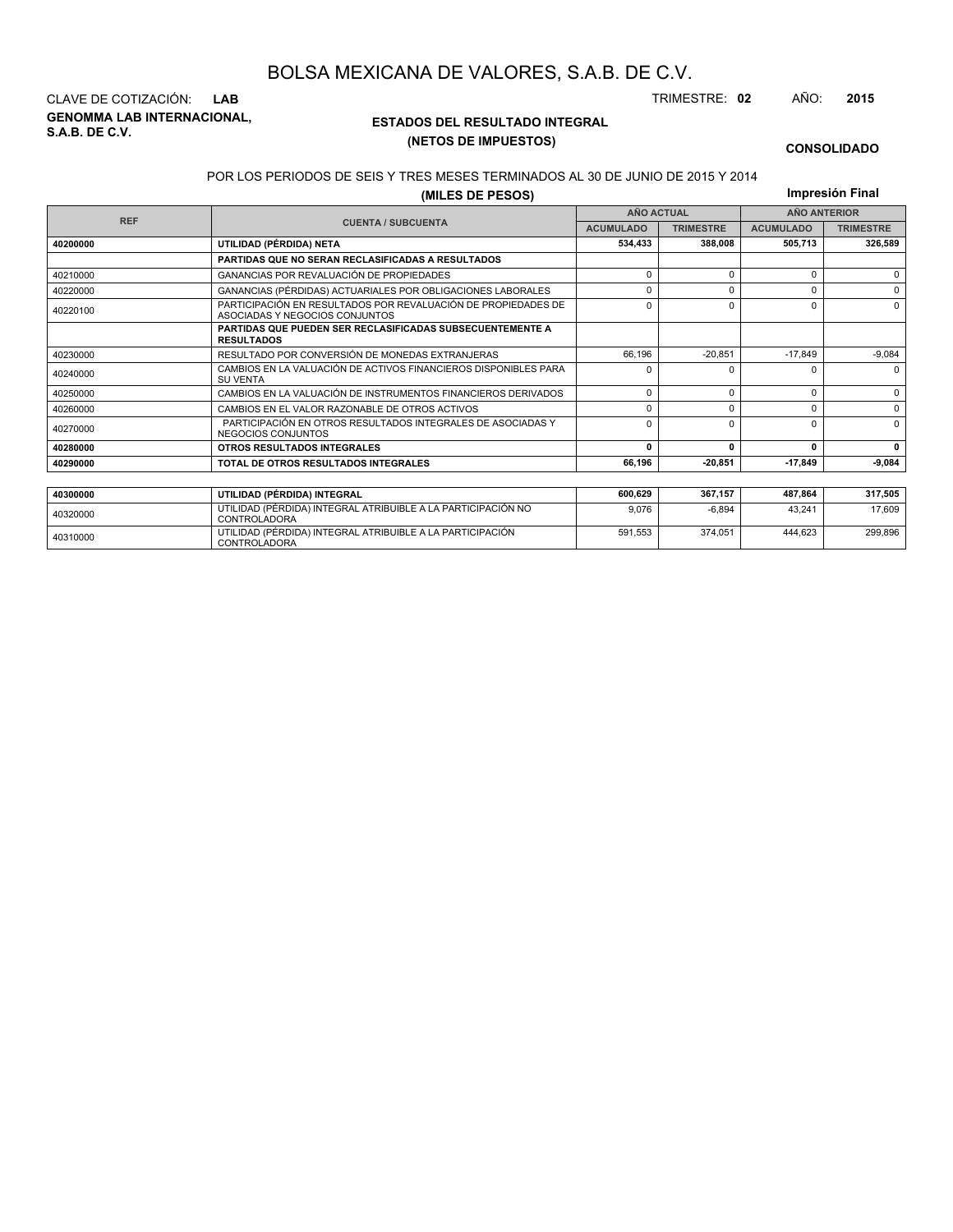**GENOMMA LAB INTERNACIONAL, S.A.B. DE C.V.** CLAVE DE COTIZACIÓN: **LAB** TRIMESTRE: **02** AÑO: **2015**

<sup>40310000</sup> UTILIDAD (PÉRDIDA) INTEGRAL ATRIBUIBLE A LA PARTICIPACIÓN CONTROLADORA

### **ESTADOS DEL RESULTADO INTEGRAL (NETOS DE IMPUESTOS)**

591,553 374,051 444,623 299,896

#### **CONSOLIDADO**

#### POR LOS PERIODOS DE SEIS Y TRES MESES TERMINADOS AL 30 DE JUNIO DE 2015 Y 2014

**(MILES DE PESOS)**

**Impresión Final**

| (MILES DE PESUS) |                                                                                                 |                  |                   |                  | <b>1111101031011 1 11101</b> |
|------------------|-------------------------------------------------------------------------------------------------|------------------|-------------------|------------------|------------------------------|
| <b>REF</b>       |                                                                                                 |                  | <b>AÑO ACTUAL</b> |                  | <b>AÑO ANTERIOR</b>          |
|                  | <b>CUENTA / SUBCUENTA</b>                                                                       | <b>ACUMULADO</b> | <b>TRIMESTRE</b>  | <b>ACUMULADO</b> | <b>TRIMESTRE</b>             |
| 40200000         | UTILIDAD (PÉRDIDA) NETA                                                                         | 534,433          | 388.008           | 505.713          | 326,589                      |
|                  | <b>PARTIDAS QUE NO SERAN RECLASIFICADAS A RESULTADOS</b>                                        |                  |                   |                  |                              |
| 40210000         | GANANCIAS POR REVALUACIÓN DE PROPIEDADES                                                        | 0                | $\Omega$          | $\Omega$         | $\Omega$                     |
| 40220000         | GANANCIAS (PÉRDIDAS) ACTUARIALES POR OBLIGACIONES LABORALES                                     |                  | $\Omega$          | $\Omega$         | $\Omega$                     |
| 40220100         | PARTICIPACIÓN EN RESULTADOS POR REVALUACIÓN DE PROPIEDADES DE<br>ASOCIADAS Y NEGOCIOS CONJUNTOS | $\Omega$         | $\Omega$          | $\Omega$         | $\Omega$                     |
|                  | <b>PARTIDAS QUE PUEDEN SER RECLASIFICADAS SUBSECUENTEMENTE A</b><br><b>RESULTADOS</b>           |                  |                   |                  |                              |
| 40230000         | RESULTADO POR CONVERSIÓN DE MONEDAS EXTRANJERAS                                                 | 66.196           | $-20,851$         | $-17.849$        | $-9,084$                     |
| 40240000         | CAMBIOS EN LA VALUACIÓN DE ACTIVOS FINANCIEROS DISPONIBLES PARA<br><b>SU VENTA</b>              |                  | <sup>0</sup>      | <sup>0</sup>     | $\Omega$                     |
| 40250000         | CAMBIOS EN LA VALUACIÓN DE INSTRUMENTOS FINANCIEROS DERIVADOS                                   | $\Omega$         | 0                 | $\Omega$         | $\Omega$                     |
| 40260000         | CAMBIOS EN EL VALOR RAZONABLE DE OTROS ACTIVOS                                                  | 0                | 0                 | $\Omega$         | $\Omega$                     |
| 40270000         | PARTICIPACIÓN EN OTROS RESULTADOS INTEGRALES DE ASOCIADAS Y<br>NEGOCIOS CONJUNTOS               | 0                | $\Omega$          | $\Omega$         | $\Omega$                     |
| 40280000         | <b>OTROS RESULTADOS INTEGRALES</b>                                                              | $\Omega$         | $\mathbf{r}$      | 0                | $\mathbf{0}$                 |
| 40290000         | TOTAL DE OTROS RESULTADOS INTEGRALES                                                            | 66,196           | $-20.851$         | $-17,849$        | $-9,084$                     |
|                  |                                                                                                 |                  |                   |                  |                              |
| 40300000         | UTILIDAD (PÉRDIDA) INTEGRAL                                                                     | 600,629          | 367,157           | 487,864          | 317,505                      |
| 40320000         | UTILIDAD (PÉRDIDA) INTEGRAL ATRIBUIBLE A LA PARTICIPACIÓN NO<br><b>CONTROLADORA</b>             | 9.076            | $-6.894$          | 43,241           | 17,609                       |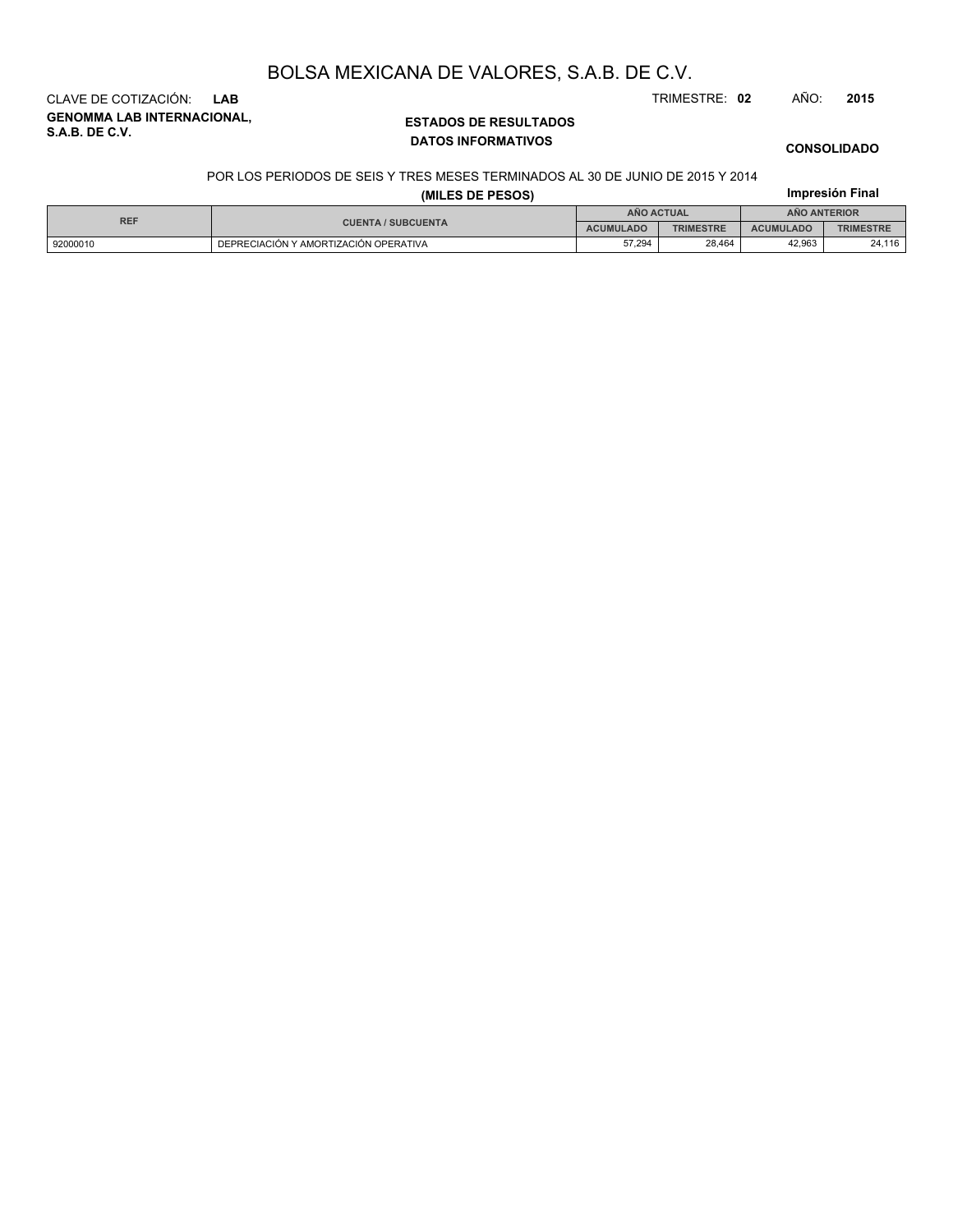**CONSOLIDADO**

# **GENOMMA LAB INTERNACIONAL,** CLAVE DE COTIZACIÓN: **LAB** TRIMESTRE: **02** AÑO: **2015**

**S.A.B. DE C.V.**

### **ESTADOS DE RESULTADOS DATOS INFORMATIVOS**

### POR LOS PERIODOS DE SEIS Y TRES MESES TERMINADOS AL 30 DE JUNIO DE 2015 Y 2014

| (MILES DE PESOS) |                                       |                  |                  |                     | Impresión Final  |  |
|------------------|---------------------------------------|------------------|------------------|---------------------|------------------|--|
| <b>REF</b>       |                                       | ANO ACTUAL       |                  | <b>ANO ANTERIOR</b> |                  |  |
|                  | <b>CUENTA / SUBCUENTA</b>             | <b>ACUMULADO</b> | <b>TRIMESTRE</b> | <b>ACUMULADO</b>    | <b>TRIMESTRE</b> |  |
| 92000010         | DEPRECIACIÓN Y AMORTIZACIÓN OPERATIVA | 57.294           | 28.464           | 42.963              | 24,116           |  |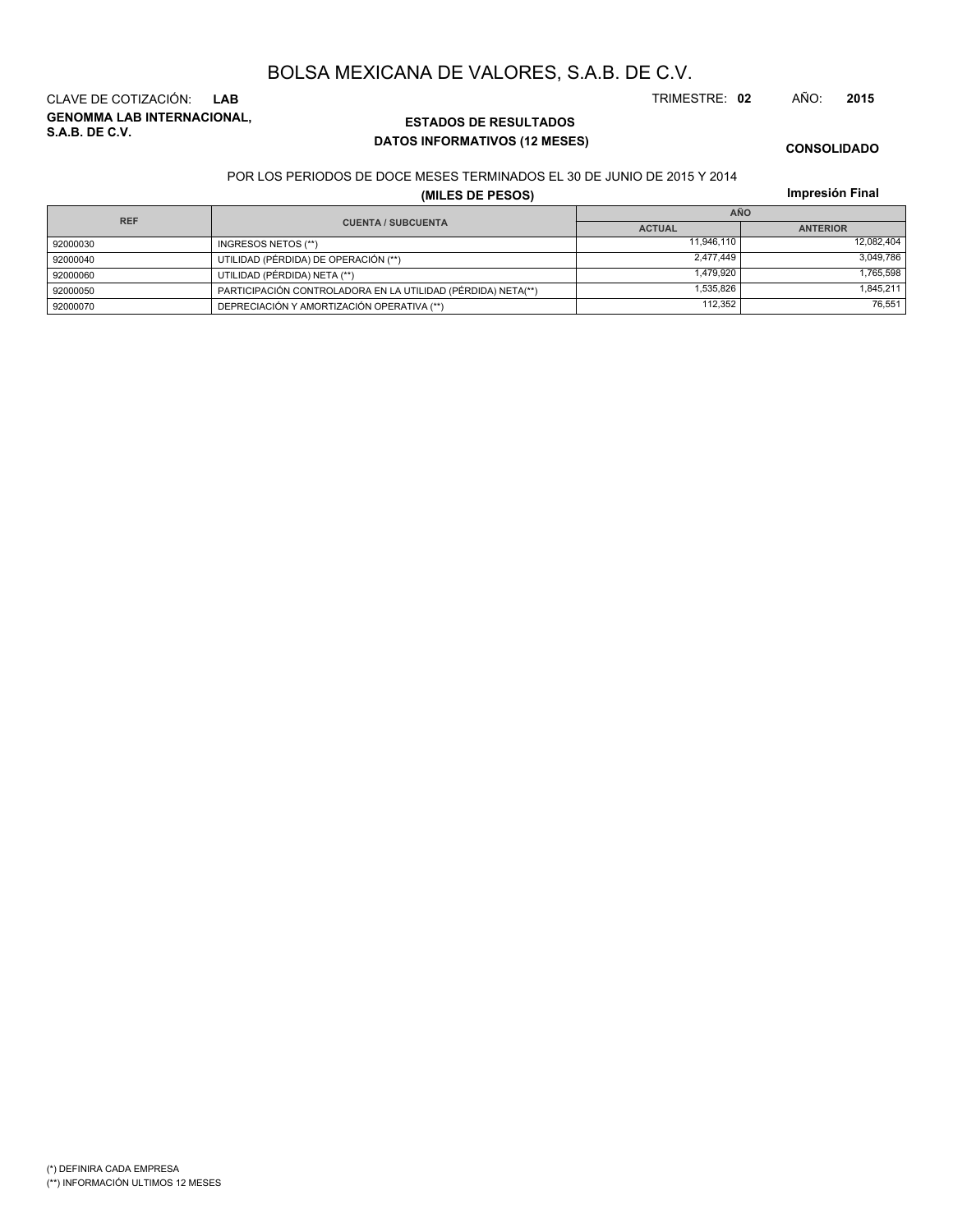**GENOMMA LAB INTERNACIONAL, S.A.B. DE C.V.** CLAVE DE COTIZACIÓN: **LAB** TRIMESTRE: **02** AÑO: **2015**

### **ESTADOS DE RESULTADOS DATOS INFORMATIVOS (12 MESES)**

**CONSOLIDADO**

#### POR LOS PERIODOS DE DOCE MESES TERMINADOS EL 30 DE JUNIO DE 2015 Y 2014

**(MILES DE PESOS)**

**Impresión Final**

| <b>REF</b> |                                                              | <b>AÑO</b>    |                 |  |  |
|------------|--------------------------------------------------------------|---------------|-----------------|--|--|
|            | <b>CUENTA / SUBCUENTA</b>                                    | <b>ACTUAL</b> | <b>ANTERIOR</b> |  |  |
| 92000030   | INGRESOS NETOS (**)                                          | 11.946.110    | 12.082.404      |  |  |
| 92000040   | UTILIDAD (PÉRDIDA) DE OPERACIÓN (**)                         | 2.477.449     | 3.049.786       |  |  |
| 92000060   | UTILIDAD (PÉRDIDA) NETA (**)                                 | 1.479.920     | 1.765.598       |  |  |
| 92000050   | PARTICIPACIÓN CONTROLADORA EN LA UTILIDAD (PÉRDIDA) NETA(**) | 1.535.826     | 1.845.211       |  |  |
| 92000070   | DEPRECIACIÓN Y AMORTIZACIÓN OPERATIVA (**)                   | 112.352       | 76.551          |  |  |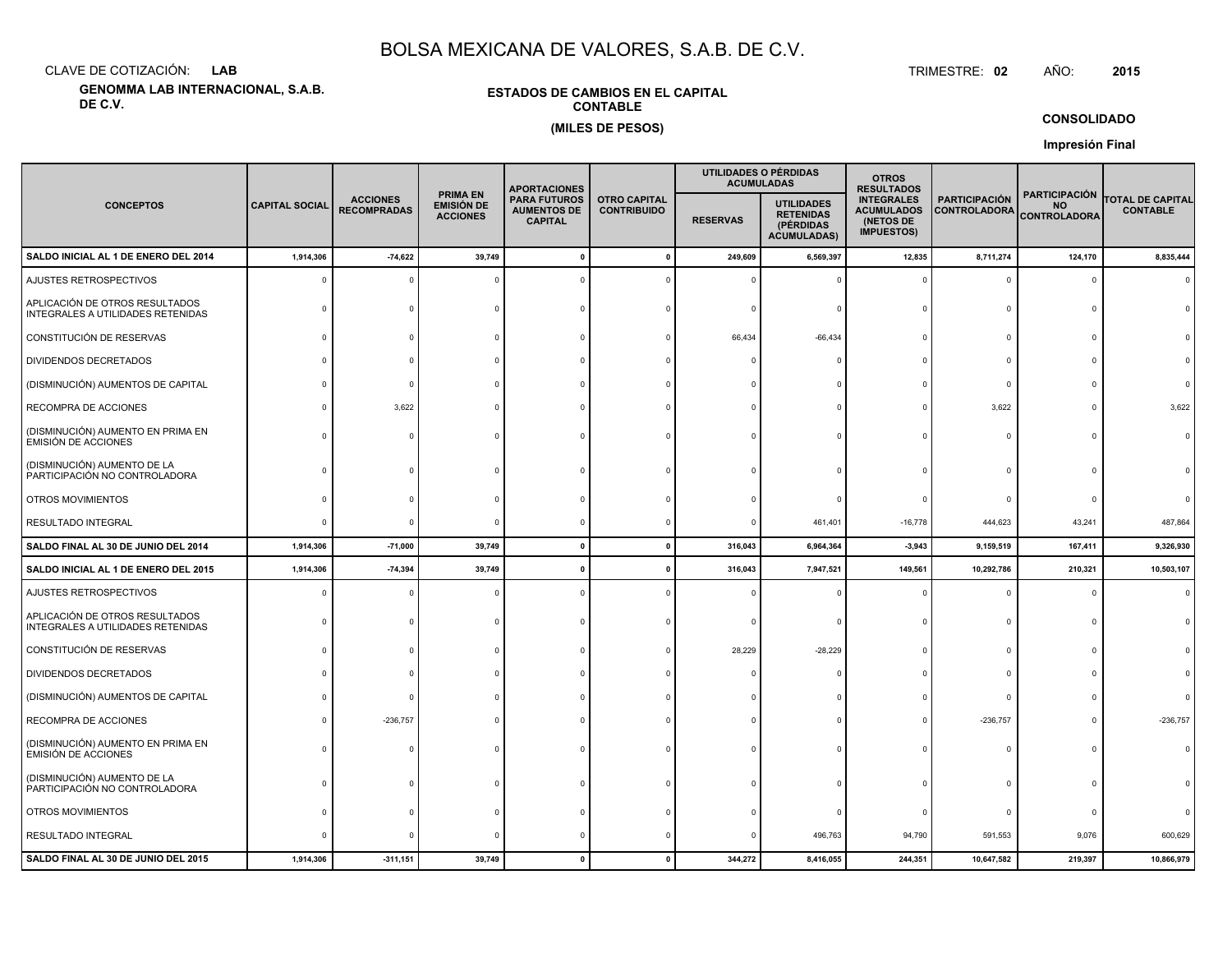CLAVE DE COTIZACIÓN:**LAB**

**GENOMMA LAB INTERNACIONAL, S.A.B. DE C.V.**

### **ESTADOS DE CAMBIOS EN EL CAPITALCONTABLE(MILES DE PESOS)**

 TRIMESTRE:TRIMESTRE: 02 AÑO: **<sup>2015</sup>**

**CONSOLIDADO**

**Impresión Final**

| <b>CONCEPTOS</b>                                                    |                       |                                       |                                                         |                                                             |                                           | <b>APORTACIONES</b> |                                                                          |                                                                          | UTILIDADES O PÉRDIDAS<br><b>ACUMULADAS</b>  | <b>OTROS</b><br><b>RESULTADOS</b>                        |                                            |  |  |
|---------------------------------------------------------------------|-----------------------|---------------------------------------|---------------------------------------------------------|-------------------------------------------------------------|-------------------------------------------|---------------------|--------------------------------------------------------------------------|--------------------------------------------------------------------------|---------------------------------------------|----------------------------------------------------------|--------------------------------------------|--|--|
|                                                                     | <b>CAPITAL SOCIAL</b> | <b>ACCIONES</b><br><b>RECOMPRADAS</b> | <b>PRIMA EN</b><br><b>EMISIÓN DE</b><br><b>ACCIONES</b> | <b>PARA FUTUROS</b><br><b>AUMENTOS DE</b><br><b>CAPITAL</b> | <b>OTRO CAPITAL</b><br><b>CONTRIBUIDO</b> | <b>RESERVAS</b>     | <b>UTILIDADES</b><br><b>RETENIDAS</b><br>(PÉRDIDAS<br><b>ACUMULADAS)</b> | <b>INTEGRALES</b><br><b>ACUMULADOS</b><br>(NETOS DE<br><b>IMPUESTOS)</b> | <b>PARTICIPACIÓN</b><br><b>CONTROLADORA</b> | <b>PARTICIPACIÓN</b><br><b>NO</b><br><b>CONTROLADORA</b> | <b>TOTAL DE CAPITAL</b><br><b>CONTABLE</b> |  |  |
| SALDO INICIAL AL 1 DE ENERO DEL 2014                                | 1,914,306             | $-74,622$                             | 39,749                                                  | $\Omega$                                                    |                                           | 249,609             | 6,569,397                                                                | 12,835                                                                   | 8,711,274                                   | 124,170                                                  | 8,835,444                                  |  |  |
| AJUSTES RETROSPECTIVOS                                              | $\Omega$              |                                       |                                                         |                                                             |                                           |                     |                                                                          |                                                                          | $\Omega$                                    | $\Omega$                                                 | $\Omega$                                   |  |  |
| APLICACIÓN DE OTROS RESULTADOS<br>INTEGRALES A UTILIDADES RETENIDAS |                       |                                       |                                                         |                                                             |                                           |                     |                                                                          |                                                                          | C                                           | $\Omega$                                                 |                                            |  |  |
| CONSTITUCIÓN DE RESERVAS                                            |                       |                                       |                                                         |                                                             |                                           | 66,434              | $-66,434$                                                                |                                                                          | $\Omega$                                    | $\Omega$                                                 |                                            |  |  |
| DIVIDENDOS DECRETADOS                                               |                       |                                       |                                                         |                                                             |                                           |                     |                                                                          |                                                                          | $\Omega$                                    |                                                          |                                            |  |  |
| (DISMINUCIÓN) AUMENTOS DE CAPITAL                                   |                       |                                       |                                                         |                                                             |                                           |                     |                                                                          |                                                                          | $\Omega$                                    |                                                          |                                            |  |  |
| RECOMPRA DE ACCIONES                                                |                       | 3,622                                 |                                                         |                                                             |                                           |                     |                                                                          |                                                                          | 3,622                                       | $\Omega$                                                 | 3,622                                      |  |  |
| (DISMINUCIÓN) AUMENTO EN PRIMA EN<br><b>EMISIÓN DE ACCIONES</b>     | n                     |                                       |                                                         |                                                             |                                           |                     |                                                                          |                                                                          | $\Omega$                                    | $\Omega$                                                 |                                            |  |  |
| (DISMINUCIÓN) AUMENTO DE LA<br>PARTICIPACIÓN NO CONTROLADORA        |                       |                                       |                                                         |                                                             |                                           |                     |                                                                          |                                                                          |                                             |                                                          |                                            |  |  |
| OTROS MOVIMIENTOS                                                   |                       |                                       |                                                         |                                                             |                                           |                     |                                                                          |                                                                          | $\Omega$                                    | $\Omega$                                                 |                                            |  |  |
| RESULTADO INTEGRAL                                                  | $\Omega$              |                                       |                                                         |                                                             |                                           |                     | 461,401                                                                  | $-16,778$                                                                | 444,623                                     | 43,241                                                   | 487,864                                    |  |  |
| SALDO FINAL AL 30 DE JUNIO DEL 2014                                 | 1,914,306             | $-71,000$                             | 39,749                                                  | $\mathbf{0}$                                                |                                           | 316,043             | 6,964,364                                                                | $-3,943$                                                                 | 9,159,519                                   | 167,411                                                  | 9,326,930                                  |  |  |
| SALDO INICIAL AL 1 DE ENERO DEL 2015                                | 1,914,306             | $-74,394$                             | 39,749                                                  | $\mathbf{0}$                                                |                                           | 316,043             | 7,947,521                                                                | 149,561                                                                  | 10,292,786                                  | 210,321                                                  | 10,503,107                                 |  |  |
| AJUSTES RETROSPECTIVOS                                              | $\Omega$              |                                       |                                                         |                                                             |                                           |                     |                                                                          |                                                                          | $\Omega$                                    | $\Omega$                                                 |                                            |  |  |
| APLICACIÓN DE OTROS RESULTADOS<br>INTEGRALES A UTILIDADES RETENIDAS |                       |                                       |                                                         |                                                             |                                           |                     |                                                                          |                                                                          | $\Omega$                                    | $\Omega$                                                 |                                            |  |  |
| CONSTITUCIÓN DE RESERVAS                                            |                       |                                       |                                                         |                                                             |                                           | 28,229              | $-28,229$                                                                |                                                                          | $\Omega$                                    | $\Omega$                                                 |                                            |  |  |
| DIVIDENDOS DECRETADOS                                               |                       |                                       |                                                         |                                                             |                                           |                     |                                                                          |                                                                          | $\Omega$                                    |                                                          |                                            |  |  |
| (DISMINUCIÓN) AUMENTOS DE CAPITAL                                   |                       |                                       |                                                         |                                                             |                                           |                     |                                                                          |                                                                          | $\Omega$                                    |                                                          |                                            |  |  |
| RECOMPRA DE ACCIONES                                                |                       | $-236,757$                            |                                                         |                                                             |                                           |                     |                                                                          |                                                                          | $-236,757$                                  |                                                          | $-236,757$                                 |  |  |
| (DISMINUCIÓN) AUMENTO EN PRIMA EN<br><b>EMISIÓN DE ACCIONES</b>     |                       |                                       |                                                         |                                                             |                                           |                     |                                                                          |                                                                          |                                             | $\Omega$                                                 |                                            |  |  |
| (DISMINUCIÓN) AUMENTO DE LA<br>PARTICIPACIÓN NO CONTROLADORA        |                       |                                       |                                                         |                                                             |                                           |                     |                                                                          |                                                                          | $\Omega$                                    | $\Omega$                                                 |                                            |  |  |
| OTROS MOVIMIENTOS                                                   |                       |                                       |                                                         |                                                             |                                           |                     |                                                                          |                                                                          | $\Omega$                                    | $\Omega$                                                 |                                            |  |  |
| RESULTADO INTEGRAL                                                  |                       |                                       |                                                         |                                                             |                                           |                     | 496,763                                                                  | 94,790                                                                   | 591,553                                     | 9,076                                                    | 600,629                                    |  |  |
| SALDO FINAL AL 30 DE JUNIO DEL 2015                                 | 1,914,306             | $-311,151$                            | 39,749                                                  | $\Omega$                                                    |                                           | 344,272             | 8,416,055                                                                | 244,351                                                                  | 10,647,582                                  | 219,397                                                  | 10,866,979                                 |  |  |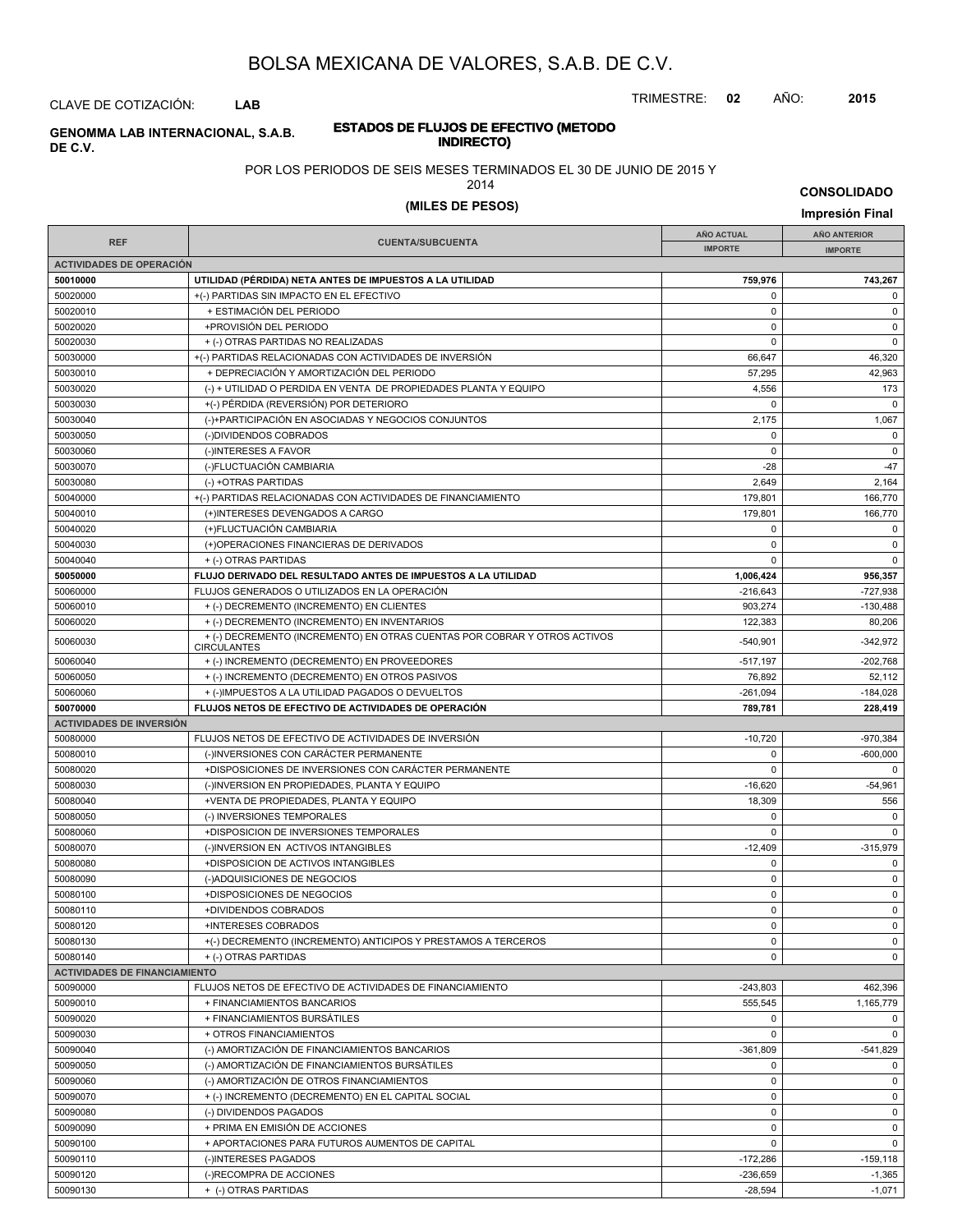TRIMESTRE: **02** AÑO: **2015**

### CLAVE DE COTIZACIÓN: **LAB**

### **ESTADOS DE FLUJOS DE EFECTIVO (METODO INDIRECTO) GENOMMA LAB INTERNACIONAL, S.A.B. DE C.V.**

#### POR LOS PERIODOS DE SEIS MESES TERMINADOS EL 30 DE JUNIO DE 2015 Y

2014

**CONSOLIDADO**

# **(MILES DE PESOS) Impresión Final**

| <b>REF</b>                           | <b>CUENTA/SUBCUENTA</b>                                                                                                   | <b>AÑO ACTUAL</b> | AÑO ANTERIOR   |
|--------------------------------------|---------------------------------------------------------------------------------------------------------------------------|-------------------|----------------|
|                                      |                                                                                                                           | <b>IMPORTE</b>    | <b>IMPORTE</b> |
| <b>ACTIVIDADES DE OPERACIÓN</b>      |                                                                                                                           |                   |                |
| 50010000                             | UTILIDAD (PÉRDIDA) NETA ANTES DE IMPUESTOS A LA UTILIDAD                                                                  | 759,976           | 743,267        |
| 50020000                             | +(-) PARTIDAS SIN IMPACTO EN EL EFECTIVO                                                                                  | 0                 | $\mathbf 0$    |
| 50020010                             | + ESTIMACIÓN DEL PERIODO                                                                                                  | 0                 | $\mathbf 0$    |
| 50020020                             | +PROVISIÓN DEL PERIODO                                                                                                    | $\mathbf 0$       | $\mathbf 0$    |
| 50020030                             | + (-) OTRAS PARTIDAS NO REALIZADAS                                                                                        | $\mathbf 0$       | $\mathbf 0$    |
| 50030000                             | +(-) PARTIDAS RELACIONADAS CON ACTIVIDADES DE INVERSIÓN                                                                   | 66,647            | 46,320         |
| 50030010                             | + DEPRECIACIÓN Y AMORTIZACIÓN DEL PERIODO                                                                                 | 57,295            | 42,963         |
| 50030020                             | (-) + UTILIDAD O PERDIDA EN VENTA DE PROPIEDADES PLANTA Y EQUIPO                                                          | 4,556             | 173            |
| 50030030                             | +(-) PÉRDIDA (REVERSIÓN) POR DETERIORO                                                                                    | $\Omega$          | $\mathbf 0$    |
| 50030040                             | (-)+PARTICIPACIÓN EN ASOCIADAS Y NEGOCIOS CONJUNTOS                                                                       | 2,175             | 1,067          |
| 50030050                             | (-)DIVIDENDOS COBRADOS                                                                                                    | $\mathbf 0$       | $\mathbf 0$    |
| 50030060                             | (-)INTERESES A FAVOR                                                                                                      | 0                 | 0              |
| 50030070                             | (-)FLUCTUACIÓN CAMBIARIA                                                                                                  | $-28$             | $-47$          |
| 50030080                             | (-) +OTRAS PARTIDAS                                                                                                       | 2,649             | 2,164          |
| 50040000                             | +(-) PARTIDAS RELACIONADAS CON ACTIVIDADES DE FINANCIAMIENTO                                                              | 179,801           | 166,770        |
| 50040010                             | (+)INTERESES DEVENGADOS A CARGO                                                                                           | 179,801           | 166,770        |
| 50040020                             | (+)FLUCTUACIÓN CAMBIARIA                                                                                                  | 0                 | $\mathsf 0$    |
| 50040030                             | (+)OPERACIONES FINANCIERAS DE DERIVADOS                                                                                   | 0                 | 0              |
|                                      |                                                                                                                           | $\mathbf 0$       | $\mathbf 0$    |
| 50040040                             | + (-) OTRAS PARTIDAS                                                                                                      |                   |                |
| 50050000                             | FLUJO DERIVADO DEL RESULTADO ANTES DE IMPUESTOS A LA UTILIDAD                                                             | 1,006,424         | 956.357        |
| 50060000                             | FLUJOS GENERADOS O UTILIZADOS EN LA OPERACIÓN                                                                             | $-216,643$        | $-727,938$     |
| 50060010                             | + (-) DECREMENTO (INCREMENTO) EN CLIENTES                                                                                 | 903,274           | $-130,488$     |
| 50060020                             | + (-) DECREMENTO (INCREMENTO) EN INVENTARIOS<br>+ (-) DECREMENTO (INCREMENTO) EN OTRAS CUENTAS POR COBRAR Y OTROS ACTIVOS | 122,383           | 80,206         |
| 50060030                             | <b>CIRCULANTES</b>                                                                                                        | $-540,901$        | $-342.972$     |
| 50060040                             | + (-) INCREMENTO (DECREMENTO) EN PROVEEDORES                                                                              | $-517,197$        | -202,768       |
| 50060050                             | + (-) INCREMENTO (DECREMENTO) EN OTROS PASIVOS                                                                            | 76,892            | 52,112         |
| 50060060                             | + (-)IMPUESTOS A LA UTILIDAD PAGADOS O DEVUELTOS                                                                          | $-261,094$        | $-184,028$     |
| 50070000                             | FLUJOS NETOS DE EFECTIVO DE ACTIVIDADES DE OPERACIÓN                                                                      | 789,781           | 228,419        |
| <b>ACTIVIDADES DE INVERSIÓN</b>      |                                                                                                                           |                   |                |
| 50080000                             | FLUJOS NETOS DE EFECTIVO DE ACTIVIDADES DE INVERSIÓN                                                                      | $-10,720$         | $-970,384$     |
| 50080010                             | (-)INVERSIONES CON CARÁCTER PERMANENTE                                                                                    | 0                 | -600,000       |
| 50080020                             | +DISPOSICIONES DE INVERSIONES CON CARÁCTER PERMANENTE                                                                     | $\Omega$          | $\mathbf 0$    |
| 50080030                             | (-)INVERSION EN PROPIEDADES, PLANTA Y EQUIPO                                                                              | $-16,620$         | $-54,961$      |
| 50080040                             | +VENTA DE PROPIEDADES, PLANTA Y EQUIPO                                                                                    | 18,309            | 556            |
| 50080050                             | (-) INVERSIONES TEMPORALES                                                                                                | 0                 | $\mathbf 0$    |
| 50080060                             | +DISPOSICION DE INVERSIONES TEMPORALES                                                                                    | $\mathbf 0$       | $\mathbf 0$    |
| 50080070                             | (-)INVERSION EN ACTIVOS INTANGIBLES                                                                                       | $-12,409$         | $-315,979$     |
| 50080080                             | +DISPOSICION DE ACTIVOS INTANGIBLES                                                                                       | $\mathbf 0$       | $\mathbf 0$    |
| 50080090                             | (-)ADQUISICIONES DE NEGOCIOS                                                                                              | $\mathbf 0$       | $\mathsf 0$    |
| 50080100                             | +DISPOSICIONES DE NEGOCIOS                                                                                                | 0                 | 0              |
| 50080110                             | +DIVIDENDOS COBRADOS                                                                                                      | $\mathbf 0$       | $\mathbf 0$    |
| 50080120                             | +INTERESES COBRADOS                                                                                                       | 0                 | $\mathbf 0$    |
| 50080130                             | +(-) DECREMENTO (INCREMENTO) ANTICIPOS Y PRESTAMOS A TERCEROS                                                             | 0                 | $\mathbf 0$    |
|                                      |                                                                                                                           | $\mathbf 0$       | $\mathbf 0$    |
| 50080140                             | + (-) OTRAS PARTIDAS                                                                                                      |                   |                |
| <b>ACTIVIDADES DE FINANCIAMIENTO</b> |                                                                                                                           |                   |                |
| 50090000                             | FLUJOS NETOS DE EFECTIVO DE ACTIVIDADES DE FINANCIAMIENTO                                                                 | $-243,803$        | 462,396        |
| 50090010                             | + FINANCIAMIENTOS BANCARIOS                                                                                               | 555,545           | 1,165,779      |
| 50090020                             | + FINANCIAMIENTOS BURSÁTILES                                                                                              | 0                 | $\mathbf 0$    |
| 50090030                             | + OTROS FINANCIAMIENTOS                                                                                                   | 0                 | $\mathbf 0$    |
| 50090040                             | (-) AMORTIZACIÓN DE FINANCIAMIENTOS BANCARIOS                                                                             | $-361,809$        | $-541,829$     |
| 50090050                             | (-) AMORTIZACIÓN DE FINANCIAMIENTOS BURSÁTILES                                                                            | 0                 | $\mathbf 0$    |
| 50090060                             | (-) AMORTIZACIÓN DE OTROS FINANCIAMIENTOS                                                                                 | 0                 | $\mathbf 0$    |
| 50090070                             | + (-) INCREMENTO (DECREMENTO) EN EL CAPITAL SOCIAL                                                                        | $\mathbf 0$       | $\mathbf 0$    |
| 50090080                             | (-) DIVIDENDOS PAGADOS                                                                                                    | 0                 | $\mathbf 0$    |
| 50090090                             | + PRIMA EN EMISIÓN DE ACCIONES                                                                                            | 0                 | 0              |
| 50090100                             | + APORTACIONES PARA FUTUROS AUMENTOS DE CAPITAL                                                                           | $\mathbf 0$       | $\mathbf 0$    |
| 50090110                             | (-)INTERESES PAGADOS                                                                                                      | $-172,286$        | $-159, 118$    |
| 50090120                             | (-)RECOMPRA DE ACCIONES                                                                                                   | $-236,659$        | $-1,365$       |
| 50090130                             | + (-) OTRAS PARTIDAS                                                                                                      | $-28,594$         | $-1,071$       |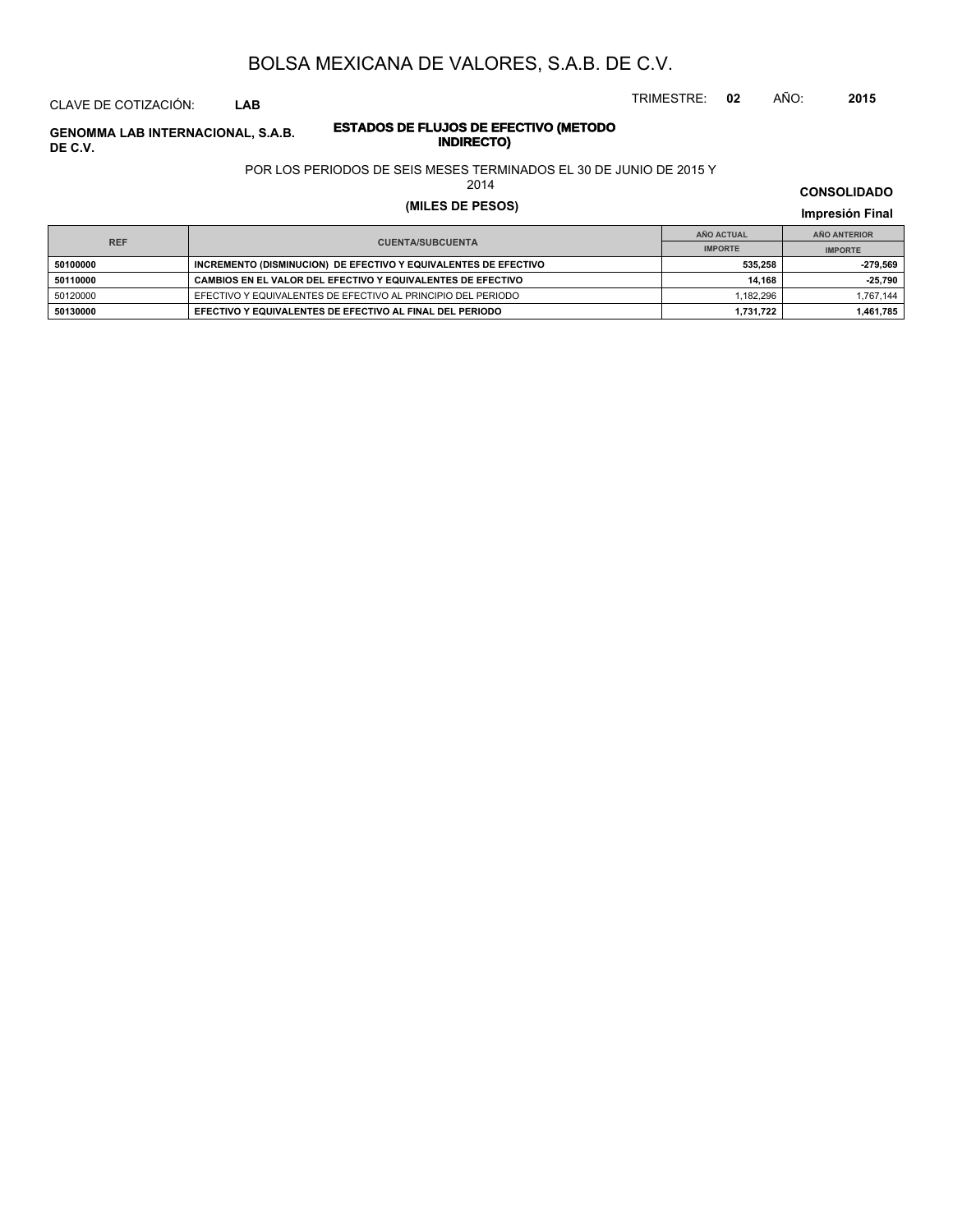TRIMESTRE: **02** AÑO: **2015**

### CLAVE DE COTIZACIÓN: **LAB**

### **ESTADOS DE FLUJOS DE EFECTIVO (METODO INDIRECTO) GENOMMA LAB INTERNACIONAL, S.A.B. DE C.V.**

### POR LOS PERIODOS DE SEIS MESES TERMINADOS EL 30 DE JUNIO DE 2015 Y

2014

# **(MILES DE PESOS) Impresión Final**

| <b>REF</b> |                                                                 | AÑO ACTUAL     | AÑO ANTERIOR   |  |
|------------|-----------------------------------------------------------------|----------------|----------------|--|
|            | <b>CUENTA/SUBCUENTA</b>                                         | <b>IMPORTE</b> | <b>IMPORTE</b> |  |
| 50100000   | INCREMENTO (DISMINUCION) DE EFECTIVO Y EQUIVALENTES DE EFECTIVO | 535.258        | -279.569       |  |
| 50110000   | CAMBIOS EN EL VALOR DEL EFECTIVO Y EQUIVALENTES DE EFECTIVO     | 14.168         | -25.790        |  |
| 50120000   | EFECTIVO Y EQUIVALENTES DE EFECTIVO AL PRINCIPIO DEL PERIODO    | 1.182.296      | 1.767.144      |  |
| 50130000   | EFECTIVO Y EQUIVALENTES DE EFECTIVO AL FINAL DEL PERIODO        | 1.731.722      | 1.461.785      |  |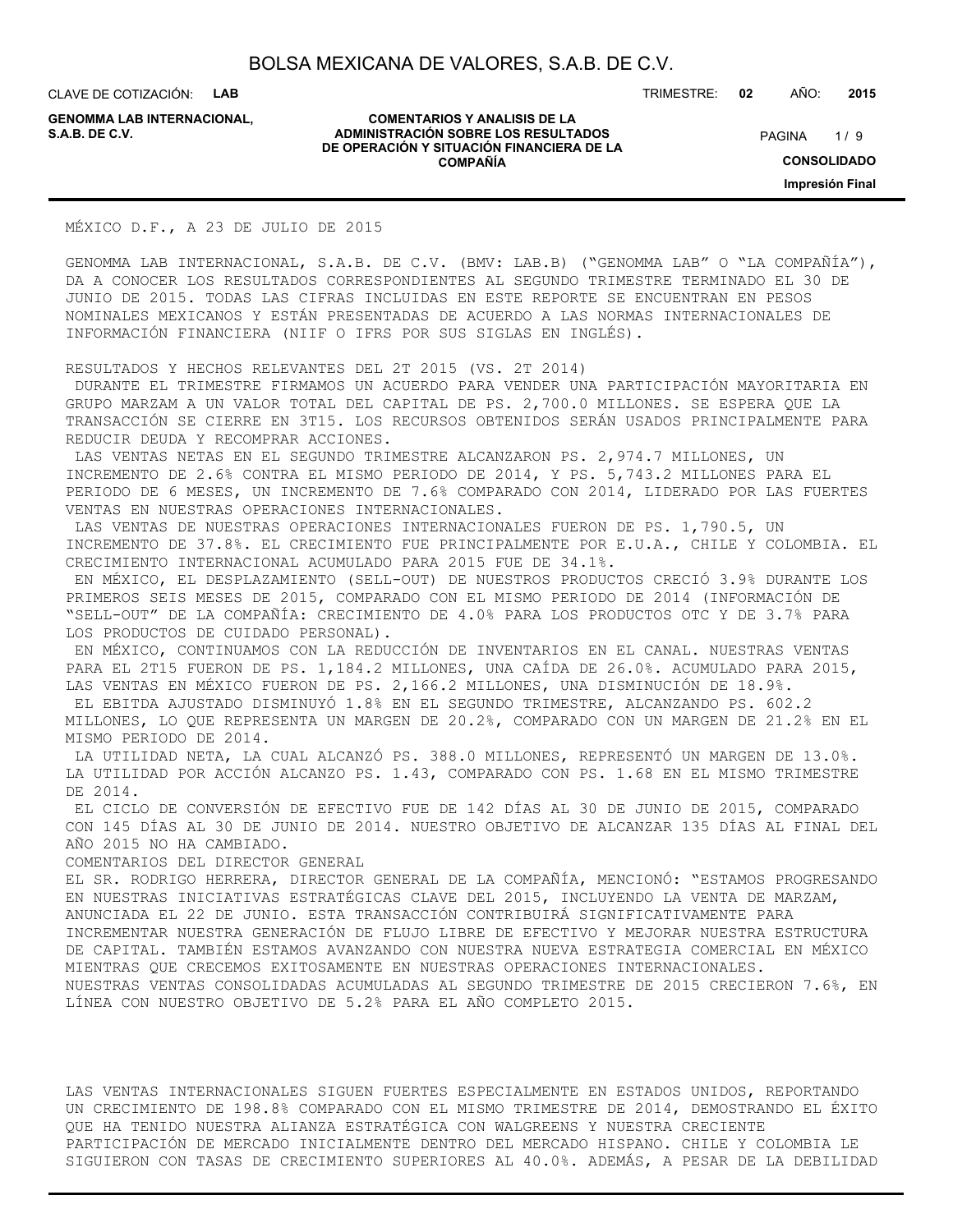CLAVE DE COTIZACIÓN: **LAB**

**GENOMMA LAB INTERNACIONAL,**

**COMENTARIOS Y ANALISIS DE LA ADMINISTRACIÓN SOBRE LOS RESULTADOS** PAGINA 1/9 **DE OPERACIÓN Y SITUACIÓN FINANCIERA DE LA COMPAÑÍA**

TRIMESTRE: **02** AÑO: **2015**

 $1/9$ **CONSOLIDADO Impresión Final**

MÉXICO D.F., A 23 DE JULIO DE 2015

GENOMMA LAB INTERNACIONAL, S.A.B. DE C.V. (BMV: LAB.B) ("GENOMMA LAB" O "LA COMPAÑÍA"), DA A CONOCER LOS RESULTADOS CORRESPONDIENTES AL SEGUNDO TRIMESTRE TERMINADO EL 30 DE JUNIO DE 2015. TODAS LAS CIFRAS INCLUIDAS EN ESTE REPORTE SE ENCUENTRAN EN PESOS NOMINALES MEXICANOS Y ESTÁN PRESENTADAS DE ACUERDO A LAS NORMAS INTERNACIONALES DE INFORMACIÓN FINANCIERA (NIIF O IFRS POR SUS SIGLAS EN INGLÉS).

RESULTADOS Y HECHOS RELEVANTES DEL 2T 2015 (VS. 2T 2014)

 DURANTE EL TRIMESTRE FIRMAMOS UN ACUERDO PARA VENDER UNA PARTICIPACIÓN MAYORITARIA EN GRUPO MARZAM A UN VALOR TOTAL DEL CAPITAL DE PS. 2,700.0 MILLONES. SE ESPERA QUE LA TRANSACCIÓN SE CIERRE EN 3T15. LOS RECURSOS OBTENIDOS SERÁN USADOS PRINCIPALMENTE PARA REDUCIR DEUDA Y RECOMPRAR ACCIONES.

 LAS VENTAS NETAS EN EL SEGUNDO TRIMESTRE ALCANZARON PS. 2,974.7 MILLONES, UN INCREMENTO DE 2.6% CONTRA EL MISMO PERIODO DE 2014, Y PS. 5,743.2 MILLONES PARA EL PERIODO DE 6 MESES, UN INCREMENTO DE 7.6% COMPARADO CON 2014, LIDERADO POR LAS FUERTES VENTAS EN NUESTRAS OPERACIONES INTERNACIONALES.

 LAS VENTAS DE NUESTRAS OPERACIONES INTERNACIONALES FUERON DE PS. 1,790.5, UN INCREMENTO DE 37.8%. EL CRECIMIENTO FUE PRINCIPALMENTE POR E.U.A., CHILE Y COLOMBIA. EL CRECIMIENTO INTERNACIONAL ACUMULADO PARA 2015 FUE DE 34.1%.

 EN MÉXICO, EL DESPLAZAMIENTO (SELL-OUT) DE NUESTROS PRODUCTOS CRECIÓ 3.9% DURANTE LOS PRIMEROS SEIS MESES DE 2015, COMPARADO CON EL MISMO PERIODO DE 2014 (INFORMACIÓN DE "SELL-OUT" DE LA COMPAÑÍA: CRECIMIENTO DE 4.0% PARA LOS PRODUCTOS OTC Y DE 3.7% PARA LOS PRODUCTOS DE CUIDADO PERSONAL).

 EN MÉXICO, CONTINUAMOS CON LA REDUCCIÓN DE INVENTARIOS EN EL CANAL. NUESTRAS VENTAS PARA EL 2T15 FUERON DE PS. 1,184.2 MILLONES, UNA CAÍDA DE 26.0%. ACUMULADO PARA 2015, LAS VENTAS EN MÉXICO FUERON DE PS. 2,166.2 MILLONES, UNA DISMINUCIÓN DE 18.9%.

 EL EBITDA AJUSTADO DISMINUYÓ 1.8% EN EL SEGUNDO TRIMESTRE, ALCANZANDO PS. 602.2 MILLONES, LO QUE REPRESENTA UN MARGEN DE 20.2%, COMPARADO CON UN MARGEN DE 21.2% EN EL MISMO PERIODO DE 2014.

 LA UTILIDAD NETA, LA CUAL ALCANZÓ PS. 388.0 MILLONES, REPRESENTÓ UN MARGEN DE 13.0%. LA UTILIDAD POR ACCIÓN ALCANZO PS. 1.43, COMPARADO CON PS. 1.68 EN EL MISMO TRIMESTRE DE 2014.

 EL CICLO DE CONVERSIÓN DE EFECTIVO FUE DE 142 DÍAS AL 30 DE JUNIO DE 2015, COMPARADO CON 145 DÍAS AL 30 DE JUNIO DE 2014. NUESTRO OBJETIVO DE ALCANZAR 135 DÍAS AL FINAL DEL AÑO 2015 NO HA CAMBIADO.

COMENTARIOS DEL DIRECTOR GENERAL

EL SR. RODRIGO HERRERA, DIRECTOR GENERAL DE LA COMPAÑÍA, MENCIONÓ: "ESTAMOS PROGRESANDO EN NUESTRAS INICIATIVAS ESTRATÉGICAS CLAVE DEL 2015, INCLUYENDO LA VENTA DE MARZAM, ANUNCIADA EL 22 DE JUNIO. ESTA TRANSACCIÓN CONTRIBUIRÁ SIGNIFICATIVAMENTE PARA INCREMENTAR NUESTRA GENERACIÓN DE FLUJO LIBRE DE EFECTIVO Y MEJORAR NUESTRA ESTRUCTURA DE CAPITAL. TAMBIÉN ESTAMOS AVANZANDO CON NUESTRA NUEVA ESTRATEGIA COMERCIAL EN MÉXICO MIENTRAS QUE CRECEMOS EXITOSAMENTE EN NUESTRAS OPERACIONES INTERNACIONALES. NUESTRAS VENTAS CONSOLIDADAS ACUMULADAS AL SEGUNDO TRIMESTRE DE 2015 CRECIERON 7.6%, EN LÍNEA CON NUESTRO OBJETIVO DE 5.2% PARA EL AÑO COMPLETO 2015.

LAS VENTAS INTERNACIONALES SIGUEN FUERTES ESPECIALMENTE EN ESTADOS UNIDOS, REPORTANDO UN CRECIMIENTO DE 198.8% COMPARADO CON EL MISMO TRIMESTRE DE 2014, DEMOSTRANDO EL ÉXITO QUE HA TENIDO NUESTRA ALIANZA ESTRATÉGICA CON WALGREENS Y NUESTRA CRECIENTE PARTICIPACIÓN DE MERCADO INICIALMENTE DENTRO DEL MERCADO HISPANO. CHILE Y COLOMBIA LE SIGUIERON CON TASAS DE CRECIMIENTO SUPERIORES AL 40.0%. ADEMÁS, A PESAR DE LA DEBILIDAD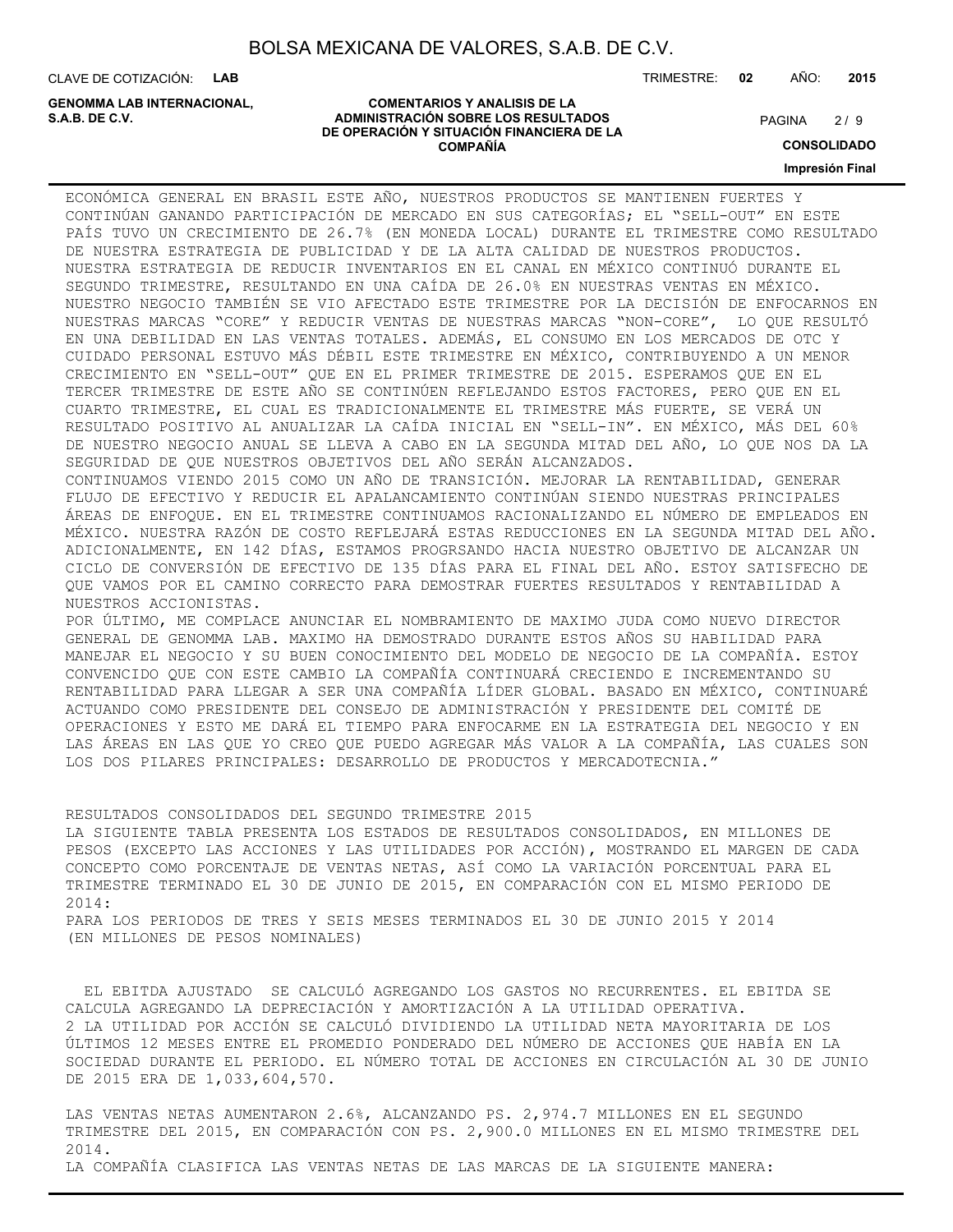**COMENTARIOS Y ANALISIS DE LA**

**DE OPERACIÓN Y SITUACIÓN FINANCIERA DE LA COMPAÑÍA**

CLAVE DE COTIZACIÓN: **LAB**

**ADMINISTRACIÓN SOBRE LOS RESULTADOS S.A.B. DE C.V.** PAGINA / 9 **GENOMMA LAB INTERNACIONAL,**

TRIMESTRE: **02** AÑO: **2015**

 $2/9$ 

**CONSOLIDADO**

**Impresión Final**

ECONÓMICA GENERAL EN BRASIL ESTE AÑO, NUESTROS PRODUCTOS SE MANTIENEN FUERTES Y CONTINÚAN GANANDO PARTICIPACIÓN DE MERCADO EN SUS CATEGORÍAS; EL "SELL-OUT" EN ESTE PAÍS TUVO UN CRECIMIENTO DE 26.7% (EN MONEDA LOCAL) DURANTE EL TRIMESTRE COMO RESULTADO DE NUESTRA ESTRATEGIA DE PUBLICIDAD Y DE LA ALTA CALIDAD DE NUESTROS PRODUCTOS. NUESTRA ESTRATEGIA DE REDUCIR INVENTARIOS EN EL CANAL EN MÉXICO CONTINUÓ DURANTE EL SEGUNDO TRIMESTRE, RESULTANDO EN UNA CAÍDA DE 26.0% EN NUESTRAS VENTAS EN MÉXICO. NUESTRO NEGOCIO TAMBIÉN SE VIO AFECTADO ESTE TRIMESTRE POR LA DECISIÓN DE ENFOCARNOS EN NUESTRAS MARCAS "CORE" Y REDUCIR VENTAS DE NUESTRAS MARCAS "NON-CORE", LO QUE RESULTÓ EN UNA DEBILIDAD EN LAS VENTAS TOTALES. ADEMÁS, EL CONSUMO EN LOS MERCADOS DE OTC Y CUIDADO PERSONAL ESTUVO MÁS DÉBIL ESTE TRIMESTRE EN MÉXICO, CONTRIBUYENDO A UN MENOR CRECIMIENTO EN "SELL-OUT" QUE EN EL PRIMER TRIMESTRE DE 2015. ESPERAMOS QUE EN EL TERCER TRIMESTRE DE ESTE AÑO SE CONTINÚEN REFLEJANDO ESTOS FACTORES, PERO QUE EN EL CUARTO TRIMESTRE, EL CUAL ES TRADICIONALMENTE EL TRIMESTRE MÁS FUERTE, SE VERÁ UN RESULTADO POSITIVO AL ANUALIZAR LA CAÍDA INICIAL EN "SELL-IN". EN MÉXICO, MÁS DEL 60% DE NUESTRO NEGOCIO ANUAL SE LLEVA A CABO EN LA SEGUNDA MITAD DEL AÑO, LO QUE NOS DA LA SEGURIDAD DE QUE NUESTROS OBJETIVOS DEL AÑO SERÁN ALCANZADOS. CONTINUAMOS VIENDO 2015 COMO UN AÑO DE TRANSICIÓN. MEJORAR LA RENTABILIDAD, GENERAR FLUJO DE EFECTIVO Y REDUCIR EL APALANCAMIENTO CONTINÚAN SIENDO NUESTRAS PRINCIPALES ÁREAS DE ENFOQUE. EN EL TRIMESTRE CONTINUAMOS RACIONALIZANDO EL NÚMERO DE EMPLEADOS EN MÉXICO. NUESTRA RAZÓN DE COSTO REFLEJARÁ ESTAS REDUCCIONES EN LA SEGUNDA MITAD DEL AÑO. ADICIONALMENTE, EN 142 DÍAS, ESTAMOS PROGRSANDO HACIA NUESTRO OBJETIVO DE ALCANZAR UN CICLO DE CONVERSIÓN DE EFECTIVO DE 135 DÍAS PARA EL FINAL DEL AÑO. ESTOY SATISFECHO DE QUE VAMOS POR EL CAMINO CORRECTO PARA DEMOSTRAR FUERTES RESULTADOS Y RENTABILIDAD A NUESTROS ACCIONISTAS. POR ÚLTIMO, ME COMPLACE ANUNCIAR EL NOMBRAMIENTO DE MAXIMO JUDA COMO NUEVO DIRECTOR GENERAL DE GENOMMA LAB. MAXIMO HA DEMOSTRADO DURANTE ESTOS AÑOS SU HABILIDAD PARA MANEJAR EL NEGOCIO Y SU BUEN CONOCIMIENTO DEL MODELO DE NEGOCIO DE LA COMPAÑÍA. ESTOY CONVENCIDO QUE CON ESTE CAMBIO LA COMPAÑÍA CONTINUARÁ CRECIENDO E INCREMENTANDO SU RENTABILIDAD PARA LLEGAR A SER UNA COMPAÑÍA LÍDER GLOBAL. BASADO EN MÉXICO, CONTINUARÉ ACTUANDO COMO PRESIDENTE DEL CONSEJO DE ADMINISTRACIÓN Y PRESIDENTE DEL COMITÉ DE OPERACIONES Y ESTO ME DARÁ EL TIEMPO PARA ENFOCARME EN LA ESTRATEGIA DEL NEGOCIO Y EN LAS ÁREAS EN LAS QUE YO CREO QUE PUEDO AGREGAR MÁS VALOR A LA COMPAÑÍA, LAS CUALES SON LOS DOS PILARES PRINCIPALES: DESARROLLO DE PRODUCTOS Y MERCADOTECNIA."

RESULTADOS CONSOLIDADOS DEL SEGUNDO TRIMESTRE 2015 LA SIGUIENTE TABLA PRESENTA LOS ESTADOS DE RESULTADOS CONSOLIDADOS, EN MILLONES DE PESOS (EXCEPTO LAS ACCIONES Y LAS UTILIDADES POR ACCIÓN), MOSTRANDO EL MARGEN DE CADA CONCEPTO COMO PORCENTAJE DE VENTAS NETAS, ASÍ COMO LA VARIACIÓN PORCENTUAL PARA EL TRIMESTRE TERMINADO EL 30 DE JUNIO DE 2015, EN COMPARACIÓN CON EL MISMO PERIODO DE 2014: PARA LOS PERIODOS DE TRES Y SEIS MESES TERMINADOS EL 30 DE JUNIO 2015 Y 2014 (EN MILLONES DE PESOS NOMINALES)

 EL EBITDA AJUSTADO SE CALCULÓ AGREGANDO LOS GASTOS NO RECURRENTES. EL EBITDA SE CALCULA AGREGANDO LA DEPRECIACIÓN Y AMORTIZACIÓN A LA UTILIDAD OPERATIVA. 2 LA UTILIDAD POR ACCIÓN SE CALCULÓ DIVIDIENDO LA UTILIDAD NETA MAYORITARIA DE LOS ÚLTIMOS 12 MESES ENTRE EL PROMEDIO PONDERADO DEL NÚMERO DE ACCIONES QUE HABÍA EN LA SOCIEDAD DURANTE EL PERIODO. EL NÚMERO TOTAL DE ACCIONES EN CIRCULACIÓN AL 30 DE JUNIO DE 2015 ERA DE 1,033,604,570.

LAS VENTAS NETAS AUMENTARON 2.6%, ALCANZANDO PS. 2,974.7 MILLONES EN EL SEGUNDO TRIMESTRE DEL 2015, EN COMPARACIÓN CON PS. 2,900.0 MILLONES EN EL MISMO TRIMESTRE DEL 2014. LA COMPAÑÍA CLASIFICA LAS VENTAS NETAS DE LAS MARCAS DE LA SIGUIENTE MANERA: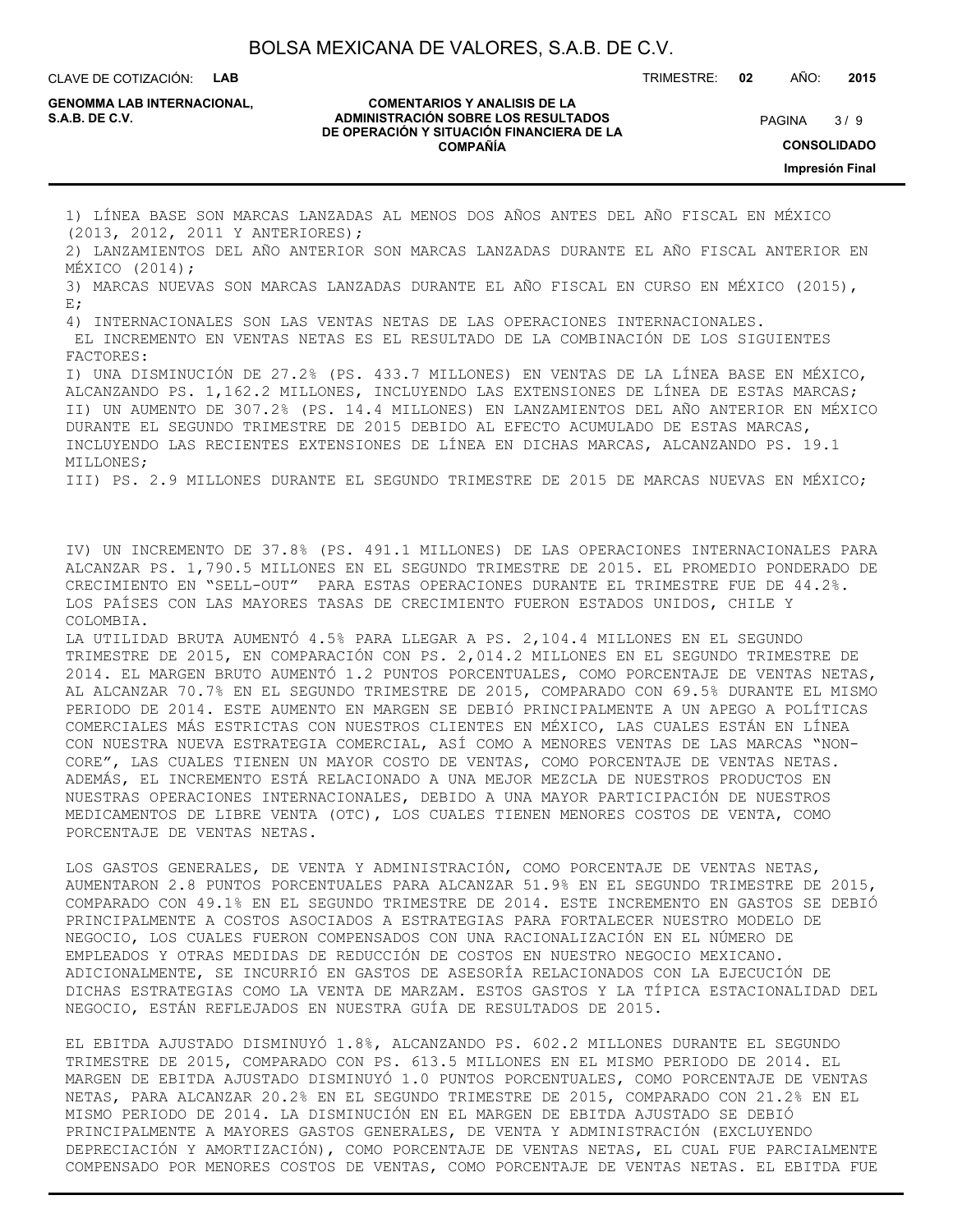CLAVE DE COTIZACIÓN: **LAB**

**GENOMMA LAB INTERNACIONAL,**

#### **COMENTARIOS Y ANALISIS DE LA ADMINISTRACIÓN SOBRE LOS RESULTADOS S.A.B. DE C.V.** PAGINA / 9 **DE OPERACIÓN Y SITUACIÓN FINANCIERA DE LA COMPAÑÍA**

 $3/9$ **CONSOLIDADO Impresión Final**

TRIMESTRE: **02** AÑO: **2015**

1) LÍNEA BASE SON MARCAS LANZADAS AL MENOS DOS AÑOS ANTES DEL AÑO FISCAL EN MÉXICO (2013, 2012, 2011 Y ANTERIORES);

2) LANZAMIENTOS DEL AÑO ANTERIOR SON MARCAS LANZADAS DURANTE EL AÑO FISCAL ANTERIOR EN MÉXICO (2014);

3) MARCAS NUEVAS SON MARCAS LANZADAS DURANTE EL AÑO FISCAL EN CURSO EN MÉXICO (2015), E;

4) INTERNACIONALES SON LAS VENTAS NETAS DE LAS OPERACIONES INTERNACIONALES.

 EL INCREMENTO EN VENTAS NETAS ES EL RESULTADO DE LA COMBINACIÓN DE LOS SIGUIENTES FACTORES:

I) UNA DISMINUCIÓN DE 27.2% (PS. 433.7 MILLONES) EN VENTAS DE LA LÍNEA BASE EN MÉXICO, ALCANZANDO PS. 1,162.2 MILLONES, INCLUYENDO LAS EXTENSIONES DE LÍNEA DE ESTAS MARCAS; II) UN AUMENTO DE 307.2% (PS. 14.4 MILLONES) EN LANZAMIENTOS DEL AÑO ANTERIOR EN MÉXICO DURANTE EL SEGUNDO TRIMESTRE DE 2015 DEBIDO AL EFECTO ACUMULADO DE ESTAS MARCAS, INCLUYENDO LAS RECIENTES EXTENSIONES DE LÍNEA EN DICHAS MARCAS, ALCANZANDO PS. 19.1 MILLONES;

III) PS. 2.9 MILLONES DURANTE EL SEGUNDO TRIMESTRE DE 2015 DE MARCAS NUEVAS EN MÉXICO;

IV) UN INCREMENTO DE 37.8% (PS. 491.1 MILLONES) DE LAS OPERACIONES INTERNACIONALES PARA ALCANZAR PS. 1,790.5 MILLONES EN EL SEGUNDO TRIMESTRE DE 2015. EL PROMEDIO PONDERADO DE CRECIMIENTO EN "SELL-OUT" PARA ESTAS OPERACIONES DURANTE EL TRIMESTRE FUE DE 44.2%. LOS PAÍSES CON LAS MAYORES TASAS DE CRECIMIENTO FUERON ESTADOS UNIDOS, CHILE Y COLOMBIA.

LA UTILIDAD BRUTA AUMENTÓ 4.5% PARA LLEGAR A PS. 2,104.4 MILLONES EN EL SEGUNDO TRIMESTRE DE 2015, EN COMPARACIÓN CON PS. 2,014.2 MILLONES EN EL SEGUNDO TRIMESTRE DE 2014. EL MARGEN BRUTO AUMENTÓ 1.2 PUNTOS PORCENTUALES, COMO PORCENTAJE DE VENTAS NETAS, AL ALCANZAR 70.7% EN EL SEGUNDO TRIMESTRE DE 2015, COMPARADO CON 69.5% DURANTE EL MISMO PERIODO DE 2014. ESTE AUMENTO EN MARGEN SE DEBIÓ PRINCIPALMENTE A UN APEGO A POLÍTICAS COMERCIALES MÁS ESTRICTAS CON NUESTROS CLIENTES EN MÉXICO, LAS CUALES ESTÁN EN LÍNEA CON NUESTRA NUEVA ESTRATEGIA COMERCIAL, ASÍ COMO A MENORES VENTAS DE LAS MARCAS "NON-CORE", LAS CUALES TIENEN UN MAYOR COSTO DE VENTAS, COMO PORCENTAJE DE VENTAS NETAS. ADEMÁS, EL INCREMENTO ESTÁ RELACIONADO A UNA MEJOR MEZCLA DE NUESTROS PRODUCTOS EN NUESTRAS OPERACIONES INTERNACIONALES, DEBIDO A UNA MAYOR PARTICIPACIÓN DE NUESTROS MEDICAMENTOS DE LIBRE VENTA (OTC), LOS CUALES TIENEN MENORES COSTOS DE VENTA, COMO PORCENTAJE DE VENTAS NETAS.

LOS GASTOS GENERALES, DE VENTA Y ADMINISTRACIÓN, COMO PORCENTAJE DE VENTAS NETAS, AUMENTARON 2.8 PUNTOS PORCENTUALES PARA ALCANZAR 51.9% EN EL SEGUNDO TRIMESTRE DE 2015, COMPARADO CON 49.1% EN EL SEGUNDO TRIMESTRE DE 2014. ESTE INCREMENTO EN GASTOS SE DEBIÓ PRINCIPALMENTE A COSTOS ASOCIADOS A ESTRATEGIAS PARA FORTALECER NUESTRO MODELO DE NEGOCIO, LOS CUALES FUERON COMPENSADOS CON UNA RACIONALIZACIÓN EN EL NÚMERO DE EMPLEADOS Y OTRAS MEDIDAS DE REDUCCIÓN DE COSTOS EN NUESTRO NEGOCIO MEXICANO. ADICIONALMENTE, SE INCURRIÓ EN GASTOS DE ASESORÍA RELACIONADOS CON LA EJECUCIÓN DE DICHAS ESTRATEGIAS COMO LA VENTA DE MARZAM. ESTOS GASTOS Y LA TÍPICA ESTACIONALIDAD DEL NEGOCIO, ESTÁN REFLEJADOS EN NUESTRA GUÍA DE RESULTADOS DE 2015.

EL EBITDA AJUSTADO DISMINUYÓ 1.8%, ALCANZANDO PS. 602.2 MILLONES DURANTE EL SEGUNDO TRIMESTRE DE 2015, COMPARADO CON PS. 613.5 MILLONES EN EL MISMO PERIODO DE 2014. EL MARGEN DE EBITDA AJUSTADO DISMINUYÓ 1.0 PUNTOS PORCENTUALES, COMO PORCENTAJE DE VENTAS NETAS, PARA ALCANZAR 20.2% EN EL SEGUNDO TRIMESTRE DE 2015, COMPARADO CON 21.2% EN EL MISMO PERIODO DE 2014. LA DISMINUCIÓN EN EL MARGEN DE EBITDA AJUSTADO SE DEBIÓ PRINCIPALMENTE A MAYORES GASTOS GENERALES, DE VENTA Y ADMINISTRACIÓN (EXCLUYENDO DEPRECIACIÓN Y AMORTIZACIÓN), COMO PORCENTAJE DE VENTAS NETAS, EL CUAL FUE PARCIALMENTE COMPENSADO POR MENORES COSTOS DE VENTAS, COMO PORCENTAJE DE VENTAS NETAS. EL EBITDA FUE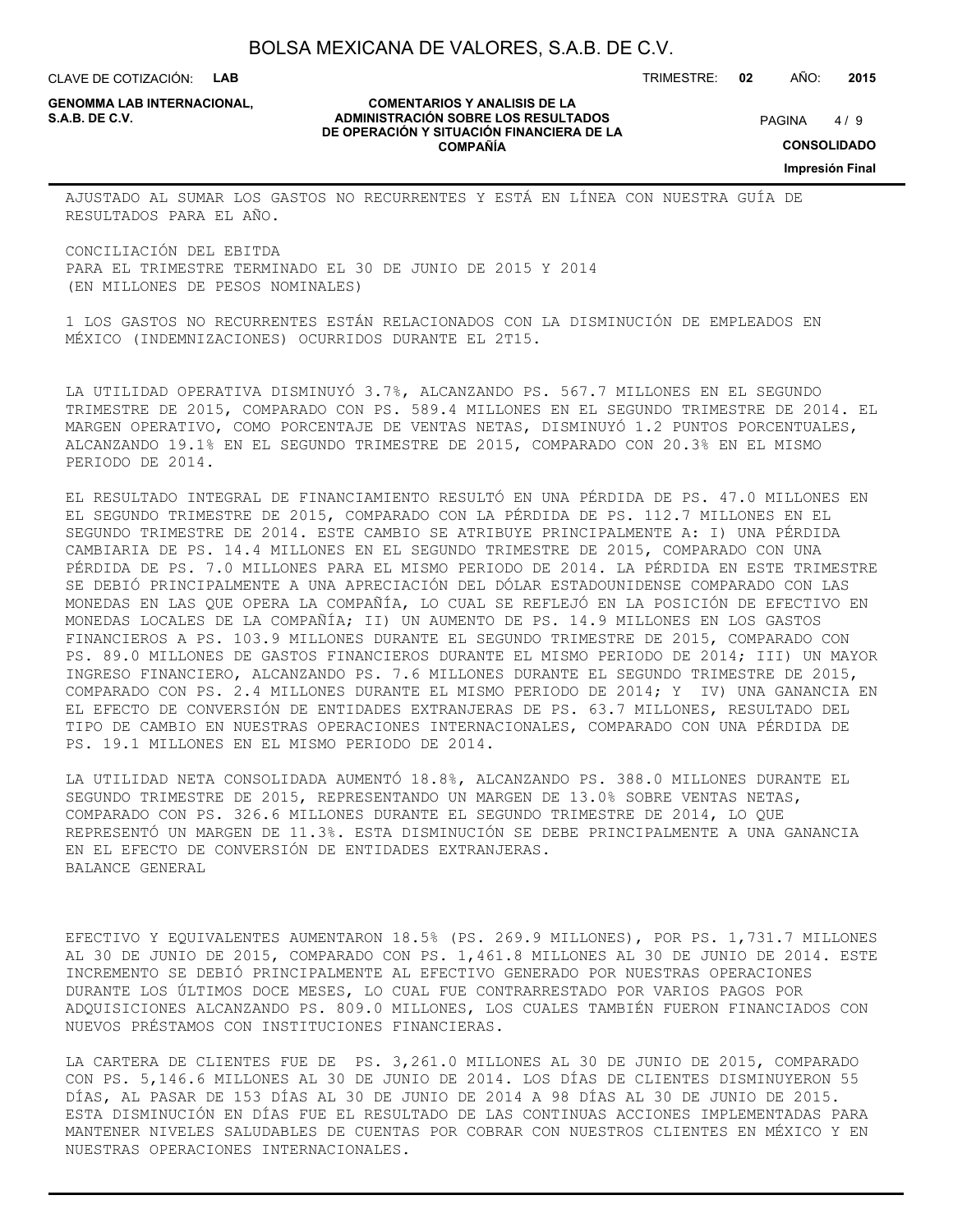CLAVE DE COTIZACIÓN: **LAB**

**GENOMMA LAB INTERNACIONAL,**

#### **COMENTARIOS Y ANALISIS DE LA ADMINISTRACIÓN SOBRE LOS RESULTADOS S.A.B. DE C.V.** PAGINA / 9 **DE OPERACIÓN Y SITUACIÓN FINANCIERA DE LA COMPAÑÍA**

 $4/9$ 

TRIMESTRE: **02** AÑO: **2015**

**CONSOLIDADO**

**Impresión Final**

AJUSTADO AL SUMAR LOS GASTOS NO RECURRENTES Y ESTÁ EN LÍNEA CON NUESTRA GUÍA DE RESULTADOS PARA EL AÑO.

CONCILIACIÓN DEL EBITDA PARA EL TRIMESTRE TERMINADO EL 30 DE JUNIO DE 2015 Y 2014 (EN MILLONES DE PESOS NOMINALES)

1 LOS GASTOS NO RECURRENTES ESTÁN RELACIONADOS CON LA DISMINUCIÓN DE EMPLEADOS EN MÉXICO (INDEMNIZACIONES) OCURRIDOS DURANTE EL 2T15.

LA UTILIDAD OPERATIVA DISMINUYÓ 3.7%, ALCANZANDO PS. 567.7 MILLONES EN EL SEGUNDO TRIMESTRE DE 2015, COMPARADO CON PS. 589.4 MILLONES EN EL SEGUNDO TRIMESTRE DE 2014. EL MARGEN OPERATIVO, COMO PORCENTAJE DE VENTAS NETAS, DISMINUYÓ 1.2 PUNTOS PORCENTUALES, ALCANZANDO 19.1% EN EL SEGUNDO TRIMESTRE DE 2015, COMPARADO CON 20.3% EN EL MISMO PERIODO DE 2014.

EL RESULTADO INTEGRAL DE FINANCIAMIENTO RESULTÓ EN UNA PÉRDIDA DE PS. 47.0 MILLONES EN EL SEGUNDO TRIMESTRE DE 2015, COMPARADO CON LA PÉRDIDA DE PS. 112.7 MILLONES EN EL SEGUNDO TRIMESTRE DE 2014. ESTE CAMBIO SE ATRIBUYE PRINCIPALMENTE A: I) UNA PÉRDIDA CAMBIARIA DE PS. 14.4 MILLONES EN EL SEGUNDO TRIMESTRE DE 2015, COMPARADO CON UNA PÉRDIDA DE PS. 7.0 MILLONES PARA EL MISMO PERIODO DE 2014. LA PÉRDIDA EN ESTE TRIMESTRE SE DEBIÓ PRINCIPALMENTE A UNA APRECIACIÓN DEL DÓLAR ESTADOUNIDENSE COMPARADO CON LAS MONEDAS EN LAS QUE OPERA LA COMPAÑÍA, LO CUAL SE REFLEJÓ EN LA POSICIÓN DE EFECTIVO EN MONEDAS LOCALES DE LA COMPAÑÍA; II) UN AUMENTO DE PS. 14.9 MILLONES EN LOS GASTOS FINANCIEROS A PS. 103.9 MILLONES DURANTE EL SEGUNDO TRIMESTRE DE 2015, COMPARADO CON PS. 89.0 MILLONES DE GASTOS FINANCIEROS DURANTE EL MISMO PERIODO DE 2014; III) UN MAYOR INGRESO FINANCIERO, ALCANZANDO PS. 7.6 MILLONES DURANTE EL SEGUNDO TRIMESTRE DE 2015, COMPARADO CON PS. 2.4 MILLONES DURANTE EL MISMO PERIODO DE 2014; Y IV) UNA GANANCIA EN EL EFECTO DE CONVERSIÓN DE ENTIDADES EXTRANJERAS DE PS. 63.7 MILLONES, RESULTADO DEL TIPO DE CAMBIO EN NUESTRAS OPERACIONES INTERNACIONALES, COMPARADO CON UNA PÉRDIDA DE PS. 19.1 MILLONES EN EL MISMO PERIODO DE 2014.

LA UTILIDAD NETA CONSOLIDADA AUMENTÓ 18.8%, ALCANZANDO PS. 388.0 MILLONES DURANTE EL SEGUNDO TRIMESTRE DE 2015, REPRESENTANDO UN MARGEN DE 13.0% SOBRE VENTAS NETAS, COMPARADO CON PS. 326.6 MILLONES DURANTE EL SEGUNDO TRIMESTRE DE 2014, LO QUE REPRESENTÓ UN MARGEN DE 11.3%. ESTA DISMINUCIÓN SE DEBE PRINCIPALMENTE A UNA GANANCIA EN EL EFECTO DE CONVERSIÓN DE ENTIDADES EXTRANJERAS. BALANCE GENERAL

EFECTIVO Y EQUIVALENTES AUMENTARON 18.5% (PS. 269.9 MILLONES), POR PS. 1,731.7 MILLONES AL 30 DE JUNIO DE 2015, COMPARADO CON PS. 1,461.8 MILLONES AL 30 DE JUNIO DE 2014. ESTE INCREMENTO SE DEBIÓ PRINCIPALMENTE AL EFECTIVO GENERADO POR NUESTRAS OPERACIONES DURANTE LOS ÚLTIMOS DOCE MESES, LO CUAL FUE CONTRARRESTADO POR VARIOS PAGOS POR ADQUISICIONES ALCANZANDO PS. 809.0 MILLONES, LOS CUALES TAMBIÉN FUERON FINANCIADOS CON NUEVOS PRÉSTAMOS CON INSTITUCIONES FINANCIERAS.

LA CARTERA DE CLIENTES FUE DE PS. 3,261.0 MILLONES AL 30 DE JUNIO DE 2015, COMPARADO CON PS. 5,146.6 MILLONES AL 30 DE JUNIO DE 2014. LOS DÍAS DE CLIENTES DISMINUYERON 55 DÍAS, AL PASAR DE 153 DÍAS AL 30 DE JUNIO DE 2014 A 98 DÍAS AL 30 DE JUNIO DE 2015. ESTA DISMINUCIÓN EN DÍAS FUE EL RESULTADO DE LAS CONTINUAS ACCIONES IMPLEMENTADAS PARA MANTENER NIVELES SALUDABLES DE CUENTAS POR COBRAR CON NUESTROS CLIENTES EN MÉXICO Y EN NUESTRAS OPERACIONES INTERNACIONALES.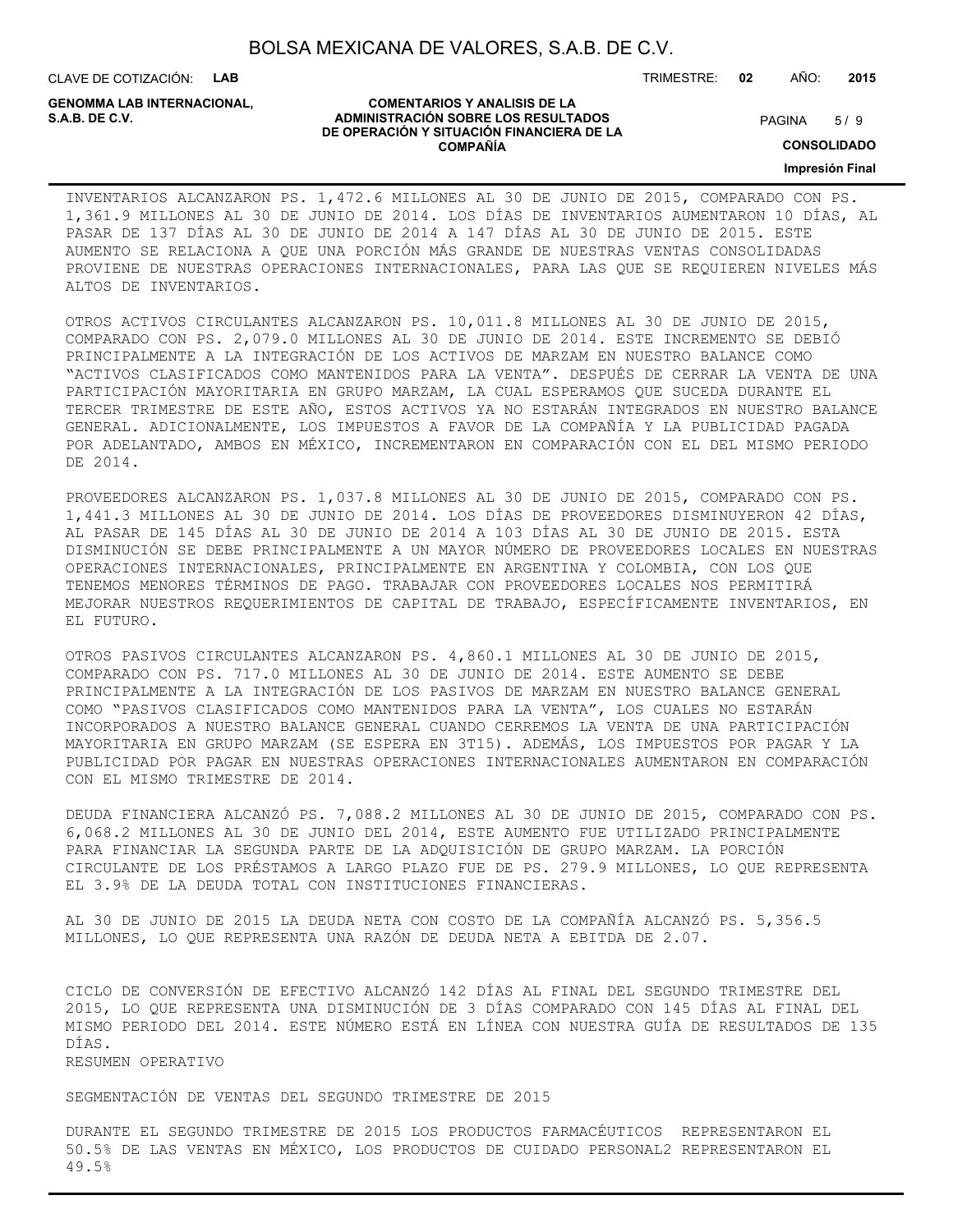CLAVE DE COTIZACIÓN: **LAB**

**GENOMMA LAB INTERNACIONAL,**

#### **COMENTARIOS Y ANALISIS DE LA ADMINISTRACIÓN SOBRE LOS RESULTADOS S.A.B. DE C.V.** PAGINA / 9 **DE OPERACIÓN Y SITUACIÓN FINANCIERA DE LA COMPAÑÍA**

TRIMESTRE: **02** AÑO: **2015**

 $5/9$ 

**CONSOLIDADO**

**Impresión Final**

### INVENTARIOS ALCANZARON PS. 1,472.6 MILLONES AL 30 DE JUNIO DE 2015, COMPARADO CON PS. 1,361.9 MILLONES AL 30 DE JUNIO DE 2014. LOS DÍAS DE INVENTARIOS AUMENTARON 10 DÍAS, AL PASAR DE 137 DÍAS AL 30 DE JUNIO DE 2014 A 147 DÍAS AL 30 DE JUNIO DE 2015. ESTE AUMENTO SE RELACIONA A QUE UNA PORCIÓN MÁS GRANDE DE NUESTRAS VENTAS CONSOLIDADAS PROVIENE DE NUESTRAS OPERACIONES INTERNACIONALES, PARA LAS QUE SE REQUIEREN NIVELES MÁS ALTOS DE INVENTARIOS.

OTROS ACTIVOS CIRCULANTES ALCANZARON PS. 10,011.8 MILLONES AL 30 DE JUNIO DE 2015, COMPARADO CON PS. 2,079.0 MILLONES AL 30 DE JUNIO DE 2014. ESTE INCREMENTO SE DEBIÓ PRINCIPALMENTE A LA INTEGRACIÓN DE LOS ACTIVOS DE MARZAM EN NUESTRO BALANCE COMO "ACTIVOS CLASIFICADOS COMO MANTENIDOS PARA LA VENTA". DESPUÉS DE CERRAR LA VENTA DE UNA PARTICIPACIÓN MAYORITARIA EN GRUPO MARZAM, LA CUAL ESPERAMOS QUE SUCEDA DURANTE EL TERCER TRIMESTRE DE ESTE AÑO, ESTOS ACTIVOS YA NO ESTARÁN INTEGRADOS EN NUESTRO BALANCE GENERAL. ADICIONALMENTE, LOS IMPUESTOS A FAVOR DE LA COMPAÑÍA Y LA PUBLICIDAD PAGADA POR ADELANTADO, AMBOS EN MÉXICO, INCREMENTARON EN COMPARACIÓN CON EL DEL MISMO PERIODO DE 2014.

PROVEEDORES ALCANZARON PS. 1,037.8 MILLONES AL 30 DE JUNIO DE 2015, COMPARADO CON PS. 1,441.3 MILLONES AL 30 DE JUNIO DE 2014. LOS DÍAS DE PROVEEDORES DISMINUYERON 42 DÍAS, AL PASAR DE 145 DÍAS AL 30 DE JUNIO DE 2014 A 103 DÍAS AL 30 DE JUNIO DE 2015. ESTA DISMINUCIÓN SE DEBE PRINCIPALMENTE A UN MAYOR NÚMERO DE PROVEEDORES LOCALES EN NUESTRAS OPERACIONES INTERNACIONALES, PRINCIPALMENTE EN ARGENTINA Y COLOMBIA, CON LOS QUE TENEMOS MENORES TÉRMINOS DE PAGO. TRABAJAR CON PROVEEDORES LOCALES NOS PERMITIRÁ MEJORAR NUESTROS REQUERIMIENTOS DE CAPITAL DE TRABAJO, ESPECÍFICAMENTE INVENTARIOS, EN EL FUTURO.

OTROS PASIVOS CIRCULANTES ALCANZARON PS. 4,860.1 MILLONES AL 30 DE JUNIO DE 2015, COMPARADO CON PS. 717.0 MILLONES AL 30 DE JUNIO DE 2014. ESTE AUMENTO SE DEBE PRINCIPALMENTE A LA INTEGRACIÓN DE LOS PASIVOS DE MARZAM EN NUESTRO BALANCE GENERAL COMO "PASIVOS CLASIFICADOS COMO MANTENIDOS PARA LA VENTA", LOS CUALES NO ESTARÁN INCORPORADOS A NUESTRO BALANCE GENERAL CUANDO CERREMOS LA VENTA DE UNA PARTICIPACIÓN MAYORITARIA EN GRUPO MARZAM (SE ESPERA EN 3T15). ADEMÁS, LOS IMPUESTOS POR PAGAR Y LA PUBLICIDAD POR PAGAR EN NUESTRAS OPERACIONES INTERNACIONALES AUMENTARON EN COMPARACIÓN CON EL MISMO TRIMESTRE DE 2014.

DEUDA FINANCIERA ALCANZÓ PS. 7,088.2 MILLONES AL 30 DE JUNIO DE 2015, COMPARADO CON PS. 6,068.2 MILLONES AL 30 DE JUNIO DEL 2014, ESTE AUMENTO FUE UTILIZADO PRINCIPALMENTE PARA FINANCIAR LA SEGUNDA PARTE DE LA ADQUISICIÓN DE GRUPO MARZAM. LA PORCIÓN CIRCULANTE DE LOS PRÉSTAMOS A LARGO PLAZO FUE DE PS. 279.9 MILLONES, LO QUE REPRESENTA EL 3.9% DE LA DEUDA TOTAL CON INSTITUCIONES FINANCIERAS.

AL 30 DE JUNIO DE 2015 LA DEUDA NETA CON COSTO DE LA COMPAÑÍA ALCANZÓ PS. 5,356.5 MILLONES, LO QUE REPRESENTA UNA RAZÓN DE DEUDA NETA A EBITDA DE 2.07.

CICLO DE CONVERSIÓN DE EFECTIVO ALCANZÓ 142 DÍAS AL FINAL DEL SEGUNDO TRIMESTRE DEL 2015, LO QUE REPRESENTA UNA DISMINUCIÓN DE 3 DÍAS COMPARADO CON 145 DÍAS AL FINAL DEL MISMO PERIODO DEL 2014. ESTE NÚMERO ESTÁ EN LÍNEA CON NUESTRA GUÍA DE RESULTADOS DE 135 DÍAS.

RESUMEN OPERATIVO

SEGMENTACIÓN DE VENTAS DEL SEGUNDO TRIMESTRE DE 2015

DURANTE EL SEGUNDO TRIMESTRE DE 2015 LOS PRODUCTOS FARMACÉUTICOS REPRESENTARON EL 50.5% DE LAS VENTAS EN MÉXICO, LOS PRODUCTOS DE CUIDADO PERSONAL2 REPRESENTARON EL 49.5%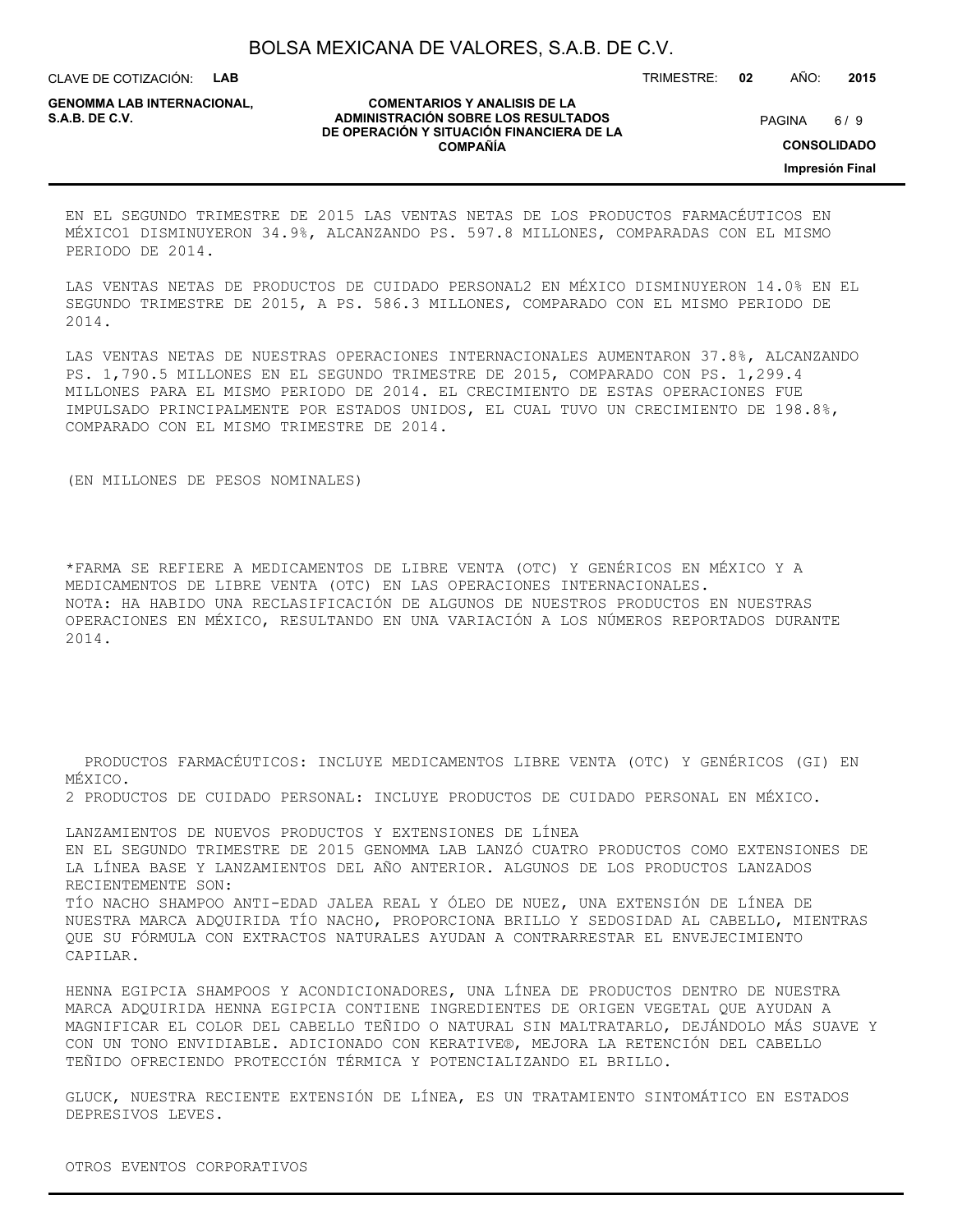CLAVE DE COTIZACIÓN: **LAB**

**GENOMMA LAB INTERNACIONAL,**

#### **COMENTARIOS Y ANALISIS DE LA ADMINISTRACIÓN SOBRE LOS RESULTADOS S.A.B. DE C.V.** PAGINA / 9 **DE OPERACIÓN Y SITUACIÓN FINANCIERA DE LA COMPAÑÍA**

 $6/9$ 

TRIMESTRE: **02** AÑO: **2015**

**CONSOLIDADO**

**Impresión Final**

EN EL SEGUNDO TRIMESTRE DE 2015 LAS VENTAS NETAS DE LOS PRODUCTOS FARMACÉUTICOS EN MÉXICO1 DISMINUYERON 34.9%, ALCANZANDO PS. 597.8 MILLONES, COMPARADAS CON EL MISMO PERIODO DE 2014.

LAS VENTAS NETAS DE PRODUCTOS DE CUIDADO PERSONAL2 EN MÉXICO DISMINUYERON 14.0% EN EL SEGUNDO TRIMESTRE DE 2015, A PS. 586.3 MILLONES, COMPARADO CON EL MISMO PERIODO DE 2014.

LAS VENTAS NETAS DE NUESTRAS OPERACIONES INTERNACIONALES AUMENTARON 37.8%, ALCANZANDO PS. 1,790.5 MILLONES EN EL SEGUNDO TRIMESTRE DE 2015, COMPARADO CON PS. 1,299.4 MILLONES PARA EL MISMO PERIODO DE 2014. EL CRECIMIENTO DE ESTAS OPERACIONES FUE IMPULSADO PRINCIPALMENTE POR ESTADOS UNIDOS, EL CUAL TUVO UN CRECIMIENTO DE 198.8%, COMPARADO CON EL MISMO TRIMESTRE DE 2014.

(EN MILLONES DE PESOS NOMINALES)

\*FARMA SE REFIERE A MEDICAMENTOS DE LIBRE VENTA (OTC) Y GENÉRICOS EN MÉXICO Y A MEDICAMENTOS DE LIBRE VENTA (OTC) EN LAS OPERACIONES INTERNACIONALES. NOTA: HA HABIDO UNA RECLASIFICACIÓN DE ALGUNOS DE NUESTROS PRODUCTOS EN NUESTRAS OPERACIONES EN MÉXICO, RESULTANDO EN UNA VARIACIÓN A LOS NÚMEROS REPORTADOS DURANTE 2014.

 PRODUCTOS FARMACÉUTICOS: INCLUYE MEDICAMENTOS LIBRE VENTA (OTC) Y GENÉRICOS (GI) EN MÉXICO.

2 PRODUCTOS DE CUIDADO PERSONAL: INCLUYE PRODUCTOS DE CUIDADO PERSONAL EN MÉXICO.

LANZAMIENTOS DE NUEVOS PRODUCTOS Y EXTENSIONES DE LÍNEA EN EL SEGUNDO TRIMESTRE DE 2015 GENOMMA LAB LANZÓ CUATRO PRODUCTOS COMO EXTENSIONES DE LA LÍNEA BASE Y LANZAMIENTOS DEL AÑO ANTERIOR. ALGUNOS DE LOS PRODUCTOS LANZADOS RECIENTEMENTE SON: TÍO NACHO SHAMPOO ANTI-EDAD JALEA REAL Y ÓLEO DE NUEZ, UNA EXTENSIÓN DE LÍNEA DE NUESTRA MARCA ADQUIRIDA TÍO NACHO, PROPORCIONA BRILLO Y SEDOSIDAD AL CABELLO, MIENTRAS QUE SU FÓRMULA CON EXTRACTOS NATURALES AYUDAN A CONTRARRESTAR EL ENVEJECIMIENTO CAPILAR.

HENNA EGIPCIA SHAMPOOS Y ACONDICIONADORES, UNA LÍNEA DE PRODUCTOS DENTRO DE NUESTRA MARCA ADQUIRIDA HENNA EGIPCIA CONTIENE INGREDIENTES DE ORIGEN VEGETAL QUE AYUDAN A MAGNIFICAR EL COLOR DEL CABELLO TEÑIDO O NATURAL SIN MALTRATARLO, DEJÁNDOLO MÁS SUAVE Y CON UN TONO ENVIDIABLE. ADICIONADO CON KERATIVE®, MEJORA LA RETENCIÓN DEL CABELLO TEÑIDO OFRECIENDO PROTECCIÓN TÉRMICA Y POTENCIALIZANDO EL BRILLO.

GLUCK, NUESTRA RECIENTE EXTENSIÓN DE LÍNEA, ES UN TRATAMIENTO SINTOMÁTICO EN ESTADOS DEPRESIVOS LEVES.

OTROS EVENTOS CORPORATIVOS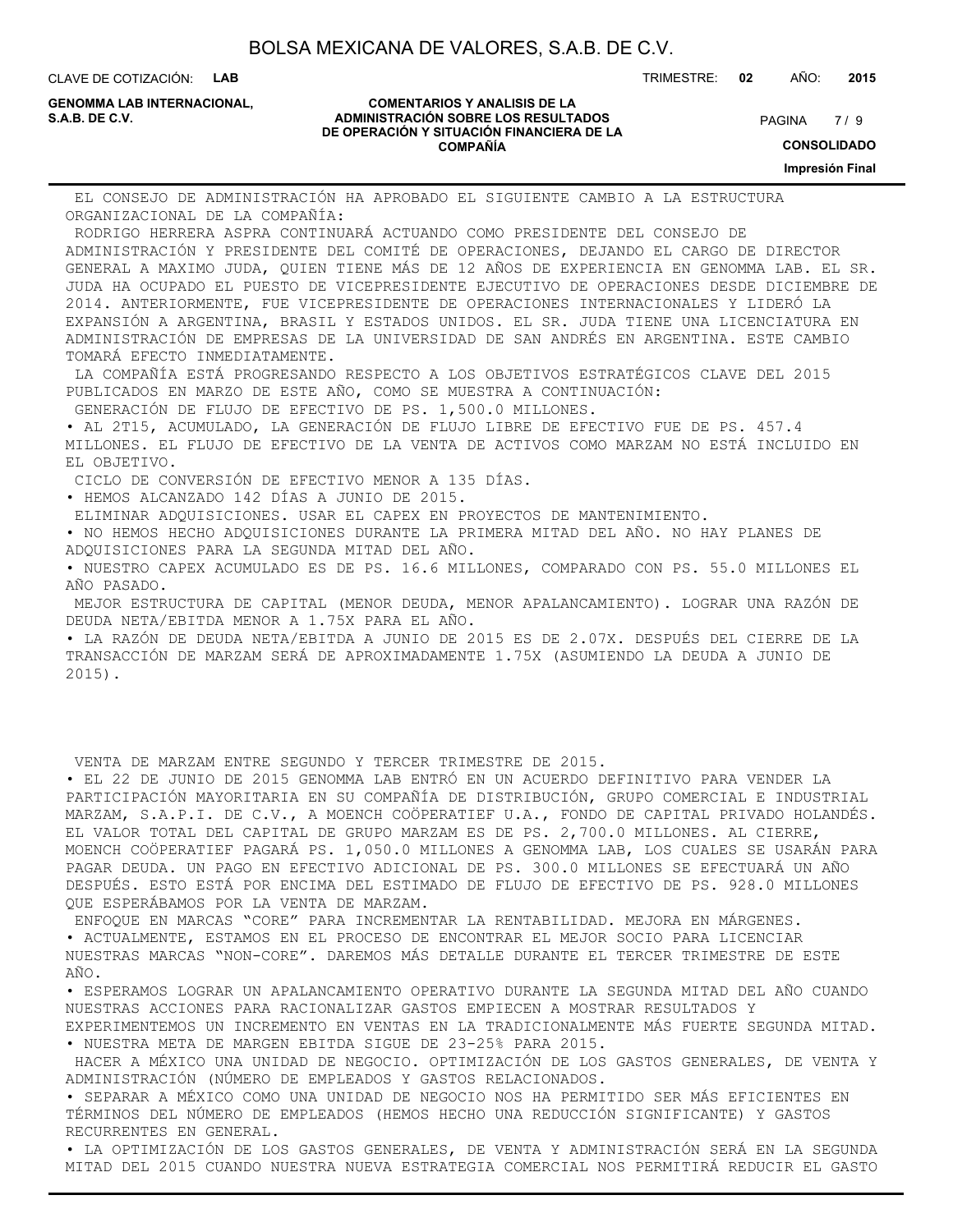CLAVE DE COTIZACIÓN: **LAB**

**GENOMMA LAB INTERNACIONAL,**

#### **COMENTARIOS Y ANALISIS DE LA ADMINISTRACIÓN SOBRE LOS RESULTADOS S.A.B. DE C.V.** PAGINA / 9 **DE OPERACIÓN Y SITUACIÓN FINANCIERA DE LA COMPAÑÍA**

 $7/9$ 

TRIMESTRE: **02** AÑO: **2015**

**CONSOLIDADO**

**Impresión Final**

 EL CONSEJO DE ADMINISTRACIÓN HA APROBADO EL SIGUIENTE CAMBIO A LA ESTRUCTURA ORGANIZACIONAL DE LA COMPAÑÍA:

 RODRIGO HERRERA ASPRA CONTINUARÁ ACTUANDO COMO PRESIDENTE DEL CONSEJO DE ADMINISTRACIÓN Y PRESIDENTE DEL COMITÉ DE OPERACIONES, DEJANDO EL CARGO DE DIRECTOR GENERAL A MAXIMO JUDA, QUIEN TIENE MÁS DE 12 AÑOS DE EXPERIENCIA EN GENOMMA LAB. EL SR. JUDA HA OCUPADO EL PUESTO DE VICEPRESIDENTE EJECUTIVO DE OPERACIONES DESDE DICIEMBRE DE 2014. ANTERIORMENTE, FUE VICEPRESIDENTE DE OPERACIONES INTERNACIONALES Y LIDERÓ LA EXPANSIÓN A ARGENTINA, BRASIL Y ESTADOS UNIDOS. EL SR. JUDA TIENE UNA LICENCIATURA EN ADMINISTRACIÓN DE EMPRESAS DE LA UNIVERSIDAD DE SAN ANDRÉS EN ARGENTINA. ESTE CAMBIO TOMARÁ EFECTO INMEDIATAMENTE.

 LA COMPAÑÍA ESTÁ PROGRESANDO RESPECTO A LOS OBJETIVOS ESTRATÉGICOS CLAVE DEL 2015 PUBLICADOS EN MARZO DE ESTE AÑO, COMO SE MUESTRA A CONTINUACIÓN:

GENERACIÓN DE FLUJO DE EFECTIVO DE PS. 1,500.0 MILLONES.

• AL 2T15, ACUMULADO, LA GENERACIÓN DE FLUJO LIBRE DE EFECTIVO FUE DE PS. 457.4 MILLONES. EL FLUJO DE EFECTIVO DE LA VENTA DE ACTIVOS COMO MARZAM NO ESTÁ INCLUIDO EN EL OBJETIVO.

CICLO DE CONVERSIÓN DE EFECTIVO MENOR A 135 DÍAS.

• HEMOS ALCANZADO 142 DÍAS A JUNIO DE 2015.

ELIMINAR ADQUISICIONES. USAR EL CAPEX EN PROYECTOS DE MANTENIMIENTO.

• NO HEMOS HECHO ADQUISICIONES DURANTE LA PRIMERA MITAD DEL AÑO. NO HAY PLANES DE ADQUISICIONES PARA LA SEGUNDA MITAD DEL AÑO.

• NUESTRO CAPEX ACUMULADO ES DE PS. 16.6 MILLONES, COMPARADO CON PS. 55.0 MILLONES EL AÑO PASADO.

 MEJOR ESTRUCTURA DE CAPITAL (MENOR DEUDA, MENOR APALANCAMIENTO). LOGRAR UNA RAZÓN DE DEUDA NETA/EBITDA MENOR A 1.75X PARA EL AÑO.

• LA RAZÓN DE DEUDA NETA/EBITDA A JUNIO DE 2015 ES DE 2.07X. DESPUÉS DEL CIERRE DE LA TRANSACCIÓN DE MARZAM SERÁ DE APROXIMADAMENTE 1.75X (ASUMIENDO LA DEUDA A JUNIO DE 2015).

VENTA DE MARZAM ENTRE SEGUNDO Y TERCER TRIMESTRE DE 2015.

• EL 22 DE JUNIO DE 2015 GENOMMA LAB ENTRÓ EN UN ACUERDO DEFINITIVO PARA VENDER LA PARTICIPACIÓN MAYORITARIA EN SU COMPAÑÍA DE DISTRIBUCIÓN, GRUPO COMERCIAL E INDUSTRIAL MARZAM, S.A.P.I. DE C.V., A MOENCH COÖPERATIEF U.A., FONDO DE CAPITAL PRIVADO HOLANDÉS. EL VALOR TOTAL DEL CAPITAL DE GRUPO MARZAM ES DE PS. 2,700.0 MILLONES. AL CIERRE, MOENCH COÖPERATIEF PAGARÁ PS. 1,050.0 MILLONES A GENOMMA LAB, LOS CUALES SE USARÁN PARA PAGAR DEUDA. UN PAGO EN EFECTIVO ADICIONAL DE PS. 300.0 MILLONES SE EFECTUARÁ UN AÑO DESPUÉS. ESTO ESTÁ POR ENCIMA DEL ESTIMADO DE FLUJO DE EFECTIVO DE PS. 928.0 MILLONES QUE ESPERÁBAMOS POR LA VENTA DE MARZAM.

 ENFOQUE EN MARCAS "CORE" PARA INCREMENTAR LA RENTABILIDAD. MEJORA EN MÁRGENES. • ACTUALMENTE, ESTAMOS EN EL PROCESO DE ENCONTRAR EL MEJOR SOCIO PARA LICENCIAR NUESTRAS MARCAS "NON-CORE". DAREMOS MÁS DETALLE DURANTE EL TERCER TRIMESTRE DE ESTE AÑO.

• ESPERAMOS LOGRAR UN APALANCAMIENTO OPERATIVO DURANTE LA SEGUNDA MITAD DEL AÑO CUANDO NUESTRAS ACCIONES PARA RACIONALIZAR GASTOS EMPIECEN A MOSTRAR RESULTADOS Y EXPERIMENTEMOS UN INCREMENTO EN VENTAS EN LA TRADICIONALMENTE MÁS FUERTE SEGUNDA MITAD.

• NUESTRA META DE MARGEN EBITDA SIGUE DE 23-25% PARA 2015.

 HACER A MÉXICO UNA UNIDAD DE NEGOCIO. OPTIMIZACIÓN DE LOS GASTOS GENERALES, DE VENTA Y ADMINISTRACIÓN (NÚMERO DE EMPLEADOS Y GASTOS RELACIONADOS.

• SEPARAR A MÉXICO COMO UNA UNIDAD DE NEGOCIO NOS HA PERMITIDO SER MÁS EFICIENTES EN TÉRMINOS DEL NÚMERO DE EMPLEADOS (HEMOS HECHO UNA REDUCCIÓN SIGNIFICANTE) Y GASTOS RECURRENTES EN GENERAL.

• LA OPTIMIZACIÓN DE LOS GASTOS GENERALES, DE VENTA Y ADMINISTRACIÓN SERÁ EN LA SEGUNDA MITAD DEL 2015 CUANDO NUESTRA NUEVA ESTRATEGIA COMERCIAL NOS PERMITIRÁ REDUCIR EL GASTO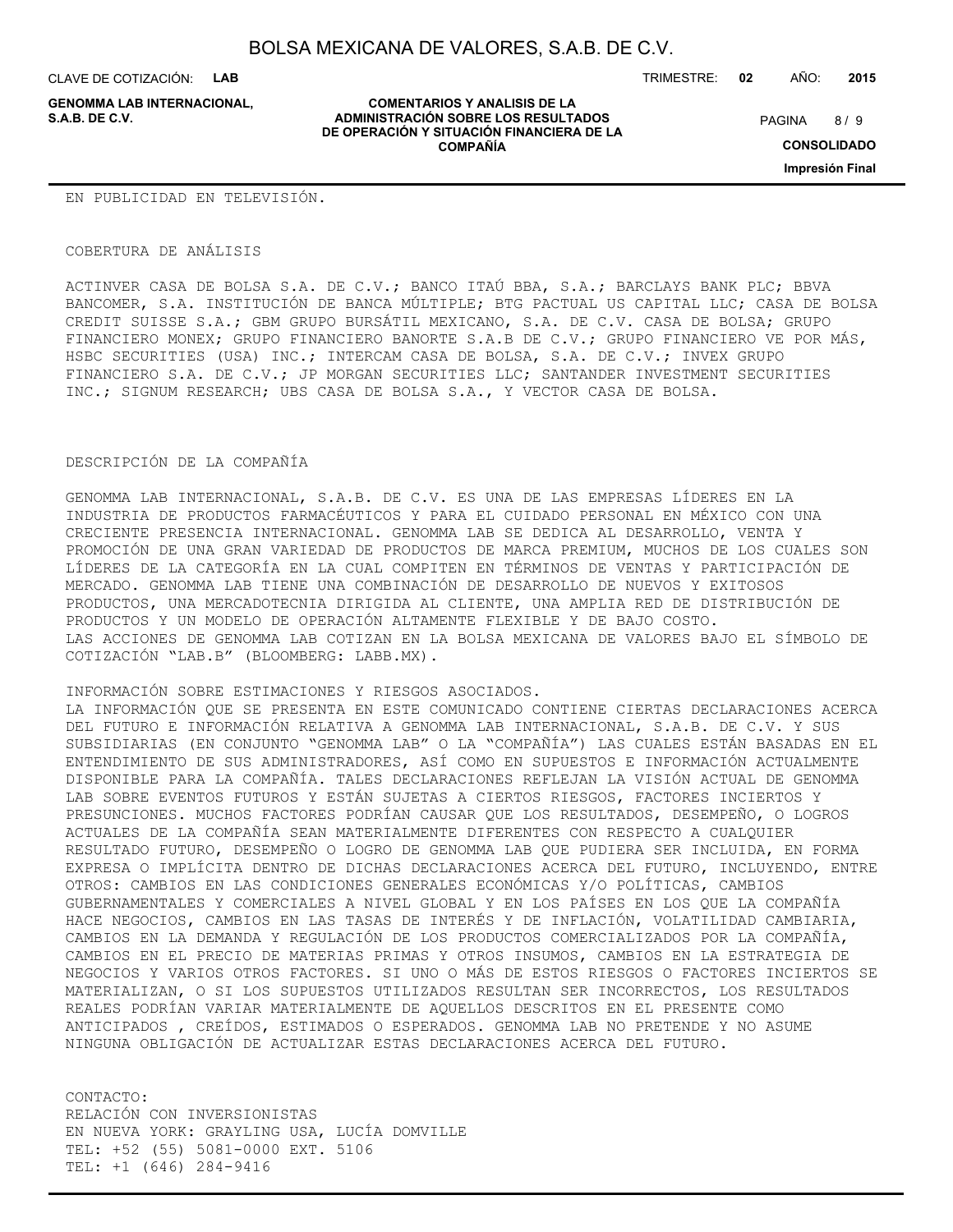CLAVE DE COTIZACIÓN: **LAB**

**GENOMMA LAB INTERNACIONAL,**

**COMENTARIOS Y ANALISIS DE LA ADMINISTRACIÓN SOBRE LOS RESULTADOS S.A.B. DE C.V.** PAGINA / 9 **DE OPERACIÓN Y SITUACIÓN FINANCIERA DE LA COMPAÑÍA**

TRIMESTRE: **02** AÑO: **2015**

 $8/9$ 

**CONSOLIDADO**

**Impresión Final**

#### EN PUBLICIDAD EN TELEVISIÓN.

#### COBERTURA DE ANÁLISIS

ACTINVER CASA DE BOLSA S.A. DE C.V.; BANCO ITAÚ BBA, S.A.; BARCLAYS BANK PLC; BBVA BANCOMER, S.A. INSTITUCIÓN DE BANCA MÚLTIPLE; BTG PACTUAL US CAPITAL LLC; CASA DE BOLSA CREDIT SUISSE S.A.; GBM GRUPO BURSÁTIL MEXICANO, S.A. DE C.V. CASA DE BOLSA; GRUPO FINANCIERO MONEX; GRUPO FINANCIERO BANORTE S.A.B DE C.V.; GRUPO FINANCIERO VE POR MÁS, HSBC SECURITIES (USA) INC.; INTERCAM CASA DE BOLSA, S.A. DE C.V.; INVEX GRUPO FINANCIERO S.A. DE C.V.; JP MORGAN SECURITIES LLC; SANTANDER INVESTMENT SECURITIES INC.; SIGNUM RESEARCH; UBS CASA DE BOLSA S.A., Y VECTOR CASA DE BOLSA.

#### DESCRIPCIÓN DE LA COMPAÑÍA

GENOMMA LAB INTERNACIONAL, S.A.B. DE C.V. ES UNA DE LAS EMPRESAS LÍDERES EN LA INDUSTRIA DE PRODUCTOS FARMACÉUTICOS Y PARA EL CUIDADO PERSONAL EN MÉXICO CON UNA CRECIENTE PRESENCIA INTERNACIONAL. GENOMMA LAB SE DEDICA AL DESARROLLO, VENTA Y PROMOCIÓN DE UNA GRAN VARIEDAD DE PRODUCTOS DE MARCA PREMIUM, MUCHOS DE LOS CUALES SON LÍDERES DE LA CATEGORÍA EN LA CUAL COMPITEN EN TÉRMINOS DE VENTAS Y PARTICIPACIÓN DE MERCADO. GENOMMA LAB TIENE UNA COMBINACIÓN DE DESARROLLO DE NUEVOS Y EXITOSOS PRODUCTOS, UNA MERCADOTECNIA DIRIGIDA AL CLIENTE, UNA AMPLIA RED DE DISTRIBUCIÓN DE PRODUCTOS Y UN MODELO DE OPERACIÓN ALTAMENTE FLEXIBLE Y DE BAJO COSTO. LAS ACCIONES DE GENOMMA LAB COTIZAN EN LA BOLSA MEXICANA DE VALORES BAJO EL SÍMBOLO DE COTIZACIÓN "LAB.B" (BLOOMBERG: LABB.MX).

#### INFORMACIÓN SOBRE ESTIMACIONES Y RIESGOS ASOCIADOS.

LA INFORMACIÓN QUE SE PRESENTA EN ESTE COMUNICADO CONTIENE CIERTAS DECLARACIONES ACERCA DEL FUTURO E INFORMACIÓN RELATIVA A GENOMMA LAB INTERNACIONAL, S.A.B. DE C.V. Y SUS SUBSIDIARIAS (EN CONJUNTO "GENOMMA LAB" O LA "COMPAÑÍA") LAS CUALES ESTÁN BASADAS EN EL ENTENDIMIENTO DE SUS ADMINISTRADORES, ASÍ COMO EN SUPUESTOS E INFORMACIÓN ACTUALMENTE DISPONIBLE PARA LA COMPAÑÍA. TALES DECLARACIONES REFLEJAN LA VISIÓN ACTUAL DE GENOMMA LAB SOBRE EVENTOS FUTUROS Y ESTÁN SUJETAS A CIERTOS RIESGOS, FACTORES INCIERTOS Y PRESUNCIONES. MUCHOS FACTORES PODRÍAN CAUSAR QUE LOS RESULTADOS, DESEMPEÑO, O LOGROS ACTUALES DE LA COMPAÑÍA SEAN MATERIALMENTE DIFERENTES CON RESPECTO A CUALQUIER RESULTADO FUTURO, DESEMPEÑO O LOGRO DE GENOMMA LAB QUE PUDIERA SER INCLUIDA, EN FORMA EXPRESA O IMPLÍCITA DENTRO DE DICHAS DECLARACIONES ACERCA DEL FUTURO, INCLUYENDO, ENTRE OTROS: CAMBIOS EN LAS CONDICIONES GENERALES ECONÓMICAS Y/O POLÍTICAS, CAMBIOS GUBERNAMENTALES Y COMERCIALES A NIVEL GLOBAL Y EN LOS PAÍSES EN LOS QUE LA COMPAÑÍA HACE NEGOCIOS, CAMBIOS EN LAS TASAS DE INTERÉS Y DE INFLACIÓN, VOLATILIDAD CAMBIARIA, CAMBIOS EN LA DEMANDA Y REGULACIÓN DE LOS PRODUCTOS COMERCIALIZADOS POR LA COMPAÑÍA, CAMBIOS EN EL PRECIO DE MATERIAS PRIMAS Y OTROS INSUMOS, CAMBIOS EN LA ESTRATEGIA DE NEGOCIOS Y VARIOS OTROS FACTORES. SI UNO O MÁS DE ESTOS RIESGOS O FACTORES INCIERTOS SE MATERIALIZAN, O SI LOS SUPUESTOS UTILIZADOS RESULTAN SER INCORRECTOS, LOS RESULTADOS REALES PODRÍAN VARIAR MATERIALMENTE DE AQUELLOS DESCRITOS EN EL PRESENTE COMO ANTICIPADOS , CREÍDOS, ESTIMADOS O ESPERADOS. GENOMMA LAB NO PRETENDE Y NO ASUME NINGUNA OBLIGACIÓN DE ACTUALIZAR ESTAS DECLARACIONES ACERCA DEL FUTURO.

CONTACTO: RELACIÓN CON INVERSIONISTAS EN NUEVA YORK: GRAYLING USA, LUCÍA DOMVILLE TEL: +52 (55) 5081-0000 EXT. 5106 TEL: +1 (646) 284-9416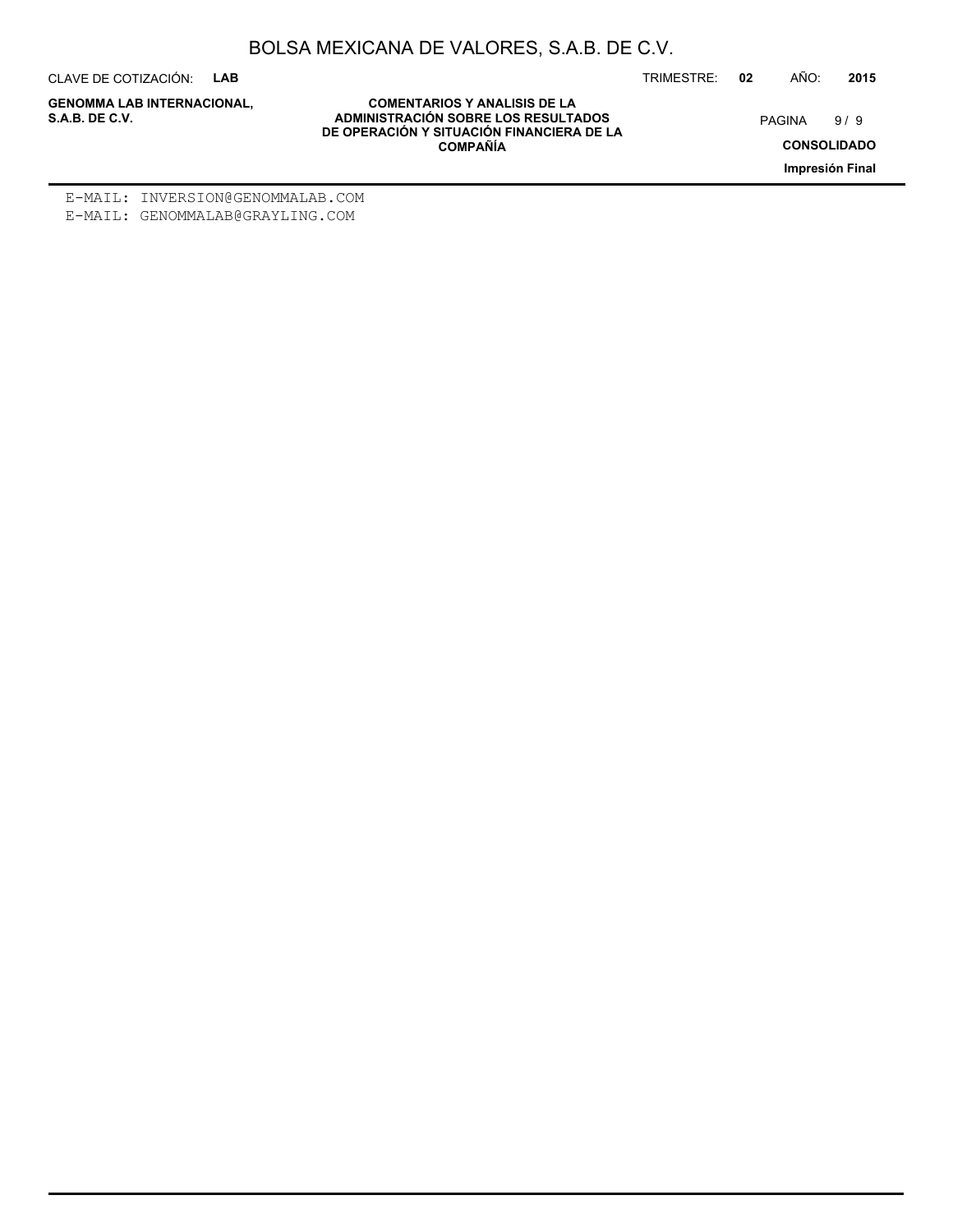CLAVE DE COTIZACIÓN: **LAB**

**GENOMMA LAB INTERNACIONAL,**

TRIMESTRE: **02** AÑO: **2015**

9/9

**CONSOLIDADO**

**Impresión Final**

**COMENTARIOS Y ANALISIS DE LA ADMINISTRACIÓN SOBRE LOS RESULTADOS S.A.B. DE C.V.** PAGINA / 9 **DE OPERACIÓN Y SITUACIÓN FINANCIERA DE LA COMPAÑÍA**

E-MAIL: INVERSION@GENOMMALAB.COM E-MAIL: GENOMMALAB@GRAYLING.COM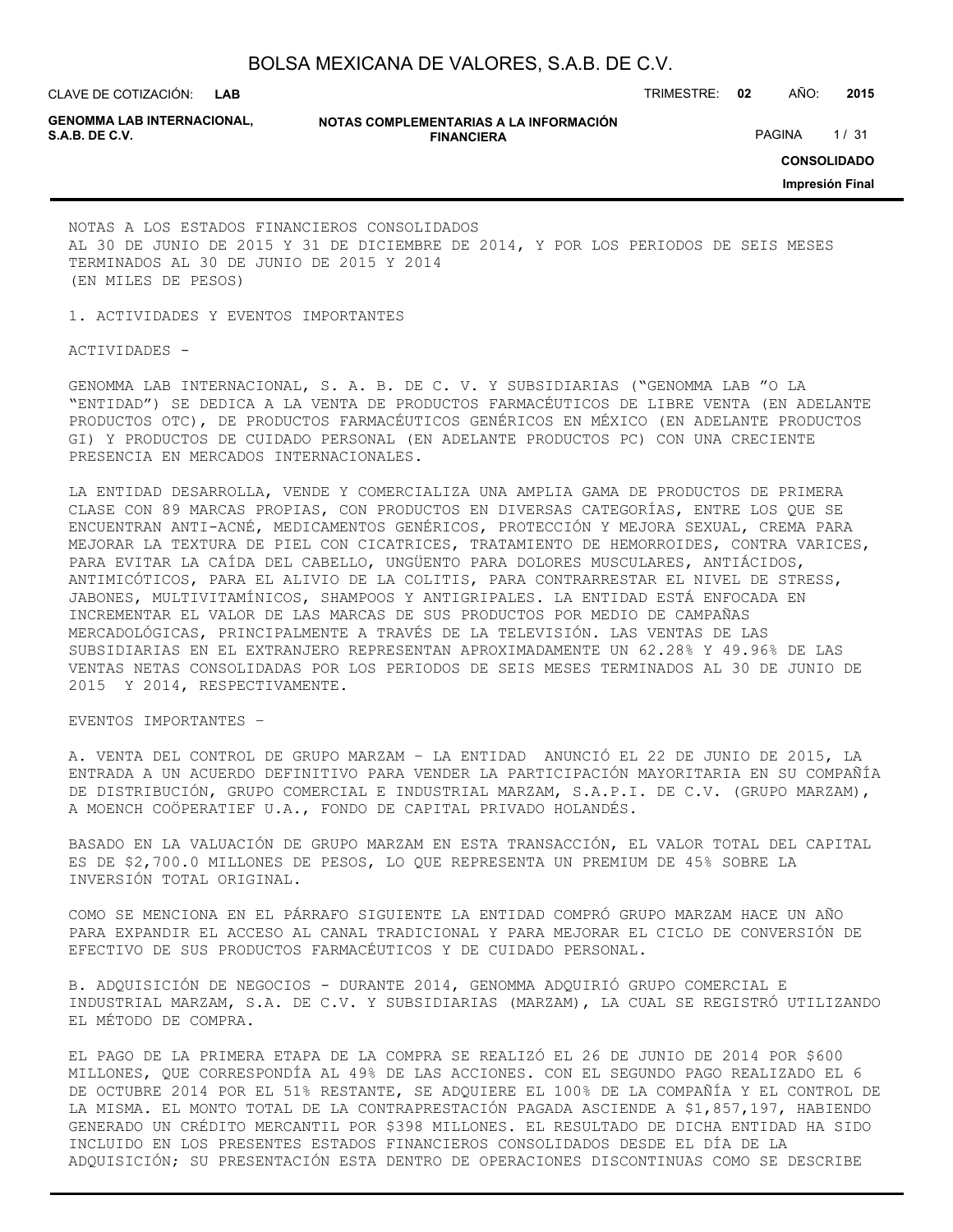CLAVE DE COTIZACIÓN: TRIMESTRE: **02** AÑO: **2015**

**GENOMMA LAB INTERNACIONAL,**

**NOTAS COMPLEMENTARIAS A LA INFORMACIÓN FINANCIERA S.A.B. DE C.V.** PAGINA 1/31

**CONSOLIDADO**

**Impresión Final**

NOTAS A LOS ESTADOS FINANCIEROS CONSOLIDADOS AL 30 DE JUNIO DE 2015 Y 31 DE DICIEMBRE DE 2014, Y POR LOS PERIODOS DE SEIS MESES TERMINADOS AL 30 DE JUNIO DE 2015 Y 2014 (EN MILES DE PESOS)

1. ACTIVIDADES Y EVENTOS IMPORTANTES

ACTIVIDADES -

GENOMMA LAB INTERNACIONAL, S. A. B. DE C. V. Y SUBSIDIARIAS ("GENOMMA LAB "O LA "ENTIDAD") SE DEDICA A LA VENTA DE PRODUCTOS FARMACÉUTICOS DE LIBRE VENTA (EN ADELANTE PRODUCTOS OTC), DE PRODUCTOS FARMACÉUTICOS GENÉRICOS EN MÉXICO (EN ADELANTE PRODUCTOS GI) Y PRODUCTOS DE CUIDADO PERSONAL (EN ADELANTE PRODUCTOS PC) CON UNA CRECIENTE PRESENCIA EN MERCADOS INTERNACIONALES.

LA ENTIDAD DESARROLLA, VENDE Y COMERCIALIZA UNA AMPLIA GAMA DE PRODUCTOS DE PRIMERA CLASE CON 89 MARCAS PROPIAS, CON PRODUCTOS EN DIVERSAS CATEGORÍAS, ENTRE LOS QUE SE ENCUENTRAN ANTI-ACNÉ, MEDICAMENTOS GENÉRICOS, PROTECCIÓN Y MEJORA SEXUAL, CREMA PARA MEJORAR LA TEXTURA DE PIEL CON CICATRICES, TRATAMIENTO DE HEMORROIDES, CONTRA VARICES, PARA EVITAR LA CAÍDA DEL CABELLO, UNGÜENTO PARA DOLORES MUSCULARES, ANTIÁCIDOS, ANTIMICÓTICOS, PARA EL ALIVIO DE LA COLITIS, PARA CONTRARRESTAR EL NIVEL DE STRESS, JABONES, MULTIVITAMÍNICOS, SHAMPOOS Y ANTIGRIPALES. LA ENTIDAD ESTÁ ENFOCADA EN INCREMENTAR EL VALOR DE LAS MARCAS DE SUS PRODUCTOS POR MEDIO DE CAMPAÑAS MERCADOLÓGICAS, PRINCIPALMENTE A TRAVÉS DE LA TELEVISIÓN. LAS VENTAS DE LAS SUBSIDIARIAS EN EL EXTRANJERO REPRESENTAN APROXIMADAMENTE UN 62.28% Y 49.96% DE LAS VENTAS NETAS CONSOLIDADAS POR LOS PERIODOS DE SEIS MESES TERMINADOS AL 30 DE JUNIO DE 2015 Y 2014, RESPECTIVAMENTE.

EVENTOS IMPORTANTES –

A. VENTA DEL CONTROL DE GRUPO MARZAM – LA ENTIDAD ANUNCIÓ EL 22 DE JUNIO DE 2015, LA ENTRADA A UN ACUERDO DEFINITIVO PARA VENDER LA PARTICIPACIÓN MAYORITARIA EN SU COMPAÑÍA DE DISTRIBUCIÓN, GRUPO COMERCIAL E INDUSTRIAL MARZAM, S.A.P.I. DE C.V. (GRUPO MARZAM), A MOENCH COÖPERATIEF U.A., FONDO DE CAPITAL PRIVADO HOLANDÉS.

BASADO EN LA VALUACIÓN DE GRUPO MARZAM EN ESTA TRANSACCIÓN, EL VALOR TOTAL DEL CAPITAL ES DE \$2,700.0 MILLONES DE PESOS, LO QUE REPRESENTA UN PREMIUM DE 45% SOBRE LA INVERSIÓN TOTAL ORIGINAL.

COMO SE MENCIONA EN EL PÁRRAFO SIGUIENTE LA ENTIDAD COMPRÓ GRUPO MARZAM HACE UN AÑO PARA EXPANDIR EL ACCESO AL CANAL TRADICIONAL Y PARA MEJORAR EL CICLO DE CONVERSIÓN DE EFECTIVO DE SUS PRODUCTOS FARMACÉUTICOS Y DE CUIDADO PERSONAL.

B. ADQUISICIÓN DE NEGOCIOS - DURANTE 2014, GENOMMA ADQUIRIÓ GRUPO COMERCIAL E INDUSTRIAL MARZAM, S.A. DE C.V. Y SUBSIDIARIAS (MARZAM), LA CUAL SE REGISTRÓ UTILIZANDO EL MÉTODO DE COMPRA.

EL PAGO DE LA PRIMERA ETAPA DE LA COMPRA SE REALIZÓ EL 26 DE JUNIO DE 2014 POR \$600 MILLONES, QUE CORRESPONDÍA AL 49% DE LAS ACCIONES. CON EL SEGUNDO PAGO REALIZADO EL 6 DE OCTUBRE 2014 POR EL 51% RESTANTE, SE ADQUIERE EL 100% DE LA COMPAÑÍA Y EL CONTROL DE LA MISMA. EL MONTO TOTAL DE LA CONTRAPRESTACIÓN PAGADA ASCIENDE A \$1,857,197, HABIENDO GENERADO UN CRÉDITO MERCANTIL POR \$398 MILLONES. EL RESULTADO DE DICHA ENTIDAD HA SIDO INCLUIDO EN LOS PRESENTES ESTADOS FINANCIEROS CONSOLIDADOS DESDE EL DÍA DE LA ADQUISICIÓN; SU PRESENTACIÓN ESTA DENTRO DE OPERACIONES DISCONTINUAS COMO SE DESCRIBE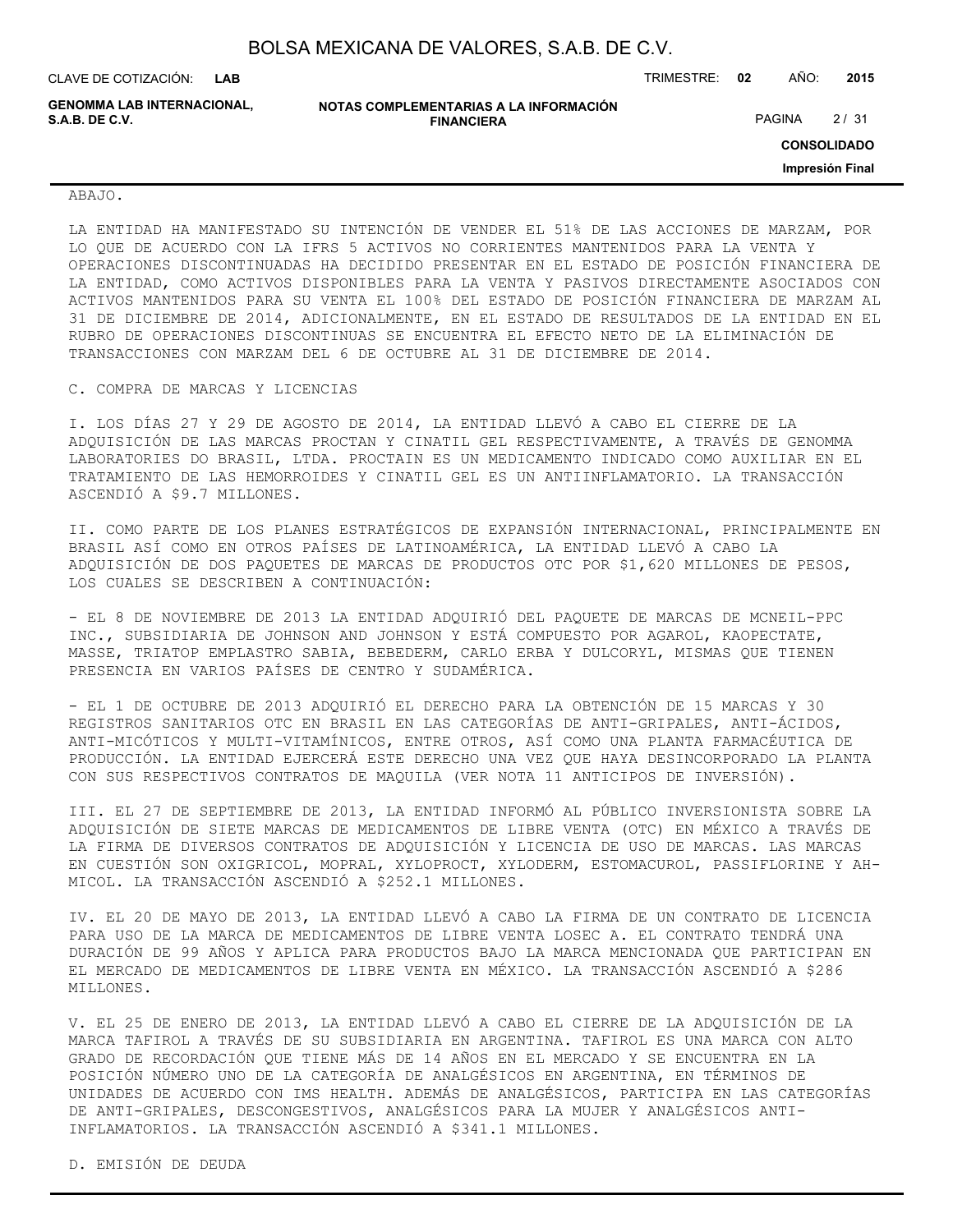CLAVE DE COTIZACIÓN: TRIMESTRE: **02** AÑO: **2015 LAB**

**GENOMMA LAB INTERNACIONAL, S.A.B. DE C.V.** PAGINA 2 / 31

**NOTAS COMPLEMENTARIAS A LA INFORMACIÓN FINANCIERA**

**CONSOLIDADO**

**Impresión Final**

#### ABAJO.

LA ENTIDAD HA MANIFESTADO SU INTENCIÓN DE VENDER EL 51% DE LAS ACCIONES DE MARZAM, POR LO QUE DE ACUERDO CON LA IFRS 5 ACTIVOS NO CORRIENTES MANTENIDOS PARA LA VENTA Y OPERACIONES DISCONTINUADAS HA DECIDIDO PRESENTAR EN EL ESTADO DE POSICIÓN FINANCIERA DE LA ENTIDAD, COMO ACTIVOS DISPONIBLES PARA LA VENTA Y PASIVOS DIRECTAMENTE ASOCIADOS CON ACTIVOS MANTENIDOS PARA SU VENTA EL 100% DEL ESTADO DE POSICIÓN FINANCIERA DE MARZAM AL 31 DE DICIEMBRE DE 2014, ADICIONALMENTE, EN EL ESTADO DE RESULTADOS DE LA ENTIDAD EN EL RUBRO DE OPERACIONES DISCONTINUAS SE ENCUENTRA EL EFECTO NETO DE LA ELIMINACIÓN DE TRANSACCIONES CON MARZAM DEL 6 DE OCTUBRE AL 31 DE DICIEMBRE DE 2014.

#### C. COMPRA DE MARCAS Y LICENCIAS

I. LOS DÍAS 27 Y 29 DE AGOSTO DE 2014, LA ENTIDAD LLEVÓ A CABO EL CIERRE DE LA ADQUISICIÓN DE LAS MARCAS PROCTAN Y CINATIL GEL RESPECTIVAMENTE, A TRAVÉS DE GENOMMA LABORATORIES DO BRASIL, LTDA. PROCTAIN ES UN MEDICAMENTO INDICADO COMO AUXILIAR EN EL TRATAMIENTO DE LAS HEMORROIDES Y CINATIL GEL ES UN ANTIINFLAMATORIO. LA TRANSACCIÓN ASCENDIÓ A \$9.7 MILLONES.

II. COMO PARTE DE LOS PLANES ESTRATÉGICOS DE EXPANSIÓN INTERNACIONAL, PRINCIPALMENTE EN BRASIL ASÍ COMO EN OTROS PAÍSES DE LATINOAMÉRICA, LA ENTIDAD LLEVÓ A CABO LA ADQUISICIÓN DE DOS PAQUETES DE MARCAS DE PRODUCTOS OTC POR \$1,620 MILLONES DE PESOS, LOS CUALES SE DESCRIBEN A CONTINUACIÓN:

- EL 8 DE NOVIEMBRE DE 2013 LA ENTIDAD ADQUIRIÓ DEL PAQUETE DE MARCAS DE MCNEIL-PPC INC., SUBSIDIARIA DE JOHNSON AND JOHNSON Y ESTÁ COMPUESTO POR AGAROL, KAOPECTATE, MASSE, TRIATOP EMPLASTRO SABIA, BEBEDERM, CARLO ERBA Y DULCORYL, MISMAS QUE TIENEN PRESENCIA EN VARIOS PAÍSES DE CENTRO Y SUDAMÉRICA.

- EL 1 DE OCTUBRE DE 2013 ADQUIRIÓ EL DERECHO PARA LA OBTENCIÓN DE 15 MARCAS Y 30 REGISTROS SANITARIOS OTC EN BRASIL EN LAS CATEGORÍAS DE ANTI-GRIPALES, ANTI-ÁCIDOS, ANTI-MICÓTICOS Y MULTI-VITAMÍNICOS, ENTRE OTROS, ASÍ COMO UNA PLANTA FARMACÉUTICA DE PRODUCCIÓN. LA ENTIDAD EJERCERÁ ESTE DERECHO UNA VEZ QUE HAYA DESINCORPORADO LA PLANTA CON SUS RESPECTIVOS CONTRATOS DE MAQUILA (VER NOTA 11 ANTICIPOS DE INVERSIÓN).

III. EL 27 DE SEPTIEMBRE DE 2013, LA ENTIDAD INFORMÓ AL PÚBLICO INVERSIONISTA SOBRE LA ADQUISICIÓN DE SIETE MARCAS DE MEDICAMENTOS DE LIBRE VENTA (OTC) EN MÉXICO A TRAVÉS DE LA FIRMA DE DIVERSOS CONTRATOS DE ADQUISICIÓN Y LICENCIA DE USO DE MARCAS. LAS MARCAS EN CUESTIÓN SON OXIGRICOL, MOPRAL, XYLOPROCT, XYLODERM, ESTOMACUROL, PASSIFLORINE Y AH-MICOL. LA TRANSACCIÓN ASCENDIÓ A \$252.1 MILLONES.

IV. EL 20 DE MAYO DE 2013, LA ENTIDAD LLEVÓ A CABO LA FIRMA DE UN CONTRATO DE LICENCIA PARA USO DE LA MARCA DE MEDICAMENTOS DE LIBRE VENTA LOSEC A. EL CONTRATO TENDRÁ UNA DURACIÓN DE 99 AÑOS Y APLICA PARA PRODUCTOS BAJO LA MARCA MENCIONADA QUE PARTICIPAN EN EL MERCADO DE MEDICAMENTOS DE LIBRE VENTA EN MÉXICO. LA TRANSACCIÓN ASCENDIÓ A \$286 MILLONES.

V. EL 25 DE ENERO DE 2013, LA ENTIDAD LLEVÓ A CABO EL CIERRE DE LA ADQUISICIÓN DE LA MARCA TAFIROL A TRAVÉS DE SU SUBSIDIARIA EN ARGENTINA. TAFIROL ES UNA MARCA CON ALTO GRADO DE RECORDACIÓN QUE TIENE MÁS DE 14 AÑOS EN EL MERCADO Y SE ENCUENTRA EN LA POSICIÓN NÚMERO UNO DE LA CATEGORÍA DE ANALGÉSICOS EN ARGENTINA, EN TÉRMINOS DE UNIDADES DE ACUERDO CON IMS HEALTH. ADEMÁS DE ANALGÉSICOS, PARTICIPA EN LAS CATEGORÍAS DE ANTI-GRIPALES, DESCONGESTIVOS, ANALGÉSICOS PARA LA MUJER Y ANALGÉSICOS ANTI-INFLAMATORIOS. LA TRANSACCIÓN ASCENDIÓ A \$341.1 MILLONES.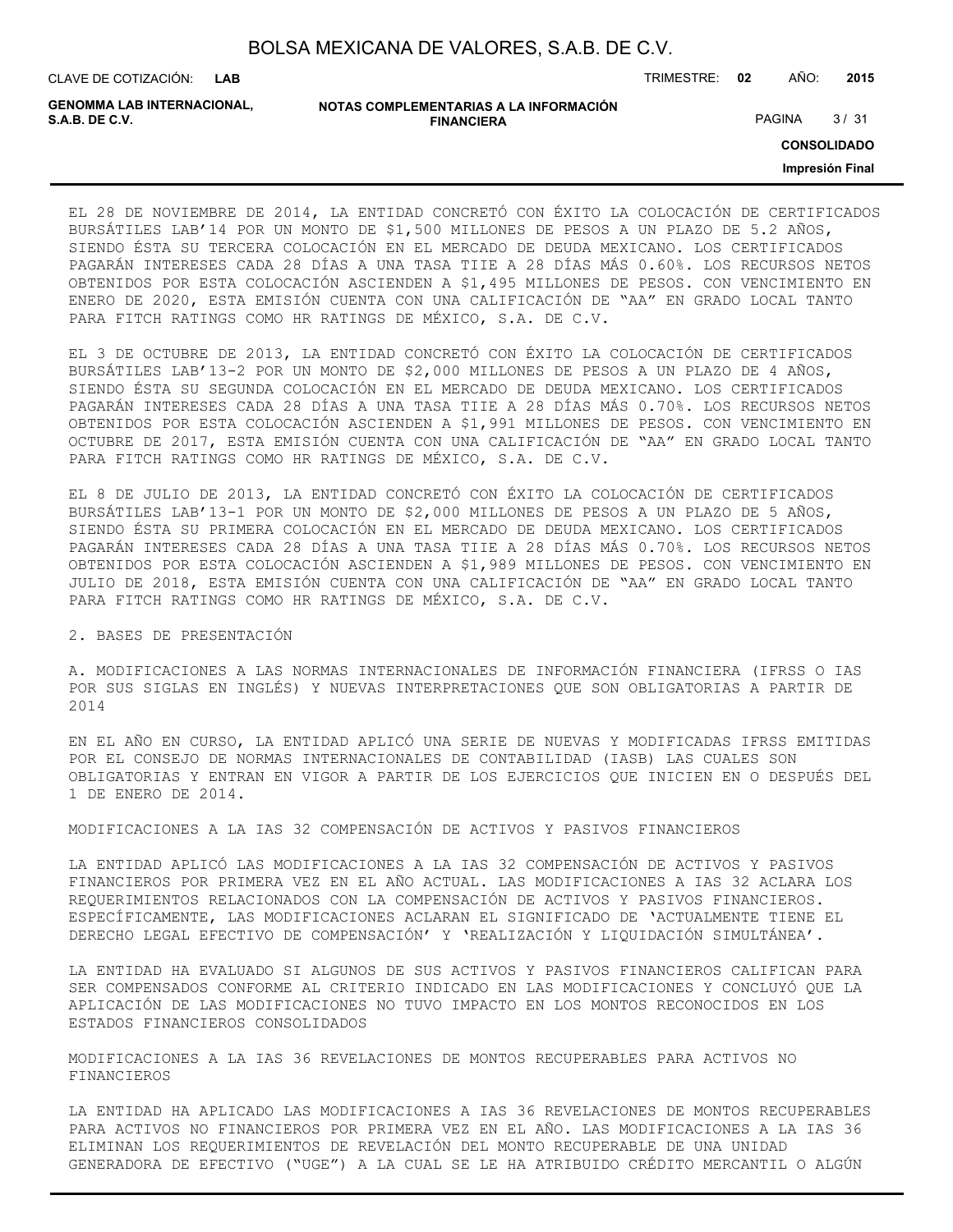| BOLSA MEXICANA DE VALORES, S.A.B. DE C.V. |  |  |
|-------------------------------------------|--|--|
|-------------------------------------------|--|--|

CLAVE DE COTIZACIÓN: TRIMESTRE: **02** AÑO: **2015**

| <b>GENOMMA LAB INTERNACIONAL.</b> | NOTAS COMPLEMENTARIAS A LA INFORMACIÓN |               |      |
|-----------------------------------|----------------------------------------|---------------|------|
| S.A.B. DE C.V.                    | <b>FINANCIERA</b>                      | <b>PAGINA</b> | 3/31 |

**CONSOLIDADO**

**Impresión Final**

EL 28 DE NOVIEMBRE DE 2014, LA ENTIDAD CONCRETÓ CON ÉXITO LA COLOCACIÓN DE CERTIFICADOS BURSÁTILES LAB'14 POR UN MONTO DE \$1,500 MILLONES DE PESOS A UN PLAZO DE 5.2 AÑOS, SIENDO ÉSTA SU TERCERA COLOCACIÓN EN EL MERCADO DE DEUDA MEXICANO. LOS CERTIFICADOS PAGARÁN INTERESES CADA 28 DÍAS A UNA TASA TIIE A 28 DÍAS MÁS 0.60%. LOS RECURSOS NETOS OBTENIDOS POR ESTA COLOCACIÓN ASCIENDEN A \$1,495 MILLONES DE PESOS. CON VENCIMIENTO EN ENERO DE 2020, ESTA EMISIÓN CUENTA CON UNA CALIFICACIÓN DE "AA" EN GRADO LOCAL TANTO PARA FITCH RATINGS COMO HR RATINGS DE MÉXICO, S.A. DE C.V.

EL 3 DE OCTUBRE DE 2013, LA ENTIDAD CONCRETÓ CON ÉXITO LA COLOCACIÓN DE CERTIFICADOS BURSÁTILES LAB'13-2 POR UN MONTO DE \$2,000 MILLONES DE PESOS A UN PLAZO DE 4 AÑOS, SIENDO ÉSTA SU SEGUNDA COLOCACIÓN EN EL MERCADO DE DEUDA MEXICANO. LOS CERTIFICADOS PAGARÁN INTERESES CADA 28 DÍAS A UNA TASA TIIE A 28 DÍAS MÁS 0.70%. LOS RECURSOS NETOS OBTENIDOS POR ESTA COLOCACIÓN ASCIENDEN A \$1,991 MILLONES DE PESOS. CON VENCIMIENTO EN OCTUBRE DE 2017, ESTA EMISIÓN CUENTA CON UNA CALIFICACIÓN DE "AA" EN GRADO LOCAL TANTO PARA FITCH RATINGS COMO HR RATINGS DE MÉXICO, S.A. DE C.V.

EL 8 DE JULIO DE 2013, LA ENTIDAD CONCRETÓ CON ÉXITO LA COLOCACIÓN DE CERTIFICADOS BURSÁTILES LAB'13-1 POR UN MONTO DE \$2,000 MILLONES DE PESOS A UN PLAZO DE 5 AÑOS, SIENDO ÉSTA SU PRIMERA COLOCACIÓN EN EL MERCADO DE DEUDA MEXICANO. LOS CERTIFICADOS PAGARÁN INTERESES CADA 28 DÍAS A UNA TASA TIIE A 28 DÍAS MÁS 0.70%. LOS RECURSOS NETOS OBTENIDOS POR ESTA COLOCACIÓN ASCIENDEN A \$1,989 MILLONES DE PESOS. CON VENCIMIENTO EN JULIO DE 2018, ESTA EMISIÓN CUENTA CON UNA CALIFICACIÓN DE "AA" EN GRADO LOCAL TANTO PARA FITCH RATINGS COMO HR RATINGS DE MÉXICO, S.A. DE C.V.

#### 2. BASES DE PRESENTACIÓN

A. MODIFICACIONES A LAS NORMAS INTERNACIONALES DE INFORMACIÓN FINANCIERA (IFRSS O IAS POR SUS SIGLAS EN INGLÉS) Y NUEVAS INTERPRETACIONES QUE SON OBLIGATORIAS A PARTIR DE 2014

EN EL AÑO EN CURSO, LA ENTIDAD APLICÓ UNA SERIE DE NUEVAS Y MODIFICADAS IFRSS EMITIDAS POR EL CONSEJO DE NORMAS INTERNACIONALES DE CONTABILIDAD (IASB) LAS CUALES SON OBLIGATORIAS Y ENTRAN EN VIGOR A PARTIR DE LOS EJERCICIOS QUE INICIEN EN O DESPUÉS DEL 1 DE ENERO DE 2014.

MODIFICACIONES A LA IAS 32 COMPENSACIÓN DE ACTIVOS Y PASIVOS FINANCIEROS

LA ENTIDAD APLICÓ LAS MODIFICACIONES A LA IAS 32 COMPENSACIÓN DE ACTIVOS Y PASIVOS FINANCIEROS POR PRIMERA VEZ EN EL AÑO ACTUAL. LAS MODIFICACIONES A IAS 32 ACLARA LOS REQUERIMIENTOS RELACIONADOS CON LA COMPENSACIÓN DE ACTIVOS Y PASIVOS FINANCIEROS. ESPECÍFICAMENTE, LAS MODIFICACIONES ACLARAN EL SIGNIFICADO DE 'ACTUALMENTE TIENE EL DERECHO LEGAL EFECTIVO DE COMPENSACIÓN' Y 'REALIZACIÓN Y LIQUIDACIÓN SIMULTÁNEA'.

LA ENTIDAD HA EVALUADO SI ALGUNOS DE SUS ACTIVOS Y PASIVOS FINANCIEROS CALIFICAN PARA SER COMPENSADOS CONFORME AL CRITERIO INDICADO EN LAS MODIFICACIONES Y CONCLUYÓ QUE LA APLICACIÓN DE LAS MODIFICACIONES NO TUVO IMPACTO EN LOS MONTOS RECONOCIDOS EN LOS ESTADOS FINANCIEROS CONSOLIDADOS

MODIFICACIONES A LA IAS 36 REVELACIONES DE MONTOS RECUPERABLES PARA ACTIVOS NO FINANCIEROS

LA ENTIDAD HA APLICADO LAS MODIFICACIONES A IAS 36 REVELACIONES DE MONTOS RECUPERABLES PARA ACTIVOS NO FINANCIEROS POR PRIMERA VEZ EN EL AÑO. LAS MODIFICACIONES A LA IAS 36 ELIMINAN LOS REQUERIMIENTOS DE REVELACIÓN DEL MONTO RECUPERABLE DE UNA UNIDAD GENERADORA DE EFECTIVO ("UGE") A LA CUAL SE LE HA ATRIBUIDO CRÉDITO MERCANTIL O ALGÚN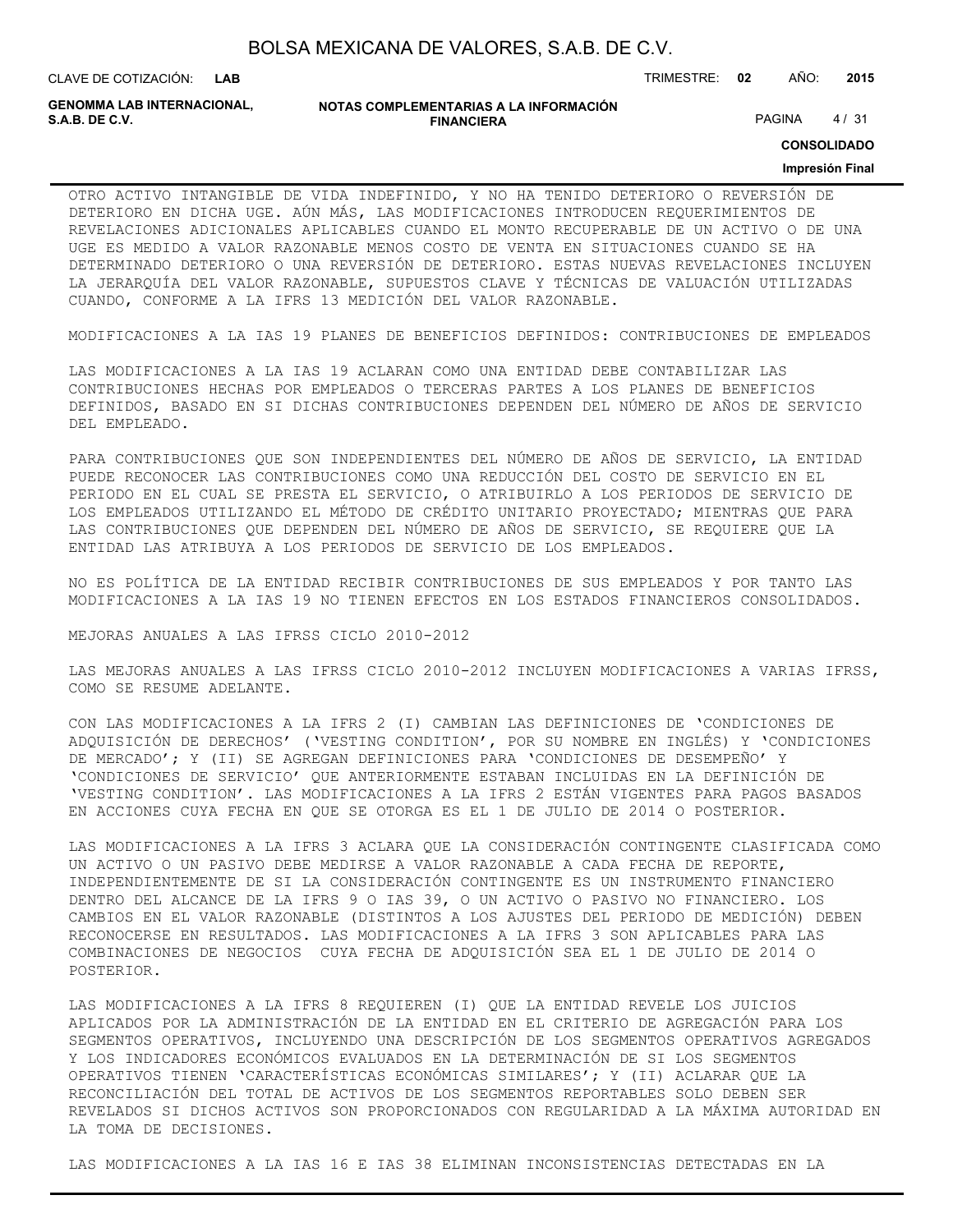CLAVE DE COTIZACIÓN: TRIMESTRE: **02** AÑO: **2015 LAB**

**GENOMMA LAB INTERNACIONAL,**

**NOTAS COMPLEMENTARIAS A LA INFORMACIÓN FINANCIERA S.A.B. DE C.V.** PAGINA 4 / 31

**CONSOLIDADO**

#### **Impresión Final**

OTRO ACTIVO INTANGIBLE DE VIDA INDEFINIDO, Y NO HA TENIDO DETERIORO O REVERSIÓN DE DETERIORO EN DICHA UGE. AÚN MÁS, LAS MODIFICACIONES INTRODUCEN REQUERIMIENTOS DE REVELACIONES ADICIONALES APLICABLES CUANDO EL MONTO RECUPERABLE DE UN ACTIVO O DE UNA UGE ES MEDIDO A VALOR RAZONABLE MENOS COSTO DE VENTA EN SITUACIONES CUANDO SE HA DETERMINADO DETERIORO O UNA REVERSIÓN DE DETERIORO. ESTAS NUEVAS REVELACIONES INCLUYEN LA JERARQUÍA DEL VALOR RAZONABLE, SUPUESTOS CLAVE Y TÉCNICAS DE VALUACIÓN UTILIZADAS CUANDO, CONFORME A LA IFRS 13 MEDICIÓN DEL VALOR RAZONABLE.

MODIFICACIONES A LA IAS 19 PLANES DE BENEFICIOS DEFINIDOS: CONTRIBUCIONES DE EMPLEADOS

LAS MODIFICACIONES A LA IAS 19 ACLARAN COMO UNA ENTIDAD DEBE CONTABILIZAR LAS CONTRIBUCIONES HECHAS POR EMPLEADOS O TERCERAS PARTES A LOS PLANES DE BENEFICIOS DEFINIDOS, BASADO EN SI DICHAS CONTRIBUCIONES DEPENDEN DEL NÚMERO DE AÑOS DE SERVICIO DEL EMPLEADO.

PARA CONTRIBUCIONES QUE SON INDEPENDIENTES DEL NÚMERO DE AÑOS DE SERVICIO, LA ENTIDAD PUEDE RECONOCER LAS CONTRIBUCIONES COMO UNA REDUCCIÓN DEL COSTO DE SERVICIO EN EL PERIODO EN EL CUAL SE PRESTA EL SERVICIO, O ATRIBUIRLO A LOS PERIODOS DE SERVICIO DE LOS EMPLEADOS UTILIZANDO EL MÉTODO DE CRÉDITO UNITARIO PROYECTADO; MIENTRAS QUE PARA LAS CONTRIBUCIONES QUE DEPENDEN DEL NÚMERO DE AÑOS DE SERVICIO, SE REQUIERE QUE LA ENTIDAD LAS ATRIBUYA A LOS PERIODOS DE SERVICIO DE LOS EMPLEADOS.

NO ES POLÍTICA DE LA ENTIDAD RECIBIR CONTRIBUCIONES DE SUS EMPLEADOS Y POR TANTO LAS MODIFICACIONES A LA IAS 19 NO TIENEN EFECTOS EN LOS ESTADOS FINANCIEROS CONSOLIDADOS.

MEJORAS ANUALES A LAS IFRSS CICLO 2010-2012

LAS MEJORAS ANUALES A LAS IFRSS CICLO 2010-2012 INCLUYEN MODIFICACIONES A VARIAS IFRSS, COMO SE RESUME ADELANTE.

CON LAS MODIFICACIONES A LA IFRS 2 (I) CAMBIAN LAS DEFINICIONES DE 'CONDICIONES DE ADQUISICIÓN DE DERECHOS' ('VESTING CONDITION', POR SU NOMBRE EN INGLÉS) Y 'CONDICIONES DE MERCADO'; Y (II) SE AGREGAN DEFINICIONES PARA 'CONDICIONES DE DESEMPEÑO' Y 'CONDICIONES DE SERVICIO' QUE ANTERIORMENTE ESTABAN INCLUIDAS EN LA DEFINICIÓN DE 'VESTING CONDITION'. LAS MODIFICACIONES A LA IFRS 2 ESTÁN VIGENTES PARA PAGOS BASADOS EN ACCIONES CUYA FECHA EN QUE SE OTORGA ES EL 1 DE JULIO DE 2014 O POSTERIOR.

LAS MODIFICACIONES A LA IFRS 3 ACLARA QUE LA CONSIDERACIÓN CONTINGENTE CLASIFICADA COMO UN ACTIVO O UN PASIVO DEBE MEDIRSE A VALOR RAZONABLE A CADA FECHA DE REPORTE, INDEPENDIENTEMENTE DE SI LA CONSIDERACIÓN CONTINGENTE ES UN INSTRUMENTO FINANCIERO DENTRO DEL ALCANCE DE LA IFRS 9 O IAS 39, O UN ACTIVO O PASIVO NO FINANCIERO. LOS CAMBIOS EN EL VALOR RAZONABLE (DISTINTOS A LOS AJUSTES DEL PERIODO DE MEDICIÓN) DEBEN RECONOCERSE EN RESULTADOS. LAS MODIFICACIONES A LA IFRS 3 SON APLICABLES PARA LAS COMBINACIONES DE NEGOCIOS CUYA FECHA DE ADQUISICIÓN SEA EL 1 DE JULIO DE 2014 O POSTERIOR.

LAS MODIFICACIONES A LA IFRS 8 REQUIEREN (I) QUE LA ENTIDAD REVELE LOS JUICIOS APLICADOS POR LA ADMINISTRACIÓN DE LA ENTIDAD EN EL CRITERIO DE AGREGACIÓN PARA LOS SEGMENTOS OPERATIVOS, INCLUYENDO UNA DESCRIPCIÓN DE LOS SEGMENTOS OPERATIVOS AGREGADOS Y LOS INDICADORES ECONÓMICOS EVALUADOS EN LA DETERMINACIÓN DE SI LOS SEGMENTOS OPERATIVOS TIENEN 'CARACTERÍSTICAS ECONÓMICAS SIMILARES'; Y (II) ACLARAR QUE LA RECONCILIACIÓN DEL TOTAL DE ACTIVOS DE LOS SEGMENTOS REPORTABLES SOLO DEBEN SER REVELADOS SI DICHOS ACTIVOS SON PROPORCIONADOS CON REGULARIDAD A LA MÁXIMA AUTORIDAD EN LA TOMA DE DECISIONES.

LAS MODIFICACIONES A LA IAS 16 E IAS 38 ELIMINAN INCONSISTENCIAS DETECTADAS EN LA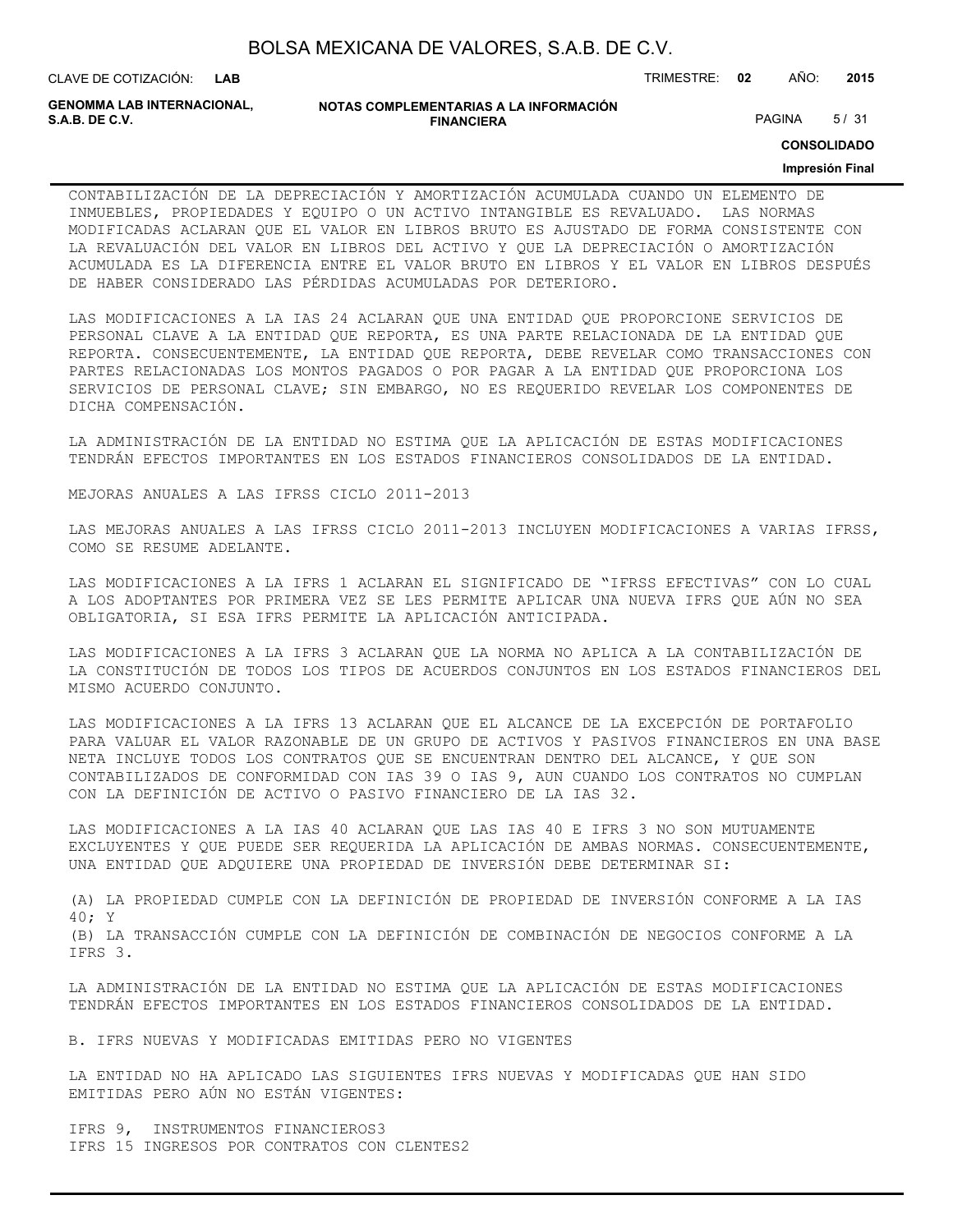| BOLSA MEXICANA DE VALORES, S.A.B. DE C.V. |  |  |
|-------------------------------------------|--|--|
|-------------------------------------------|--|--|

CLAVE DE COTIZACIÓN: TRIMESTRE: **02** AÑO: **2015**

**GENOMMA LAB INTERNACIONAL,**

#### **NOTAS COMPLEMENTARIAS A LA INFORMACIÓN FINANCIERA S.A.B. DE C.V.** PAGINA 5 / 31

**CONSOLIDADO**

#### **Impresión Final**

CONTABILIZACIÓN DE LA DEPRECIACIÓN Y AMORTIZACIÓN ACUMULADA CUANDO UN ELEMENTO DE INMUEBLES, PROPIEDADES Y EQUIPO O UN ACTIVO INTANGIBLE ES REVALUADO. LAS NORMAS MODIFICADAS ACLARAN QUE EL VALOR EN LIBROS BRUTO ES AJUSTADO DE FORMA CONSISTENTE CON LA REVALUACIÓN DEL VALOR EN LIBROS DEL ACTIVO Y QUE LA DEPRECIACIÓN O AMORTIZACIÓN ACUMULADA ES LA DIFERENCIA ENTRE EL VALOR BRUTO EN LIBROS Y EL VALOR EN LIBROS DESPUÉS DE HABER CONSIDERADO LAS PÉRDIDAS ACUMULADAS POR DETERIORO.

LAS MODIFICACIONES A LA IAS 24 ACLARAN QUE UNA ENTIDAD QUE PROPORCIONE SERVICIOS DE PERSONAL CLAVE A LA ENTIDAD QUE REPORTA, ES UNA PARTE RELACIONADA DE LA ENTIDAD QUE REPORTA. CONSECUENTEMENTE, LA ENTIDAD QUE REPORTA, DEBE REVELAR COMO TRANSACCIONES CON PARTES RELACIONADAS LOS MONTOS PAGADOS O POR PAGAR A LA ENTIDAD QUE PROPORCIONA LOS SERVICIOS DE PERSONAL CLAVE; SIN EMBARGO, NO ES REQUERIDO REVELAR LOS COMPONENTES DE DICHA COMPENSACIÓN.

LA ADMINISTRACIÓN DE LA ENTIDAD NO ESTIMA QUE LA APLICACIÓN DE ESTAS MODIFICACIONES TENDRÁN EFECTOS IMPORTANTES EN LOS ESTADOS FINANCIEROS CONSOLIDADOS DE LA ENTIDAD.

MEJORAS ANUALES A LAS IFRSS CICLO 2011-2013

LAS MEJORAS ANUALES A LAS IFRSS CICLO 2011-2013 INCLUYEN MODIFICACIONES A VARIAS IFRSS, COMO SE RESUME ADELANTE.

LAS MODIFICACIONES A LA IFRS 1 ACLARAN EL SIGNIFICADO DE "IFRSS EFECTIVAS" CON LO CUAL A LOS ADOPTANTES POR PRIMERA VEZ SE LES PERMITE APLICAR UNA NUEVA IFRS QUE AÚN NO SEA OBLIGATORIA, SI ESA IFRS PERMITE LA APLICACIÓN ANTICIPADA.

LAS MODIFICACIONES A LA IFRS 3 ACLARAN QUE LA NORMA NO APLICA A LA CONTABILIZACIÓN DE LA CONSTITUCIÓN DE TODOS LOS TIPOS DE ACUERDOS CONJUNTOS EN LOS ESTADOS FINANCIEROS DEL MISMO ACUERDO CONJUNTO.

LAS MODIFICACIONES A LA IFRS 13 ACLARAN QUE EL ALCANCE DE LA EXCEPCIÓN DE PORTAFOLIO PARA VALUAR EL VALOR RAZONABLE DE UN GRUPO DE ACTIVOS Y PASIVOS FINANCIEROS EN UNA BASE NETA INCLUYE TODOS LOS CONTRATOS QUE SE ENCUENTRAN DENTRO DEL ALCANCE, Y QUE SON CONTABILIZADOS DE CONFORMIDAD CON IAS 39 O IAS 9, AUN CUANDO LOS CONTRATOS NO CUMPLAN CON LA DEFINICIÓN DE ACTIVO O PASIVO FINANCIERO DE LA IAS 32.

LAS MODIFICACIONES A LA IAS 40 ACLARAN QUE LAS IAS 40 E IFRS 3 NO SON MUTUAMENTE EXCLUYENTES Y QUE PUEDE SER REQUERIDA LA APLICACIÓN DE AMBAS NORMAS. CONSECUENTEMENTE, UNA ENTIDAD QUE ADQUIERE UNA PROPIEDAD DE INVERSIÓN DEBE DETERMINAR SI:

(A) LA PROPIEDAD CUMPLE CON LA DEFINICIÓN DE PROPIEDAD DE INVERSIÓN CONFORME A LA IAS 40; Y (B) LA TRANSACCIÓN CUMPLE CON LA DEFINICIÓN DE COMBINACIÓN DE NEGOCIOS CONFORME A LA IFRS 3.

LA ADMINISTRACIÓN DE LA ENTIDAD NO ESTIMA QUE LA APLICACIÓN DE ESTAS MODIFICACIONES TENDRÁN EFECTOS IMPORTANTES EN LOS ESTADOS FINANCIEROS CONSOLIDADOS DE LA ENTIDAD.

B. IFRS NUEVAS Y MODIFICADAS EMITIDAS PERO NO VIGENTES

LA ENTIDAD NO HA APLICADO LAS SIGUIENTES IFRS NUEVAS Y MODIFICADAS QUE HAN SIDO EMITIDAS PERO AÚN NO ESTÁN VIGENTES:

IFRS 9, INSTRUMENTOS FINANCIEROS3 IFRS 15 INGRESOS POR CONTRATOS CON CLENTES2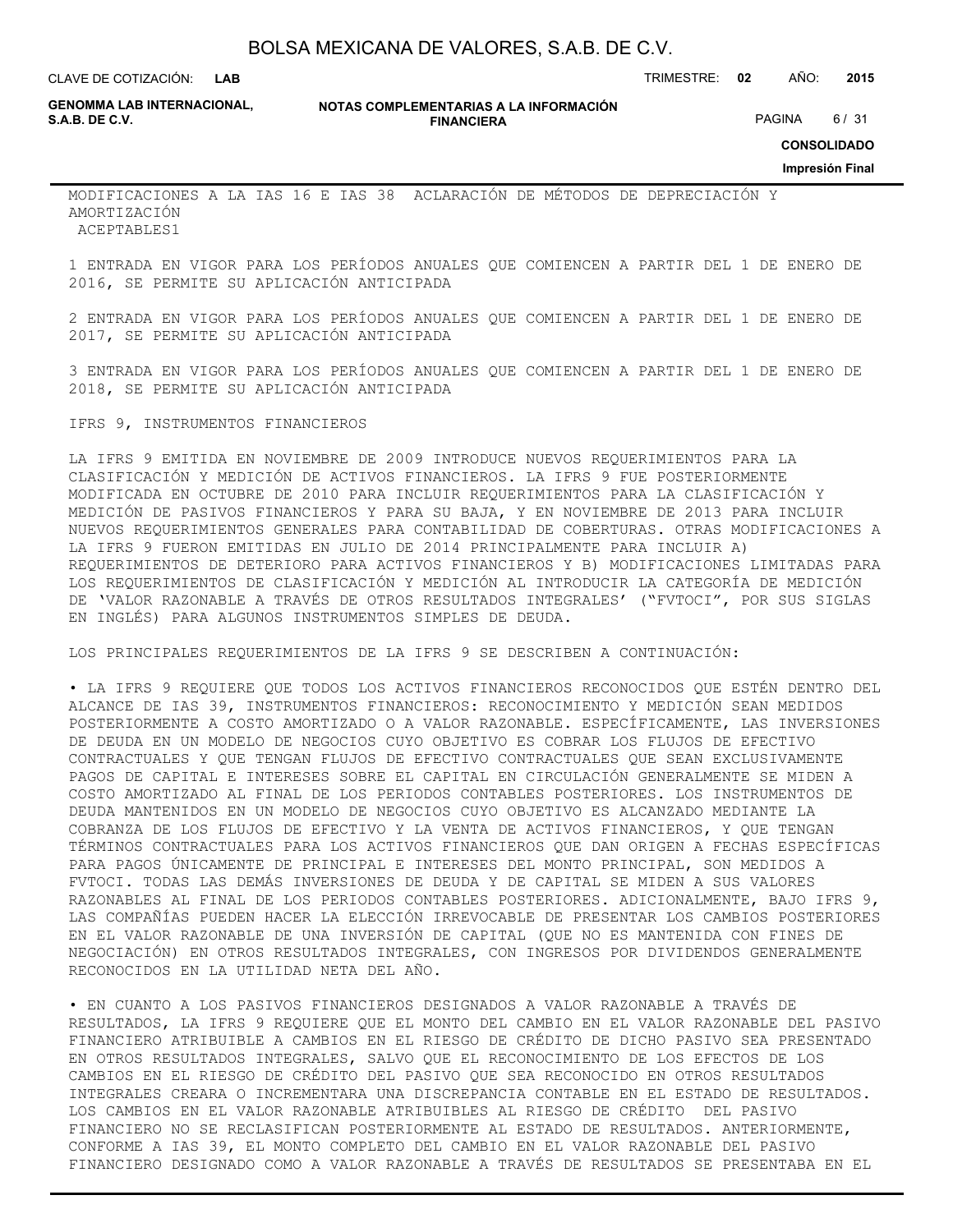**LAB**

CLAVE DE COTIZACIÓN: TRIMESTRE: **02** AÑO: **2015**

**GENOMMA LAB INTERNACIONAL,**

**NOTAS COMPLEMENTARIAS A LA INFORMACIÓN FINANCIERA S.A.B. DE C.V.** PAGINA 6 / 31

**CONSOLIDADO**

MODIFICACIONES A LA IAS 16 E IAS 38 ACLARACIÓN DE MÉTODOS DE DEPRECIACIÓN Y AMORTIZACIÓN ACEPTABLES1

1 ENTRADA EN VIGOR PARA LOS PERÍODOS ANUALES QUE COMIENCEN A PARTIR DEL 1 DE ENERO DE 2016, SE PERMITE SU APLICACIÓN ANTICIPADA

2 ENTRADA EN VIGOR PARA LOS PERÍODOS ANUALES QUE COMIENCEN A PARTIR DEL 1 DE ENERO DE 2017, SE PERMITE SU APLICACIÓN ANTICIPADA

3 ENTRADA EN VIGOR PARA LOS PERÍODOS ANUALES QUE COMIENCEN A PARTIR DEL 1 DE ENERO DE 2018, SE PERMITE SU APLICACIÓN ANTICIPADA

### IFRS 9, INSTRUMENTOS FINANCIEROS

LA IFRS 9 EMITIDA EN NOVIEMBRE DE 2009 INTRODUCE NUEVOS REQUERIMIENTOS PARA LA CLASIFICACIÓN Y MEDICIÓN DE ACTIVOS FINANCIEROS. LA IFRS 9 FUE POSTERIORMENTE MODIFICADA EN OCTUBRE DE 2010 PARA INCLUIR REQUERIMIENTOS PARA LA CLASIFICACIÓN Y MEDICIÓN DE PASIVOS FINANCIEROS Y PARA SU BAJA, Y EN NOVIEMBRE DE 2013 PARA INCLUIR NUEVOS REQUERIMIENTOS GENERALES PARA CONTABILIDAD DE COBERTURAS. OTRAS MODIFICACIONES A LA IFRS 9 FUERON EMITIDAS EN JULIO DE 2014 PRINCIPALMENTE PARA INCLUIR A) REQUERIMIENTOS DE DETERIORO PARA ACTIVOS FINANCIEROS Y B) MODIFICACIONES LIMITADAS PARA LOS REQUERIMIENTOS DE CLASIFICACIÓN Y MEDICIÓN AL INTRODUCIR LA CATEGORÍA DE MEDICIÓN DE 'VALOR RAZONABLE A TRAVÉS DE OTROS RESULTADOS INTEGRALES' ("FVTOCI", POR SUS SIGLAS EN INGLÉS) PARA ALGUNOS INSTRUMENTOS SIMPLES DE DEUDA.

LOS PRINCIPALES REQUERIMIENTOS DE LA IFRS 9 SE DESCRIBEN A CONTINUACIÓN:

• LA IFRS 9 REQUIERE QUE TODOS LOS ACTIVOS FINANCIEROS RECONOCIDOS QUE ESTÉN DENTRO DEL ALCANCE DE IAS 39, INSTRUMENTOS FINANCIEROS: RECONOCIMIENTO Y MEDICIÓN SEAN MEDIDOS POSTERIORMENTE A COSTO AMORTIZADO O A VALOR RAZONABLE. ESPECÍFICAMENTE, LAS INVERSIONES DE DEUDA EN UN MODELO DE NEGOCIOS CUYO OBJETIVO ES COBRAR LOS FLUJOS DE EFECTIVO CONTRACTUALES Y QUE TENGAN FLUJOS DE EFECTIVO CONTRACTUALES QUE SEAN EXCLUSIVAMENTE PAGOS DE CAPITAL E INTERESES SOBRE EL CAPITAL EN CIRCULACIÓN GENERALMENTE SE MIDEN A COSTO AMORTIZADO AL FINAL DE LOS PERIODOS CONTABLES POSTERIORES. LOS INSTRUMENTOS DE DEUDA MANTENIDOS EN UN MODELO DE NEGOCIOS CUYO OBJETIVO ES ALCANZADO MEDIANTE LA COBRANZA DE LOS FLUJOS DE EFECTIVO Y LA VENTA DE ACTIVOS FINANCIEROS, Y QUE TENGAN TÉRMINOS CONTRACTUALES PARA LOS ACTIVOS FINANCIEROS QUE DAN ORIGEN A FECHAS ESPECÍFICAS PARA PAGOS ÚNICAMENTE DE PRINCIPAL E INTERESES DEL MONTO PRINCIPAL, SON MEDIDOS A FVTOCI. TODAS LAS DEMÁS INVERSIONES DE DEUDA Y DE CAPITAL SE MIDEN A SUS VALORES RAZONABLES AL FINAL DE LOS PERIODOS CONTABLES POSTERIORES. ADICIONALMENTE, BAJO IFRS 9, LAS COMPAÑÍAS PUEDEN HACER LA ELECCIÓN IRREVOCABLE DE PRESENTAR LOS CAMBIOS POSTERIORES EN EL VALOR RAZONABLE DE UNA INVERSIÓN DE CAPITAL (QUE NO ES MANTENIDA CON FINES DE NEGOCIACIÓN) EN OTROS RESULTADOS INTEGRALES, CON INGRESOS POR DIVIDENDOS GENERALMENTE RECONOCIDOS EN LA UTILIDAD NETA DEL AÑO.

• EN CUANTO A LOS PASIVOS FINANCIEROS DESIGNADOS A VALOR RAZONABLE A TRAVÉS DE RESULTADOS, LA IFRS 9 REQUIERE QUE EL MONTO DEL CAMBIO EN EL VALOR RAZONABLE DEL PASIVO FINANCIERO ATRIBUIBLE A CAMBIOS EN EL RIESGO DE CRÉDITO DE DICHO PASIVO SEA PRESENTADO EN OTROS RESULTADOS INTEGRALES, SALVO QUE EL RECONOCIMIENTO DE LOS EFECTOS DE LOS CAMBIOS EN EL RIESGO DE CRÉDITO DEL PASIVO QUE SEA RECONOCIDO EN OTROS RESULTADOS INTEGRALES CREARA O INCREMENTARA UNA DISCREPANCIA CONTABLE EN EL ESTADO DE RESULTADOS. LOS CAMBIOS EN EL VALOR RAZONABLE ATRIBUIBLES AL RIESGO DE CRÉDITO DEL PASIVO FINANCIERO NO SE RECLASIFICAN POSTERIORMENTE AL ESTADO DE RESULTADOS. ANTERIORMENTE, CONFORME A IAS 39, EL MONTO COMPLETO DEL CAMBIO EN EL VALOR RAZONABLE DEL PASIVO FINANCIERO DESIGNADO COMO A VALOR RAZONABLE A TRAVÉS DE RESULTADOS SE PRESENTABA EN EL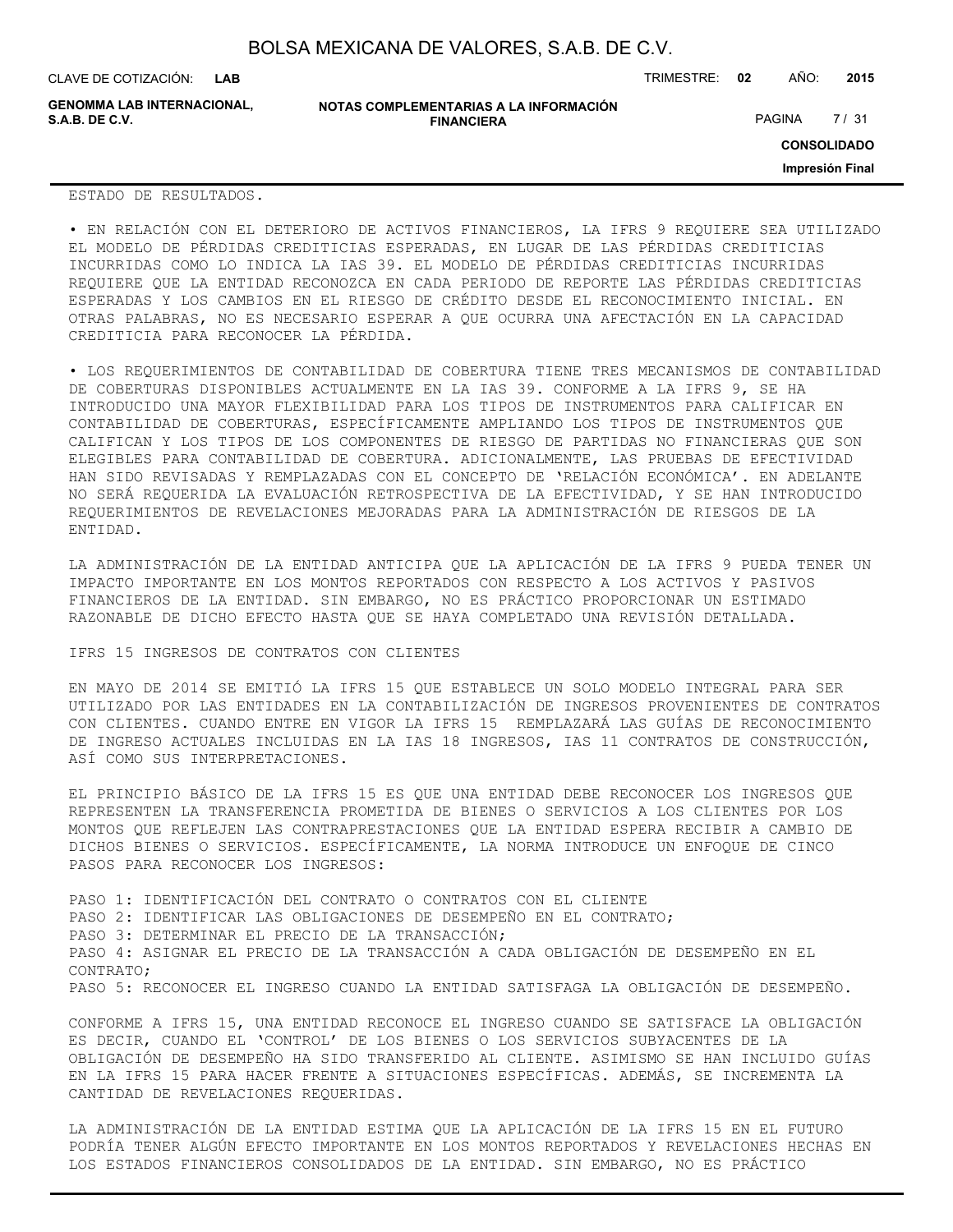**GENOMMA LAB INTERNACIONAL,**

**NOTAS COMPLEMENTARIAS A LA INFORMACIÓN FINANCIERA S.A.B. DE C.V.** PAGINA 27 / 31

CLAVE DE COTIZACIÓN: TRIMESTRE: **02** AÑO: **2015**

**CONSOLIDADO**

**Impresión Final**

ESTADO DE RESULTADOS.

• EN RELACIÓN CON EL DETERIORO DE ACTIVOS FINANCIEROS, LA IFRS 9 REQUIERE SEA UTILIZADO EL MODELO DE PÉRDIDAS CREDITICIAS ESPERADAS, EN LUGAR DE LAS PÉRDIDAS CREDITICIAS INCURRIDAS COMO LO INDICA LA IAS 39. EL MODELO DE PÉRDIDAS CREDITICIAS INCURRIDAS REQUIERE QUE LA ENTIDAD RECONOZCA EN CADA PERIODO DE REPORTE LAS PÉRDIDAS CREDITICIAS ESPERADAS Y LOS CAMBIOS EN EL RIESGO DE CRÉDITO DESDE EL RECONOCIMIENTO INICIAL. EN OTRAS PALABRAS, NO ES NECESARIO ESPERAR A QUE OCURRA UNA AFECTACIÓN EN LA CAPACIDAD CREDITICIA PARA RECONOCER LA PÉRDIDA.

• LOS REQUERIMIENTOS DE CONTABILIDAD DE COBERTURA TIENE TRES MECANISMOS DE CONTABILIDAD DE COBERTURAS DISPONIBLES ACTUALMENTE EN LA IAS 39. CONFORME A LA IFRS 9, SE HA INTRODUCIDO UNA MAYOR FLEXIBILIDAD PARA LOS TIPOS DE INSTRUMENTOS PARA CALIFICAR EN CONTABILIDAD DE COBERTURAS, ESPECÍFICAMENTE AMPLIANDO LOS TIPOS DE INSTRUMENTOS QUE CALIFICAN Y LOS TIPOS DE LOS COMPONENTES DE RIESGO DE PARTIDAS NO FINANCIERAS QUE SON ELEGIBLES PARA CONTABILIDAD DE COBERTURA. ADICIONALMENTE, LAS PRUEBAS DE EFECTIVIDAD HAN SIDO REVISADAS Y REMPLAZADAS CON EL CONCEPTO DE 'RELACIÓN ECONÓMICA'. EN ADELANTE NO SERÁ REQUERIDA LA EVALUACIÓN RETROSPECTIVA DE LA EFECTIVIDAD, Y SE HAN INTRODUCIDO REQUERIMIENTOS DE REVELACIONES MEJORADAS PARA LA ADMINISTRACIÓN DE RIESGOS DE LA ENTIDAD.

LA ADMINISTRACIÓN DE LA ENTIDAD ANTICIPA QUE LA APLICACIÓN DE LA IFRS 9 PUEDA TENER UN IMPACTO IMPORTANTE EN LOS MONTOS REPORTADOS CON RESPECTO A LOS ACTIVOS Y PASIVOS FINANCIEROS DE LA ENTIDAD. SIN EMBARGO, NO ES PRÁCTICO PROPORCIONAR UN ESTIMADO RAZONABLE DE DICHO EFECTO HASTA QUE SE HAYA COMPLETADO UNA REVISIÓN DETALLADA.

IFRS 15 INGRESOS DE CONTRATOS CON CLIENTES

EN MAYO DE 2014 SE EMITIÓ LA IFRS 15 QUE ESTABLECE UN SOLO MODELO INTEGRAL PARA SER UTILIZADO POR LAS ENTIDADES EN LA CONTABILIZACIÓN DE INGRESOS PROVENIENTES DE CONTRATOS CON CLIENTES. CUANDO ENTRE EN VIGOR LA IFRS 15 REMPLAZARÁ LAS GUÍAS DE RECONOCIMIENTO DE INGRESO ACTUALES INCLUIDAS EN LA IAS 18 INGRESOS, IAS 11 CONTRATOS DE CONSTRUCCIÓN, ASÍ COMO SUS INTERPRETACIONES.

EL PRINCIPIO BÁSICO DE LA IFRS 15 ES QUE UNA ENTIDAD DEBE RECONOCER LOS INGRESOS QUE REPRESENTEN LA TRANSFERENCIA PROMETIDA DE BIENES O SERVICIOS A LOS CLIENTES POR LOS MONTOS QUE REFLEJEN LAS CONTRAPRESTACIONES QUE LA ENTIDAD ESPERA RECIBIR A CAMBIO DE DICHOS BIENES O SERVICIOS. ESPECÍFICAMENTE, LA NORMA INTRODUCE UN ENFOQUE DE CINCO PASOS PARA RECONOCER LOS INGRESOS:

PASO 1: IDENTIFICACIÓN DEL CONTRATO O CONTRATOS CON EL CLIENTE PASO 2: IDENTIFICAR LAS OBLIGACIONES DE DESEMPEÑO EN EL CONTRATO; PASO 3: DETERMINAR EL PRECIO DE LA TRANSACCIÓN; PASO 4: ASIGNAR EL PRECIO DE LA TRANSACCIÓN A CADA OBLIGACIÓN DE DESEMPEÑO EN EL CONTRATO; PASO 5: RECONOCER EL INGRESO CUANDO LA ENTIDAD SATISFAGA LA OBLIGACIÓN DE DESEMPEÑO.

CONFORME A IFRS 15, UNA ENTIDAD RECONOCE EL INGRESO CUANDO SE SATISFACE LA OBLIGACIÓN ES DECIR, CUANDO EL 'CONTROL' DE LOS BIENES O LOS SERVICIOS SUBYACENTES DE LA OBLIGACIÓN DE DESEMPEÑO HA SIDO TRANSFERIDO AL CLIENTE. ASIMISMO SE HAN INCLUIDO GUÍAS EN LA IFRS 15 PARA HACER FRENTE A SITUACIONES ESPECÍFICAS. ADEMÁS, SE INCREMENTA LA CANTIDAD DE REVELACIONES REQUERIDAS.

LA ADMINISTRACIÓN DE LA ENTIDAD ESTIMA QUE LA APLICACIÓN DE LA IFRS 15 EN EL FUTURO PODRÍA TENER ALGÚN EFECTO IMPORTANTE EN LOS MONTOS REPORTADOS Y REVELACIONES HECHAS EN LOS ESTADOS FINANCIEROS CONSOLIDADOS DE LA ENTIDAD. SIN EMBARGO, NO ES PRÁCTICO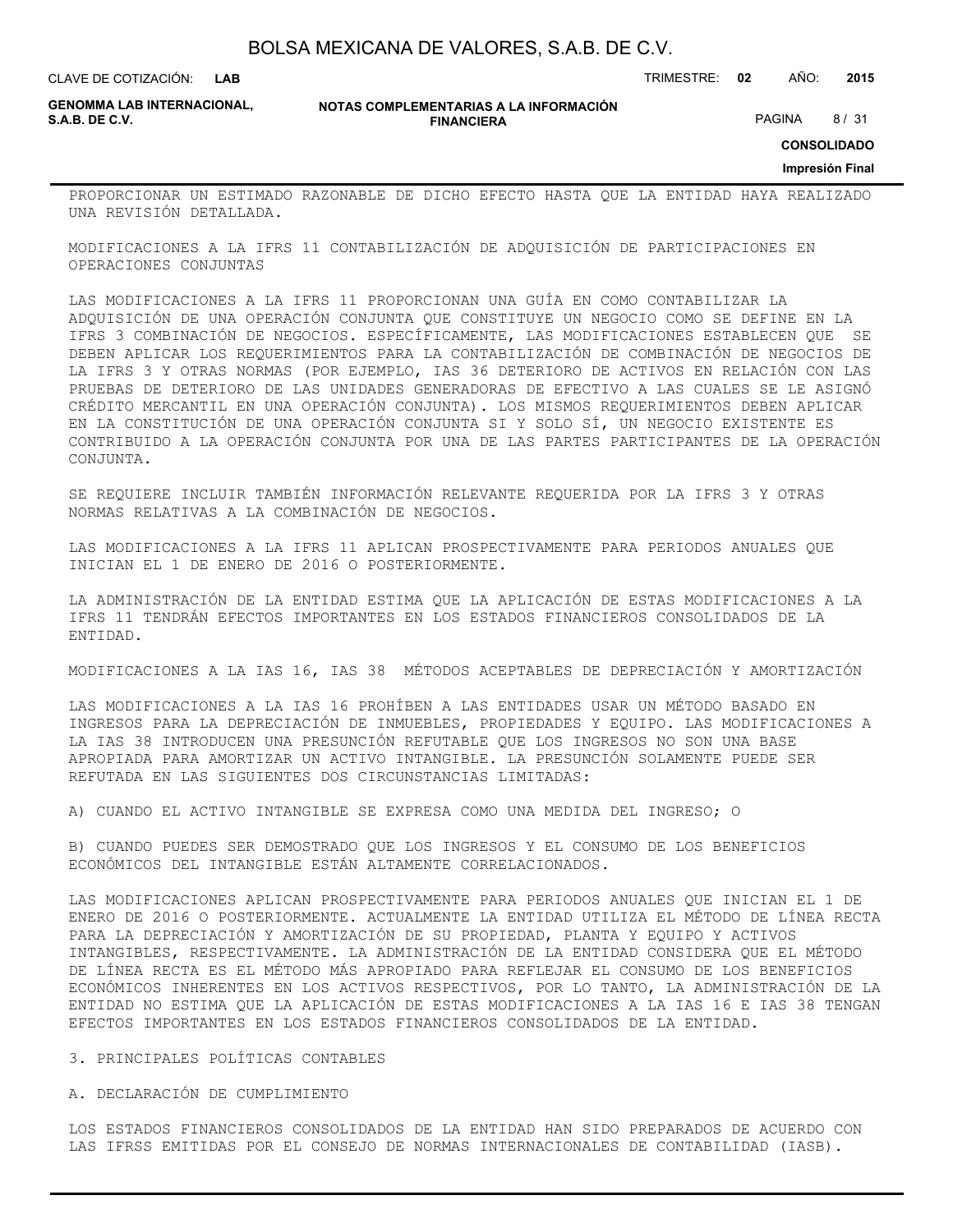**LAB**

CLAVE DE COTIZACIÓN: TRIMESTRE: **02** AÑO: **2015**

**GENOMMA LAB INTERNACIONAL,**

**NOTAS COMPLEMENTARIAS A LA INFORMACIÓN FINANCIERA S.A.B. DE C.V.** PAGINA 8 / 31

**CONSOLIDADO**

**Impresión Final**

PROPORCIONAR UN ESTIMADO RAZONABLE DE DICHO EFECTO HASTA QUE LA ENTIDAD HAYA REALIZADO UNA REVISIÓN DETALLADA.

MODIFICACIONES A LA IFRS 11 CONTABILIZACIÓN DE ADQUISICIÓN DE PARTICIPACIONES EN OPERACIONES CONJUNTAS

LAS MODIFICACIONES A LA IFRS 11 PROPORCIONAN UNA GUÍA EN COMO CONTABILIZAR LA ADQUISICIÓN DE UNA OPERACIÓN CONJUNTA QUE CONSTITUYE UN NEGOCIO COMO SE DEFINE EN LA IFRS 3 COMBINACIÓN DE NEGOCIOS. ESPECÍFICAMENTE, LAS MODIFICACIONES ESTABLECEN QUE SE DEBEN APLICAR LOS REQUERIMIENTOS PARA LA CONTABILIZACIÓN DE COMBINACIÓN DE NEGOCIOS DE LA IFRS 3 Y OTRAS NORMAS (POR EJEMPLO, IAS 36 DETERIORO DE ACTIVOS EN RELACIÓN CON LAS PRUEBAS DE DETERIORO DE LAS UNIDADES GENERADORAS DE EFECTIVO A LAS CUALES SE LE ASIGNÓ CRÉDITO MERCANTIL EN UNA OPERACIÓN CONJUNTA). LOS MISMOS REQUERIMIENTOS DEBEN APLICAR EN LA CONSTITUCIÓN DE UNA OPERACIÓN CONJUNTA SI Y SOLO SÍ, UN NEGOCIO EXISTENTE ES CONTRIBUIDO A LA OPERACIÓN CONJUNTA POR UNA DE LAS PARTES PARTICIPANTES DE LA OPERACIÓN CONJUNTA.

SE REQUIERE INCLUIR TAMBIÉN INFORMACIÓN RELEVANTE REQUERIDA POR LA IFRS 3 Y OTRAS NORMAS RELATIVAS A LA COMBINACIÓN DE NEGOCIOS.

LAS MODIFICACIONES A LA IFRS 11 APLICAN PROSPECTIVAMENTE PARA PERIODOS ANUALES QUE INICIAN EL 1 DE ENERO DE 2016 O POSTERIORMENTE.

LA ADMINISTRACIÓN DE LA ENTIDAD ESTIMA QUE LA APLICACIÓN DE ESTAS MODIFICACIONES A LA IFRS 11 TENDRÁN EFECTOS IMPORTANTES EN LOS ESTADOS FINANCIEROS CONSOLIDADOS DE LA ENTIDAD.

MODIFICACIONES A LA IAS 16, IAS 38 MÉTODOS ACEPTABLES DE DEPRECIACIÓN Y AMORTIZACIÓN

LAS MODIFICACIONES A LA IAS 16 PROHÍBEN A LAS ENTIDADES USAR UN MÉTODO BASADO EN INGRESOS PARA LA DEPRECIACIÓN DE INMUEBLES, PROPIEDADES Y EQUIPO. LAS MODIFICACIONES A LA IAS 38 INTRODUCEN UNA PRESUNCIÓN REFUTABLE QUE LOS INGRESOS NO SON UNA BASE APROPIADA PARA AMORTIZAR UN ACTIVO INTANGIBLE. LA PRESUNCIÓN SOLAMENTE PUEDE SER REFUTADA EN LAS SIGUIENTES DOS CIRCUNSTANCIAS LIMITADAS:

A) CUANDO EL ACTIVO INTANGIBLE SE EXPRESA COMO UNA MEDIDA DEL INGRESO; O

B) CUANDO PUEDES SER DEMOSTRADO QUE LOS INGRESOS Y EL CONSUMO DE LOS BENEFICIOS ECONÓMICOS DEL INTANGIBLE ESTÁN ALTAMENTE CORRELACIONADOS.

LAS MODIFICACIONES APLICAN PROSPECTIVAMENTE PARA PERIODOS ANUALES QUE INICIAN EL 1 DE ENERO DE 2016 O POSTERIORMENTE. ACTUALMENTE LA ENTIDAD UTILIZA EL MÉTODO DE LÍNEA RECTA PARA LA DEPRECIACIÓN Y AMORTIZACIÓN DE SU PROPIEDAD, PLANTA Y EQUIPO Y ACTIVOS INTANGIBLES, RESPECTIVAMENTE. LA ADMINISTRACIÓN DE LA ENTIDAD CONSIDERA QUE EL MÉTODO DE LÍNEA RECTA ES EL MÉTODO MÁS APROPIADO PARA REFLEJAR EL CONSUMO DE LOS BENEFICIOS ECONÓMICOS INHERENTES EN LOS ACTIVOS RESPECTIVOS, POR LO TANTO, LA ADMINISTRACIÓN DE LA ENTIDAD NO ESTIMA QUE LA APLICACIÓN DE ESTAS MODIFICACIONES A LA IAS 16 E IAS 38 TENGAN EFECTOS IMPORTANTES EN LOS ESTADOS FINANCIEROS CONSOLIDADOS DE LA ENTIDAD.

3. PRINCIPALES POLÍTICAS CONTABLES

A. DECLARACIÓN DE CUMPLIMIENTO

LOS ESTADOS FINANCIEROS CONSOLIDADOS DE LA ENTIDAD HAN SIDO PREPARADOS DE ACUERDO CON LAS IFRSS EMITIDAS POR EL CONSEJO DE NORMAS INTERNACIONALES DE CONTABILIDAD (IASB).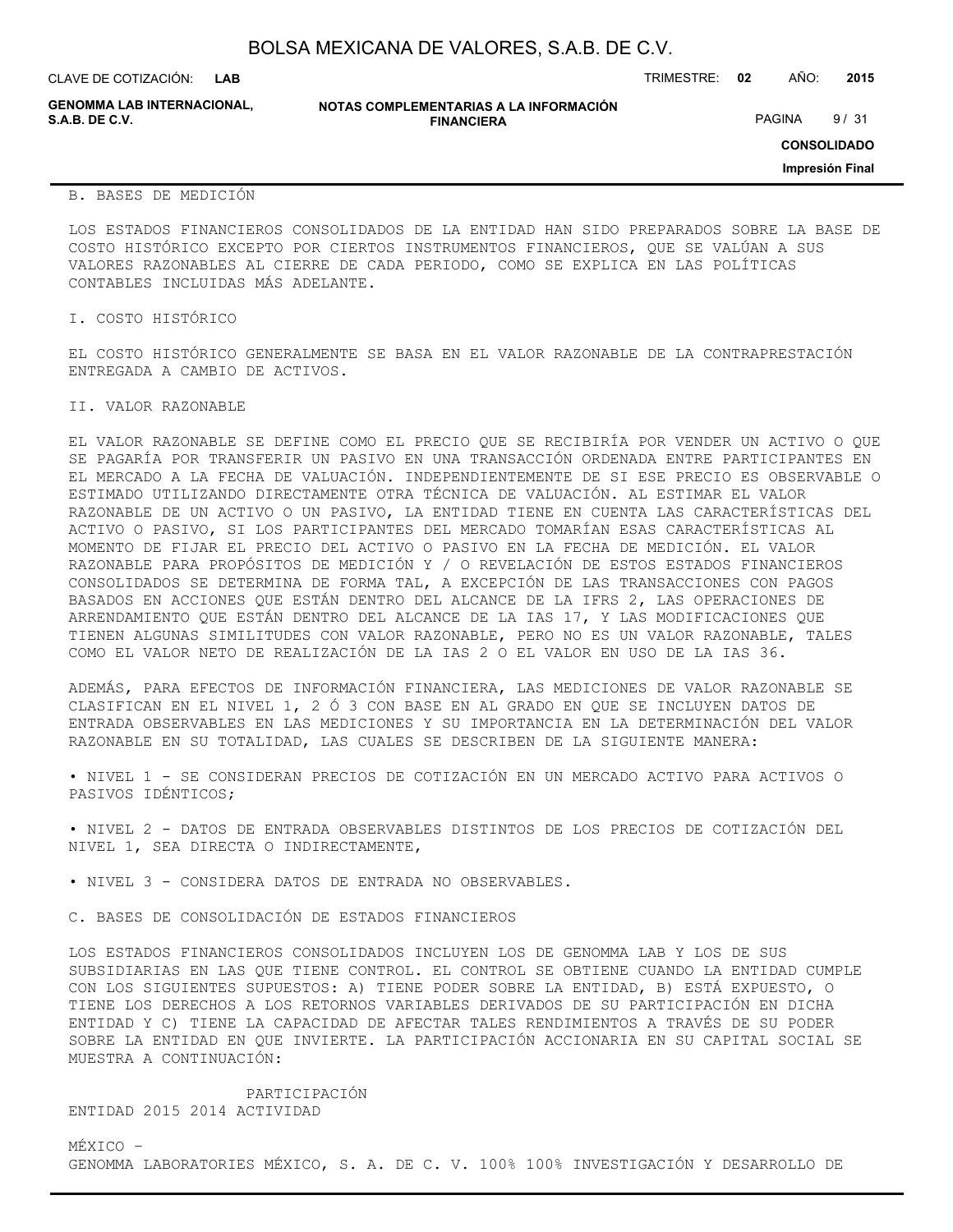| BOLSA MEXICANA DE VALORES, S.A.B. DE C.V. |  |  |  |
|-------------------------------------------|--|--|--|
|-------------------------------------------|--|--|--|

CLAVE DE COTIZACIÓN: TRIMESTRE: **02** AÑO: **2015 LAB**

**GENOMMA LAB INTERNACIONAL,**

**NOTAS COMPLEMENTARIAS A LA INFORMACIÓN FINANCIERA S.A.B. DE C.V.** PAGINA 9 / 31

**CONSOLIDADO**

**Impresión Final**

#### B. BASES DE MEDICIÓN

LOS ESTADOS FINANCIEROS CONSOLIDADOS DE LA ENTIDAD HAN SIDO PREPARADOS SOBRE LA BASE DE COSTO HISTÓRICO EXCEPTO POR CIERTOS INSTRUMENTOS FINANCIEROS, QUE SE VALÚAN A SUS VALORES RAZONABLES AL CIERRE DE CADA PERIODO, COMO SE EXPLICA EN LAS POLÍTICAS CONTABLES INCLUIDAS MÁS ADELANTE.

I. COSTO HISTÓRICO

EL COSTO HISTÓRICO GENERALMENTE SE BASA EN EL VALOR RAZONABLE DE LA CONTRAPRESTACIÓN ENTREGADA A CAMBIO DE ACTIVOS.

#### II. VALOR RAZONABLE

EL VALOR RAZONABLE SE DEFINE COMO EL PRECIO QUE SE RECIBIRÍA POR VENDER UN ACTIVO O QUE SE PAGARÍA POR TRANSFERIR UN PASIVO EN UNA TRANSACCIÓN ORDENADA ENTRE PARTICIPANTES EN EL MERCADO A LA FECHA DE VALUACIÓN. INDEPENDIENTEMENTE DE SI ESE PRECIO ES OBSERVABLE O ESTIMADO UTILIZANDO DIRECTAMENTE OTRA TÉCNICA DE VALUACIÓN. AL ESTIMAR EL VALOR RAZONABLE DE UN ACTIVO O UN PASIVO, LA ENTIDAD TIENE EN CUENTA LAS CARACTERÍSTICAS DEL ACTIVO O PASIVO, SI LOS PARTICIPANTES DEL MERCADO TOMARÍAN ESAS CARACTERÍSTICAS AL MOMENTO DE FIJAR EL PRECIO DEL ACTIVO O PASIVO EN LA FECHA DE MEDICIÓN. EL VALOR RAZONABLE PARA PROPÓSITOS DE MEDICIÓN Y / O REVELACIÓN DE ESTOS ESTADOS FINANCIEROS CONSOLIDADOS SE DETERMINA DE FORMA TAL, A EXCEPCIÓN DE LAS TRANSACCIONES CON PAGOS BASADOS EN ACCIONES QUE ESTÁN DENTRO DEL ALCANCE DE LA IFRS 2, LAS OPERACIONES DE ARRENDAMIENTO QUE ESTÁN DENTRO DEL ALCANCE DE LA IAS 17, Y LAS MODIFICACIONES QUE TIENEN ALGUNAS SIMILITUDES CON VALOR RAZONABLE, PERO NO ES UN VALOR RAZONABLE, TALES COMO EL VALOR NETO DE REALIZACIÓN DE LA IAS 2 O EL VALOR EN USO DE LA IAS 36.

ADEMÁS, PARA EFECTOS DE INFORMACIÓN FINANCIERA, LAS MEDICIONES DE VALOR RAZONABLE SE CLASIFICAN EN EL NIVEL 1, 2 Ó 3 CON BASE EN AL GRADO EN QUE SE INCLUYEN DATOS DE ENTRADA OBSERVABLES EN LAS MEDICIONES Y SU IMPORTANCIA EN LA DETERMINACIÓN DEL VALOR RAZONABLE EN SU TOTALIDAD, LAS CUALES SE DESCRIBEN DE LA SIGUIENTE MANERA:

• NIVEL 1 - SE CONSIDERAN PRECIOS DE COTIZACIÓN EN UN MERCADO ACTIVO PARA ACTIVOS O PASIVOS IDÉNTICOS;

• NIVEL 2 - DATOS DE ENTRADA OBSERVABLES DISTINTOS DE LOS PRECIOS DE COTIZACIÓN DEL NIVEL 1, SEA DIRECTA O INDIRECTAMENTE,

• NIVEL 3 - CONSIDERA DATOS DE ENTRADA NO OBSERVABLES.

C. BASES DE CONSOLIDACIÓN DE ESTADOS FINANCIEROS

LOS ESTADOS FINANCIEROS CONSOLIDADOS INCLUYEN LOS DE GENOMMA LAB Y LOS DE SUS SUBSIDIARIAS EN LAS QUE TIENE CONTROL. EL CONTROL SE OBTIENE CUANDO LA ENTIDAD CUMPLE CON LOS SIGUIENTES SUPUESTOS: A) TIENE PODER SOBRE LA ENTIDAD, B) ESTÁ EXPUESTO, O TIENE LOS DERECHOS A LOS RETORNOS VARIABLES DERIVADOS DE SU PARTICIPACIÓN EN DICHA ENTIDAD Y C) TIENE LA CAPACIDAD DE AFECTAR TALES RENDIMIENTOS A TRAVÉS DE SU PODER SOBRE LA ENTIDAD EN QUE INVIERTE. LA PARTICIPACIÓN ACCIONARIA EN SU CAPITAL SOCIAL SE MUESTRA A CONTINUACIÓN:

 PARTICIPACIÓN ENTIDAD 2015 2014 ACTIVIDAD

MÉXICO – GENOMMA LABORATORIES MÉXICO, S. A. DE C. V. 100% 100% INVESTIGACIÓN Y DESARROLLO DE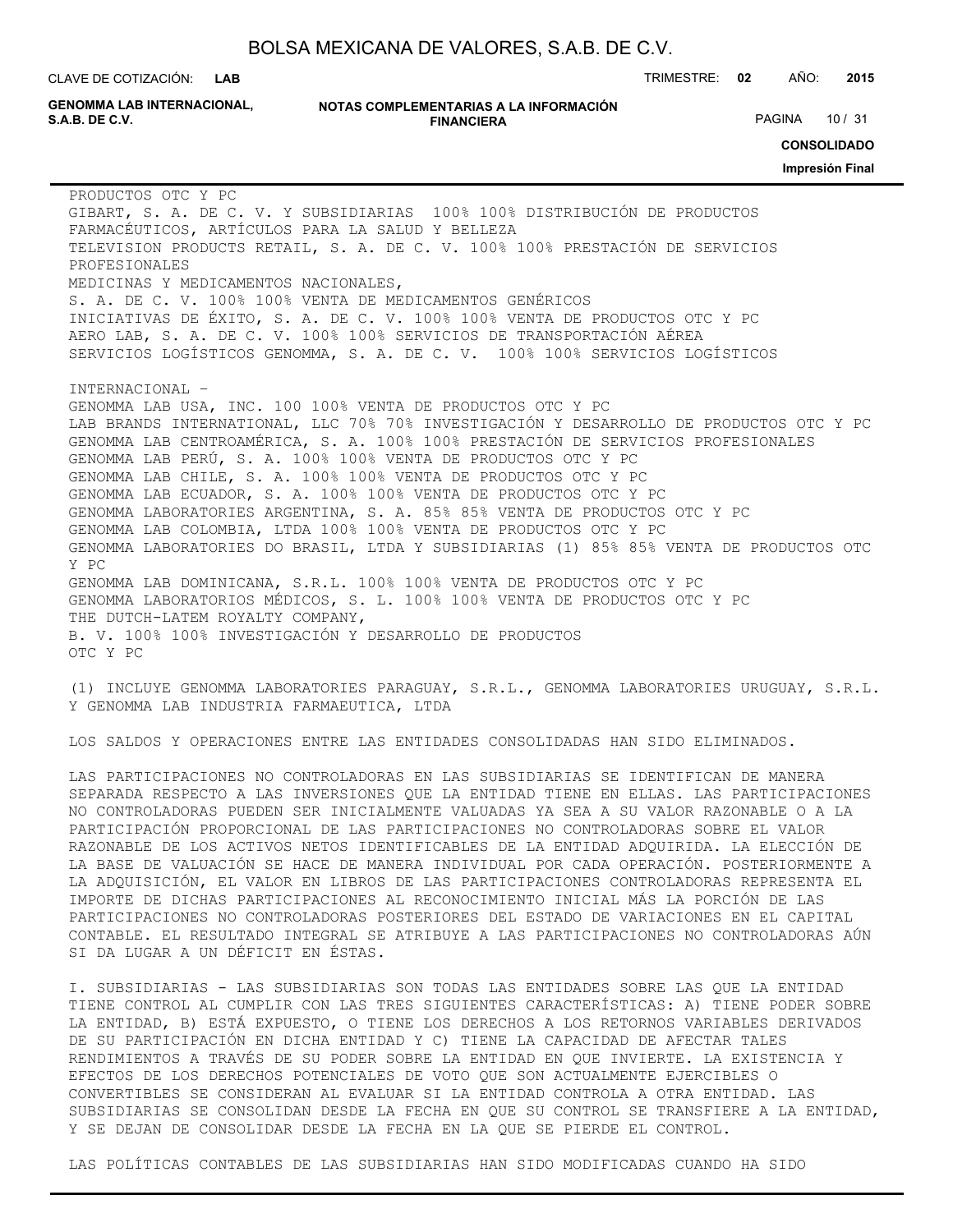**LAB**

CLAVE DE COTIZACIÓN: TRIMESTRE: **02** AÑO: **2015**

**GENOMMA LAB INTERNACIONAL,**

#### **NOTAS COMPLEMENTARIAS A LA INFORMACIÓN FINANCIERA S.A.B. DE C.V.** PAGINA 10 / 31

**CONSOLIDADO**

**Impresión Final**

PRODUCTOS OTC Y PC GIBART, S. A. DE C. V. Y SUBSIDIARIAS 100% 100% DISTRIBUCIÓN DE PRODUCTOS FARMACÉUTICOS, ARTÍCULOS PARA LA SALUD Y BELLEZA TELEVISION PRODUCTS RETAIL, S. A. DE C. V. 100% 100% PRESTACIÓN DE SERVICIOS PROFESIONALES MEDICINAS Y MEDICAMENTOS NACIONALES, S. A. DE C. V. 100% 100% VENTA DE MEDICAMENTOS GENÉRICOS INICIATIVAS DE ÉXITO, S. A. DE C. V. 100% 100% VENTA DE PRODUCTOS OTC Y PC AERO LAB, S. A. DE C. V. 100% 100% SERVICIOS DE TRANSPORTACIÓN AÉREA SERVICIOS LOGÍSTICOS GENOMMA, S. A. DE C. V. 100% 100% SERVICIOS LOGÍSTICOS INTERNACIONAL – GENOMMA LAB USA, INC. 100 100% VENTA DE PRODUCTOS OTC Y PC LAB BRANDS INTERNATIONAL, LLC 70% 70% INVESTIGACIÓN Y DESARROLLO DE PRODUCTOS OTC Y PC GENOMMA LAB CENTROAMÉRICA, S. A. 100% 100% PRESTACIÓN DE SERVICIOS PROFESIONALES GENOMMA LAB PERÚ, S. A. 100% 100% VENTA DE PRODUCTOS OTC Y PC GENOMMA LAB CHILE, S. A. 100% 100% VENTA DE PRODUCTOS OTC Y PC GENOMMA LAB ECUADOR, S. A. 100% 100% VENTA DE PRODUCTOS OTC Y PC GENOMMA LABORATORIES ARGENTINA, S. A. 85% 85% VENTA DE PRODUCTOS OTC Y PC GENOMMA LAB COLOMBIA, LTDA 100% 100% VENTA DE PRODUCTOS OTC Y PC GENOMMA LABORATORIES DO BRASIL, LTDA Y SUBSIDIARIAS (1) 85% 85% VENTA DE PRODUCTOS OTC Y PC GENOMMA LAB DOMINICANA, S.R.L. 100% 100% VENTA DE PRODUCTOS OTC Y PC GENOMMA LABORATORIOS MÉDICOS, S. L. 100% 100% VENTA DE PRODUCTOS OTC Y PC THE DUTCH-LATEM ROYALTY COMPANY, B. V. 100% 100% INVESTIGACIÓN Y DESARROLLO DE PRODUCTOS OTC Y PC

(1) INCLUYE GENOMMA LABORATORIES PARAGUAY, S.R.L., GENOMMA LABORATORIES URUGUAY, S.R.L. Y GENOMMA LAB INDUSTRIA FARMAEUTICA, LTDA

LOS SALDOS Y OPERACIONES ENTRE LAS ENTIDADES CONSOLIDADAS HAN SIDO ELIMINADOS.

LAS PARTICIPACIONES NO CONTROLADORAS EN LAS SUBSIDIARIAS SE IDENTIFICAN DE MANERA SEPARADA RESPECTO A LAS INVERSIONES QUE LA ENTIDAD TIENE EN ELLAS. LAS PARTICIPACIONES NO CONTROLADORAS PUEDEN SER INICIALMENTE VALUADAS YA SEA A SU VALOR RAZONABLE O A LA PARTICIPACIÓN PROPORCIONAL DE LAS PARTICIPACIONES NO CONTROLADORAS SOBRE EL VALOR RAZONABLE DE LOS ACTIVOS NETOS IDENTIFICABLES DE LA ENTIDAD ADQUIRIDA. LA ELECCIÓN DE LA BASE DE VALUACIÓN SE HACE DE MANERA INDIVIDUAL POR CADA OPERACIÓN. POSTERIORMENTE A LA ADQUISICIÓN, EL VALOR EN LIBROS DE LAS PARTICIPACIONES CONTROLADORAS REPRESENTA EL IMPORTE DE DICHAS PARTICIPACIONES AL RECONOCIMIENTO INICIAL MÁS LA PORCIÓN DE LAS PARTICIPACIONES NO CONTROLADORAS POSTERIORES DEL ESTADO DE VARIACIONES EN EL CAPITAL CONTABLE. EL RESULTADO INTEGRAL SE ATRIBUYE A LAS PARTICIPACIONES NO CONTROLADORAS AÚN SI DA LUGAR A UN DÉFICIT EN ÉSTAS.

I. SUBSIDIARIAS - LAS SUBSIDIARIAS SON TODAS LAS ENTIDADES SOBRE LAS QUE LA ENTIDAD TIENE CONTROL AL CUMPLIR CON LAS TRES SIGUIENTES CARACTERÍSTICAS: A) TIENE PODER SOBRE LA ENTIDAD, B) ESTÁ EXPUESTO, O TIENE LOS DERECHOS A LOS RETORNOS VARIABLES DERIVADOS DE SU PARTICIPACIÓN EN DICHA ENTIDAD Y C) TIENE LA CAPACIDAD DE AFECTAR TALES RENDIMIENTOS A TRAVÉS DE SU PODER SOBRE LA ENTIDAD EN QUE INVIERTE. LA EXISTENCIA Y EFECTOS DE LOS DERECHOS POTENCIALES DE VOTO QUE SON ACTUALMENTE EJERCIBLES O CONVERTIBLES SE CONSIDERAN AL EVALUAR SI LA ENTIDAD CONTROLA A OTRA ENTIDAD. LAS SUBSIDIARIAS SE CONSOLIDAN DESDE LA FECHA EN QUE SU CONTROL SE TRANSFIERE A LA ENTIDAD, Y SE DEJAN DE CONSOLIDAR DESDE LA FECHA EN LA QUE SE PIERDE EL CONTROL.

LAS POLÍTICAS CONTABLES DE LAS SUBSIDIARIAS HAN SIDO MODIFICADAS CUANDO HA SIDO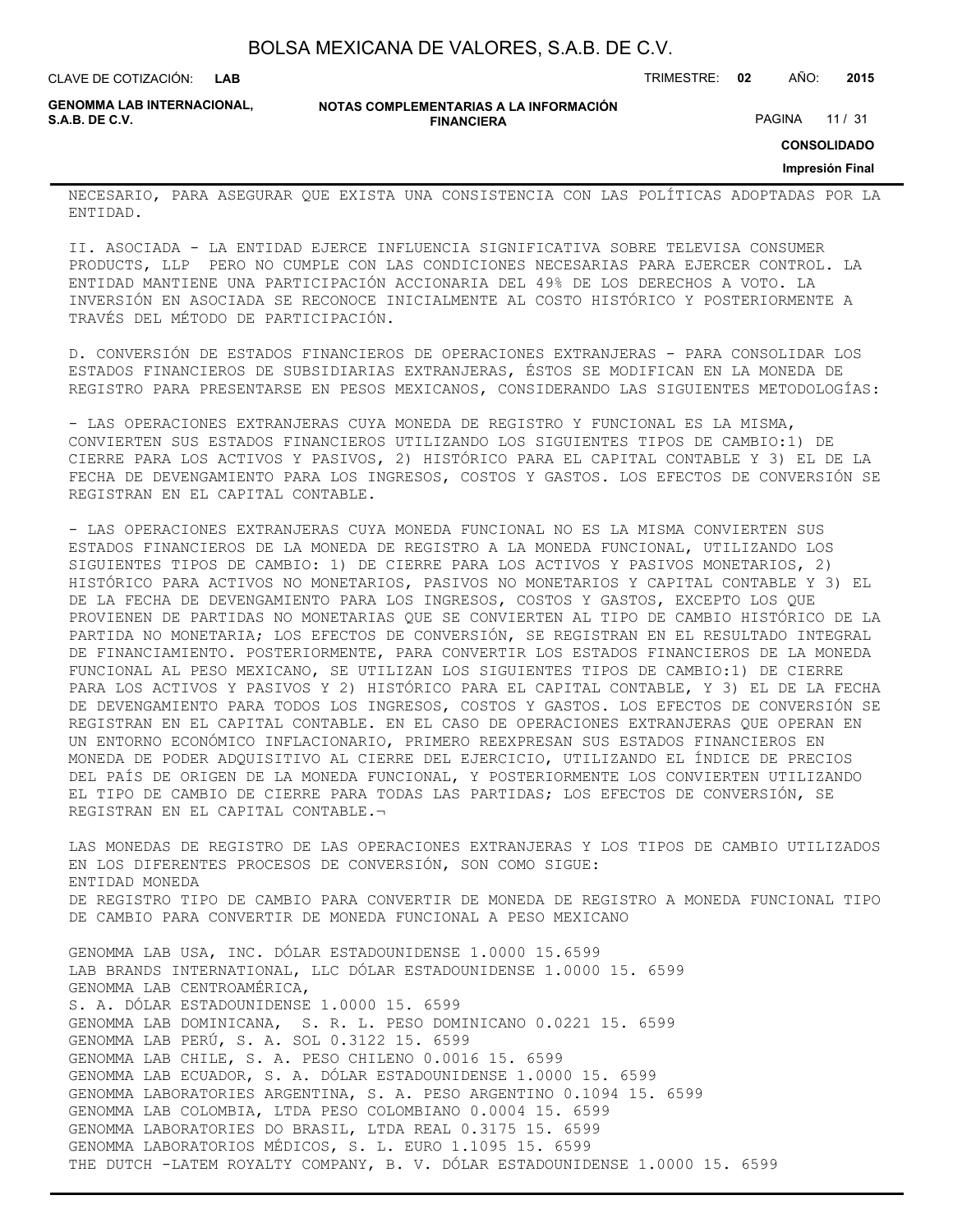| BOLSA MEXICANA DE VALORES, S.A.B. DE C.V. |  |  |
|-------------------------------------------|--|--|
|-------------------------------------------|--|--|

CLAVE DE COTIZACIÓN: TRIMESTRE: **02** AÑO: **2015 LAB**

**GENOMMA LAB INTERNACIONAL,**

**NOTAS COMPLEMENTARIAS A LA INFORMACIÓN FINANCIERA**

PAGINA 11 / 31

**CONSOLIDADO**

#### **Impresión Final**

NECESARIO, PARA ASEGURAR QUE EXISTA UNA CONSISTENCIA CON LAS POLÍTICAS ADOPTADAS POR LA ENTIDAD.

II. ASOCIADA - LA ENTIDAD EJERCE INFLUENCIA SIGNIFICATIVA SOBRE TELEVISA CONSUMER PRODUCTS, LLP PERO NO CUMPLE CON LAS CONDICIONES NECESARIAS PARA EJERCER CONTROL. LA ENTIDAD MANTIENE UNA PARTICIPACIÓN ACCIONARIA DEL 49% DE LOS DERECHOS A VOTO. LA INVERSIÓN EN ASOCIADA SE RECONOCE INICIALMENTE AL COSTO HISTÓRICO Y POSTERIORMENTE A TRAVÉS DEL MÉTODO DE PARTICIPACIÓN.

D. CONVERSIÓN DE ESTADOS FINANCIEROS DE OPERACIONES EXTRANJERAS - PARA CONSOLIDAR LOS ESTADOS FINANCIEROS DE SUBSIDIARIAS EXTRANJERAS, ÉSTOS SE MODIFICAN EN LA MONEDA DE REGISTRO PARA PRESENTARSE EN PESOS MEXICANOS, CONSIDERANDO LAS SIGUIENTES METODOLOGÍAS:

- LAS OPERACIONES EXTRANJERAS CUYA MONEDA DE REGISTRO Y FUNCIONAL ES LA MISMA, CONVIERTEN SUS ESTADOS FINANCIEROS UTILIZANDO LOS SIGUIENTES TIPOS DE CAMBIO:1) DE CIERRE PARA LOS ACTIVOS Y PASIVOS, 2) HISTÓRICO PARA EL CAPITAL CONTABLE Y 3) EL DE LA FECHA DE DEVENGAMIENTO PARA LOS INGRESOS, COSTOS Y GASTOS. LOS EFECTOS DE CONVERSIÓN SE REGISTRAN EN EL CAPITAL CONTABLE.

- LAS OPERACIONES EXTRANJERAS CUYA MONEDA FUNCIONAL NO ES LA MISMA CONVIERTEN SUS ESTADOS FINANCIEROS DE LA MONEDA DE REGISTRO A LA MONEDA FUNCIONAL, UTILIZANDO LOS SIGUIENTES TIPOS DE CAMBIO: 1) DE CIERRE PARA LOS ACTIVOS Y PASIVOS MONETARIOS, 2) HISTÓRICO PARA ACTIVOS NO MONETARIOS, PASIVOS NO MONETARIOS Y CAPITAL CONTABLE Y 3) EL DE LA FECHA DE DEVENGAMIENTO PARA LOS INGRESOS, COSTOS Y GASTOS, EXCEPTO LOS QUE PROVIENEN DE PARTIDAS NO MONETARIAS QUE SE CONVIERTEN AL TIPO DE CAMBIO HISTÓRICO DE LA PARTIDA NO MONETARIA; LOS EFECTOS DE CONVERSIÓN, SE REGISTRAN EN EL RESULTADO INTEGRAL DE FINANCIAMIENTO. POSTERIORMENTE, PARA CONVERTIR LOS ESTADOS FINANCIEROS DE LA MONEDA FUNCIONAL AL PESO MEXICANO, SE UTILIZAN LOS SIGUIENTES TIPOS DE CAMBIO:1) DE CIERRE PARA LOS ACTIVOS Y PASIVOS Y 2) HISTÓRICO PARA EL CAPITAL CONTABLE, Y 3) EL DE LA FECHA DE DEVENGAMIENTO PARA TODOS LOS INGRESOS, COSTOS Y GASTOS. LOS EFECTOS DE CONVERSIÓN SE REGISTRAN EN EL CAPITAL CONTABLE. EN EL CASO DE OPERACIONES EXTRANJERAS QUE OPERAN EN UN ENTORNO ECONÓMICO INFLACIONARIO, PRIMERO REEXPRESAN SUS ESTADOS FINANCIEROS EN MONEDA DE PODER ADQUISITIVO AL CIERRE DEL EJERCICIO, UTILIZANDO EL ÍNDICE DE PRECIOS DEL PAÍS DE ORIGEN DE LA MONEDA FUNCIONAL, Y POSTERIORMENTE LOS CONVIERTEN UTILIZANDO EL TIPO DE CAMBIO DE CIERRE PARA TODAS LAS PARTIDAS; LOS EFECTOS DE CONVERSIÓN, SE REGISTRAN EN EL CAPITAL CONTABLE.¬

LAS MONEDAS DE REGISTRO DE LAS OPERACIONES EXTRANJERAS Y LOS TIPOS DE CAMBIO UTILIZADOS EN LOS DIFERENTES PROCESOS DE CONVERSIÓN, SON COMO SIGUE: ENTIDAD MONEDA DE REGISTRO TIPO DE CAMBIO PARA CONVERTIR DE MONEDA DE REGISTRO A MONEDA FUNCIONAL TIPO DE CAMBIO PARA CONVERTIR DE MONEDA FUNCIONAL A PESO MEXICANO

GENOMMA LAB USA, INC. DÓLAR ESTADOUNIDENSE 1.0000 15.6599 LAB BRANDS INTERNATIONAL, LLC DÓLAR ESTADOUNIDENSE 1.0000 15. 6599 GENOMMA LAB CENTROAMÉRICA, S. A. DÓLAR ESTADOUNIDENSE 1.0000 15. 6599 GENOMMA LAB DOMINICANA, S. R. L. PESO DOMINICANO 0.0221 15. 6599 GENOMMA LAB PERÚ, S. A. SOL 0.3122 15. 6599 GENOMMA LAB CHILE, S. A. PESO CHILENO 0.0016 15. 6599 GENOMMA LAB ECUADOR, S. A. DÓLAR ESTADOUNIDENSE 1.0000 15. 6599 GENOMMA LABORATORIES ARGENTINA, S. A. PESO ARGENTINO 0.1094 15. 6599 GENOMMA LAB COLOMBIA, LTDA PESO COLOMBIANO 0.0004 15. 6599 GENOMMA LABORATORIES DO BRASIL, LTDA REAL 0.3175 15. 6599 GENOMMA LABORATORIOS MÉDICOS, S. L. EURO 1.1095 15. 6599 THE DUTCH -LATEM ROYALTY COMPANY, B. V. DÓLAR ESTADOUNIDENSE 1.0000 15. 6599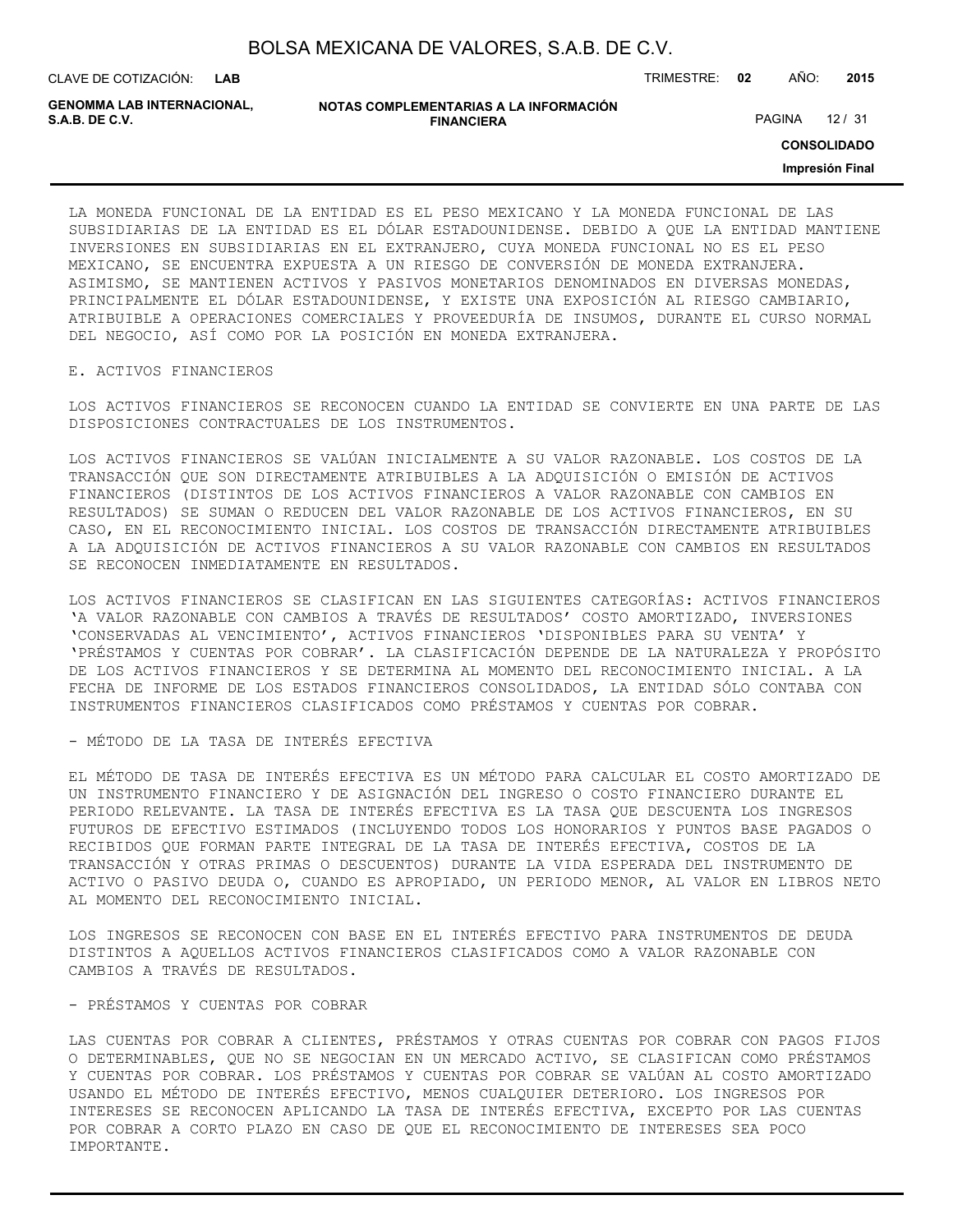| BOLSA MEXICANA DE VALORES, S.A.B. DE C.V. |  |  |
|-------------------------------------------|--|--|
|-------------------------------------------|--|--|

CLAVE DE COTIZACIÓN: TRIMESTRE: **02** AÑO: **2015 LAB**

**GENOMMA LAB INTERNACIONAL,**

**NOTAS COMPLEMENTARIAS A LA INFORMACIÓN FINANCIERA**

PAGINA 12 / 31

**CONSOLIDADO**

**Impresión Final**

LA MONEDA FUNCIONAL DE LA ENTIDAD ES EL PESO MEXICANO Y LA MONEDA FUNCIONAL DE LAS SUBSIDIARIAS DE LA ENTIDAD ES EL DÓLAR ESTADOUNIDENSE. DEBIDO A QUE LA ENTIDAD MANTIENE INVERSIONES EN SUBSIDIARIAS EN EL EXTRANJERO, CUYA MONEDA FUNCIONAL NO ES EL PESO MEXICANO, SE ENCUENTRA EXPUESTA A UN RIESGO DE CONVERSIÓN DE MONEDA EXTRANJERA. ASIMISMO, SE MANTIENEN ACTIVOS Y PASIVOS MONETARIOS DENOMINADOS EN DIVERSAS MONEDAS, PRINCIPALMENTE EL DÓLAR ESTADOUNIDENSE, Y EXISTE UNA EXPOSICIÓN AL RIESGO CAMBIARIO, ATRIBUIBLE A OPERACIONES COMERCIALES Y PROVEEDURÍA DE INSUMOS, DURANTE EL CURSO NORMAL DEL NEGOCIO, ASÍ COMO POR LA POSICIÓN EN MONEDA EXTRANJERA.

#### E. ACTIVOS FINANCIEROS

LOS ACTIVOS FINANCIEROS SE RECONOCEN CUANDO LA ENTIDAD SE CONVIERTE EN UNA PARTE DE LAS DISPOSICIONES CONTRACTUALES DE LOS INSTRUMENTOS.

LOS ACTIVOS FINANCIEROS SE VALÚAN INICIALMENTE A SU VALOR RAZONABLE. LOS COSTOS DE LA TRANSACCIÓN QUE SON DIRECTAMENTE ATRIBUIBLES A LA ADQUISICIÓN O EMISIÓN DE ACTIVOS FINANCIEROS (DISTINTOS DE LOS ACTIVOS FINANCIEROS A VALOR RAZONABLE CON CAMBIOS EN RESULTADOS) SE SUMAN O REDUCEN DEL VALOR RAZONABLE DE LOS ACTIVOS FINANCIEROS, EN SU CASO, EN EL RECONOCIMIENTO INICIAL. LOS COSTOS DE TRANSACCIÓN DIRECTAMENTE ATRIBUIBLES A LA ADQUISICIÓN DE ACTIVOS FINANCIEROS A SU VALOR RAZONABLE CON CAMBIOS EN RESULTADOS SE RECONOCEN INMEDIATAMENTE EN RESULTADOS.

LOS ACTIVOS FINANCIEROS SE CLASIFICAN EN LAS SIGUIENTES CATEGORÍAS: ACTIVOS FINANCIEROS 'A VALOR RAZONABLE CON CAMBIOS A TRAVÉS DE RESULTADOS' COSTO AMORTIZADO, INVERSIONES 'CONSERVADAS AL VENCIMIENTO', ACTIVOS FINANCIEROS 'DISPONIBLES PARA SU VENTA' Y 'PRÉSTAMOS Y CUENTAS POR COBRAR'. LA CLASIFICACIÓN DEPENDE DE LA NATURALEZA Y PROPÓSITO DE LOS ACTIVOS FINANCIEROS Y SE DETERMINA AL MOMENTO DEL RECONOCIMIENTO INICIAL. A LA FECHA DE INFORME DE LOS ESTADOS FINANCIEROS CONSOLIDADOS, LA ENTIDAD SÓLO CONTABA CON INSTRUMENTOS FINANCIEROS CLASIFICADOS COMO PRÉSTAMOS Y CUENTAS POR COBRAR.

- MÉTODO DE LA TASA DE INTERÉS EFECTIVA

EL MÉTODO DE TASA DE INTERÉS EFECTIVA ES UN MÉTODO PARA CALCULAR EL COSTO AMORTIZADO DE UN INSTRUMENTO FINANCIERO Y DE ASIGNACIÓN DEL INGRESO O COSTO FINANCIERO DURANTE EL PERIODO RELEVANTE. LA TASA DE INTERÉS EFECTIVA ES LA TASA QUE DESCUENTA LOS INGRESOS FUTUROS DE EFECTIVO ESTIMADOS (INCLUYENDO TODOS LOS HONORARIOS Y PUNTOS BASE PAGADOS O RECIBIDOS QUE FORMAN PARTE INTEGRAL DE LA TASA DE INTERÉS EFECTIVA, COSTOS DE LA TRANSACCIÓN Y OTRAS PRIMAS O DESCUENTOS) DURANTE LA VIDA ESPERADA DEL INSTRUMENTO DE ACTIVO O PASIVO DEUDA O, CUANDO ES APROPIADO, UN PERIODO MENOR, AL VALOR EN LIBROS NETO AL MOMENTO DEL RECONOCIMIENTO INICIAL.

LOS INGRESOS SE RECONOCEN CON BASE EN EL INTERÉS EFECTIVO PARA INSTRUMENTOS DE DEUDA DISTINTOS A AQUELLOS ACTIVOS FINANCIEROS CLASIFICADOS COMO A VALOR RAZONABLE CON CAMBIOS A TRAVÉS DE RESULTADOS.

#### - PRÉSTAMOS Y CUENTAS POR COBRAR

LAS CUENTAS POR COBRAR A CLIENTES, PRÉSTAMOS Y OTRAS CUENTAS POR COBRAR CON PAGOS FIJOS O DETERMINABLES, QUE NO SE NEGOCIAN EN UN MERCADO ACTIVO, SE CLASIFICAN COMO PRÉSTAMOS Y CUENTAS POR COBRAR. LOS PRÉSTAMOS Y CUENTAS POR COBRAR SE VALÚAN AL COSTO AMORTIZADO USANDO EL MÉTODO DE INTERÉS EFECTIVO, MENOS CUALQUIER DETERIORO. LOS INGRESOS POR INTERESES SE RECONOCEN APLICANDO LA TASA DE INTERÉS EFECTIVA, EXCEPTO POR LAS CUENTAS POR COBRAR A CORTO PLAZO EN CASO DE QUE EL RECONOCIMIENTO DE INTERESES SEA POCO IMPORTANTE.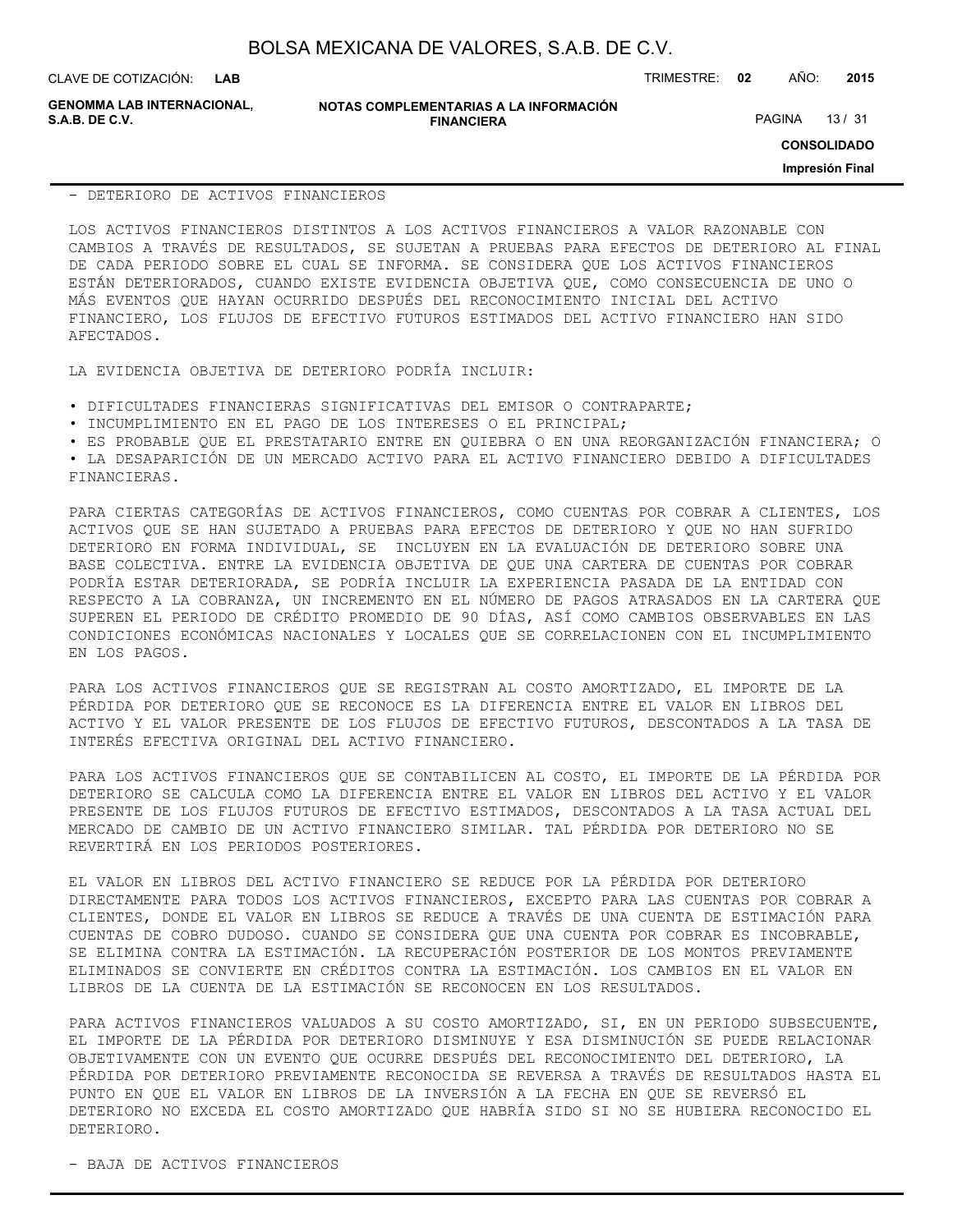CLAVE DE COTIZACIÓN: TRIMESTRE: **02** AÑO: **2015**

**GENOMMA LAB INTERNACIONAL,**

**NOTAS COMPLEMENTARIAS A LA INFORMACIÓN FINANCIERA**

PAGINA 13 / 31

**CONSOLIDADO**

**Impresión Final**

#### - DETERIORO DE ACTIVOS FINANCIEROS

LOS ACTIVOS FINANCIEROS DISTINTOS A LOS ACTIVOS FINANCIEROS A VALOR RAZONABLE CON CAMBIOS A TRAVÉS DE RESULTADOS, SE SUJETAN A PRUEBAS PARA EFECTOS DE DETERIORO AL FINAL DE CADA PERIODO SOBRE EL CUAL SE INFORMA. SE CONSIDERA QUE LOS ACTIVOS FINANCIEROS ESTÁN DETERIORADOS, CUANDO EXISTE EVIDENCIA OBJETIVA QUE, COMO CONSECUENCIA DE UNO O MÁS EVENTOS QUE HAYAN OCURRIDO DESPUÉS DEL RECONOCIMIENTO INICIAL DEL ACTIVO FINANCIERO, LOS FLUJOS DE EFECTIVO FUTUROS ESTIMADOS DEL ACTIVO FINANCIERO HAN SIDO AFECTADOS.

LA EVIDENCIA OBJETIVA DE DETERIORO PODRÍA INCLUIR:

• DIFICULTADES FINANCIERAS SIGNIFICATIVAS DEL EMISOR O CONTRAPARTE;

• INCUMPLIMIENTO EN EL PAGO DE LOS INTERESES O EL PRINCIPAL;

• ES PROBABLE QUE EL PRESTATARIO ENTRE EN QUIEBRA O EN UNA REORGANIZACIÓN FINANCIERA; O

• LA DESAPARICIÓN DE UN MERCADO ACTIVO PARA EL ACTIVO FINANCIERO DEBIDO A DIFICULTADES FINANCIERAS.

PARA CIERTAS CATEGORÍAS DE ACTIVOS FINANCIEROS, COMO CUENTAS POR COBRAR A CLIENTES, LOS ACTIVOS QUE SE HAN SUJETADO A PRUEBAS PARA EFECTOS DE DETERIORO Y QUE NO HAN SUFRIDO DETERIORO EN FORMA INDIVIDUAL, SE INCLUYEN EN LA EVALUACIÓN DE DETERIORO SOBRE UNA BASE COLECTIVA. ENTRE LA EVIDENCIA OBJETIVA DE QUE UNA CARTERA DE CUENTAS POR COBRAR PODRÍA ESTAR DETERIORADA, SE PODRÍA INCLUIR LA EXPERIENCIA PASADA DE LA ENTIDAD CON RESPECTO A LA COBRANZA, UN INCREMENTO EN EL NÚMERO DE PAGOS ATRASADOS EN LA CARTERA QUE SUPEREN EL PERIODO DE CRÉDITO PROMEDIO DE 90 DÍAS, ASÍ COMO CAMBIOS OBSERVABLES EN LAS CONDICIONES ECONÓMICAS NACIONALES Y LOCALES QUE SE CORRELACIONEN CON EL INCUMPLIMIENTO EN LOS PAGOS.

PARA LOS ACTIVOS FINANCIEROS QUE SE REGISTRAN AL COSTO AMORTIZADO, EL IMPORTE DE LA PÉRDIDA POR DETERIORO QUE SE RECONOCE ES LA DIFERENCIA ENTRE EL VALOR EN LIBROS DEL ACTIVO Y EL VALOR PRESENTE DE LOS FLUJOS DE EFECTIVO FUTUROS, DESCONTADOS A LA TASA DE INTERÉS EFECTIVA ORIGINAL DEL ACTIVO FINANCIERO.

PARA LOS ACTIVOS FINANCIEROS QUE SE CONTABILICEN AL COSTO, EL IMPORTE DE LA PÉRDIDA POR DETERIORO SE CALCULA COMO LA DIFERENCIA ENTRE EL VALOR EN LIBROS DEL ACTIVO Y EL VALOR PRESENTE DE LOS FLUJOS FUTUROS DE EFECTIVO ESTIMADOS, DESCONTADOS A LA TASA ACTUAL DEL MERCADO DE CAMBIO DE UN ACTIVO FINANCIERO SIMILAR. TAL PÉRDIDA POR DETERIORO NO SE REVERTIRÁ EN LOS PERIODOS POSTERIORES.

EL VALOR EN LIBROS DEL ACTIVO FINANCIERO SE REDUCE POR LA PÉRDIDA POR DETERIORO DIRECTAMENTE PARA TODOS LOS ACTIVOS FINANCIEROS, EXCEPTO PARA LAS CUENTAS POR COBRAR A CLIENTES, DONDE EL VALOR EN LIBROS SE REDUCE A TRAVÉS DE UNA CUENTA DE ESTIMACIÓN PARA CUENTAS DE COBRO DUDOSO. CUANDO SE CONSIDERA QUE UNA CUENTA POR COBRAR ES INCOBRABLE, SE ELIMINA CONTRA LA ESTIMACIÓN. LA RECUPERACIÓN POSTERIOR DE LOS MONTOS PREVIAMENTE ELIMINADOS SE CONVIERTE EN CRÉDITOS CONTRA LA ESTIMACIÓN. LOS CAMBIOS EN EL VALOR EN LIBROS DE LA CUENTA DE LA ESTIMACIÓN SE RECONOCEN EN LOS RESULTADOS.

PARA ACTIVOS FINANCIEROS VALUADOS A SU COSTO AMORTIZADO, SI, EN UN PERIODO SUBSECUENTE, EL IMPORTE DE LA PÉRDIDA POR DETERIORO DISMINUYE Y ESA DISMINUCIÓN SE PUEDE RELACIONAR OBJETIVAMENTE CON UN EVENTO QUE OCURRE DESPUÉS DEL RECONOCIMIENTO DEL DETERIORO, LA PÉRDIDA POR DETERIORO PREVIAMENTE RECONOCIDA SE REVERSA A TRAVÉS DE RESULTADOS HASTA EL PUNTO EN QUE EL VALOR EN LIBROS DE LA INVERSIÓN A LA FECHA EN QUE SE REVERSÓ EL DETERIORO NO EXCEDA EL COSTO AMORTIZADO QUE HABRÍA SIDO SI NO SE HUBIERA RECONOCIDO EL DETERIORO.

- BAJA DE ACTIVOS FINANCIEROS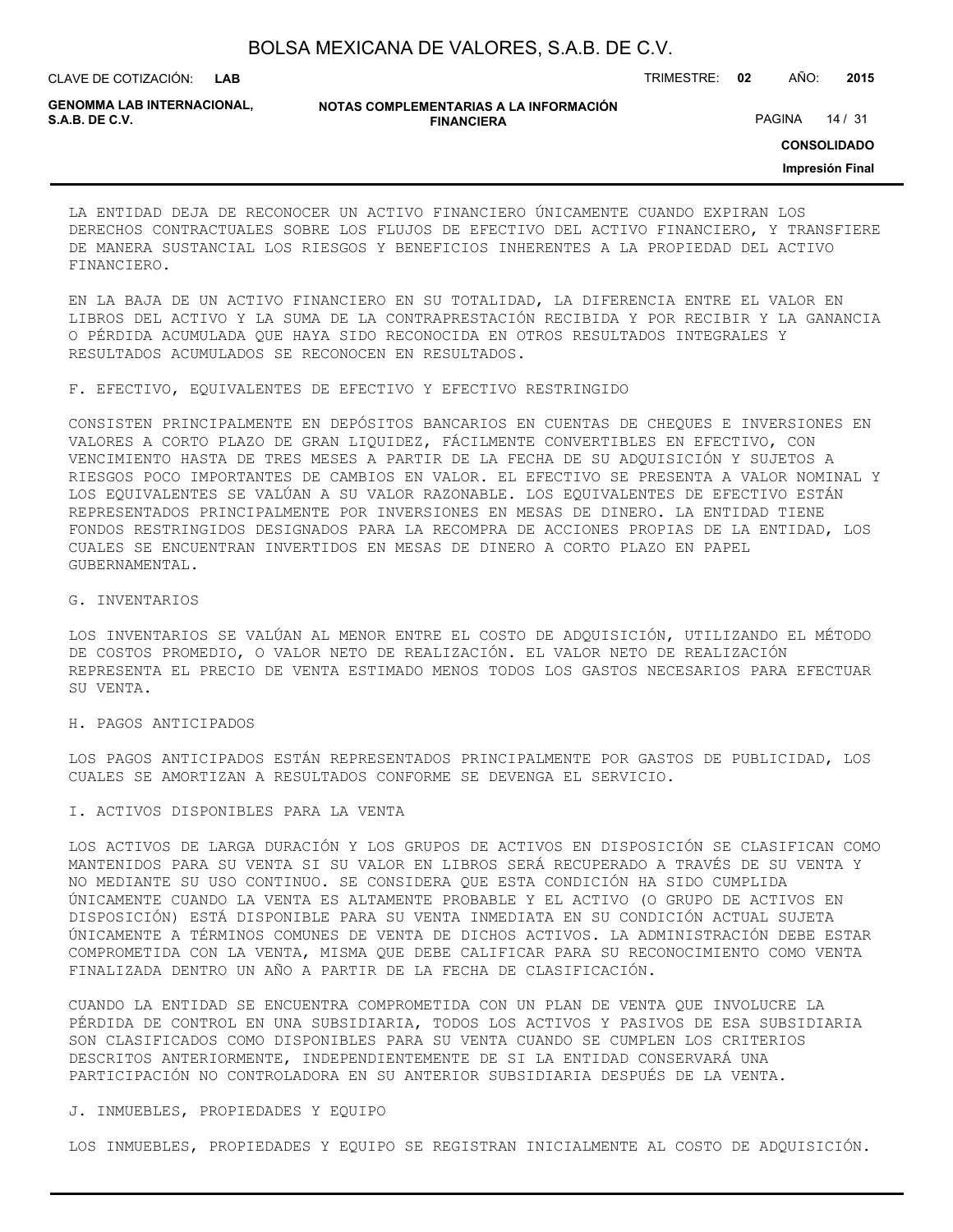| BOLSA MEXICANA DE VALORES, S.A.B. DE C.V. |  |  |  |
|-------------------------------------------|--|--|--|
|-------------------------------------------|--|--|--|

CLAVE DE COTIZACIÓN: TRIMESTRE: **02** AÑO: **2015**

**GENOMMA LAB INTERNACIONAL,**

**NOTAS COMPLEMENTARIAS A LA INFORMACIÓN FINANCIERA**

PAGINA 14 / 31

**CONSOLIDADO**

**Impresión Final**

LA ENTIDAD DEJA DE RECONOCER UN ACTIVO FINANCIERO ÚNICAMENTE CUANDO EXPIRAN LOS DERECHOS CONTRACTUALES SOBRE LOS FLUJOS DE EFECTIVO DEL ACTIVO FINANCIERO, Y TRANSFIERE DE MANERA SUSTANCIAL LOS RIESGOS Y BENEFICIOS INHERENTES A LA PROPIEDAD DEL ACTIVO FINANCIERO.

EN LA BAJA DE UN ACTIVO FINANCIERO EN SU TOTALIDAD, LA DIFERENCIA ENTRE EL VALOR EN LIBROS DEL ACTIVO Y LA SUMA DE LA CONTRAPRESTACIÓN RECIBIDA Y POR RECIBIR Y LA GANANCIA O PÉRDIDA ACUMULADA QUE HAYA SIDO RECONOCIDA EN OTROS RESULTADOS INTEGRALES Y RESULTADOS ACUMULADOS SE RECONOCEN EN RESULTADOS.

F. EFECTIVO, EQUIVALENTES DE EFECTIVO Y EFECTIVO RESTRINGIDO

CONSISTEN PRINCIPALMENTE EN DEPÓSITOS BANCARIOS EN CUENTAS DE CHEQUES E INVERSIONES EN VALORES A CORTO PLAZO DE GRAN LIQUIDEZ, FÁCILMENTE CONVERTIBLES EN EFECTIVO, CON VENCIMIENTO HASTA DE TRES MESES A PARTIR DE LA FECHA DE SU ADQUISICIÓN Y SUJETOS A RIESGOS POCO IMPORTANTES DE CAMBIOS EN VALOR. EL EFECTIVO SE PRESENTA A VALOR NOMINAL Y LOS EQUIVALENTES SE VALÚAN A SU VALOR RAZONABLE. LOS EQUIVALENTES DE EFECTIVO ESTÁN REPRESENTADOS PRINCIPALMENTE POR INVERSIONES EN MESAS DE DINERO. LA ENTIDAD TIENE FONDOS RESTRINGIDOS DESIGNADOS PARA LA RECOMPRA DE ACCIONES PROPIAS DE LA ENTIDAD, LOS CUALES SE ENCUENTRAN INVERTIDOS EN MESAS DE DINERO A CORTO PLAZO EN PAPEL GUBERNAMENTAL.

G. INVENTARIOS

LOS INVENTARIOS SE VALÚAN AL MENOR ENTRE EL COSTO DE ADQUISICIÓN, UTILIZANDO EL MÉTODO DE COSTOS PROMEDIO, O VALOR NETO DE REALIZACIÓN. EL VALOR NETO DE REALIZACIÓN REPRESENTA EL PRECIO DE VENTA ESTIMADO MENOS TODOS LOS GASTOS NECESARIOS PARA EFECTUAR SU VENTA.

H. PAGOS ANTICIPADOS

LOS PAGOS ANTICIPADOS ESTÁN REPRESENTADOS PRINCIPALMENTE POR GASTOS DE PUBLICIDAD, LOS CUALES SE AMORTIZAN A RESULTADOS CONFORME SE DEVENGA EL SERVICIO.

I. ACTIVOS DISPONIBLES PARA LA VENTA

LOS ACTIVOS DE LARGA DURACIÓN Y LOS GRUPOS DE ACTIVOS EN DISPOSICIÓN SE CLASIFICAN COMO MANTENIDOS PARA SU VENTA SI SU VALOR EN LIBROS SERÁ RECUPERADO A TRAVÉS DE SU VENTA Y NO MEDIANTE SU USO CONTINUO. SE CONSIDERA QUE ESTA CONDICIÓN HA SIDO CUMPLIDA ÚNICAMENTE CUANDO LA VENTA ES ALTAMENTE PROBABLE Y EL ACTIVO (O GRUPO DE ACTIVOS EN DISPOSICIÓN) ESTÁ DISPONIBLE PARA SU VENTA INMEDIATA EN SU CONDICIÓN ACTUAL SUJETA ÚNICAMENTE A TÉRMINOS COMUNES DE VENTA DE DICHOS ACTIVOS. LA ADMINISTRACIÓN DEBE ESTAR COMPROMETIDA CON LA VENTA, MISMA QUE DEBE CALIFICAR PARA SU RECONOCIMIENTO COMO VENTA FINALIZADA DENTRO UN AÑO A PARTIR DE LA FECHA DE CLASIFICACIÓN.

CUANDO LA ENTIDAD SE ENCUENTRA COMPROMETIDA CON UN PLAN DE VENTA QUE INVOLUCRE LA PÉRDIDA DE CONTROL EN UNA SUBSIDIARIA, TODOS LOS ACTIVOS Y PASIVOS DE ESA SUBSIDIARIA SON CLASIFICADOS COMO DISPONIBLES PARA SU VENTA CUANDO SE CUMPLEN LOS CRITERIOS DESCRITOS ANTERIORMENTE, INDEPENDIENTEMENTE DE SI LA ENTIDAD CONSERVARÁ UNA PARTICIPACIÓN NO CONTROLADORA EN SU ANTERIOR SUBSIDIARIA DESPUÉS DE LA VENTA.

J. INMUEBLES, PROPIEDADES Y EQUIPO

LOS INMUEBLES, PROPIEDADES Y EQUIPO SE REGISTRAN INICIALMENTE AL COSTO DE ADQUISICIÓN.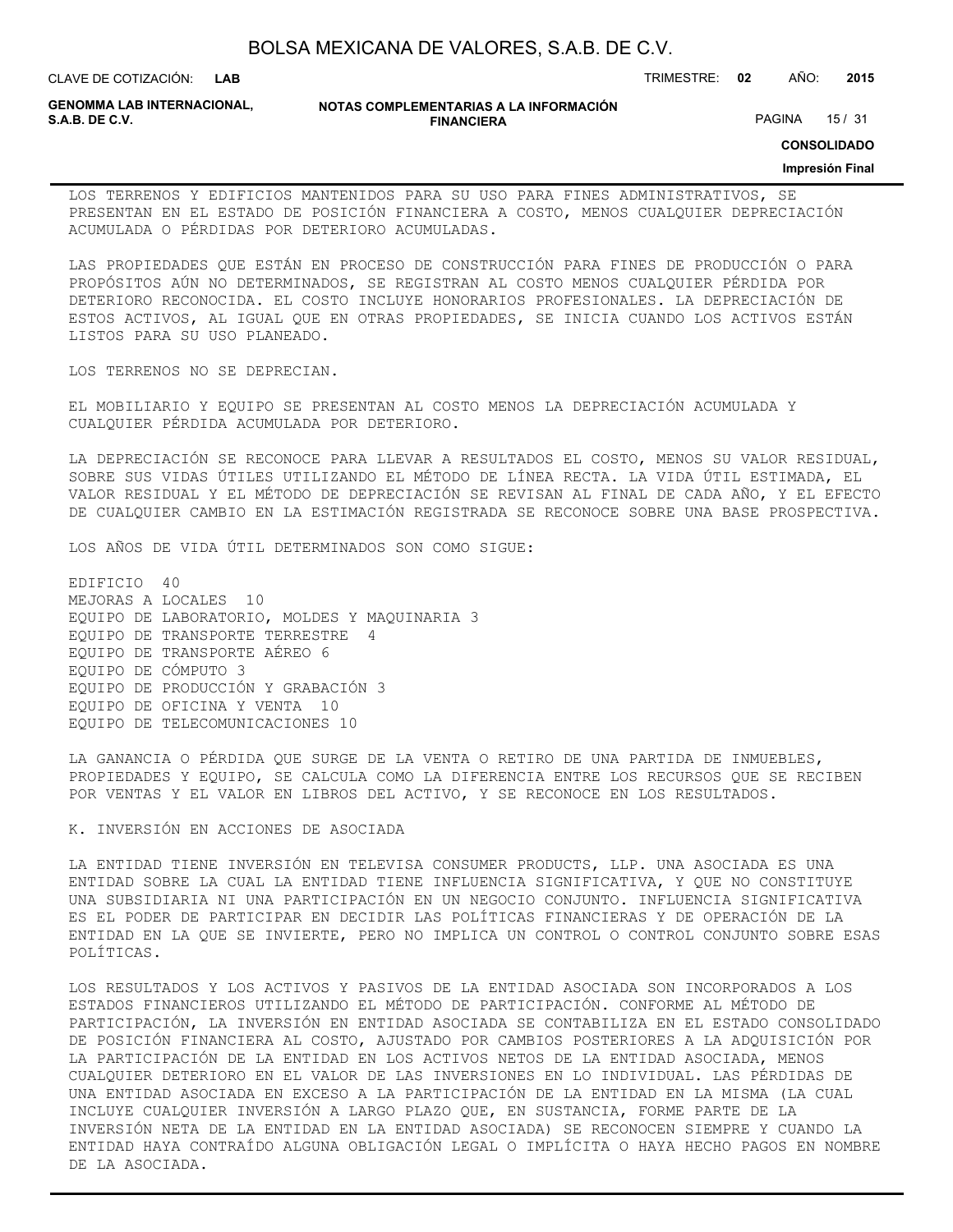| BOLSA MEXICANA DE VALORES, S.A.B. DE C.V. |  |  |
|-------------------------------------------|--|--|
|-------------------------------------------|--|--|

CLAVE DE COTIZACIÓN: TRIMESTRE: **02** AÑO: **2015**

**GENOMMA LAB INTERNACIONAL,**

**NOTAS COMPLEMENTARIAS A LA INFORMACIÓN FINANCIERA**

PAGINA 15 / 31

**CONSOLIDADO**

#### **Impresión Final**

LOS TERRENOS Y EDIFICIOS MANTENIDOS PARA SU USO PARA FINES ADMINISTRATIVOS, SE PRESENTAN EN EL ESTADO DE POSICIÓN FINANCIERA A COSTO, MENOS CUALQUIER DEPRECIACIÓN ACUMULADA O PÉRDIDAS POR DETERIORO ACUMULADAS.

LAS PROPIEDADES QUE ESTÁN EN PROCESO DE CONSTRUCCIÓN PARA FINES DE PRODUCCIÓN O PARA PROPÓSITOS AÚN NO DETERMINADOS, SE REGISTRAN AL COSTO MENOS CUALQUIER PÉRDIDA POR DETERIORO RECONOCIDA. EL COSTO INCLUYE HONORARIOS PROFESIONALES. LA DEPRECIACIÓN DE ESTOS ACTIVOS, AL IGUAL QUE EN OTRAS PROPIEDADES, SE INICIA CUANDO LOS ACTIVOS ESTÁN LISTOS PARA SU USO PLANEADO.

LOS TERRENOS NO SE DEPRECIAN.

EL MOBILIARIO Y EQUIPO SE PRESENTAN AL COSTO MENOS LA DEPRECIACIÓN ACUMULADA Y CUALQUIER PÉRDIDA ACUMULADA POR DETERIORO.

LA DEPRECIACIÓN SE RECONOCE PARA LLEVAR A RESULTADOS EL COSTO, MENOS SU VALOR RESIDUAL, SOBRE SUS VIDAS ÚTILES UTILIZANDO EL MÉTODO DE LÍNEA RECTA. LA VIDA ÚTIL ESTIMADA, EL VALOR RESIDUAL Y EL MÉTODO DE DEPRECIACIÓN SE REVISAN AL FINAL DE CADA AÑO, Y EL EFECTO DE CUALQUIER CAMBIO EN LA ESTIMACIÓN REGISTRADA SE RECONOCE SOBRE UNA BASE PROSPECTIVA.

LOS AÑOS DE VIDA ÚTIL DETERMINADOS SON COMO SIGUE:

EDIFICIO 40 MEJORAS A LOCALES 10 EQUIPO DE LABORATORIO, MOLDES Y MAQUINARIA 3 EQUIPO DE TRANSPORTE TERRESTRE 4 EQUIPO DE TRANSPORTE AÉREO 6 EQUIPO DE CÓMPUTO 3 EQUIPO DE PRODUCCIÓN Y GRABACIÓN 3 EQUIPO DE OFICINA Y VENTA 10 EQUIPO DE TELECOMUNICACIONES 10

LA GANANCIA O PÉRDIDA QUE SURGE DE LA VENTA O RETIRO DE UNA PARTIDA DE INMUEBLES, PROPIEDADES Y EQUIPO, SE CALCULA COMO LA DIFERENCIA ENTRE LOS RECURSOS QUE SE RECIBEN POR VENTAS Y EL VALOR EN LIBROS DEL ACTIVO, Y SE RECONOCE EN LOS RESULTADOS.

K. INVERSIÓN EN ACCIONES DE ASOCIADA

LA ENTIDAD TIENE INVERSIÓN EN TELEVISA CONSUMER PRODUCTS, LLP. UNA ASOCIADA ES UNA ENTIDAD SOBRE LA CUAL LA ENTIDAD TIENE INFLUENCIA SIGNIFICATIVA, Y QUE NO CONSTITUYE UNA SUBSIDIARIA NI UNA PARTICIPACIÓN EN UN NEGOCIO CONJUNTO. INFLUENCIA SIGNIFICATIVA ES EL PODER DE PARTICIPAR EN DECIDIR LAS POLÍTICAS FINANCIERAS Y DE OPERACIÓN DE LA ENTIDAD EN LA QUE SE INVIERTE, PERO NO IMPLICA UN CONTROL O CONTROL CONJUNTO SOBRE ESAS POLÍTICAS.

LOS RESULTADOS Y LOS ACTIVOS Y PASIVOS DE LA ENTIDAD ASOCIADA SON INCORPORADOS A LOS ESTADOS FINANCIEROS UTILIZANDO EL MÉTODO DE PARTICIPACIÓN. CONFORME AL MÉTODO DE PARTICIPACIÓN, LA INVERSIÓN EN ENTIDAD ASOCIADA SE CONTABILIZA EN EL ESTADO CONSOLIDADO DE POSICIÓN FINANCIERA AL COSTO, AJUSTADO POR CAMBIOS POSTERIORES A LA ADQUISICIÓN POR LA PARTICIPACIÓN DE LA ENTIDAD EN LOS ACTIVOS NETOS DE LA ENTIDAD ASOCIADA, MENOS CUALQUIER DETERIORO EN EL VALOR DE LAS INVERSIONES EN LO INDIVIDUAL. LAS PÉRDIDAS DE UNA ENTIDAD ASOCIADA EN EXCESO A LA PARTICIPACIÓN DE LA ENTIDAD EN LA MISMA (LA CUAL INCLUYE CUALQUIER INVERSIÓN A LARGO PLAZO QUE, EN SUSTANCIA, FORME PARTE DE LA INVERSIÓN NETA DE LA ENTIDAD EN LA ENTIDAD ASOCIADA) SE RECONOCEN SIEMPRE Y CUANDO LA ENTIDAD HAYA CONTRAÍDO ALGUNA OBLIGACIÓN LEGAL O IMPLÍCITA O HAYA HECHO PAGOS EN NOMBRE DE LA ASOCIADA.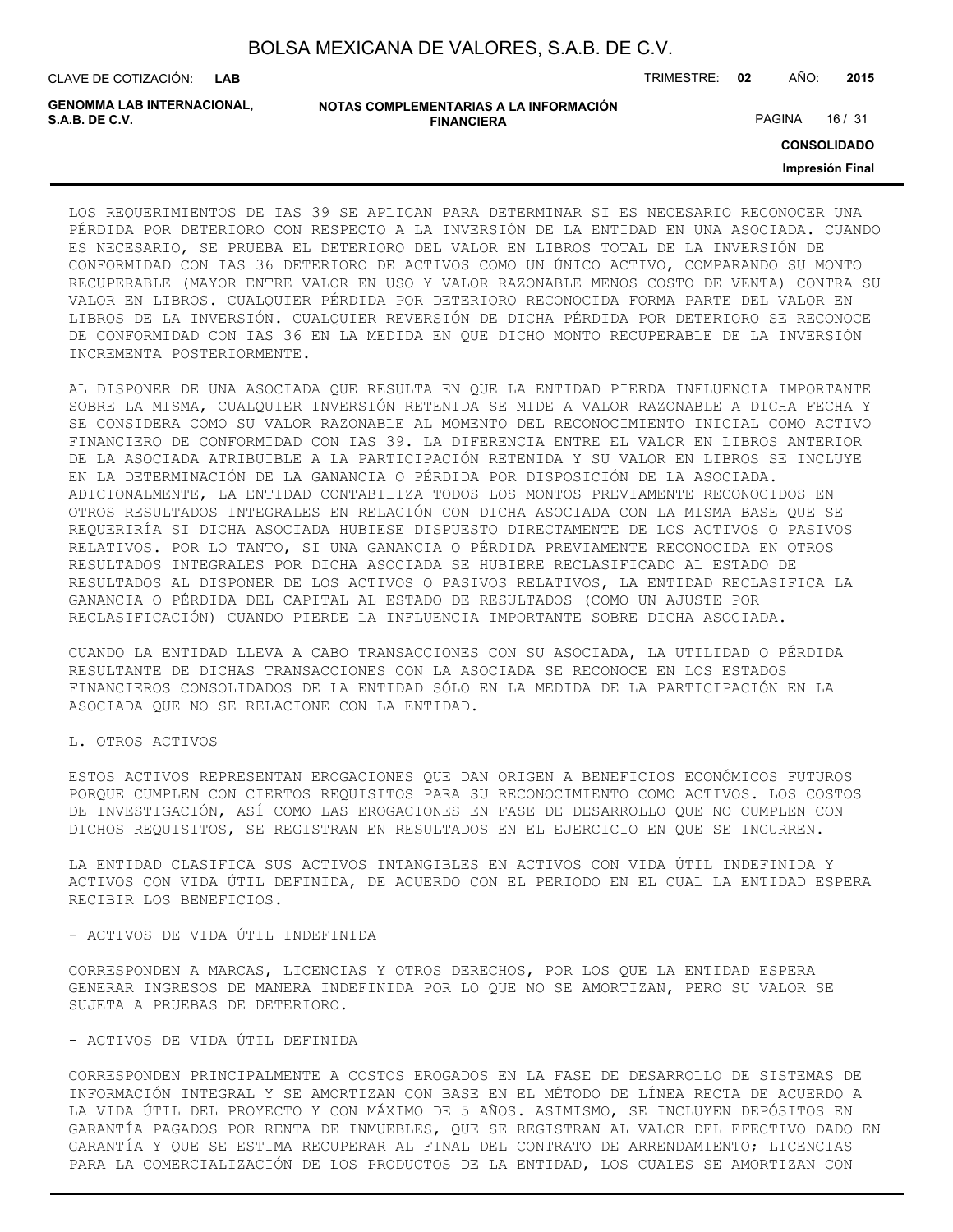| BOLSA MEXICANA DE VALORES, S.A.B. DE C.V. |  |  |
|-------------------------------------------|--|--|
|-------------------------------------------|--|--|

CLAVE DE COTIZACIÓN: TRIMESTRE: **02** AÑO: **2015**

**GENOMMA LAB INTERNACIONAL,**

| NOTAS COMPLEMENTARIAS A LA INFORMACIÓN |
|----------------------------------------|
| <b>FINANCIERA</b>                      |

PAGINA 16 / 31

**CONSOLIDADO**

**Impresión Final**

LOS REQUERIMIENTOS DE IAS 39 SE APLICAN PARA DETERMINAR SI ES NECESARIO RECONOCER UNA PÉRDIDA POR DETERIORO CON RESPECTO A LA INVERSIÓN DE LA ENTIDAD EN UNA ASOCIADA. CUANDO ES NECESARIO, SE PRUEBA EL DETERIORO DEL VALOR EN LIBROS TOTAL DE LA INVERSIÓN DE CONFORMIDAD CON IAS 36 DETERIORO DE ACTIVOS COMO UN ÚNICO ACTIVO, COMPARANDO SU MONTO RECUPERABLE (MAYOR ENTRE VALOR EN USO Y VALOR RAZONABLE MENOS COSTO DE VENTA) CONTRA SU VALOR EN LIBROS. CUALQUIER PÉRDIDA POR DETERIORO RECONOCIDA FORMA PARTE DEL VALOR EN LIBROS DE LA INVERSIÓN. CUALQUIER REVERSIÓN DE DICHA PÉRDIDA POR DETERIORO SE RECONOCE DE CONFORMIDAD CON IAS 36 EN LA MEDIDA EN QUE DICHO MONTO RECUPERABLE DE LA INVERSIÓN INCREMENTA POSTERIORMENTE.

AL DISPONER DE UNA ASOCIADA QUE RESULTA EN QUE LA ENTIDAD PIERDA INFLUENCIA IMPORTANTE SOBRE LA MISMA, CUALQUIER INVERSIÓN RETENIDA SE MIDE A VALOR RAZONABLE A DICHA FECHA Y SE CONSIDERA COMO SU VALOR RAZONABLE AL MOMENTO DEL RECONOCIMIENTO INICIAL COMO ACTIVO FINANCIERO DE CONFORMIDAD CON IAS 39. LA DIFERENCIA ENTRE EL VALOR EN LIBROS ANTERIOR DE LA ASOCIADA ATRIBUIBLE A LA PARTICIPACIÓN RETENIDA Y SU VALOR EN LIBROS SE INCLUYE EN LA DETERMINACIÓN DE LA GANANCIA O PÉRDIDA POR DISPOSICIÓN DE LA ASOCIADA. ADICIONALMENTE, LA ENTIDAD CONTABILIZA TODOS LOS MONTOS PREVIAMENTE RECONOCIDOS EN OTROS RESULTADOS INTEGRALES EN RELACIÓN CON DICHA ASOCIADA CON LA MISMA BASE QUE SE REQUERIRÍA SI DICHA ASOCIADA HUBIESE DISPUESTO DIRECTAMENTE DE LOS ACTIVOS O PASIVOS RELATIVOS. POR LO TANTO, SI UNA GANANCIA O PÉRDIDA PREVIAMENTE RECONOCIDA EN OTROS RESULTADOS INTEGRALES POR DICHA ASOCIADA SE HUBIERE RECLASIFICADO AL ESTADO DE RESULTADOS AL DISPONER DE LOS ACTIVOS O PASIVOS RELATIVOS, LA ENTIDAD RECLASIFICA LA GANANCIA O PÉRDIDA DEL CAPITAL AL ESTADO DE RESULTADOS (COMO UN AJUSTE POR RECLASIFICACIÓN) CUANDO PIERDE LA INFLUENCIA IMPORTANTE SOBRE DICHA ASOCIADA.

CUANDO LA ENTIDAD LLEVA A CABO TRANSACCIONES CON SU ASOCIADA, LA UTILIDAD O PÉRDIDA RESULTANTE DE DICHAS TRANSACCIONES CON LA ASOCIADA SE RECONOCE EN LOS ESTADOS FINANCIEROS CONSOLIDADOS DE LA ENTIDAD SÓLO EN LA MEDIDA DE LA PARTICIPACIÓN EN LA ASOCIADA QUE NO SE RELACIONE CON LA ENTIDAD.

L. OTROS ACTIVOS

ESTOS ACTIVOS REPRESENTAN EROGACIONES QUE DAN ORIGEN A BENEFICIOS ECONÓMICOS FUTUROS PORQUE CUMPLEN CON CIERTOS REQUISITOS PARA SU RECONOCIMIENTO COMO ACTIVOS. LOS COSTOS DE INVESTIGACIÓN, ASÍ COMO LAS EROGACIONES EN FASE DE DESARROLLO QUE NO CUMPLEN CON DICHOS REQUISITOS, SE REGISTRAN EN RESULTADOS EN EL EJERCICIO EN QUE SE INCURREN.

LA ENTIDAD CLASIFICA SUS ACTIVOS INTANGIBLES EN ACTIVOS CON VIDA ÚTIL INDEFINIDA Y ACTIVOS CON VIDA ÚTIL DEFINIDA, DE ACUERDO CON EL PERIODO EN EL CUAL LA ENTIDAD ESPERA RECIBIR LOS BENEFICIOS.

- ACTIVOS DE VIDA ÚTIL INDEFINIDA

CORRESPONDEN A MARCAS, LICENCIAS Y OTROS DERECHOS, POR LOS QUE LA ENTIDAD ESPERA GENERAR INGRESOS DE MANERA INDEFINIDA POR LO QUE NO SE AMORTIZAN, PERO SU VALOR SE SUJETA A PRUEBAS DE DETERIORO.

### - ACTIVOS DE VIDA ÚTIL DEFINIDA

CORRESPONDEN PRINCIPALMENTE A COSTOS EROGADOS EN LA FASE DE DESARROLLO DE SISTEMAS DE INFORMACIÓN INTEGRAL Y SE AMORTIZAN CON BASE EN EL MÉTODO DE LÍNEA RECTA DE ACUERDO A LA VIDA ÚTIL DEL PROYECTO Y CON MÁXIMO DE 5 AÑOS. ASIMISMO, SE INCLUYEN DEPÓSITOS EN GARANTÍA PAGADOS POR RENTA DE INMUEBLES, QUE SE REGISTRAN AL VALOR DEL EFECTIVO DADO EN GARANTÍA Y QUE SE ESTIMA RECUPERAR AL FINAL DEL CONTRATO DE ARRENDAMIENTO; LICENCIAS PARA LA COMERCIALIZACIÓN DE LOS PRODUCTOS DE LA ENTIDAD, LOS CUALES SE AMORTIZAN CON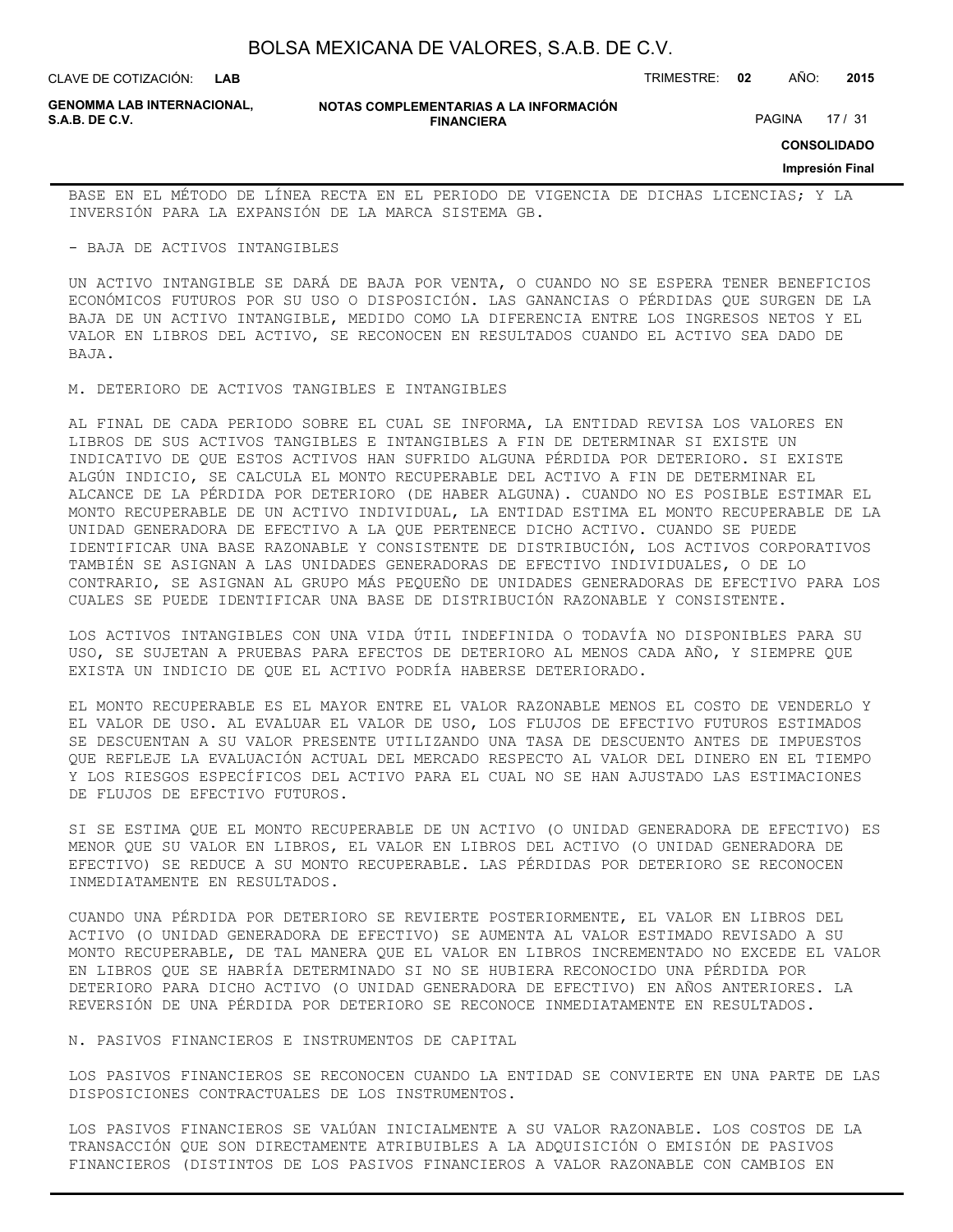| BOLSA MEXICANA DE VALORES, S.A.B. DE C.V. |  |  |
|-------------------------------------------|--|--|
|-------------------------------------------|--|--|

CLAVE DE COTIZACIÓN: TRIMESTRE: **02** AÑO: **2015**

**GENOMMA LAB INTERNACIONAL,**

**NOTAS COMPLEMENTARIAS A LA INFORMACIÓN FINANCIERA**

PAGINA 17 / 31

**CONSOLIDADO**

#### **Impresión Final**

BASE EN EL MÉTODO DE LÍNEA RECTA EN EL PERIODO DE VIGENCIA DE DICHAS LICENCIAS; Y LA INVERSIÓN PARA LA EXPANSIÓN DE LA MARCA SISTEMA GB.

#### - BAJA DE ACTIVOS INTANGIBLES

UN ACTIVO INTANGIBLE SE DARÁ DE BAJA POR VENTA, O CUANDO NO SE ESPERA TENER BENEFICIOS ECONÓMICOS FUTUROS POR SU USO O DISPOSICIÓN. LAS GANANCIAS O PÉRDIDAS QUE SURGEN DE LA BAJA DE UN ACTIVO INTANGIBLE, MEDIDO COMO LA DIFERENCIA ENTRE LOS INGRESOS NETOS Y EL VALOR EN LIBROS DEL ACTIVO, SE RECONOCEN EN RESULTADOS CUANDO EL ACTIVO SEA DADO DE BAJA.

M. DETERIORO DE ACTIVOS TANGIBLES E INTANGIBLES

AL FINAL DE CADA PERIODO SOBRE EL CUAL SE INFORMA, LA ENTIDAD REVISA LOS VALORES EN LIBROS DE SUS ACTIVOS TANGIBLES E INTANGIBLES A FIN DE DETERMINAR SI EXISTE UN INDICATIVO DE QUE ESTOS ACTIVOS HAN SUFRIDO ALGUNA PÉRDIDA POR DETERIORO. SI EXISTE ALGÚN INDICIO, SE CALCULA EL MONTO RECUPERABLE DEL ACTIVO A FIN DE DETERMINAR EL ALCANCE DE LA PÉRDIDA POR DETERIORO (DE HABER ALGUNA). CUANDO NO ES POSIBLE ESTIMAR EL MONTO RECUPERABLE DE UN ACTIVO INDIVIDUAL, LA ENTIDAD ESTIMA EL MONTO RECUPERABLE DE LA UNIDAD GENERADORA DE EFECTIVO A LA QUE PERTENECE DICHO ACTIVO. CUANDO SE PUEDE IDENTIFICAR UNA BASE RAZONABLE Y CONSISTENTE DE DISTRIBUCIÓN, LOS ACTIVOS CORPORATIVOS TAMBIÉN SE ASIGNAN A LAS UNIDADES GENERADORAS DE EFECTIVO INDIVIDUALES, O DE LO CONTRARIO, SE ASIGNAN AL GRUPO MÁS PEQUEÑO DE UNIDADES GENERADORAS DE EFECTIVO PARA LOS CUALES SE PUEDE IDENTIFICAR UNA BASE DE DISTRIBUCIÓN RAZONABLE Y CONSISTENTE.

LOS ACTIVOS INTANGIBLES CON UNA VIDA ÚTIL INDEFINIDA O TODAVÍA NO DISPONIBLES PARA SU USO, SE SUJETAN A PRUEBAS PARA EFECTOS DE DETERIORO AL MENOS CADA AÑO, Y SIEMPRE QUE EXISTA UN INDICIO DE QUE EL ACTIVO PODRÍA HABERSE DETERIORADO.

EL MONTO RECUPERABLE ES EL MAYOR ENTRE EL VALOR RAZONABLE MENOS EL COSTO DE VENDERLO Y EL VALOR DE USO. AL EVALUAR EL VALOR DE USO, LOS FLUJOS DE EFECTIVO FUTUROS ESTIMADOS SE DESCUENTAN A SU VALOR PRESENTE UTILIZANDO UNA TASA DE DESCUENTO ANTES DE IMPUESTOS QUE REFLEJE LA EVALUACIÓN ACTUAL DEL MERCADO RESPECTO AL VALOR DEL DINERO EN EL TIEMPO Y LOS RIESGOS ESPECÍFICOS DEL ACTIVO PARA EL CUAL NO SE HAN AJUSTADO LAS ESTIMACIONES DE FLUJOS DE EFECTIVO FUTUROS.

SI SE ESTIMA QUE EL MONTO RECUPERABLE DE UN ACTIVO (O UNIDAD GENERADORA DE EFECTIVO) ES MENOR QUE SU VALOR EN LIBROS, EL VALOR EN LIBROS DEL ACTIVO (O UNIDAD GENERADORA DE EFECTIVO) SE REDUCE A SU MONTO RECUPERABLE. LAS PÉRDIDAS POR DETERIORO SE RECONOCEN INMEDIATAMENTE EN RESULTADOS.

CUANDO UNA PÉRDIDA POR DETERIORO SE REVIERTE POSTERIORMENTE, EL VALOR EN LIBROS DEL ACTIVO (O UNIDAD GENERADORA DE EFECTIVO) SE AUMENTA AL VALOR ESTIMADO REVISADO A SU MONTO RECUPERABLE, DE TAL MANERA QUE EL VALOR EN LIBROS INCREMENTADO NO EXCEDE EL VALOR EN LIBROS QUE SE HABRÍA DETERMINADO SI NO SE HUBIERA RECONOCIDO UNA PÉRDIDA POR DETERIORO PARA DICHO ACTIVO (O UNIDAD GENERADORA DE EFECTIVO) EN AÑOS ANTERIORES. LA REVERSIÓN DE UNA PÉRDIDA POR DETERIORO SE RECONOCE INMEDIATAMENTE EN RESULTADOS.

#### N. PASIVOS FINANCIEROS E INSTRUMENTOS DE CAPITAL

LOS PASIVOS FINANCIEROS SE RECONOCEN CUANDO LA ENTIDAD SE CONVIERTE EN UNA PARTE DE LAS DISPOSICIONES CONTRACTUALES DE LOS INSTRUMENTOS.

LOS PASIVOS FINANCIEROS SE VALÚAN INICIALMENTE A SU VALOR RAZONABLE. LOS COSTOS DE LA TRANSACCIÓN QUE SON DIRECTAMENTE ATRIBUIBLES A LA ADQUISICIÓN O EMISIÓN DE PASIVOS FINANCIEROS (DISTINTOS DE LOS PASIVOS FINANCIEROS A VALOR RAZONABLE CON CAMBIOS EN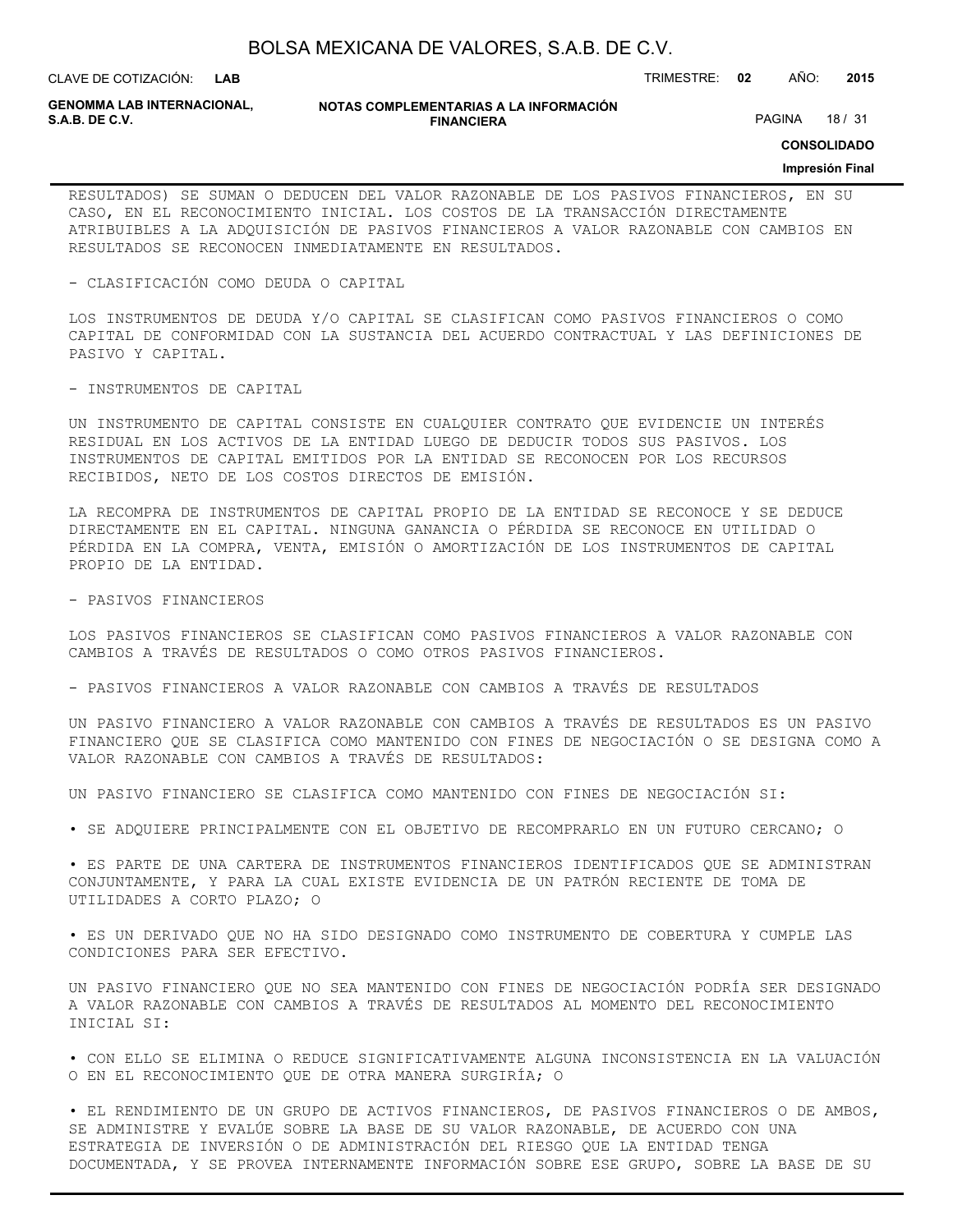**LAB**

CLAVE DE COTIZACIÓN: TRIMESTRE: **02** AÑO: **2015**

**GENOMMA LAB INTERNACIONAL,**

**NOTAS COMPLEMENTARIAS A LA INFORMACIÓN FINANCIERA**

PAGINA 18 / 31

**CONSOLIDADO**

#### **Impresión Final**

RESULTADOS) SE SUMAN O DEDUCEN DEL VALOR RAZONABLE DE LOS PASIVOS FINANCIEROS, EN SU CASO, EN EL RECONOCIMIENTO INICIAL. LOS COSTOS DE LA TRANSACCIÓN DIRECTAMENTE ATRIBUIBLES A LA ADQUISICIÓN DE PASIVOS FINANCIEROS A VALOR RAZONABLE CON CAMBIOS EN RESULTADOS SE RECONOCEN INMEDIATAMENTE EN RESULTADOS.

- CLASIFICACIÓN COMO DEUDA O CAPITAL

LOS INSTRUMENTOS DE DEUDA Y/O CAPITAL SE CLASIFICAN COMO PASIVOS FINANCIEROS O COMO CAPITAL DE CONFORMIDAD CON LA SUSTANCIA DEL ACUERDO CONTRACTUAL Y LAS DEFINICIONES DE PASIVO Y CAPITAL.

- INSTRUMENTOS DE CAPITAL

UN INSTRUMENTO DE CAPITAL CONSISTE EN CUALQUIER CONTRATO QUE EVIDENCIE UN INTERÉS RESIDUAL EN LOS ACTIVOS DE LA ENTIDAD LUEGO DE DEDUCIR TODOS SUS PASIVOS. LOS INSTRUMENTOS DE CAPITAL EMITIDOS POR LA ENTIDAD SE RECONOCEN POR LOS RECURSOS RECIBIDOS, NETO DE LOS COSTOS DIRECTOS DE EMISIÓN.

LA RECOMPRA DE INSTRUMENTOS DE CAPITAL PROPIO DE LA ENTIDAD SE RECONOCE Y SE DEDUCE DIRECTAMENTE EN EL CAPITAL. NINGUNA GANANCIA O PÉRDIDA SE RECONOCE EN UTILIDAD O PÉRDIDA EN LA COMPRA, VENTA, EMISIÓN O AMORTIZACIÓN DE LOS INSTRUMENTOS DE CAPITAL PROPIO DE LA ENTIDAD.

- PASIVOS FINANCIEROS

LOS PASIVOS FINANCIEROS SE CLASIFICAN COMO PASIVOS FINANCIEROS A VALOR RAZONABLE CON CAMBIOS A TRAVÉS DE RESULTADOS O COMO OTROS PASIVOS FINANCIEROS.

- PASIVOS FINANCIEROS A VALOR RAZONABLE CON CAMBIOS A TRAVÉS DE RESULTADOS

UN PASIVO FINANCIERO A VALOR RAZONABLE CON CAMBIOS A TRAVÉS DE RESULTADOS ES UN PASIVO FINANCIERO QUE SE CLASIFICA COMO MANTENIDO CON FINES DE NEGOCIACIÓN O SE DESIGNA COMO A VALOR RAZONABLE CON CAMBIOS A TRAVÉS DE RESULTADOS:

UN PASIVO FINANCIERO SE CLASIFICA COMO MANTENIDO CON FINES DE NEGOCIACIÓN SI:

• SE ADQUIERE PRINCIPALMENTE CON EL OBJETIVO DE RECOMPRARLO EN UN FUTURO CERCANO; O

• ES PARTE DE UNA CARTERA DE INSTRUMENTOS FINANCIEROS IDENTIFICADOS QUE SE ADMINISTRAN CONJUNTAMENTE, Y PARA LA CUAL EXISTE EVIDENCIA DE UN PATRÓN RECIENTE DE TOMA DE UTILIDADES A CORTO PLAZO; O

• ES UN DERIVADO QUE NO HA SIDO DESIGNADO COMO INSTRUMENTO DE COBERTURA Y CUMPLE LAS CONDICIONES PARA SER EFECTIVO.

UN PASIVO FINANCIERO QUE NO SEA MANTENIDO CON FINES DE NEGOCIACIÓN PODRÍA SER DESIGNADO A VALOR RAZONABLE CON CAMBIOS A TRAVÉS DE RESULTADOS AL MOMENTO DEL RECONOCIMIENTO INICIAL SI:

• CON ELLO SE ELIMINA O REDUCE SIGNIFICATIVAMENTE ALGUNA INCONSISTENCIA EN LA VALUACIÓN O EN EL RECONOCIMIENTO QUE DE OTRA MANERA SURGIRÍA; O

• EL RENDIMIENTO DE UN GRUPO DE ACTIVOS FINANCIEROS, DE PASIVOS FINANCIEROS O DE AMBOS, SE ADMINISTRE Y EVALÚE SOBRE LA BASE DE SU VALOR RAZONABLE, DE ACUERDO CON UNA ESTRATEGIA DE INVERSIÓN O DE ADMINISTRACIÓN DEL RIESGO QUE LA ENTIDAD TENGA DOCUMENTADA, Y SE PROVEA INTERNAMENTE INFORMACIÓN SOBRE ESE GRUPO, SOBRE LA BASE DE SU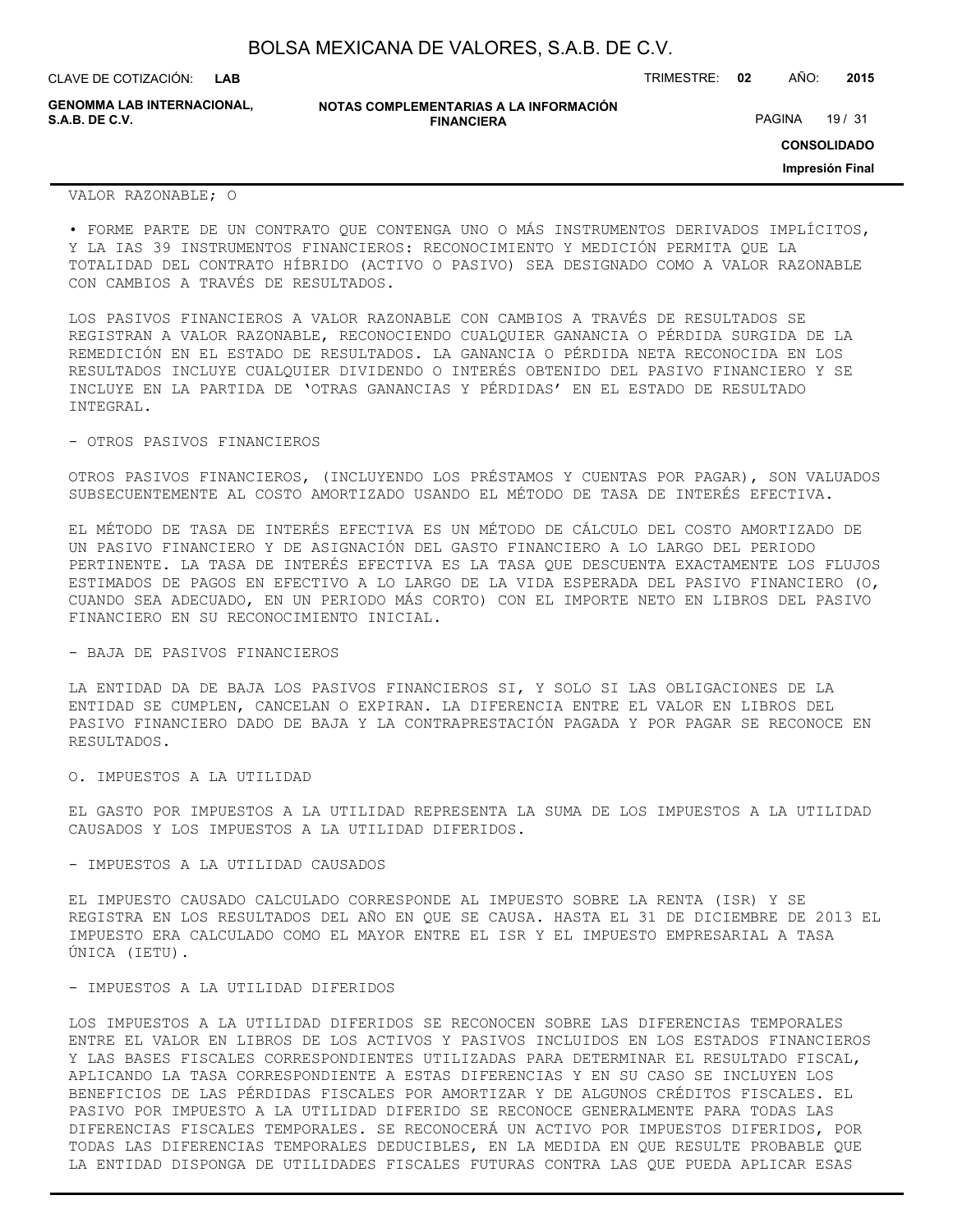| BOLSA MEXICANA DE VALORES, S.A.B. DE C.V. |  |  |  |
|-------------------------------------------|--|--|--|
|-------------------------------------------|--|--|--|

**NOTAS COMPLEMENTARIAS A LA INFORMACIÓN FINANCIERA** CLAVE DE COTIZACIÓN: TRIMESTRE: **02** AÑO: **2015 CONSOLIDADO LAB GENOMMA LAB INTERNACIONAL,** PAGINA 19 / 31

### VALOR RAZONABLE; O

• FORME PARTE DE UN CONTRATO QUE CONTENGA UNO O MÁS INSTRUMENTOS DERIVADOS IMPLÍCITOS, Y LA IAS 39 INSTRUMENTOS FINANCIEROS: RECONOCIMIENTO Y MEDICIÓN PERMITA QUE LA TOTALIDAD DEL CONTRATO HÍBRIDO (ACTIVO O PASIVO) SEA DESIGNADO COMO A VALOR RAZONABLE CON CAMBIOS A TRAVÉS DE RESULTADOS.

LOS PASIVOS FINANCIEROS A VALOR RAZONABLE CON CAMBIOS A TRAVÉS DE RESULTADOS SE REGISTRAN A VALOR RAZONABLE, RECONOCIENDO CUALQUIER GANANCIA O PÉRDIDA SURGIDA DE LA REMEDICIÓN EN EL ESTADO DE RESULTADOS. LA GANANCIA O PÉRDIDA NETA RECONOCIDA EN LOS RESULTADOS INCLUYE CUALQUIER DIVIDENDO O INTERÉS OBTENIDO DEL PASIVO FINANCIERO Y SE INCLUYE EN LA PARTIDA DE 'OTRAS GANANCIAS Y PÉRDIDAS' EN EL ESTADO DE RESULTADO INTEGRAL.

#### - OTROS PASIVOS FINANCIEROS

OTROS PASIVOS FINANCIEROS, (INCLUYENDO LOS PRÉSTAMOS Y CUENTAS POR PAGAR), SON VALUADOS SUBSECUENTEMENTE AL COSTO AMORTIZADO USANDO EL MÉTODO DE TASA DE INTERÉS EFECTIVA.

EL MÉTODO DE TASA DE INTERÉS EFECTIVA ES UN MÉTODO DE CÁLCULO DEL COSTO AMORTIZADO DE UN PASIVO FINANCIERO Y DE ASIGNACIÓN DEL GASTO FINANCIERO A LO LARGO DEL PERIODO PERTINENTE. LA TASA DE INTERÉS EFECTIVA ES LA TASA QUE DESCUENTA EXACTAMENTE LOS FLUJOS ESTIMADOS DE PAGOS EN EFECTIVO A LO LARGO DE LA VIDA ESPERADA DEL PASIVO FINANCIERO (O, CUANDO SEA ADECUADO, EN UN PERIODO MÁS CORTO) CON EL IMPORTE NETO EN LIBROS DEL PASIVO FINANCIERO EN SU RECONOCIMIENTO INICIAL.

#### - BAJA DE PASIVOS FINANCIEROS

LA ENTIDAD DA DE BAJA LOS PASIVOS FINANCIEROS SI, Y SOLO SI LAS OBLIGACIONES DE LA ENTIDAD SE CUMPLEN, CANCELAN O EXPIRAN. LA DIFERENCIA ENTRE EL VALOR EN LIBROS DEL PASIVO FINANCIERO DADO DE BAJA Y LA CONTRAPRESTACIÓN PAGADA Y POR PAGAR SE RECONOCE EN RESULTADOS.

O. IMPUESTOS A LA UTILIDAD

EL GASTO POR IMPUESTOS A LA UTILIDAD REPRESENTA LA SUMA DE LOS IMPUESTOS A LA UTILIDAD CAUSADOS Y LOS IMPUESTOS A LA UTILIDAD DIFERIDOS.

#### - IMPUESTOS A LA UTILIDAD CAUSADOS

EL IMPUESTO CAUSADO CALCULADO CORRESPONDE AL IMPUESTO SOBRE LA RENTA (ISR) Y SE REGISTRA EN LOS RESULTADOS DEL AÑO EN QUE SE CAUSA. HASTA EL 31 DE DICIEMBRE DE 2013 EL IMPUESTO ERA CALCULADO COMO EL MAYOR ENTRE EL ISR Y EL IMPUESTO EMPRESARIAL A TASA ÚNICA (IETU).

#### - IMPUESTOS A LA UTILIDAD DIFERIDOS

LOS IMPUESTOS A LA UTILIDAD DIFERIDOS SE RECONOCEN SOBRE LAS DIFERENCIAS TEMPORALES ENTRE EL VALOR EN LIBROS DE LOS ACTIVOS Y PASIVOS INCLUIDOS EN LOS ESTADOS FINANCIEROS Y LAS BASES FISCALES CORRESPONDIENTES UTILIZADAS PARA DETERMINAR EL RESULTADO FISCAL, APLICANDO LA TASA CORRESPONDIENTE A ESTAS DIFERENCIAS Y EN SU CASO SE INCLUYEN LOS BENEFICIOS DE LAS PÉRDIDAS FISCALES POR AMORTIZAR Y DE ALGUNOS CRÉDITOS FISCALES. EL PASIVO POR IMPUESTO A LA UTILIDAD DIFERIDO SE RECONOCE GENERALMENTE PARA TODAS LAS DIFERENCIAS FISCALES TEMPORALES. SE RECONOCERÁ UN ACTIVO POR IMPUESTOS DIFERIDOS, POR TODAS LAS DIFERENCIAS TEMPORALES DEDUCIBLES, EN LA MEDIDA EN QUE RESULTE PROBABLE QUE LA ENTIDAD DISPONGA DE UTILIDADES FISCALES FUTURAS CONTRA LAS QUE PUEDA APLICAR ESAS

**Impresión Final**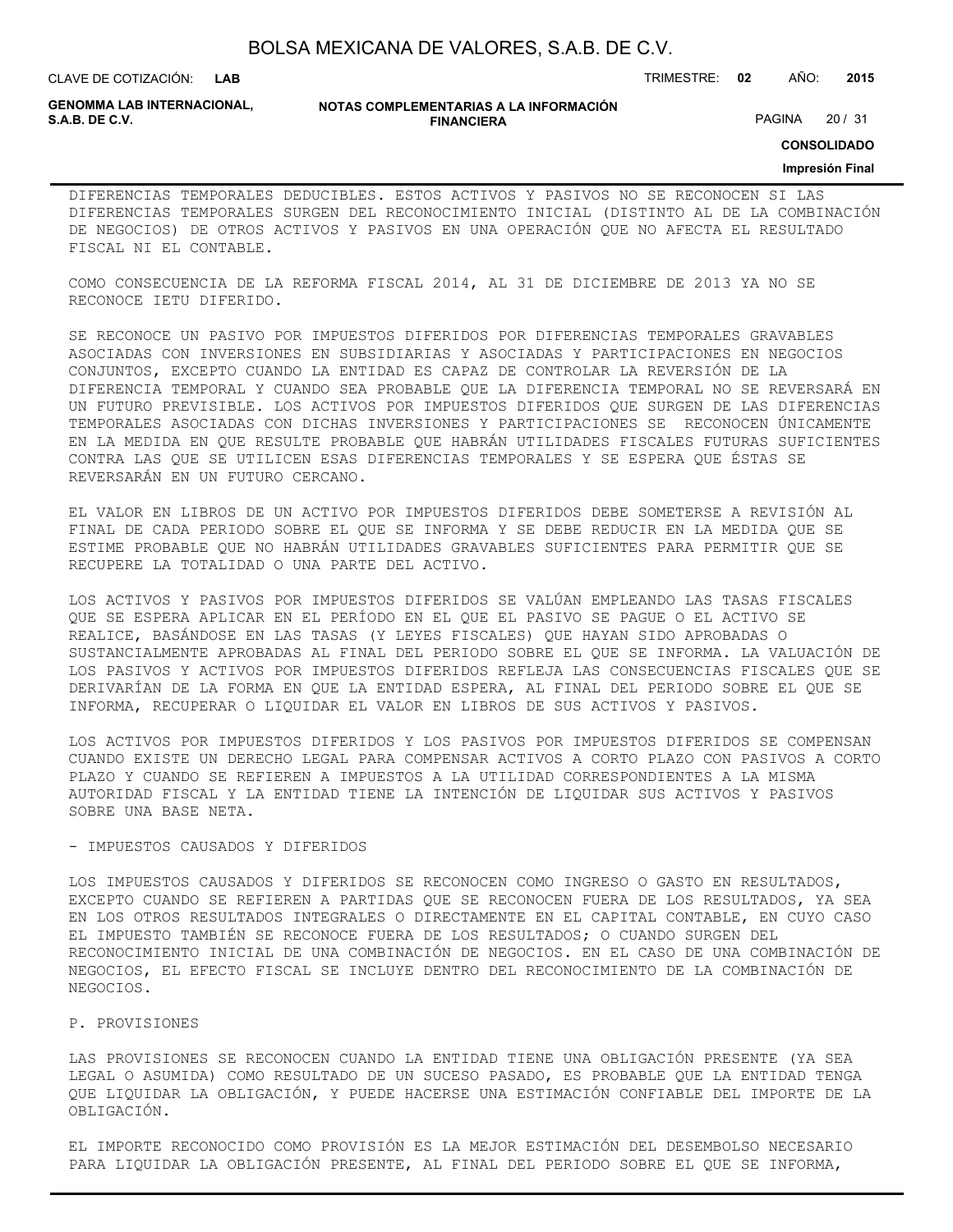**LAB**

CLAVE DE COTIZACIÓN: TRIMESTRE: **02** AÑO: **2015**

**GENOMMA LAB INTERNACIONAL,**

#### **NOTAS COMPLEMENTARIAS A LA INFORMACIÓN FINANCIERA**

PAGINA 20 / 31

**CONSOLIDADO**

#### **Impresión Final**

DIFERENCIAS TEMPORALES DEDUCIBLES. ESTOS ACTIVOS Y PASIVOS NO SE RECONOCEN SI LAS DIFERENCIAS TEMPORALES SURGEN DEL RECONOCIMIENTO INICIAL (DISTINTO AL DE LA COMBINACIÓN DE NEGOCIOS) DE OTROS ACTIVOS Y PASIVOS EN UNA OPERACIÓN QUE NO AFECTA EL RESULTADO FISCAL NI EL CONTABLE.

COMO CONSECUENCIA DE LA REFORMA FISCAL 2014, AL 31 DE DICIEMBRE DE 2013 YA NO SE RECONOCE IETU DIFERIDO.

SE RECONOCE UN PASIVO POR IMPUESTOS DIFERIDOS POR DIFERENCIAS TEMPORALES GRAVABLES ASOCIADAS CON INVERSIONES EN SUBSIDIARIAS Y ASOCIADAS Y PARTICIPACIONES EN NEGOCIOS CONJUNTOS, EXCEPTO CUANDO LA ENTIDAD ES CAPAZ DE CONTROLAR LA REVERSIÓN DE LA DIFERENCIA TEMPORAL Y CUANDO SEA PROBABLE QUE LA DIFERENCIA TEMPORAL NO SE REVERSARÁ EN UN FUTURO PREVISIBLE. LOS ACTIVOS POR IMPUESTOS DIFERIDOS QUE SURGEN DE LAS DIFERENCIAS TEMPORALES ASOCIADAS CON DICHAS INVERSIONES Y PARTICIPACIONES SE RECONOCEN ÚNICAMENTE EN LA MEDIDA EN QUE RESULTE PROBABLE QUE HABRÁN UTILIDADES FISCALES FUTURAS SUFICIENTES CONTRA LAS QUE SE UTILICEN ESAS DIFERENCIAS TEMPORALES Y SE ESPERA QUE ÉSTAS SE REVERSARÁN EN UN FUTURO CERCANO.

EL VALOR EN LIBROS DE UN ACTIVO POR IMPUESTOS DIFERIDOS DEBE SOMETERSE A REVISIÓN AL FINAL DE CADA PERIODO SOBRE EL QUE SE INFORMA Y SE DEBE REDUCIR EN LA MEDIDA QUE SE ESTIME PROBABLE QUE NO HABRÁN UTILIDADES GRAVABLES SUFICIENTES PARA PERMITIR QUE SE RECUPERE LA TOTALIDAD O UNA PARTE DEL ACTIVO.

LOS ACTIVOS Y PASIVOS POR IMPUESTOS DIFERIDOS SE VALÚAN EMPLEANDO LAS TASAS FISCALES QUE SE ESPERA APLICAR EN EL PERÍODO EN EL QUE EL PASIVO SE PAGUE O EL ACTIVO SE REALICE, BASÁNDOSE EN LAS TASAS (Y LEYES FISCALES) QUE HAYAN SIDO APROBADAS O SUSTANCIALMENTE APROBADAS AL FINAL DEL PERIODO SOBRE EL QUE SE INFORMA. LA VALUACIÓN DE LOS PASIVOS Y ACTIVOS POR IMPUESTOS DIFERIDOS REFLEJA LAS CONSECUENCIAS FISCALES QUE SE DERIVARÍAN DE LA FORMA EN QUE LA ENTIDAD ESPERA, AL FINAL DEL PERIODO SOBRE EL QUE SE INFORMA, RECUPERAR O LIQUIDAR EL VALOR EN LIBROS DE SUS ACTIVOS Y PASIVOS.

LOS ACTIVOS POR IMPUESTOS DIFERIDOS Y LOS PASIVOS POR IMPUESTOS DIFERIDOS SE COMPENSAN CUANDO EXISTE UN DERECHO LEGAL PARA COMPENSAR ACTIVOS A CORTO PLAZO CON PASIVOS A CORTO PLAZO Y CUANDO SE REFIEREN A IMPUESTOS A LA UTILIDAD CORRESPONDIENTES A LA MISMA AUTORIDAD FISCAL Y LA ENTIDAD TIENE LA INTENCIÓN DE LIQUIDAR SUS ACTIVOS Y PASIVOS SOBRE UNA BASE NETA.

#### - IMPUESTOS CAUSADOS Y DIFERIDOS

LOS IMPUESTOS CAUSADOS Y DIFERIDOS SE RECONOCEN COMO INGRESO O GASTO EN RESULTADOS, EXCEPTO CUANDO SE REFIEREN A PARTIDAS QUE SE RECONOCEN FUERA DE LOS RESULTADOS, YA SEA EN LOS OTROS RESULTADOS INTEGRALES O DIRECTAMENTE EN EL CAPITAL CONTABLE, EN CUYO CASO EL IMPUESTO TAMBIÉN SE RECONOCE FUERA DE LOS RESULTADOS; O CUANDO SURGEN DEL RECONOCIMIENTO INICIAL DE UNA COMBINACIÓN DE NEGOCIOS. EN EL CASO DE UNA COMBINACIÓN DE NEGOCIOS, EL EFECTO FISCAL SE INCLUYE DENTRO DEL RECONOCIMIENTO DE LA COMBINACIÓN DE NEGOCIOS.

#### P. PROVISIONES

LAS PROVISIONES SE RECONOCEN CUANDO LA ENTIDAD TIENE UNA OBLIGACIÓN PRESENTE (YA SEA LEGAL O ASUMIDA) COMO RESULTADO DE UN SUCESO PASADO, ES PROBABLE QUE LA ENTIDAD TENGA QUE LIQUIDAR LA OBLIGACIÓN, Y PUEDE HACERSE UNA ESTIMACIÓN CONFIABLE DEL IMPORTE DE LA OBLIGACIÓN.

EL IMPORTE RECONOCIDO COMO PROVISIÓN ES LA MEJOR ESTIMACIÓN DEL DESEMBOLSO NECESARIO PARA LIQUIDAR LA OBLIGACIÓN PRESENTE, AL FINAL DEL PERIODO SOBRE EL QUE SE INFORMA,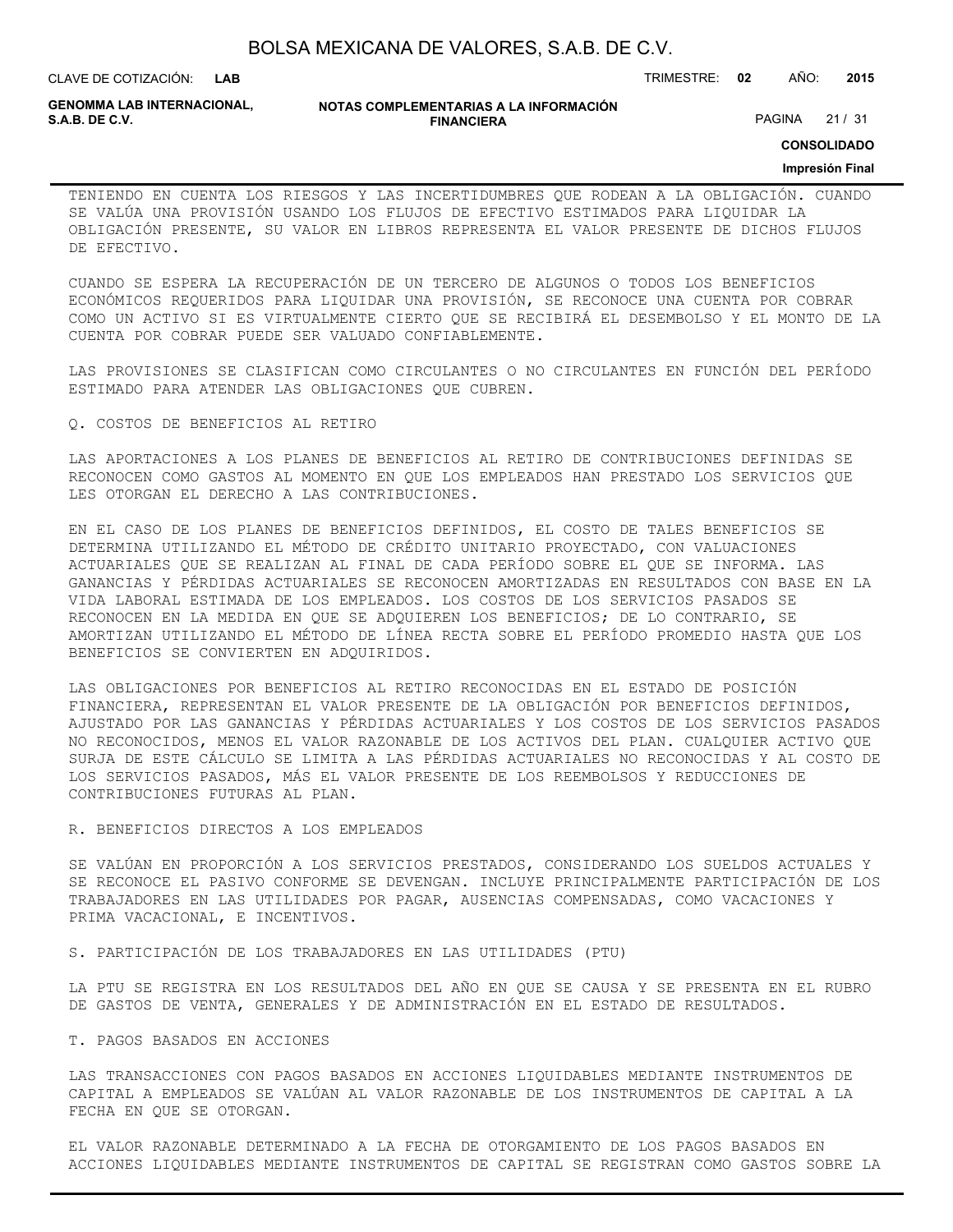| BOLSA MEXICANA DE VALORES, S.A.B. DE C.V. |  |  |
|-------------------------------------------|--|--|
|-------------------------------------------|--|--|

CLAVE DE COTIZACIÓN: TRIMESTRE: **02** AÑO: **2015**

**GENOMMA LAB INTERNACIONAL,**

**NOTAS COMPLEMENTARIAS A LA INFORMACIÓN FINANCIERA**

PAGINA 21 / 31

**CONSOLIDADO**

#### **Impresión Final**

TENIENDO EN CUENTA LOS RIESGOS Y LAS INCERTIDUMBRES QUE RODEAN A LA OBLIGACIÓN. CUANDO SE VALÚA UNA PROVISIÓN USANDO LOS FLUJOS DE EFECTIVO ESTIMADOS PARA LIQUIDAR LA OBLIGACIÓN PRESENTE, SU VALOR EN LIBROS REPRESENTA EL VALOR PRESENTE DE DICHOS FLUJOS DE EFECTIVO.

CUANDO SE ESPERA LA RECUPERACIÓN DE UN TERCERO DE ALGUNOS O TODOS LOS BENEFICIOS ECONÓMICOS REQUERIDOS PARA LIQUIDAR UNA PROVISIÓN, SE RECONOCE UNA CUENTA POR COBRAR COMO UN ACTIVO SI ES VIRTUALMENTE CIERTO QUE SE RECIBIRÁ EL DESEMBOLSO Y EL MONTO DE LA CUENTA POR COBRAR PUEDE SER VALUADO CONFIABLEMENTE.

LAS PROVISIONES SE CLASIFICAN COMO CIRCULANTES O NO CIRCULANTES EN FUNCIÓN DEL PERÍODO ESTIMADO PARA ATENDER LAS OBLIGACIONES QUE CUBREN.

#### Q. COSTOS DE BENEFICIOS AL RETIRO

LAS APORTACIONES A LOS PLANES DE BENEFICIOS AL RETIRO DE CONTRIBUCIONES DEFINIDAS SE RECONOCEN COMO GASTOS AL MOMENTO EN QUE LOS EMPLEADOS HAN PRESTADO LOS SERVICIOS QUE LES OTORGAN EL DERECHO A LAS CONTRIBUCIONES.

EN EL CASO DE LOS PLANES DE BENEFICIOS DEFINIDOS, EL COSTO DE TALES BENEFICIOS SE DETERMINA UTILIZANDO EL MÉTODO DE CRÉDITO UNITARIO PROYECTADO, CON VALUACIONES ACTUARIALES QUE SE REALIZAN AL FINAL DE CADA PERÍODO SOBRE EL QUE SE INFORMA. LAS GANANCIAS Y PÉRDIDAS ACTUARIALES SE RECONOCEN AMORTIZADAS EN RESULTADOS CON BASE EN LA VIDA LABORAL ESTIMADA DE LOS EMPLEADOS. LOS COSTOS DE LOS SERVICIOS PASADOS SE RECONOCEN EN LA MEDIDA EN QUE SE ADQUIEREN LOS BENEFICIOS; DE LO CONTRARIO, SE AMORTIZAN UTILIZANDO EL MÉTODO DE LÍNEA RECTA SOBRE EL PERÍODO PROMEDIO HASTA QUE LOS BENEFICIOS SE CONVIERTEN EN ADQUIRIDOS.

LAS OBLIGACIONES POR BENEFICIOS AL RETIRO RECONOCIDAS EN EL ESTADO DE POSICIÓN FINANCIERA, REPRESENTAN EL VALOR PRESENTE DE LA OBLIGACIÓN POR BENEFICIOS DEFINIDOS, AJUSTADO POR LAS GANANCIAS Y PÉRDIDAS ACTUARIALES Y LOS COSTOS DE LOS SERVICIOS PASADOS NO RECONOCIDOS, MENOS EL VALOR RAZONABLE DE LOS ACTIVOS DEL PLAN. CUALQUIER ACTIVO QUE SURJA DE ESTE CÁLCULO SE LIMITA A LAS PÉRDIDAS ACTUARIALES NO RECONOCIDAS Y AL COSTO DE LOS SERVICIOS PASADOS, MÁS EL VALOR PRESENTE DE LOS REEMBOLSOS Y REDUCCIONES DE CONTRIBUCIONES FUTURAS AL PLAN.

#### R. BENEFICIOS DIRECTOS A LOS EMPLEADOS

SE VALÚAN EN PROPORCIÓN A LOS SERVICIOS PRESTADOS, CONSIDERANDO LOS SUELDOS ACTUALES Y SE RECONOCE EL PASIVO CONFORME SE DEVENGAN. INCLUYE PRINCIPALMENTE PARTICIPACIÓN DE LOS TRABAJADORES EN LAS UTILIDADES POR PAGAR, AUSENCIAS COMPENSADAS, COMO VACACIONES Y PRIMA VACACIONAL, E INCENTIVOS.

S. PARTICIPACIÓN DE LOS TRABAJADORES EN LAS UTILIDADES (PTU)

LA PTU SE REGISTRA EN LOS RESULTADOS DEL AÑO EN QUE SE CAUSA Y SE PRESENTA EN EL RUBRO DE GASTOS DE VENTA, GENERALES Y DE ADMINISTRACIÓN EN EL ESTADO DE RESULTADOS.

#### T. PAGOS BASADOS EN ACCIONES

LAS TRANSACCIONES CON PAGOS BASADOS EN ACCIONES LIQUIDABLES MEDIANTE INSTRUMENTOS DE CAPITAL A EMPLEADOS SE VALÚAN AL VALOR RAZONABLE DE LOS INSTRUMENTOS DE CAPITAL A LA FECHA EN QUE SE OTORGAN.

EL VALOR RAZONABLE DETERMINADO A LA FECHA DE OTORGAMIENTO DE LOS PAGOS BASADOS EN ACCIONES LIQUIDABLES MEDIANTE INSTRUMENTOS DE CAPITAL SE REGISTRAN COMO GASTOS SOBRE LA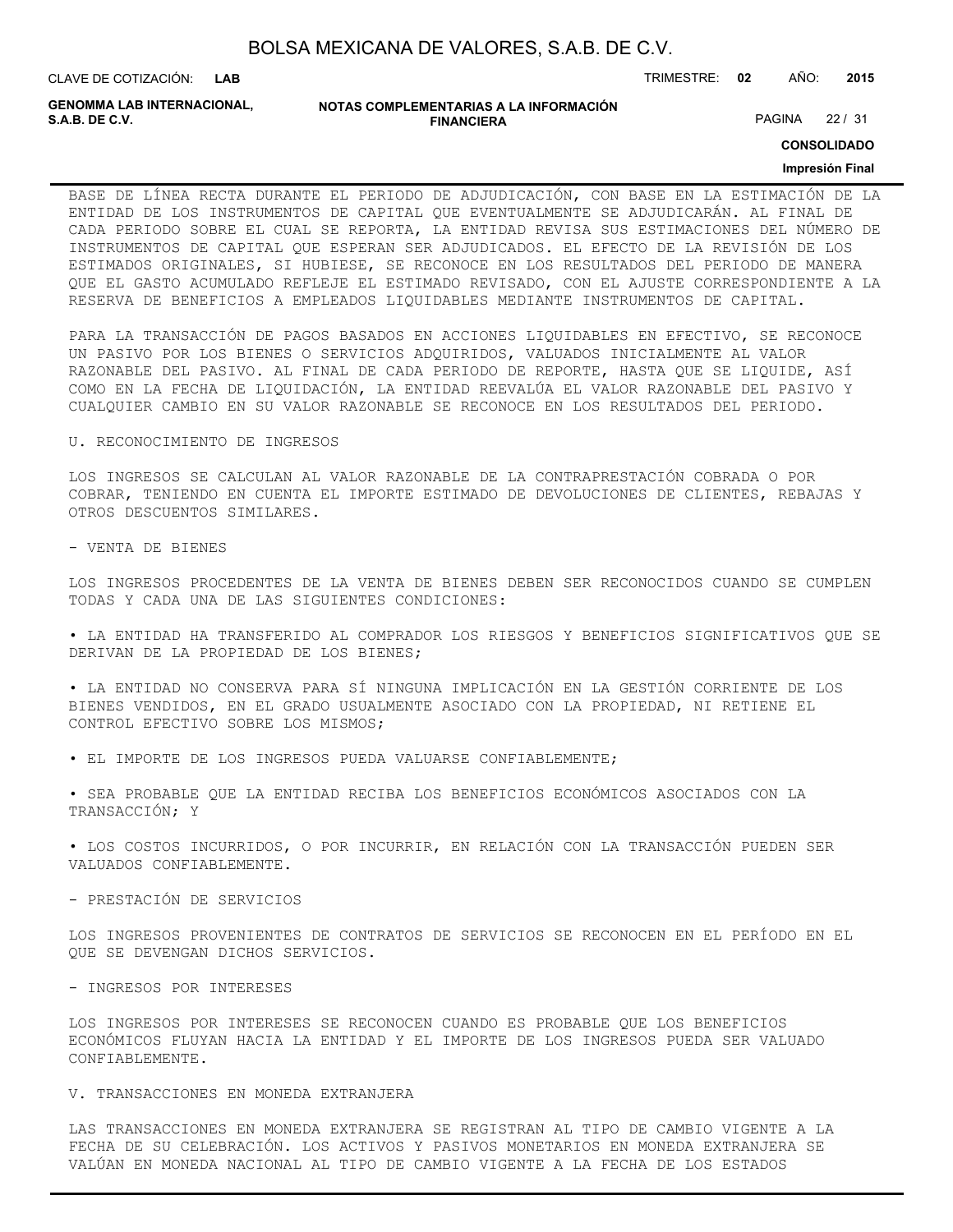| BOLSA MEXICANA DE VALORES, S.A.B. DE C.V. |  |  |
|-------------------------------------------|--|--|
|-------------------------------------------|--|--|

CLAVE DE COTIZACIÓN: TRIMESTRE: **02** AÑO: **2015 LAB**

PAGINA 22 / 31

**GENOMMA LAB INTERNACIONAL,**

#### **NOTAS COMPLEMENTARIAS A LA INFORMACIÓN FINANCIERA**

**CONSOLIDADO**

#### **Impresión Final**

BASE DE LÍNEA RECTA DURANTE EL PERIODO DE ADJUDICACIÓN, CON BASE EN LA ESTIMACIÓN DE LA ENTIDAD DE LOS INSTRUMENTOS DE CAPITAL QUE EVENTUALMENTE SE ADJUDICARÁN. AL FINAL DE CADA PERIODO SOBRE EL CUAL SE REPORTA, LA ENTIDAD REVISA SUS ESTIMACIONES DEL NÚMERO DE INSTRUMENTOS DE CAPITAL QUE ESPERAN SER ADJUDICADOS. EL EFECTO DE LA REVISIÓN DE LOS ESTIMADOS ORIGINALES, SI HUBIESE, SE RECONOCE EN LOS RESULTADOS DEL PERIODO DE MANERA QUE EL GASTO ACUMULADO REFLEJE EL ESTIMADO REVISADO, CON EL AJUSTE CORRESPONDIENTE A LA RESERVA DE BENEFICIOS A EMPLEADOS LIQUIDABLES MEDIANTE INSTRUMENTOS DE CAPITAL.

PARA LA TRANSACCIÓN DE PAGOS BASADOS EN ACCIONES LIQUIDABLES EN EFECTIVO, SE RECONOCE UN PASIVO POR LOS BIENES O SERVICIOS ADQUIRIDOS, VALUADOS INICIALMENTE AL VALOR RAZONABLE DEL PASIVO. AL FINAL DE CADA PERIODO DE REPORTE, HASTA QUE SE LIQUIDE, ASÍ COMO EN LA FECHA DE LIQUIDACIÓN, LA ENTIDAD REEVALÚA EL VALOR RAZONABLE DEL PASIVO Y CUALQUIER CAMBIO EN SU VALOR RAZONABLE SE RECONOCE EN LOS RESULTADOS DEL PERIODO.

#### U. RECONOCIMIENTO DE INGRESOS

LOS INGRESOS SE CALCULAN AL VALOR RAZONABLE DE LA CONTRAPRESTACIÓN COBRADA O POR COBRAR, TENIENDO EN CUENTA EL IMPORTE ESTIMADO DE DEVOLUCIONES DE CLIENTES, REBAJAS Y OTROS DESCUENTOS SIMILARES.

- VENTA DE BIENES

LOS INGRESOS PROCEDENTES DE LA VENTA DE BIENES DEBEN SER RECONOCIDOS CUANDO SE CUMPLEN TODAS Y CADA UNA DE LAS SIGUIENTES CONDICIONES:

• LA ENTIDAD HA TRANSFERIDO AL COMPRADOR LOS RIESGOS Y BENEFICIOS SIGNIFICATIVOS QUE SE DERIVAN DE LA PROPIEDAD DE LOS BIENES;

• LA ENTIDAD NO CONSERVA PARA SÍ NINGUNA IMPLICACIÓN EN LA GESTIÓN CORRIENTE DE LOS BIENES VENDIDOS, EN EL GRADO USUALMENTE ASOCIADO CON LA PROPIEDAD, NI RETIENE EL CONTROL EFECTIVO SOBRE LOS MISMOS;

• EL IMPORTE DE LOS INGRESOS PUEDA VALUARSE CONFIABLEMENTE;

• SEA PROBABLE QUE LA ENTIDAD RECIBA LOS BENEFICIOS ECONÓMICOS ASOCIADOS CON LA TRANSACCIÓN; Y

• LOS COSTOS INCURRIDOS, O POR INCURRIR, EN RELACIÓN CON LA TRANSACCIÓN PUEDEN SER VALUADOS CONFIABLEMENTE.

- PRESTACIÓN DE SERVICIOS

LOS INGRESOS PROVENIENTES DE CONTRATOS DE SERVICIOS SE RECONOCEN EN EL PERÍODO EN EL QUE SE DEVENGAN DICHOS SERVICIOS.

- INGRESOS POR INTERESES

LOS INGRESOS POR INTERESES SE RECONOCEN CUANDO ES PROBABLE QUE LOS BENEFICIOS ECONÓMICOS FLUYAN HACIA LA ENTIDAD Y EL IMPORTE DE LOS INGRESOS PUEDA SER VALUADO CONFIABLEMENTE.

#### V. TRANSACCIONES EN MONEDA EXTRANJERA

LAS TRANSACCIONES EN MONEDA EXTRANJERA SE REGISTRAN AL TIPO DE CAMBIO VIGENTE A LA FECHA DE SU CELEBRACIÓN. LOS ACTIVOS Y PASIVOS MONETARIOS EN MONEDA EXTRANJERA SE VALÚAN EN MONEDA NACIONAL AL TIPO DE CAMBIO VIGENTE A LA FECHA DE LOS ESTADOS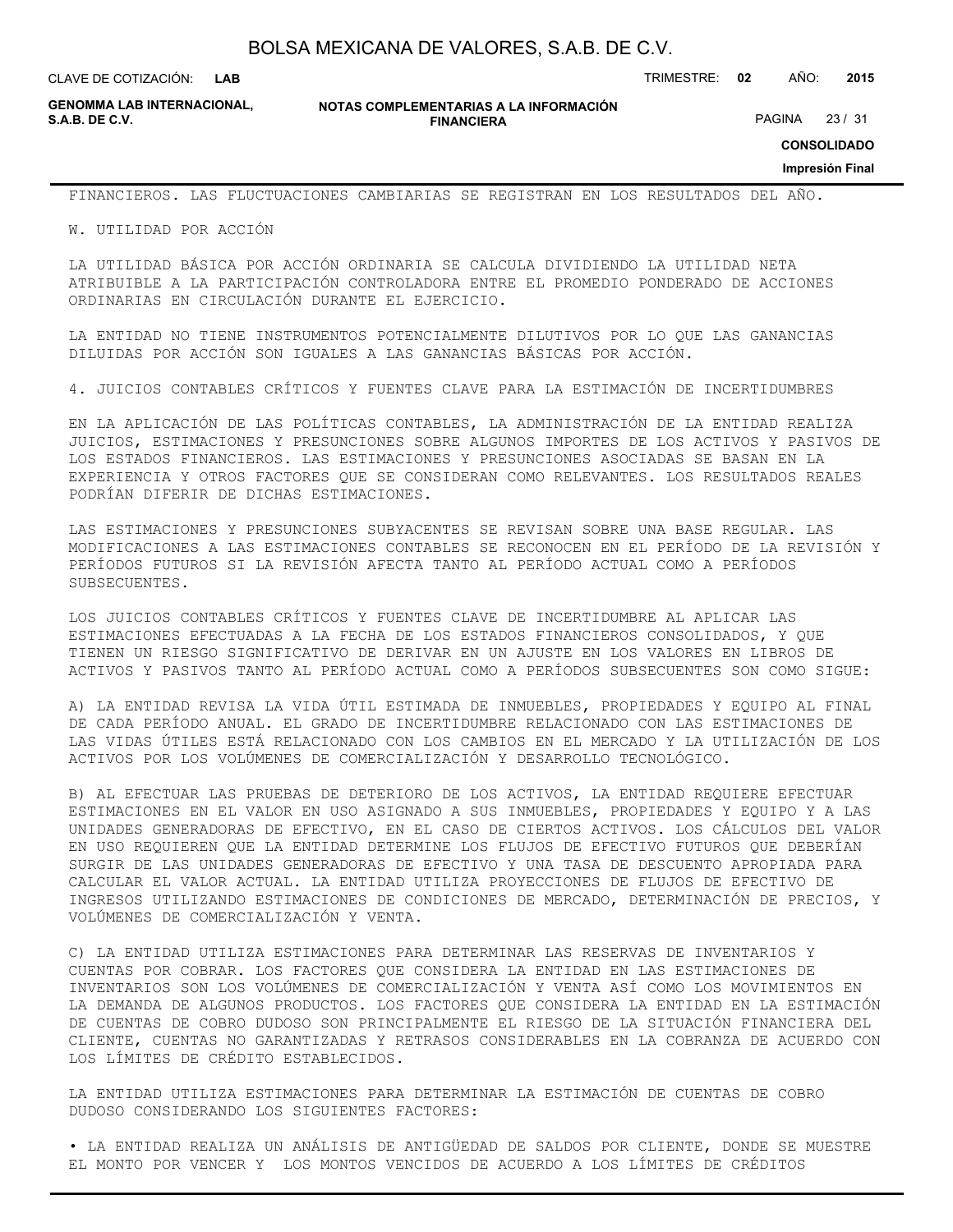CLAVE DE COTIZACIÓN: TRIMESTRE: **02** AÑO: **2015**

**GENOMMA LAB INTERNACIONAL,**

**NOTAS COMPLEMENTARIAS A LA INFORMACIÓN FINANCIERA**

PAGINA 23 / 31

**CONSOLIDADO**

#### **Impresión Final**

FINANCIEROS. LAS FLUCTUACIONES CAMBIARIAS SE REGISTRAN EN LOS RESULTADOS DEL AÑO.

W. UTILIDAD POR ACCIÓN

LA UTILIDAD BÁSICA POR ACCIÓN ORDINARIA SE CALCULA DIVIDIENDO LA UTILIDAD NETA ATRIBUIBLE A LA PARTICIPACIÓN CONTROLADORA ENTRE EL PROMEDIO PONDERADO DE ACCIONES ORDINARIAS EN CIRCULACIÓN DURANTE EL EJERCICIO.

LA ENTIDAD NO TIENE INSTRUMENTOS POTENCIALMENTE DILUTIVOS POR LO QUE LAS GANANCIAS DILUIDAS POR ACCIÓN SON IGUALES A LAS GANANCIAS BÁSICAS POR ACCIÓN.

4. JUICIOS CONTABLES CRÍTICOS Y FUENTES CLAVE PARA LA ESTIMACIÓN DE INCERTIDUMBRES

EN LA APLICACIÓN DE LAS POLÍTICAS CONTABLES, LA ADMINISTRACIÓN DE LA ENTIDAD REALIZA JUICIOS, ESTIMACIONES Y PRESUNCIONES SOBRE ALGUNOS IMPORTES DE LOS ACTIVOS Y PASIVOS DE LOS ESTADOS FINANCIEROS. LAS ESTIMACIONES Y PRESUNCIONES ASOCIADAS SE BASAN EN LA EXPERIENCIA Y OTROS FACTORES QUE SE CONSIDERAN COMO RELEVANTES. LOS RESULTADOS REALES PODRÍAN DIFERIR DE DICHAS ESTIMACIONES.

LAS ESTIMACIONES Y PRESUNCIONES SUBYACENTES SE REVISAN SOBRE UNA BASE REGULAR. LAS MODIFICACIONES A LAS ESTIMACIONES CONTABLES SE RECONOCEN EN EL PERÍODO DE LA REVISIÓN Y PERÍODOS FUTUROS SI LA REVISIÓN AFECTA TANTO AL PERÍODO ACTUAL COMO A PERÍODOS SUBSECUENTES.

LOS JUICIOS CONTABLES CRÍTICOS Y FUENTES CLAVE DE INCERTIDUMBRE AL APLICAR LAS ESTIMACIONES EFECTUADAS A LA FECHA DE LOS ESTADOS FINANCIEROS CONSOLIDADOS, Y QUE TIENEN UN RIESGO SIGNIFICATIVO DE DERIVAR EN UN AJUSTE EN LOS VALORES EN LIBROS DE ACTIVOS Y PASIVOS TANTO AL PERÍODO ACTUAL COMO A PERÍODOS SUBSECUENTES SON COMO SIGUE:

A) LA ENTIDAD REVISA LA VIDA ÚTIL ESTIMADA DE INMUEBLES, PROPIEDADES Y EQUIPO AL FINAL DE CADA PERÍODO ANUAL. EL GRADO DE INCERTIDUMBRE RELACIONADO CON LAS ESTIMACIONES DE LAS VIDAS ÚTILES ESTÁ RELACIONADO CON LOS CAMBIOS EN EL MERCADO Y LA UTILIZACIÓN DE LOS ACTIVOS POR LOS VOLÚMENES DE COMERCIALIZACIÓN Y DESARROLLO TECNOLÓGICO.

B) AL EFECTUAR LAS PRUEBAS DE DETERIORO DE LOS ACTIVOS, LA ENTIDAD REQUIERE EFECTUAR ESTIMACIONES EN EL VALOR EN USO ASIGNADO A SUS INMUEBLES, PROPIEDADES Y EQUIPO Y A LAS UNIDADES GENERADORAS DE EFECTIVO, EN EL CASO DE CIERTOS ACTIVOS. LOS CÁLCULOS DEL VALOR EN USO REQUIEREN QUE LA ENTIDAD DETERMINE LOS FLUJOS DE EFECTIVO FUTUROS QUE DEBERÍAN SURGIR DE LAS UNIDADES GENERADORAS DE EFECTIVO Y UNA TASA DE DESCUENTO APROPIADA PARA CALCULAR EL VALOR ACTUAL. LA ENTIDAD UTILIZA PROYECCIONES DE FLUJOS DE EFECTIVO DE INGRESOS UTILIZANDO ESTIMACIONES DE CONDICIONES DE MERCADO, DETERMINACIÓN DE PRECIOS, Y VOLÚMENES DE COMERCIALIZACIÓN Y VENTA.

C) LA ENTIDAD UTILIZA ESTIMACIONES PARA DETERMINAR LAS RESERVAS DE INVENTARIOS Y CUENTAS POR COBRAR. LOS FACTORES QUE CONSIDERA LA ENTIDAD EN LAS ESTIMACIONES DE INVENTARIOS SON LOS VOLÚMENES DE COMERCIALIZACIÓN Y VENTA ASÍ COMO LOS MOVIMIENTOS EN LA DEMANDA DE ALGUNOS PRODUCTOS. LOS FACTORES QUE CONSIDERA LA ENTIDAD EN LA ESTIMACIÓN DE CUENTAS DE COBRO DUDOSO SON PRINCIPALMENTE EL RIESGO DE LA SITUACIÓN FINANCIERA DEL CLIENTE, CUENTAS NO GARANTIZADAS Y RETRASOS CONSIDERABLES EN LA COBRANZA DE ACUERDO CON LOS LÍMITES DE CRÉDITO ESTABLECIDOS.

LA ENTIDAD UTILIZA ESTIMACIONES PARA DETERMINAR LA ESTIMACIÓN DE CUENTAS DE COBRO DUDOSO CONSIDERANDO LOS SIGUIENTES FACTORES:

• LA ENTIDAD REALIZA UN ANÁLISIS DE ANTIGÜEDAD DE SALDOS POR CLIENTE, DONDE SE MUESTRE EL MONTO POR VENCER Y LOS MONTOS VENCIDOS DE ACUERDO A LOS LÍMITES DE CRÉDITOS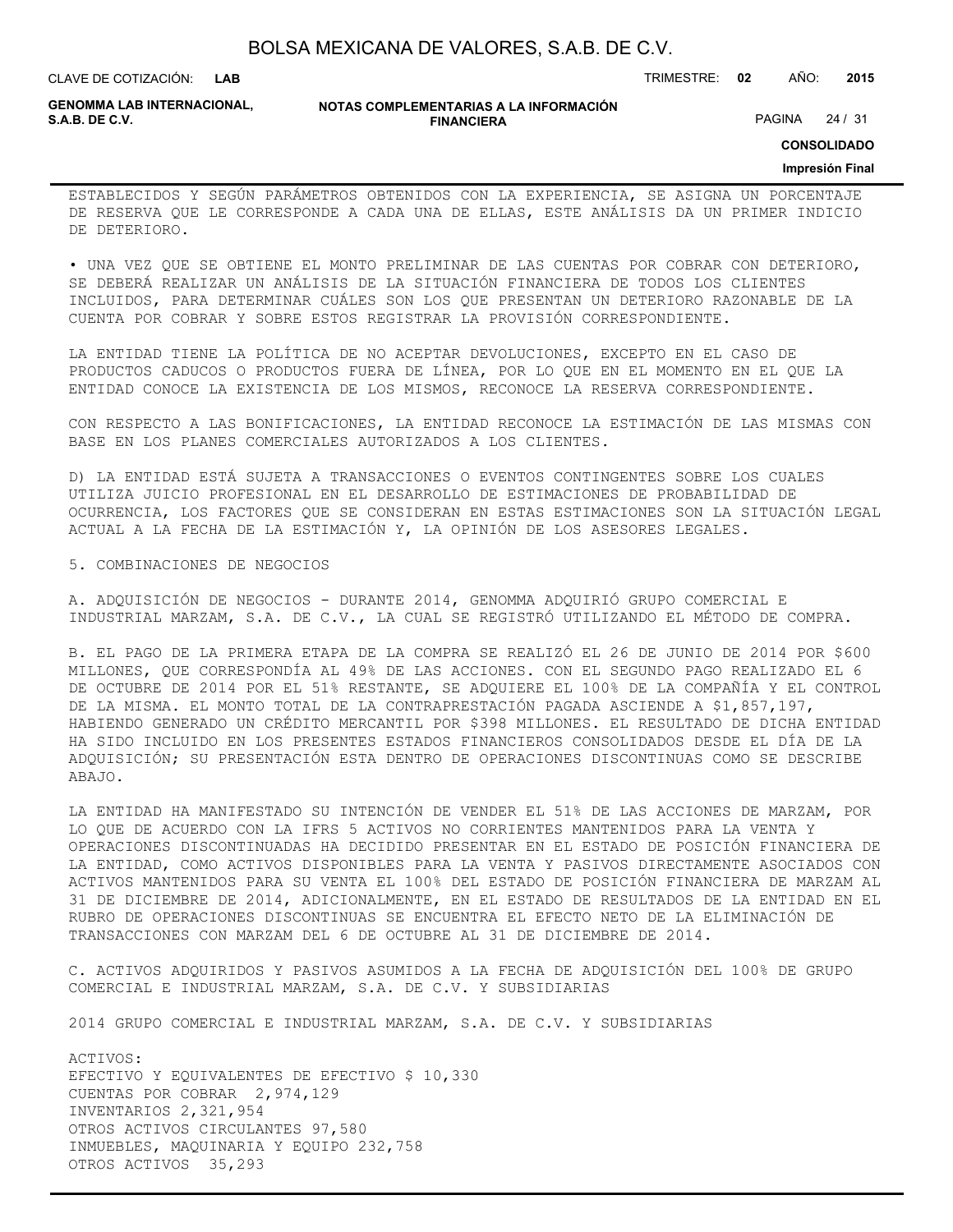| BOLSA MEXICANA DE VALORES, S.A.B. DE C.V. |  |  |
|-------------------------------------------|--|--|
|-------------------------------------------|--|--|

CLAVE DE COTIZACIÓN: TRIMESTRE: **02** AÑO: **2015**

**GENOMMA LAB INTERNACIONAL,**

**NOTAS COMPLEMENTARIAS A LA INFORMACIÓN FINANCIERA**

PAGINA 24 / 31

**CONSOLIDADO**

#### **Impresión Final**

ESTABLECIDOS Y SEGÚN PARÁMETROS OBTENIDOS CON LA EXPERIENCIA, SE ASIGNA UN PORCENTAJE DE RESERVA QUE LE CORRESPONDE A CADA UNA DE ELLAS, ESTE ANÁLISIS DA UN PRIMER INDICIO DE DETERIORO.

• UNA VEZ QUE SE OBTIENE EL MONTO PRELIMINAR DE LAS CUENTAS POR COBRAR CON DETERIORO, SE DEBERÁ REALIZAR UN ANÁLISIS DE LA SITUACIÓN FINANCIERA DE TODOS LOS CLIENTES INCLUIDOS, PARA DETERMINAR CUÁLES SON LOS QUE PRESENTAN UN DETERIORO RAZONABLE DE LA CUENTA POR COBRAR Y SOBRE ESTOS REGISTRAR LA PROVISIÓN CORRESPONDIENTE.

LA ENTIDAD TIENE LA POLÍTICA DE NO ACEPTAR DEVOLUCIONES, EXCEPTO EN EL CASO DE PRODUCTOS CADUCOS O PRODUCTOS FUERA DE LÍNEA, POR LO QUE EN EL MOMENTO EN EL QUE LA ENTIDAD CONOCE LA EXISTENCIA DE LOS MISMOS, RECONOCE LA RESERVA CORRESPONDIENTE.

CON RESPECTO A LAS BONIFICACIONES, LA ENTIDAD RECONOCE LA ESTIMACIÓN DE LAS MISMAS CON BASE EN LOS PLANES COMERCIALES AUTORIZADOS A LOS CLIENTES.

D) LA ENTIDAD ESTÁ SUJETA A TRANSACCIONES O EVENTOS CONTINGENTES SOBRE LOS CUALES UTILIZA JUICIO PROFESIONAL EN EL DESARROLLO DE ESTIMACIONES DE PROBABILIDAD DE OCURRENCIA, LOS FACTORES QUE SE CONSIDERAN EN ESTAS ESTIMACIONES SON LA SITUACIÓN LEGAL ACTUAL A LA FECHA DE LA ESTIMACIÓN Y, LA OPINIÓN DE LOS ASESORES LEGALES.

5. COMBINACIONES DE NEGOCIOS

A. ADQUISICIÓN DE NEGOCIOS - DURANTE 2014, GENOMMA ADQUIRIÓ GRUPO COMERCIAL E INDUSTRIAL MARZAM, S.A. DE C.V., LA CUAL SE REGISTRÓ UTILIZANDO EL MÉTODO DE COMPRA.

B. EL PAGO DE LA PRIMERA ETAPA DE LA COMPRA SE REALIZÓ EL 26 DE JUNIO DE 2014 POR \$600 MILLONES, QUE CORRESPONDÍA AL 49% DE LAS ACCIONES. CON EL SEGUNDO PAGO REALIZADO EL 6 DE OCTUBRE DE 2014 POR EL 51% RESTANTE, SE ADQUIERE EL 100% DE LA COMPAÑÍA Y EL CONTROL DE LA MISMA. EL MONTO TOTAL DE LA CONTRAPRESTACIÓN PAGADA ASCIENDE A \$1,857,197, HABIENDO GENERADO UN CRÉDITO MERCANTIL POR \$398 MILLONES. EL RESULTADO DE DICHA ENTIDAD HA SIDO INCLUIDO EN LOS PRESENTES ESTADOS FINANCIEROS CONSOLIDADOS DESDE EL DÍA DE LA ADQUISICIÓN; SU PRESENTACIÓN ESTA DENTRO DE OPERACIONES DISCONTINUAS COMO SE DESCRIBE ABAJO.

LA ENTIDAD HA MANIFESTADO SU INTENCIÓN DE VENDER EL 51% DE LAS ACCIONES DE MARZAM, POR LO QUE DE ACUERDO CON LA IFRS 5 ACTIVOS NO CORRIENTES MANTENIDOS PARA LA VENTA Y OPERACIONES DISCONTINUADAS HA DECIDIDO PRESENTAR EN EL ESTADO DE POSICIÓN FINANCIERA DE LA ENTIDAD, COMO ACTIVOS DISPONIBLES PARA LA VENTA Y PASIVOS DIRECTAMENTE ASOCIADOS CON ACTIVOS MANTENIDOS PARA SU VENTA EL 100% DEL ESTADO DE POSICIÓN FINANCIERA DE MARZAM AL 31 DE DICIEMBRE DE 2014, ADICIONALMENTE, EN EL ESTADO DE RESULTADOS DE LA ENTIDAD EN EL RUBRO DE OPERACIONES DISCONTINUAS SE ENCUENTRA EL EFECTO NETO DE LA ELIMINACIÓN DE TRANSACCIONES CON MARZAM DEL 6 DE OCTUBRE AL 31 DE DICIEMBRE DE 2014.

C. ACTIVOS ADQUIRIDOS Y PASIVOS ASUMIDOS A LA FECHA DE ADQUISICIÓN DEL 100% DE GRUPO COMERCIAL E INDUSTRIAL MARZAM, S.A. DE C.V. Y SUBSIDIARIAS

2014 GRUPO COMERCIAL E INDUSTRIAL MARZAM, S.A. DE C.V. Y SUBSIDIARIAS

ACTIVOS: EFECTIVO Y EQUIVALENTES DE EFECTIVO \$ 10,330 CUENTAS POR COBRAR 2,974,129 INVENTARIOS 2,321,954 OTROS ACTIVOS CIRCULANTES 97,580 INMUEBLES, MAQUINARIA Y EQUIPO 232,758 OTROS ACTIVOS 35,293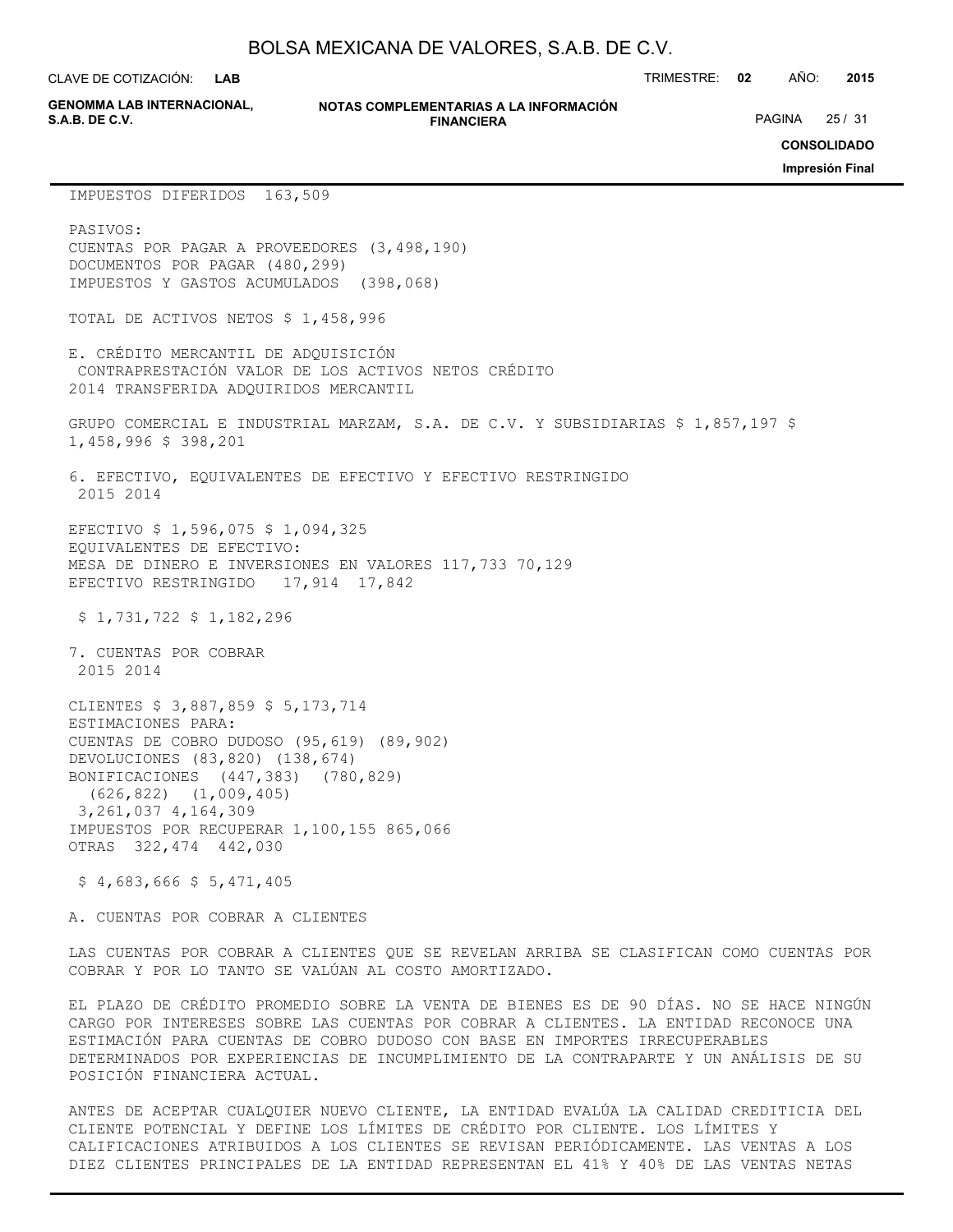**LAB**

**GENOMMA LAB INTERNACIONAL,**

#### **NOTAS COMPLEMENTARIAS A LA INFORMACIÓN FINANCIERA**

CLAVE DE COTIZACIÓN: TRIMESTRE: **02** AÑO: **2015**

PAGINA 25 / 31

**CONSOLIDADO**

**Impresión Final**

#### IMPUESTOS DIFERIDOS 163,509

PASIVOS: CUENTAS POR PAGAR A PROVEEDORES (3,498,190) DOCUMENTOS POR PAGAR (480,299) IMPUESTOS Y GASTOS ACUMULADOS (398,068) TOTAL DE ACTIVOS NETOS \$ 1,458,996 E. CRÉDITO MERCANTIL DE ADQUISICIÓN CONTRAPRESTACIÓN VALOR DE LOS ACTIVOS NETOS CRÉDITO 2014 TRANSFERIDA ADQUIRIDOS MERCANTIL GRUPO COMERCIAL E INDUSTRIAL MARZAM, S.A. DE C.V. Y SUBSIDIARIAS \$ 1,857,197 \$ 1,458,996 \$ 398,201 6. EFECTIVO, EQUIVALENTES DE EFECTIVO Y EFECTIVO RESTRINGIDO 2015 2014 EFECTIVO \$ 1,596,075 \$ 1,094,325 EQUIVALENTES DE EFECTIVO: MESA DE DINERO E INVERSIONES EN VALORES 117,733 70,129 EFECTIVO RESTRINGIDO 17,914 17,842 \$ 1,731,722 \$ 1,182,296 7. CUENTAS POR COBRAR 2015 2014 CLIENTES \$ 3,887,859 \$ 5,173,714

ESTIMACIONES PARA: CUENTAS DE COBRO DUDOSO (95,619) (89,902) DEVOLUCIONES (83,820) (138,674) BONIFICACIONES (447,383) (780,829) (626,822) (1,009,405) 3,261,037 4,164,309 IMPUESTOS POR RECUPERAR 1,100,155 865,066 OTRAS 322,474 442,030

 $$4,683,666$   $$5,471,405$ 

A. CUENTAS POR COBRAR A CLIENTES

LAS CUENTAS POR COBRAR A CLIENTES QUE SE REVELAN ARRIBA SE CLASIFICAN COMO CUENTAS POR COBRAR Y POR LO TANTO SE VALÚAN AL COSTO AMORTIZADO.

EL PLAZO DE CRÉDITO PROMEDIO SOBRE LA VENTA DE BIENES ES DE 90 DÍAS. NO SE HACE NINGÚN CARGO POR INTERESES SOBRE LAS CUENTAS POR COBRAR A CLIENTES. LA ENTIDAD RECONOCE UNA ESTIMACIÓN PARA CUENTAS DE COBRO DUDOSO CON BASE EN IMPORTES IRRECUPERABLES DETERMINADOS POR EXPERIENCIAS DE INCUMPLIMIENTO DE LA CONTRAPARTE Y UN ANÁLISIS DE SU POSICIÓN FINANCIERA ACTUAL.

ANTES DE ACEPTAR CUALQUIER NUEVO CLIENTE, LA ENTIDAD EVALÚA LA CALIDAD CREDITICIA DEL CLIENTE POTENCIAL Y DEFINE LOS LÍMITES DE CRÉDITO POR CLIENTE. LOS LÍMITES Y CALIFICACIONES ATRIBUIDOS A LOS CLIENTES SE REVISAN PERIÓDICAMENTE. LAS VENTAS A LOS DIEZ CLIENTES PRINCIPALES DE LA ENTIDAD REPRESENTAN EL 41% Y 40% DE LAS VENTAS NETAS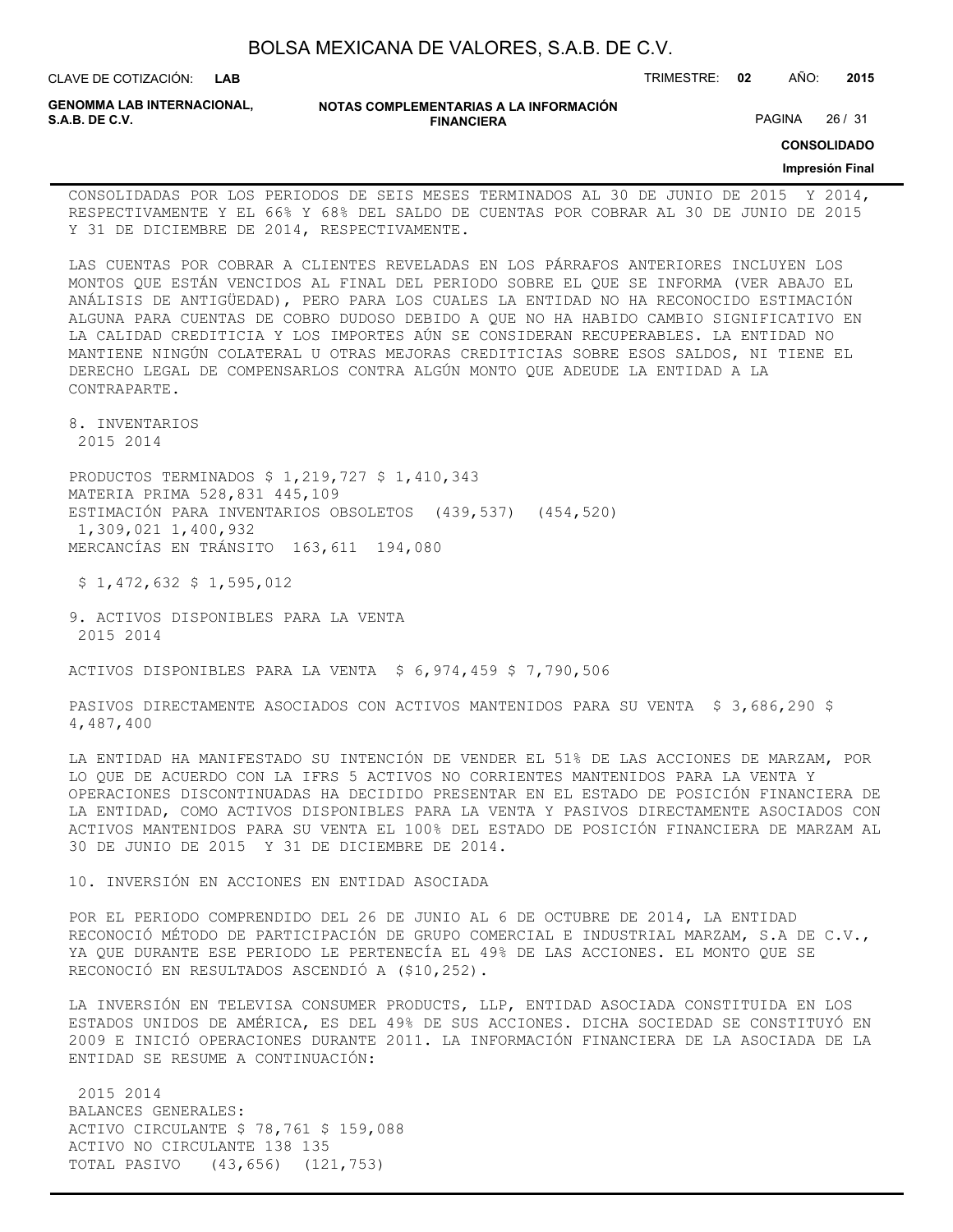| BOLSA MEXICANA DE VALORES, S.A.B. DE C.V. |  |  |  |
|-------------------------------------------|--|--|--|
|-------------------------------------------|--|--|--|

CLAVE DE COTIZACIÓN: TRIMESTRE: **02** AÑO: **2015**

**GENOMMA LAB INTERNACIONAL,**

**NOTAS COMPLEMENTARIAS A LA INFORMACIÓN FINANCIERA**

PAGINA 26 / 31

**CONSOLIDADO**

### **Impresión Final**

CONSOLIDADAS POR LOS PERIODOS DE SEIS MESES TERMINADOS AL 30 DE JUNIO DE 2015 Y 2014, RESPECTIVAMENTE Y EL 66% Y 68% DEL SALDO DE CUENTAS POR COBRAR AL 30 DE JUNIO DE 2015 Y 31 DE DICIEMBRE DE 2014, RESPECTIVAMENTE.

LAS CUENTAS POR COBRAR A CLIENTES REVELADAS EN LOS PÁRRAFOS ANTERIORES INCLUYEN LOS MONTOS QUE ESTÁN VENCIDOS AL FINAL DEL PERIODO SOBRE EL QUE SE INFORMA (VER ABAJO EL ANÁLISIS DE ANTIGÜEDAD), PERO PARA LOS CUALES LA ENTIDAD NO HA RECONOCIDO ESTIMACIÓN ALGUNA PARA CUENTAS DE COBRO DUDOSO DEBIDO A QUE NO HA HABIDO CAMBIO SIGNIFICATIVO EN LA CALIDAD CREDITICIA Y LOS IMPORTES AÚN SE CONSIDERAN RECUPERABLES. LA ENTIDAD NO MANTIENE NINGÚN COLATERAL U OTRAS MEJORAS CREDITICIAS SOBRE ESOS SALDOS, NI TIENE EL DERECHO LEGAL DE COMPENSARLOS CONTRA ALGÚN MONTO QUE ADEUDE LA ENTIDAD A LA CONTRAPARTE.

8. INVENTARIOS 2015 2014

PRODUCTOS TERMINADOS \$ 1,219,727 \$ 1,410,343 MATERIA PRIMA 528,831 445,109 ESTIMACIÓN PARA INVENTARIOS OBSOLETOS (439,537) (454,520) 1,309,021 1,400,932 MERCANCÍAS EN TRÁNSITO 163,611 194,080

\$ 1,472,632 \$ 1,595,012

9. ACTIVOS DISPONIBLES PARA LA VENTA 2015 2014

ACTIVOS DISPONIBLES PARA LA VENTA \$ 6,974,459 \$ 7,790,506

PASIVOS DIRECTAMENTE ASOCIADOS CON ACTIVOS MANTENIDOS PARA SU VENTA \$ 3,686,290 \$ 4,487,400

LA ENTIDAD HA MANIFESTADO SU INTENCIÓN DE VENDER EL 51% DE LAS ACCIONES DE MARZAM, POR LO QUE DE ACUERDO CON LA IFRS 5 ACTIVOS NO CORRIENTES MANTENIDOS PARA LA VENTA Y OPERACIONES DISCONTINUADAS HA DECIDIDO PRESENTAR EN EL ESTADO DE POSICIÓN FINANCIERA DE LA ENTIDAD, COMO ACTIVOS DISPONIBLES PARA LA VENTA Y PASIVOS DIRECTAMENTE ASOCIADOS CON ACTIVOS MANTENIDOS PARA SU VENTA EL 100% DEL ESTADO DE POSICIÓN FINANCIERA DE MARZAM AL 30 DE JUNIO DE 2015 Y 31 DE DICIEMBRE DE 2014.

10. INVERSIÓN EN ACCIONES EN ENTIDAD ASOCIADA

POR EL PERIODO COMPRENDIDO DEL 26 DE JUNIO AL 6 DE OCTUBRE DE 2014, LA ENTIDAD RECONOCIÓ MÉTODO DE PARTICIPACIÓN DE GRUPO COMERCIAL E INDUSTRIAL MARZAM, S.A DE C.V., YA QUE DURANTE ESE PERIODO LE PERTENECÍA EL 49% DE LAS ACCIONES. EL MONTO QUE SE RECONOCIÓ EN RESULTADOS ASCENDIÓ A (\$10,252).

LA INVERSIÓN EN TELEVISA CONSUMER PRODUCTS, LLP, ENTIDAD ASOCIADA CONSTITUIDA EN LOS ESTADOS UNIDOS DE AMÉRICA, ES DEL 49% DE SUS ACCIONES. DICHA SOCIEDAD SE CONSTITUYÓ EN 2009 E INICIÓ OPERACIONES DURANTE 2011. LA INFORMACIÓN FINANCIERA DE LA ASOCIADA DE LA ENTIDAD SE RESUME A CONTINUACIÓN:

 2015 2014 BALANCES GENERALES: ACTIVO CIRCULANTE \$ 78,761 \$ 159,088 ACTIVO NO CIRCULANTE 138 135 TOTAL PASIVO (43,656) (121,753)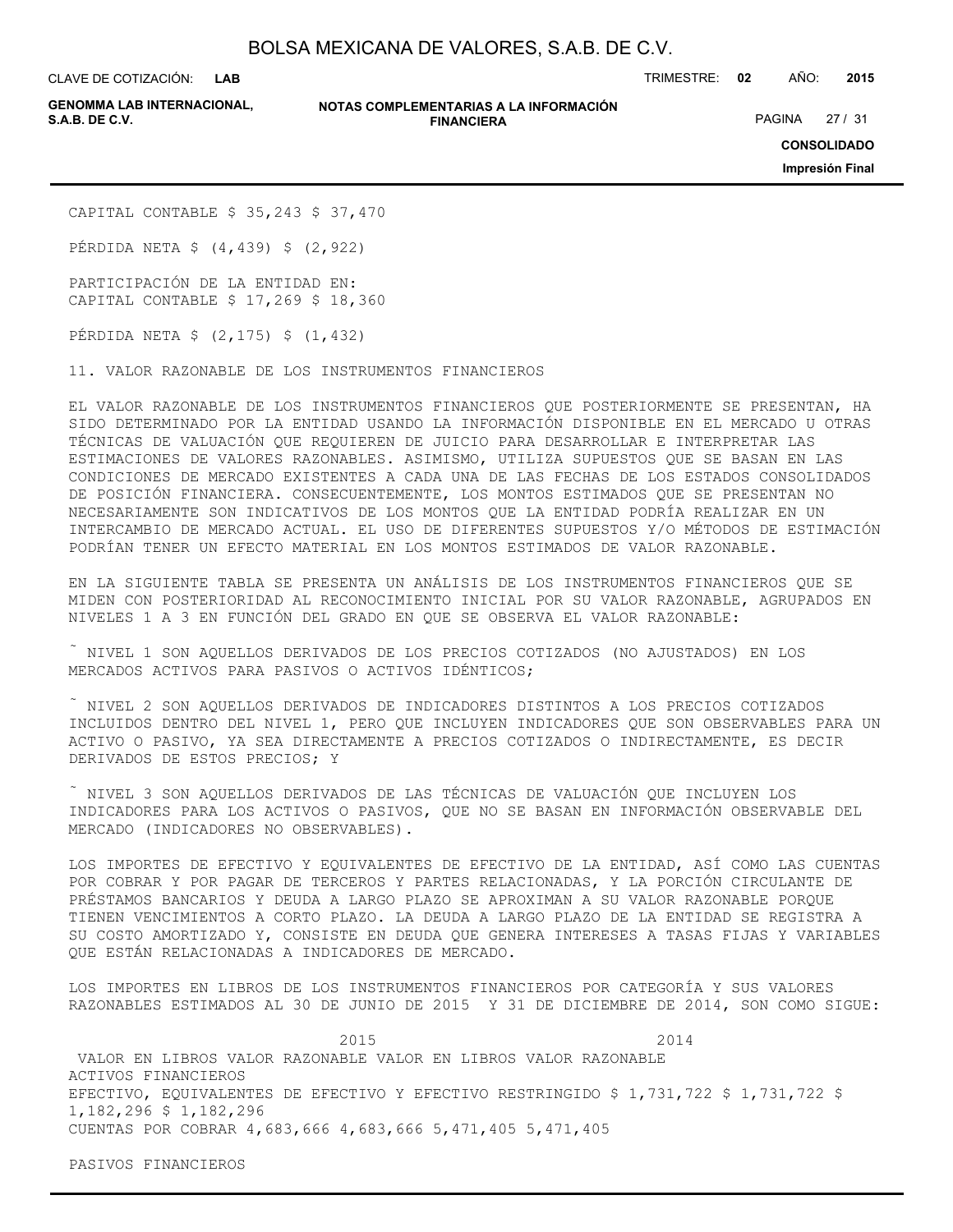**LAB**

**GENOMMA LAB INTERNACIONAL,**

**NOTAS COMPLEMENTARIAS A LA INFORMACIÓN FINANCIERA**

CLAVE DE COTIZACIÓN: TRIMESTRE: **02** AÑO: **2015**

PAGINA 27 / 31

**CONSOLIDADO**

**Impresión Final**

CAPITAL CONTABLE \$ 35,243 \$ 37,470

PÉRDIDA NETA \$ (4,439) \$ (2,922)

PARTICIPACIÓN DE LA ENTIDAD EN: CAPITAL CONTABLE \$ 17,269 \$ 18,360

PÉRDIDA NETA \$ (2,175) \$ (1,432)

11. VALOR RAZONABLE DE LOS INSTRUMENTOS FINANCIEROS

EL VALOR RAZONABLE DE LOS INSTRUMENTOS FINANCIEROS QUE POSTERIORMENTE SE PRESENTAN, HA SIDO DETERMINADO POR LA ENTIDAD USANDO LA INFORMACIÓN DISPONIBLE EN EL MERCADO U OTRAS TÉCNICAS DE VALUACIÓN QUE REQUIEREN DE JUICIO PARA DESARROLLAR E INTERPRETAR LAS ESTIMACIONES DE VALORES RAZONABLES. ASIMISMO, UTILIZA SUPUESTOS QUE SE BASAN EN LAS CONDICIONES DE MERCADO EXISTENTES A CADA UNA DE LAS FECHAS DE LOS ESTADOS CONSOLIDADOS DE POSICIÓN FINANCIERA. CONSECUENTEMENTE, LOS MONTOS ESTIMADOS QUE SE PRESENTAN NO NECESARIAMENTE SON INDICATIVOS DE LOS MONTOS QUE LA ENTIDAD PODRÍA REALIZAR EN UN INTERCAMBIO DE MERCADO ACTUAL. EL USO DE DIFERENTES SUPUESTOS Y/O MÉTODOS DE ESTIMACIÓN PODRÍAN TENER UN EFECTO MATERIAL EN LOS MONTOS ESTIMADOS DE VALOR RAZONABLE.

EN LA SIGUIENTE TABLA SE PRESENTA UN ANÁLISIS DE LOS INSTRUMENTOS FINANCIEROS QUE SE MIDEN CON POSTERIORIDAD AL RECONOCIMIENTO INICIAL POR SU VALOR RAZONABLE, AGRUPADOS EN NIVELES 1 A 3 EN FUNCIÓN DEL GRADO EN QUE SE OBSERVA EL VALOR RAZONABLE:

 $\tilde{a}$  NIVEL 1 SON AQUELLOS DERIVADOS DE LOS PRECIOS COTIZADOS (NO AJUSTADOS) EN LOS MERCADOS ACTIVOS PARA PASIVOS O ACTIVOS IDÉNTICOS;

 NIVEL 2 SON AQUELLOS DERIVADOS DE INDICADORES DISTINTOS A LOS PRECIOS COTIZADOS INCLUIDOS DENTRO DEL NIVEL 1, PERO QUE INCLUYEN INDICADORES QUE SON OBSERVABLES PARA UN ACTIVO O PASIVO, YA SEA DIRECTAMENTE A PRECIOS COTIZADOS O INDIRECTAMENTE, ES DECIR DERIVADOS DE ESTOS PRECIOS; Y

 NIVEL 3 SON AQUELLOS DERIVADOS DE LAS TÉCNICAS DE VALUACIÓN QUE INCLUYEN LOS INDICADORES PARA LOS ACTIVOS O PASIVOS, QUE NO SE BASAN EN INFORMACIÓN OBSERVABLE DEL MERCADO (INDICADORES NO OBSERVABLES).

LOS IMPORTES DE EFECTIVO Y EQUIVALENTES DE EFECTIVO DE LA ENTIDAD, ASÍ COMO LAS CUENTAS POR COBRAR Y POR PAGAR DE TERCEROS Y PARTES RELACIONADAS, Y LA PORCIÓN CIRCULANTE DE PRÉSTAMOS BANCARIOS Y DEUDA A LARGO PLAZO SE APROXIMAN A SU VALOR RAZONABLE PORQUE TIENEN VENCIMIENTOS A CORTO PLAZO. LA DEUDA A LARGO PLAZO DE LA ENTIDAD SE REGISTRA A SU COSTO AMORTIZADO Y, CONSISTE EN DEUDA QUE GENERA INTERESES A TASAS FIJAS Y VARIABLES QUE ESTÁN RELACIONADAS A INDICADORES DE MERCADO.

LOS IMPORTES EN LIBROS DE LOS INSTRUMENTOS FINANCIEROS POR CATEGORÍA Y SUS VALORES RAZONABLES ESTIMADOS AL 30 DE JUNIO DE 2015 Y 31 DE DICIEMBRE DE 2014, SON COMO SIGUE:

 2015 2014 VALOR EN LIBROS VALOR RAZONABLE VALOR EN LIBROS VALOR RAZONABLE ACTIVOS FINANCIEROS EFECTIVO, EQUIVALENTES DE EFECTIVO Y EFECTIVO RESTRINGIDO \$ 1,731,722 \$ 1,731,722 \$ 1,182,296 \$ 1,182,296 CUENTAS POR COBRAR 4,683,666 4,683,666 5,471,405 5,471,405

PASIVOS FINANCIEROS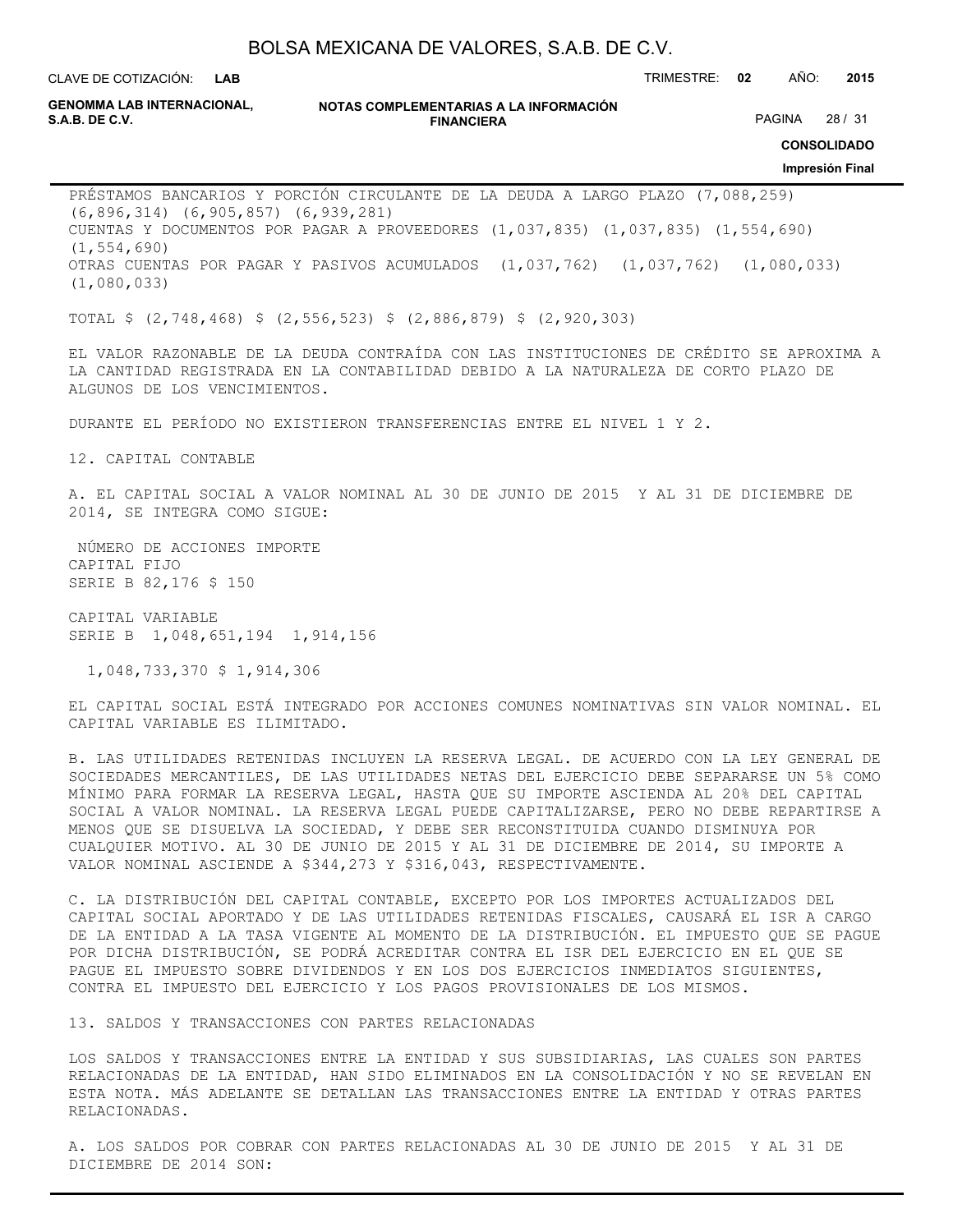**LAB**

CLAVE DE COTIZACIÓN: TRIMESTRE: **02** AÑO: **2015**

**GENOMMA LAB INTERNACIONAL,**

**NOTAS COMPLEMENTARIAS A LA INFORMACIÓN FINANCIERA S.A.B. DE C.V.** PAGINA 28 / 31

**CONSOLIDADO**

#### **Impresión Final**

PRÉSTAMOS BANCARIOS Y PORCIÓN CIRCULANTE DE LA DEUDA A LARGO PLAZO (7,088,259) (6,896,314) (6,905,857) (6,939,281) CUENTAS Y DOCUMENTOS POR PAGAR A PROVEEDORES (1,037,835) (1,037,835) (1,554,690) (1,554,690) OTRAS CUENTAS POR PAGAR Y PASIVOS ACUMULADOS (1,037,762) (1,037,762) (1,080,033) (1,080,033)

TOTAL \$ (2,748,468) \$ (2,556,523) \$ (2,886,879) \$ (2,920,303)

EL VALOR RAZONABLE DE LA DEUDA CONTRAÍDA CON LAS INSTITUCIONES DE CRÉDITO SE APROXIMA A LA CANTIDAD REGISTRADA EN LA CONTABILIDAD DEBIDO A LA NATURALEZA DE CORTO PLAZO DE ALGUNOS DE LOS VENCIMIENTOS.

DURANTE EL PERÍODO NO EXISTIERON TRANSFERENCIAS ENTRE EL NIVEL 1 Y 2.

12. CAPITAL CONTABLE

A. EL CAPITAL SOCIAL A VALOR NOMINAL AL 30 DE JUNIO DE 2015 Y AL 31 DE DICIEMBRE DE 2014, SE INTEGRA COMO SIGUE:

 NÚMERO DE ACCIONES IMPORTE CAPITAL FIJO SERIE B 82,176 \$ 150

CAPITAL VARIABLE SERIE B 1,048,651,194 1,914,156

1,048,733,370 \$ 1,914,306

EL CAPITAL SOCIAL ESTÁ INTEGRADO POR ACCIONES COMUNES NOMINATIVAS SIN VALOR NOMINAL. EL CAPITAL VARIABLE ES ILIMITADO.

B. LAS UTILIDADES RETENIDAS INCLUYEN LA RESERVA LEGAL. DE ACUERDO CON LA LEY GENERAL DE SOCIEDADES MERCANTILES, DE LAS UTILIDADES NETAS DEL EJERCICIO DEBE SEPARARSE UN 5% COMO MÍNIMO PARA FORMAR LA RESERVA LEGAL, HASTA QUE SU IMPORTE ASCIENDA AL 20% DEL CAPITAL SOCIAL A VALOR NOMINAL. LA RESERVA LEGAL PUEDE CAPITALIZARSE, PERO NO DEBE REPARTIRSE A MENOS QUE SE DISUELVA LA SOCIEDAD, Y DEBE SER RECONSTITUIDA CUANDO DISMINUYA POR CUALQUIER MOTIVO. AL 30 DE JUNIO DE 2015 Y AL 31 DE DICIEMBRE DE 2014, SU IMPORTE A VALOR NOMINAL ASCIENDE A \$344,273 Y \$316,043, RESPECTIVAMENTE.

C. LA DISTRIBUCIÓN DEL CAPITAL CONTABLE, EXCEPTO POR LOS IMPORTES ACTUALIZADOS DEL CAPITAL SOCIAL APORTADO Y DE LAS UTILIDADES RETENIDAS FISCALES, CAUSARÁ EL ISR A CARGO DE LA ENTIDAD A LA TASA VIGENTE AL MOMENTO DE LA DISTRIBUCIÓN. EL IMPUESTO QUE SE PAGUE POR DICHA DISTRIBUCIÓN, SE PODRÁ ACREDITAR CONTRA EL ISR DEL EJERCICIO EN EL QUE SE PAGUE EL IMPUESTO SOBRE DIVIDENDOS Y EN LOS DOS EJERCICIOS INMEDIATOS SIGUIENTES, CONTRA EL IMPUESTO DEL EJERCICIO Y LOS PAGOS PROVISIONALES DE LOS MISMOS.

13. SALDOS Y TRANSACCIONES CON PARTES RELACIONADAS

LOS SALDOS Y TRANSACCIONES ENTRE LA ENTIDAD Y SUS SUBSIDIARIAS, LAS CUALES SON PARTES RELACIONADAS DE LA ENTIDAD, HAN SIDO ELIMINADOS EN LA CONSOLIDACIÓN Y NO SE REVELAN EN ESTA NOTA. MÁS ADELANTE SE DETALLAN LAS TRANSACCIONES ENTRE LA ENTIDAD Y OTRAS PARTES RELACIONADAS.

A. LOS SALDOS POR COBRAR CON PARTES RELACIONADAS AL 30 DE JUNIO DE 2015 Y AL 31 DE DICIEMBRE DE 2014 SON: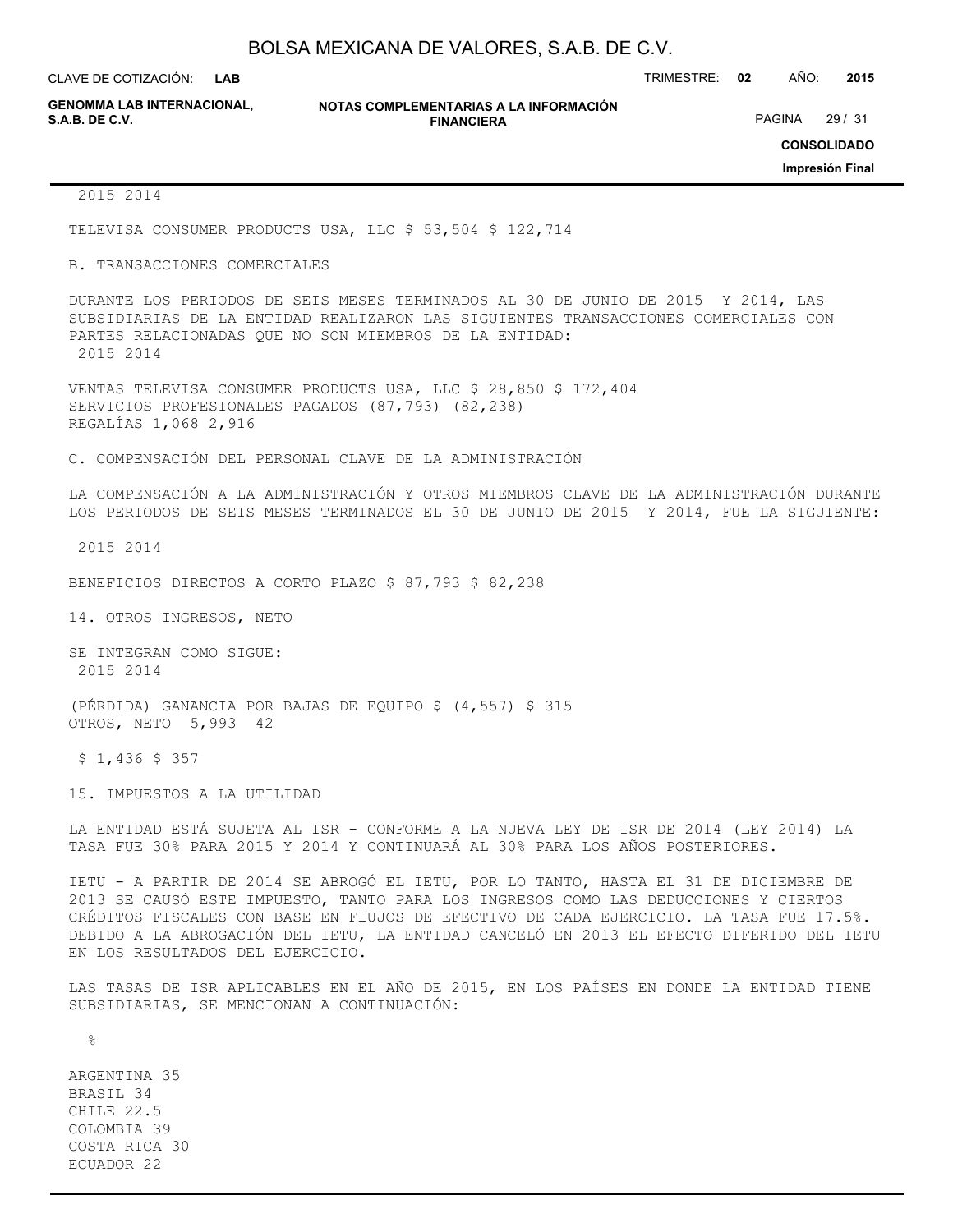**LAB**

CLAVE DE COTIZACIÓN: TRIMESTRE: **02** AÑO: **2015**

**GENOMMA LAB INTERNACIONAL,**

**NOTAS COMPLEMENTARIAS A LA INFORMACIÓN FINANCIERA**

PAGINA 29 / 31

**CONSOLIDADO**

**Impresión Final**

#### 2015 2014

TELEVISA CONSUMER PRODUCTS USA, LLC \$ 53,504 \$ 122,714

#### B. TRANSACCIONES COMERCIALES

DURANTE LOS PERIODOS DE SEIS MESES TERMINADOS AL 30 DE JUNIO DE 2015 Y 2014, LAS SUBSIDIARIAS DE LA ENTIDAD REALIZARON LAS SIGUIENTES TRANSACCIONES COMERCIALES CON PARTES RELACIONADAS QUE NO SON MIEMBROS DE LA ENTIDAD: 2015 2014

VENTAS TELEVISA CONSUMER PRODUCTS USA, LLC \$ 28,850 \$ 172,404 SERVICIOS PROFESIONALES PAGADOS (87,793) (82,238) REGALÍAS 1,068 2,916

C. COMPENSACIÓN DEL PERSONAL CLAVE DE LA ADMINISTRACIÓN

LA COMPENSACIÓN A LA ADMINISTRACIÓN Y OTROS MIEMBROS CLAVE DE LA ADMINISTRACIÓN DURANTE LOS PERIODOS DE SEIS MESES TERMINADOS EL 30 DE JUNIO DE 2015 Y 2014, FUE LA SIGUIENTE:

2015 2014

BENEFICIOS DIRECTOS A CORTO PLAZO \$ 87,793 \$ 82,238

14. OTROS INGRESOS, NETO

SE INTEGRAN COMO SIGUE: 2015 2014

(PÉRDIDA) GANANCIA POR BAJAS DE EQUIPO \$ (4,557) \$ 315 OTROS, NETO 5,993 42

\$ 1,436 \$ 357

15. IMPUESTOS A LA UTILIDAD

LA ENTIDAD ESTÁ SUJETA AL ISR - CONFORME A LA NUEVA LEY DE ISR DE 2014 (LEY 2014) LA TASA FUE 30% PARA 2015 Y 2014 Y CONTINUARÁ AL 30% PARA LOS AÑOS POSTERIORES.

IETU - A PARTIR DE 2014 SE ABROGÓ EL IETU, POR LO TANTO, HASTA EL 31 DE DICIEMBRE DE 2013 SE CAUSÓ ESTE IMPUESTO, TANTO PARA LOS INGRESOS COMO LAS DEDUCCIONES Y CIERTOS CRÉDITOS FISCALES CON BASE EN FLUJOS DE EFECTIVO DE CADA EJERCICIO. LA TASA FUE 17.5%. DEBIDO A LA ABROGACIÓN DEL IETU, LA ENTIDAD CANCELÓ EN 2013 EL EFECTO DIFERIDO DEL IETU EN LOS RESULTADOS DEL EJERCICIO.

LAS TASAS DE ISR APLICABLES EN EL AÑO DE 2015, EN LOS PAÍSES EN DONDE LA ENTIDAD TIENE SUBSIDIARIAS, SE MENCIONAN A CONTINUACIÓN:

 $\approx$ 

ARGENTINA 35 BRASIL 34 CHILE 22.5 COLOMBIA 39 COSTA RICA 30 ECUADOR 22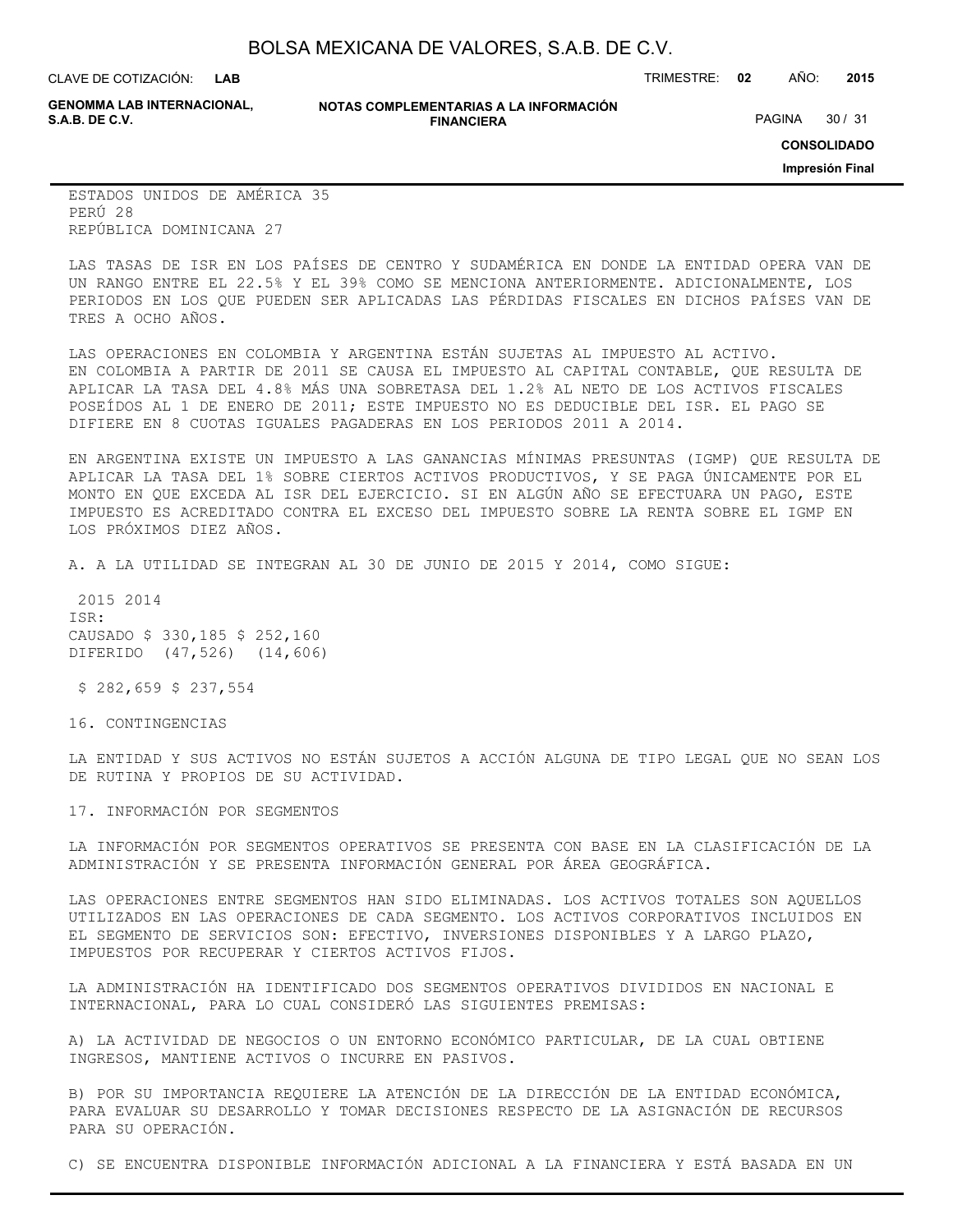**LAB**

CLAVE DE COTIZACIÓN: TRIMESTRE: **02** AÑO: **2015**

**GENOMMA LAB INTERNACIONAL,**

**NOTAS COMPLEMENTARIAS A LA INFORMACIÓN FINANCIERA**

PAGINA 30 / 31

**CONSOLIDADO**

**Impresión Final**

ESTADOS UNIDOS DE AMÉRICA 35 PERÚ 28 REPÚBLICA DOMINICANA 27

LAS TASAS DE ISR EN LOS PAÍSES DE CENTRO Y SUDAMÉRICA EN DONDE LA ENTIDAD OPERA VAN DE UN RANGO ENTRE EL 22.5% Y EL 39% COMO SE MENCIONA ANTERIORMENTE. ADICIONALMENTE, LOS PERIODOS EN LOS QUE PUEDEN SER APLICADAS LAS PÉRDIDAS FISCALES EN DICHOS PAÍSES VAN DE TRES A OCHO AÑOS.

LAS OPERACIONES EN COLOMBIA Y ARGENTINA ESTÁN SUJETAS AL IMPUESTO AL ACTIVO. EN COLOMBIA A PARTIR DE 2011 SE CAUSA EL IMPUESTO AL CAPITAL CONTABLE, QUE RESULTA DE APLICAR LA TASA DEL 4.8% MÁS UNA SOBRETASA DEL 1.2% AL NETO DE LOS ACTIVOS FISCALES POSEÍDOS AL 1 DE ENERO DE 2011; ESTE IMPUESTO NO ES DEDUCIBLE DEL ISR. EL PAGO SE DIFIERE EN 8 CUOTAS IGUALES PAGADERAS EN LOS PERIODOS 2011 A 2014.

EN ARGENTINA EXISTE UN IMPUESTO A LAS GANANCIAS MÍNIMAS PRESUNTAS (IGMP) QUE RESULTA DE APLICAR LA TASA DEL 1% SOBRE CIERTOS ACTIVOS PRODUCTIVOS, Y SE PAGA ÚNICAMENTE POR EL MONTO EN QUE EXCEDA AL ISR DEL EJERCICIO. SI EN ALGÚN AÑO SE EFECTUARA UN PAGO, ESTE IMPUESTO ES ACREDITADO CONTRA EL EXCESO DEL IMPUESTO SOBRE LA RENTA SOBRE EL IGMP EN LOS PRÓXIMOS DIEZ AÑOS.

A. A LA UTILIDAD SE INTEGRAN AL 30 DE JUNIO DE 2015 Y 2014, COMO SIGUE:

 2015 2014 ISR: CAUSADO \$ 330,185 \$ 252,160 DIFERIDO (47,526) (14,606)

\$ 282,659 \$ 237,554

16. CONTINGENCIAS

LA ENTIDAD Y SUS ACTIVOS NO ESTÁN SUJETOS A ACCIÓN ALGUNA DE TIPO LEGAL QUE NO SEAN LOS DE RUTINA Y PROPIOS DE SU ACTIVIDAD.

17. INFORMACIÓN POR SEGMENTOS

LA INFORMACIÓN POR SEGMENTOS OPERATIVOS SE PRESENTA CON BASE EN LA CLASIFICACIÓN DE LA ADMINISTRACIÓN Y SE PRESENTA INFORMACIÓN GENERAL POR ÁREA GEOGRÁFICA.

LAS OPERACIONES ENTRE SEGMENTOS HAN SIDO ELIMINADAS. LOS ACTIVOS TOTALES SON AQUELLOS UTILIZADOS EN LAS OPERACIONES DE CADA SEGMENTO. LOS ACTIVOS CORPORATIVOS INCLUIDOS EN EL SEGMENTO DE SERVICIOS SON: EFECTIVO, INVERSIONES DISPONIBLES Y A LARGO PLAZO, IMPUESTOS POR RECUPERAR Y CIERTOS ACTIVOS FIJOS.

LA ADMINISTRACIÓN HA IDENTIFICADO DOS SEGMENTOS OPERATIVOS DIVIDIDOS EN NACIONAL E INTERNACIONAL, PARA LO CUAL CONSIDERÓ LAS SIGUIENTES PREMISAS:

A) LA ACTIVIDAD DE NEGOCIOS O UN ENTORNO ECONÓMICO PARTICULAR, DE LA CUAL OBTIENE INGRESOS, MANTIENE ACTIVOS O INCURRE EN PASIVOS.

B) POR SU IMPORTANCIA REQUIERE LA ATENCIÓN DE LA DIRECCIÓN DE LA ENTIDAD ECONÓMICA, PARA EVALUAR SU DESARROLLO Y TOMAR DECISIONES RESPECTO DE LA ASIGNACIÓN DE RECURSOS PARA SU OPERACIÓN.

C) SE ENCUENTRA DISPONIBLE INFORMACIÓN ADICIONAL A LA FINANCIERA Y ESTÁ BASADA EN UN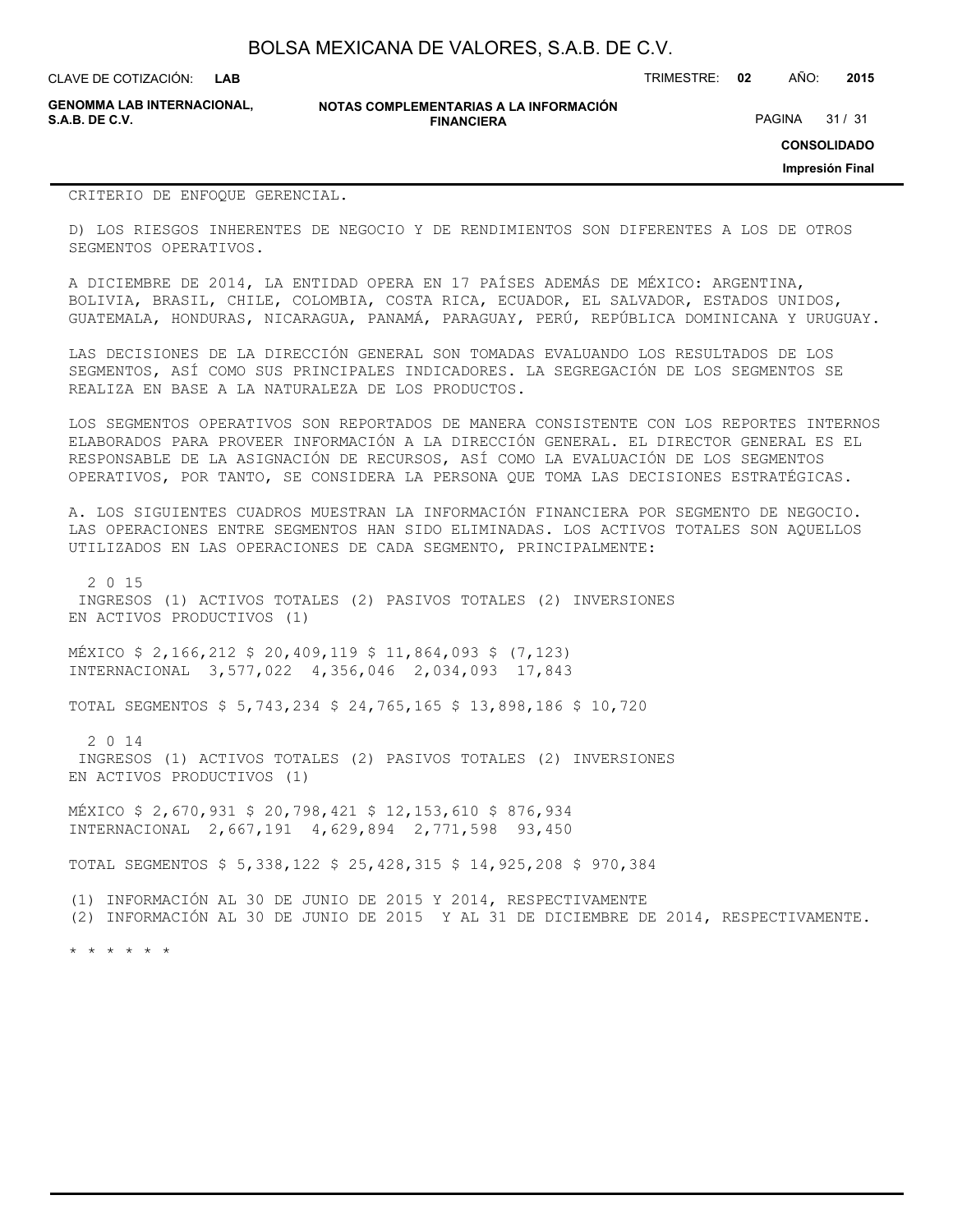CLAVE DE COTIZACIÓN: TRIMESTRE: **02** AÑO: **2015 LAB**

**GENOMMA LAB INTERNACIONAL,**

**NOTAS COMPLEMENTARIAS A LA INFORMACIÓN FINANCIERA**

PAGINA 31 / 31

**CONSOLIDADO**

**Impresión Final**

#### CRITERIO DE ENFOQUE GERENCIAL.

D) LOS RIESGOS INHERENTES DE NEGOCIO Y DE RENDIMIENTOS SON DIFERENTES A LOS DE OTROS SEGMENTOS OPERATIVOS.

A DICIEMBRE DE 2014, LA ENTIDAD OPERA EN 17 PAÍSES ADEMÁS DE MÉXICO: ARGENTINA, BOLIVIA, BRASIL, CHILE, COLOMBIA, COSTA RICA, ECUADOR, EL SALVADOR, ESTADOS UNIDOS, GUATEMALA, HONDURAS, NICARAGUA, PANAMÁ, PARAGUAY, PERÚ, REPÚBLICA DOMINICANA Y URUGUAY.

LAS DECISIONES DE LA DIRECCIÓN GENERAL SON TOMADAS EVALUANDO LOS RESULTADOS DE LOS SEGMENTOS, ASÍ COMO SUS PRINCIPALES INDICADORES. LA SEGREGACIÓN DE LOS SEGMENTOS SE REALIZA EN BASE A LA NATURALEZA DE LOS PRODUCTOS.

LOS SEGMENTOS OPERATIVOS SON REPORTADOS DE MANERA CONSISTENTE CON LOS REPORTES INTERNOS ELABORADOS PARA PROVEER INFORMACIÓN A LA DIRECCIÓN GENERAL. EL DIRECTOR GENERAL ES EL RESPONSABLE DE LA ASIGNACIÓN DE RECURSOS, ASÍ COMO LA EVALUACIÓN DE LOS SEGMENTOS OPERATIVOS, POR TANTO, SE CONSIDERA LA PERSONA QUE TOMA LAS DECISIONES ESTRATÉGICAS.

A. LOS SIGUIENTES CUADROS MUESTRAN LA INFORMACIÓN FINANCIERA POR SEGMENTO DE NEGOCIO. LAS OPERACIONES ENTRE SEGMENTOS HAN SIDO ELIMINADAS. LOS ACTIVOS TOTALES SON AQUELLOS UTILIZADOS EN LAS OPERACIONES DE CADA SEGMENTO, PRINCIPALMENTE:

 2 0 15 INGRESOS (1) ACTIVOS TOTALES (2) PASIVOS TOTALES (2) INVERSIONES EN ACTIVOS PRODUCTIVOS (1)

MÉXICO \$ 2,166,212 \$ 20,409,119 \$ 11,864,093 \$ (7,123) INTERNACIONAL 3,577,022 4,356,046 2,034,093 17,843

TOTAL SEGMENTOS \$ 5,743,234 \$ 24,765,165 \$ 13,898,186 \$ 10,720

 2 0 14 INGRESOS (1) ACTIVOS TOTALES (2) PASIVOS TOTALES (2) INVERSIONES EN ACTIVOS PRODUCTIVOS (1)

MÉXICO \$ 2,670,931 \$ 20,798,421 \$ 12,153,610 \$ 876,934 INTERNACIONAL 2,667,191 4,629,894 2,771,598 93,450

TOTAL SEGMENTOS \$ 5,338,122 \$ 25,428,315 \$ 14,925,208 \$ 970,384

(1) INFORMACIÓN AL 30 DE JUNIO DE 2015 Y 2014, RESPECTIVAMENTE (2) INFORMACIÓN AL 30 DE JUNIO DE 2015 Y AL 31 DE DICIEMBRE DE 2014, RESPECTIVAMENTE.

\* \* \* \* \* \*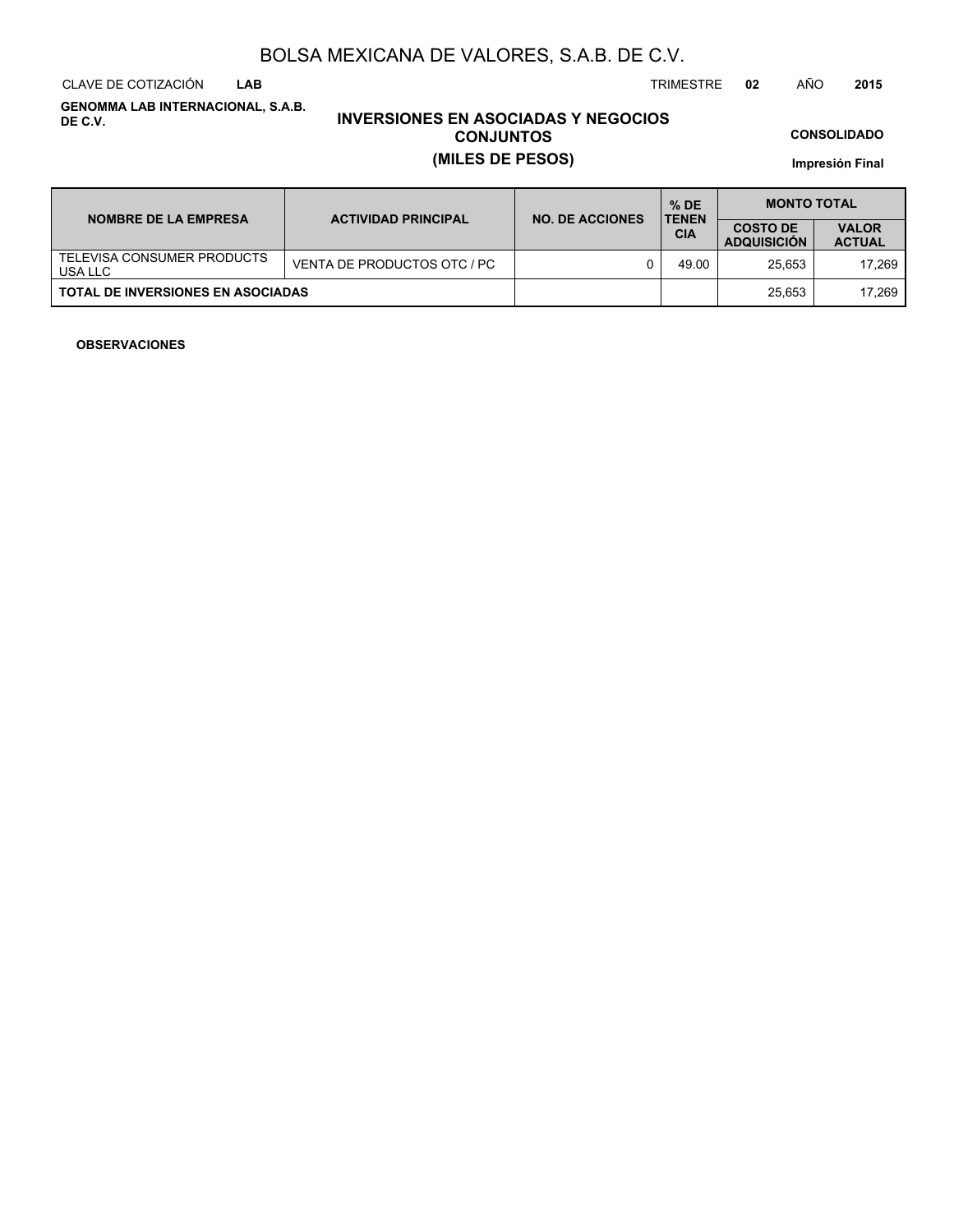CLAVE DE COTIZACIÓN TRIMESTRE **02** AÑO **2015 LAB**

**GENOMMA LAB INTERNACIONAL, S.A.B. DE C.V.**

# **INVERSIONES EN ASOCIADAS Y NEGOCIOS CONJUNTOS (MILES DE PESOS)**

**CONSOLIDADO**

**Impresión Final**

| <b>NOMBRE DE LA EMPRESA</b>              | <b>ACTIVIDAD PRINCIPAL</b>  | <b>NO. DE ACCIONES</b> | $%$ DE<br><b>TENEN</b> | <b>MONTO TOTAL</b>                    |                               |  |
|------------------------------------------|-----------------------------|------------------------|------------------------|---------------------------------------|-------------------------------|--|
|                                          |                             |                        | <b>CIA</b>             | <b>COSTO DE</b><br><b>ADQUISICION</b> | <b>VALOR</b><br><b>ACTUAL</b> |  |
| TELEVISA CONSUMER PRODUCTS<br>USA LLC    | VENTA DE PRODUCTOS OTC / PC |                        | 49.00                  | 25.653                                | 17.269                        |  |
| <b>TOTAL DE INVERSIONES EN ASOCIADAS</b> |                             |                        |                        | 25.653                                | 17.269                        |  |

### **OBSERVACIONES**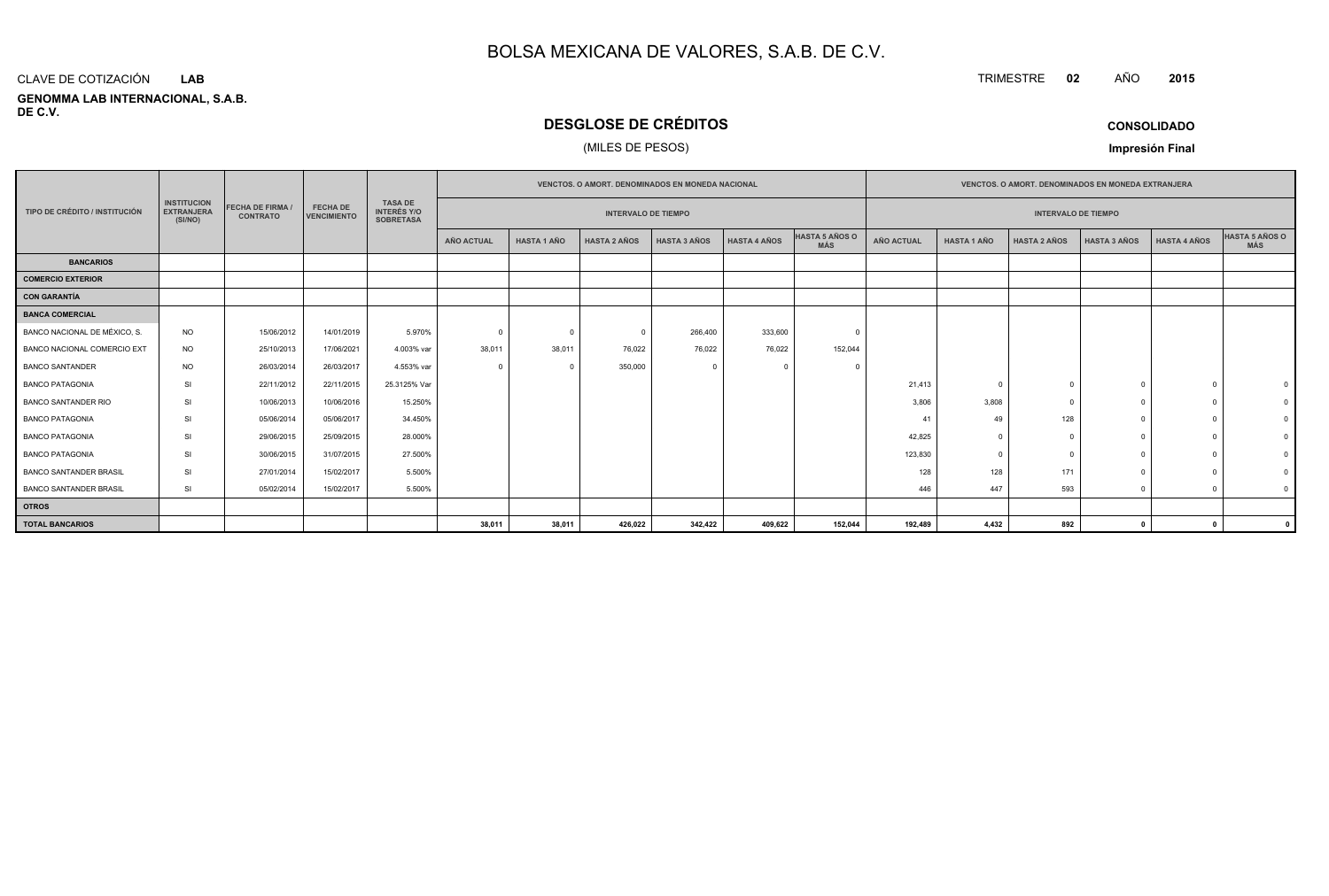#### **GENOMMA LAB INTERNACIONAL, S.A.B. DE C.V.**CLAVE DE COTIZACIÓN**LAB**

# **DESGLOSE DE CRÉDITOS**

### (MILES DE PESOS)

| <b>CONSOLIDADO</b> |  |
|--------------------|--|
|--------------------|--|

**Impresión Final**

|                                                                                                                                 |           |            |                                       |                                                          | <b>VENCTOS, O AMORT, DENOMINADOS EN MONEDA NACIONAL</b> |                            |                     |                     |                     | <b>VENCTOS, O AMORT, DENOMINADOS EN MONEDA EXTRANJERA</b> |                   |                    |                            |                     |                     |                |
|---------------------------------------------------------------------------------------------------------------------------------|-----------|------------|---------------------------------------|----------------------------------------------------------|---------------------------------------------------------|----------------------------|---------------------|---------------------|---------------------|-----------------------------------------------------------|-------------------|--------------------|----------------------------|---------------------|---------------------|----------------|
| <b>INSTITUCION</b><br><b>FECHA DE FIRMA</b><br>TIPO DE CRÉDITO / INSTITUCIÓN<br><b>EXTRANJERA</b><br><b>CONTRATO</b><br>(SI/NO) |           |            | <b>FECHA DE</b><br><b>VENCIMIENTO</b> | <b>TASA DE</b><br><b>INTERÉS Y/O</b><br><b>SOBRETASA</b> |                                                         | <b>INTERVALO DE TIEMPO</b> |                     |                     |                     |                                                           |                   |                    | <b>INTERVALO DE TIEMPO</b> |                     |                     |                |
|                                                                                                                                 |           |            |                                       |                                                          | <b>AÑO ACTUAL</b>                                       | <b>HASTA 1 AÑO</b>         | <b>HASTA 2 AÑOS</b> | <b>HASTA 3 AÑOS</b> | <b>HASTA 4 AÑOS</b> | HASTA 5 AÑOS O<br><b>MÁS</b>                              | <b>AÑO ACTUAL</b> | <b>HASTA 1 AÑO</b> | <b>HASTA 2 AÑOS</b>        | <b>HASTA 3 AÑOS</b> | <b>HASTA 4 AÑOS</b> | HASTA 5 AÑOS O |
| <b>BANCARIOS</b>                                                                                                                |           |            |                                       |                                                          |                                                         |                            |                     |                     |                     |                                                           |                   |                    |                            |                     |                     |                |
| COMERCIO EXTERIOR                                                                                                               |           |            |                                       |                                                          |                                                         |                            |                     |                     |                     |                                                           |                   |                    |                            |                     |                     |                |
| CON GARANTÍA                                                                                                                    |           |            |                                       |                                                          |                                                         |                            |                     |                     |                     |                                                           |                   |                    |                            |                     |                     |                |
| <b>BANCA COMERCIAL</b>                                                                                                          |           |            |                                       |                                                          |                                                         |                            |                     |                     |                     |                                                           |                   |                    |                            |                     |                     |                |
| BANCO NACIONAL DE MÉXICO, S.                                                                                                    | <b>NO</b> | 15/06/2012 | 14/01/2019                            | 5.970%                                                   | $\Omega$                                                | $\Omega$                   | $\Omega$            | 266,400             | 333,600             |                                                           |                   |                    |                            |                     |                     |                |
| BANCO NACIONAL COMERCIO EXT                                                                                                     | <b>NO</b> | 25/10/2013 | 17/06/2021                            | 4.003% var                                               | 38,011                                                  | 38,011                     | 76,022              | 76,022              | 76,022              | 152,044                                                   |                   |                    |                            |                     |                     |                |
| <b>BANCO SANTANDER</b>                                                                                                          | <b>NO</b> | 26/03/2014 | 26/03/2017                            | 4.553% var                                               | $\Omega$                                                | $^{\circ}$                 | 350,000             | $\Omega$            |                     |                                                           |                   |                    |                            |                     |                     |                |
| <b>BANCO PATAGONIA</b>                                                                                                          | SI        | 22/11/2012 | 22/11/2015                            | 25.3125% Var                                             |                                                         |                            |                     |                     |                     |                                                           | 21,413            | $\Omega$           |                            |                     |                     |                |
| <b>BANCO SANTANDER RIO</b>                                                                                                      | SI        | 10/06/2013 | 10/06/2016                            | 15.250%                                                  |                                                         |                            |                     |                     |                     |                                                           | 3,806             | 3,808              |                            | $\Omega$            |                     |                |
| <b>BANCO PATAGONIA</b>                                                                                                          | SI        | 05/06/2014 | 05/06/2017                            | 34.450%                                                  |                                                         |                            |                     |                     |                     |                                                           | 41                | 49                 | 128                        |                     |                     |                |
| <b>BANCO PATAGONIA</b>                                                                                                          | SI        | 29/06/2015 | 25/09/2015                            | 28.000%                                                  |                                                         |                            |                     |                     |                     |                                                           | 42,825            | $\Omega$           |                            |                     |                     |                |
| <b>BANCO PATAGONIA</b>                                                                                                          | SI        | 30/06/2015 | 31/07/2015                            | 27.500%                                                  |                                                         |                            |                     |                     |                     |                                                           | 123,830           |                    |                            |                     |                     |                |
| <b>BANCO SANTANDER BRASIL</b>                                                                                                   | SI        | 27/01/2014 | 15/02/2017                            | 5.500%                                                   |                                                         |                            |                     |                     |                     |                                                           | 128               | 128                | 171                        |                     |                     |                |
| <b>BANCO SANTANDER BRASIL</b>                                                                                                   | SI        | 05/02/2014 | 15/02/2017                            | 5.500%                                                   |                                                         |                            |                     |                     |                     |                                                           | 446               | 447                | 593                        | $\Omega$            |                     | $\Omega$       |
| <b>OTROS</b>                                                                                                                    |           |            |                                       |                                                          |                                                         |                            |                     |                     |                     |                                                           |                   |                    |                            |                     |                     |                |
| <b>TOTAL BANCARIOS</b>                                                                                                          |           |            |                                       |                                                          | 38,011                                                  | 38,011                     | 426,022             | 342,422             | 409,622             | 152,044                                                   | 192,489           | 4,432              | 892                        | $\mathbf{0}$        | $\mathbf{r}$        |                |

TRIMESTRE **<sup>02</sup>** AÑO**<sup>2015</sup>**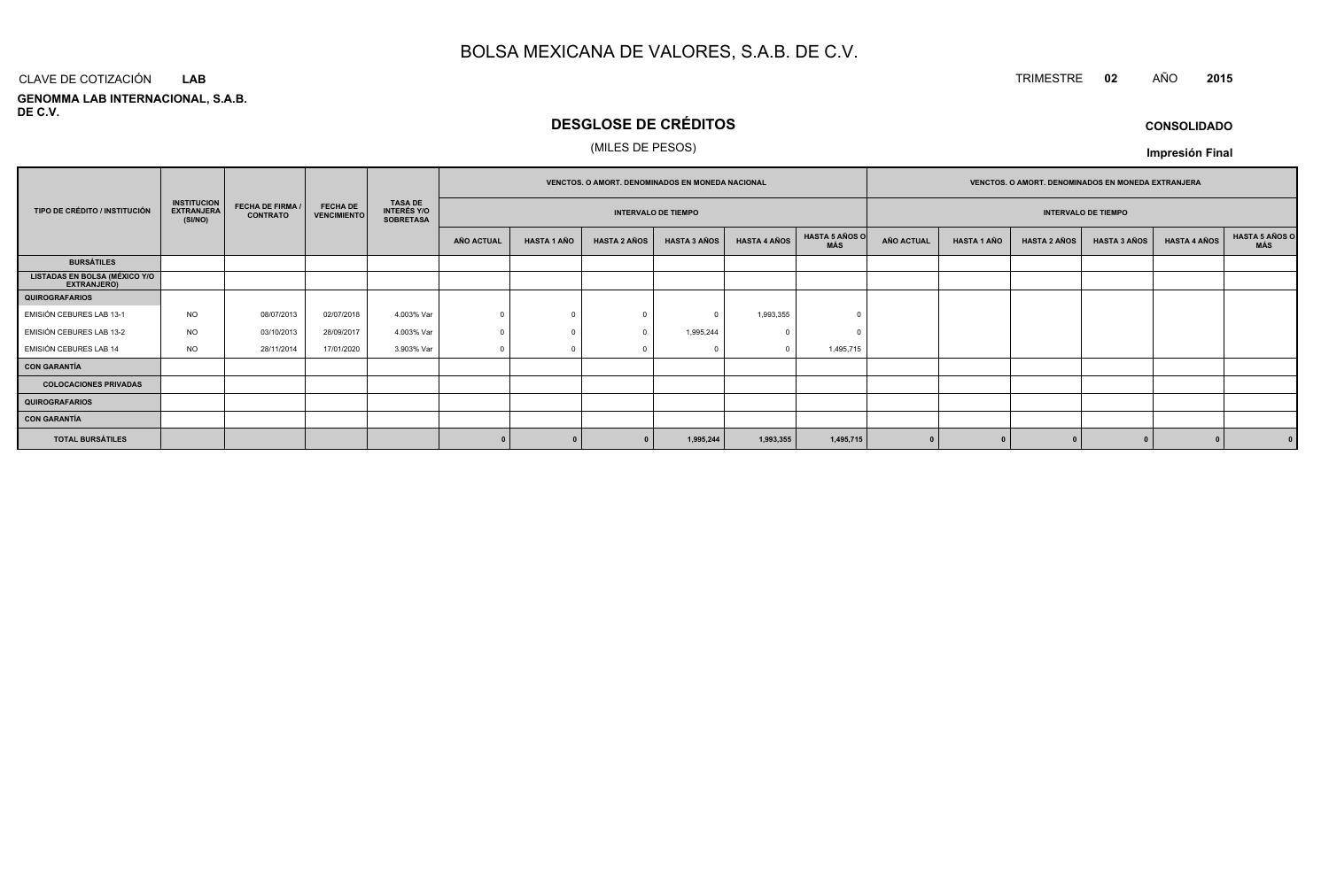# TRIMESTRE **<sup>02</sup>** AÑO **<sup>2015</sup>**

**GENOMMA LAB INTERNACIONAL, S.A.B. DE C.V.**CLAVE DE COTIZACIÓN**LAB**

# **DESGLOSE DE CRÉDITOS**

### (MILES DE PESOS)

**CONSOLIDADO**

|                                                     |                                                    |                                     |                                       |                                                          | VENCTOS. O AMORT. DENOMINADOS EN MONEDA NACIONAL |                    |                     |                            |                     | VENCTOS. O AMORT. DENOMINADOS EN MONEDA EXTRANJERA |                   |                    |                     |                            |                     |                       |
|-----------------------------------------------------|----------------------------------------------------|-------------------------------------|---------------------------------------|----------------------------------------------------------|--------------------------------------------------|--------------------|---------------------|----------------------------|---------------------|----------------------------------------------------|-------------------|--------------------|---------------------|----------------------------|---------------------|-----------------------|
| TIPO DE CRÉDITO / INSTITUCIÓN                       | <b>INSTITUCION</b><br><b>EXTRANJERA</b><br>(SI/NO) | FECHA DE FIRMA /<br><b>CONTRATO</b> | <b>FECHA DE</b><br><b>VENCIMIENTO</b> | <b>TASA DE</b><br><b>INTERÉS Y/O</b><br><b>SOBRETASA</b> |                                                  |                    |                     | <b>INTERVALO DE TIEMPO</b> |                     |                                                    |                   |                    |                     | <b>INTERVALO DE TIEMPO</b> |                     |                       |
|                                                     |                                                    |                                     |                                       |                                                          | AÑO ACTUAL                                       | <b>HASTA 1 AÑO</b> | <b>HASTA 2 AÑOS</b> | <b>HASTA 3 AÑOS</b>        | <b>HASTA 4 AÑOS</b> | <b>HASTA 5 AÑOS O</b><br><b>MÁS</b>                | <b>AÑO ACTUAL</b> | <b>HASTA 1 AÑO</b> | <b>HASTA 2 AÑOS</b> | <b>HASTA 3 AÑOS</b>        | <b>HASTA 4 AÑOS</b> | HASTA 5 AÑOS C<br>MÁS |
| <b>BURSÁTILES</b>                                   |                                                    |                                     |                                       |                                                          |                                                  |                    |                     |                            |                     |                                                    |                   |                    |                     |                            |                     |                       |
| LISTADAS EN BOLSA (MÉXICO Y/O<br><b>EXTRANJERO)</b> |                                                    |                                     |                                       |                                                          |                                                  |                    |                     |                            |                     |                                                    |                   |                    |                     |                            |                     |                       |
| <b>QUIROGRAFARIOS</b>                               |                                                    |                                     |                                       |                                                          |                                                  |                    |                     |                            |                     |                                                    |                   |                    |                     |                            |                     |                       |
| EMISIÓN CEBURES LAB 13-1                            | <b>NO</b>                                          | 08/07/2013                          | 02/07/2018                            | 4.003% Var                                               | $\Omega$                                         |                    | $\Omega$            |                            | 1,993,355           |                                                    |                   |                    |                     |                            |                     |                       |
| EMISIÓN CEBURES LAB 13-2                            | <b>NO</b>                                          | 03/10/2013                          | 28/09/2017                            | 4.003% Var                                               |                                                  |                    | $\Omega$            | 1,995,244                  | $\Omega$            |                                                    |                   |                    |                     |                            |                     |                       |
| EMISIÓN CEBURES LAB 14                              | <b>NO</b>                                          | 28/11/2014                          | 17/01/2020                            | 3.903% Var                                               |                                                  |                    |                     |                            |                     | 1,495,715                                          |                   |                    |                     |                            |                     |                       |
| <b>CON GARANTÍA</b>                                 |                                                    |                                     |                                       |                                                          |                                                  |                    |                     |                            |                     |                                                    |                   |                    |                     |                            |                     |                       |
| <b>COLOCACIONES PRIVADAS</b>                        |                                                    |                                     |                                       |                                                          |                                                  |                    |                     |                            |                     |                                                    |                   |                    |                     |                            |                     |                       |
| <b>QUIROGRAFARIOS</b>                               |                                                    |                                     |                                       |                                                          |                                                  |                    |                     |                            |                     |                                                    |                   |                    |                     |                            |                     |                       |
| <b>CON GARANTÍA</b>                                 |                                                    |                                     |                                       |                                                          |                                                  |                    |                     |                            |                     |                                                    |                   |                    |                     |                            |                     |                       |
| <b>TOTAL BURSÁTILES</b>                             |                                                    |                                     |                                       |                                                          |                                                  |                    |                     | 1,995,244                  | 1,993,355           | 1,495,715                                          |                   |                    |                     |                            |                     |                       |

**Impresión Final**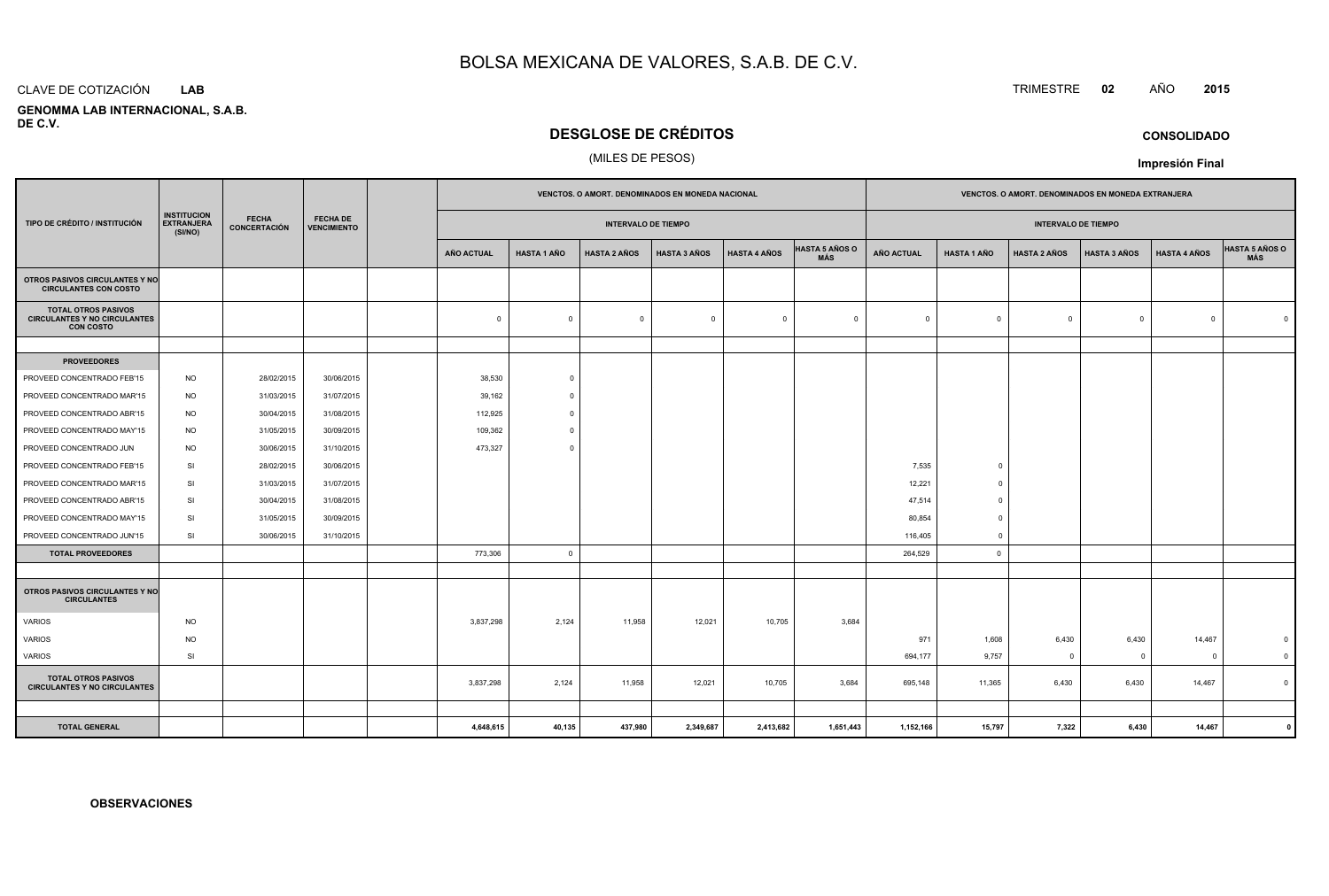#### CLAVE DE COTIZACIÓN**LAB**

 **GENOMMA LAB INTERNACIONAL, S.A.B.DE C.V.**

## **DESGLOSE DE CRÉDITOS**

### (MILES DE PESOS)

|                                                                                                                                                                     |           |                            | VENCTOS. O AMORT. DENOMINADOS EN MONEDA NACIONAL |                   |                    |                     |                     | VENCTOS. O AMORT. DENOMINADOS EN MONEDA EXTRANJERA |                              |              |                    |                     |                     |                     |                              |
|---------------------------------------------------------------------------------------------------------------------------------------------------------------------|-----------|----------------------------|--------------------------------------------------|-------------------|--------------------|---------------------|---------------------|----------------------------------------------------|------------------------------|--------------|--------------------|---------------------|---------------------|---------------------|------------------------------|
| <b>INSTITUCION</b><br><b>FECHA</b><br><b>FECHA DE</b><br><b>EXTRANJERA</b><br>TIPO DE CRÉDITO / INSTITUCIÓN<br><b>CONCERTACIÓN</b><br><b>VENCIMIENTO</b><br>(SI/NO) |           | <b>INTERVALO DE TIEMPO</b> |                                                  |                   |                    |                     |                     | <b>INTERVALO DE TIEMPO</b>                         |                              |              |                    |                     |                     |                     |                              |
|                                                                                                                                                                     |           |                            |                                                  | <b>AÑO ACTUAL</b> | <b>HASTA 1 AÑO</b> | <b>HASTA 2 AÑOS</b> | <b>HASTA 3 AÑOS</b> | <b>HASTA 4 AÑOS</b>                                | <b>HASTA 5 AÑOS O</b><br>MÁS | AÑO ACTUAL   | <b>HASTA 1 AÑO</b> | <b>HASTA 2 AÑOS</b> | <b>HASTA 3 AÑOS</b> | <b>HASTA 4 AÑOS</b> | <b>HASTA 5 AÑOS O</b><br>MÁS |
| OTROS PASIVOS CIRCULANTES Y NO<br><b>CIRCULANTES CON COSTO</b>                                                                                                      |           |                            |                                                  |                   |                    |                     |                     |                                                    |                              |              |                    |                     |                     |                     |                              |
| <b>TOTAL OTROS PASIVOS</b><br><b>CIRCULANTES Y NO CIRCULANTES</b><br><b>CON COSTO</b>                                                                               |           |                            |                                                  | $\mathbf 0$       | $\mathbf 0$        | $\mathbf 0$         | $\overline{0}$      | $\mathbf{0}$                                       | $\overline{0}$               | $\mathbf{0}$ | $\overline{0}$     | $\Omega$            | $\mathbf 0$         | $\Omega$            | $\Omega$                     |
|                                                                                                                                                                     |           |                            |                                                  |                   |                    |                     |                     |                                                    |                              |              |                    |                     |                     |                     |                              |
| <b>PROVEEDORES</b>                                                                                                                                                  |           |                            |                                                  |                   |                    |                     |                     |                                                    |                              |              |                    |                     |                     |                     |                              |
| PROVEED CONCENTRADO FEB'15                                                                                                                                          | <b>NO</b> | 28/02/2015                 | 30/06/2015                                       | 38,530            | $\overline{0}$     |                     |                     |                                                    |                              |              |                    |                     |                     |                     |                              |
| PROVEED CONCENTRADO MAR'15                                                                                                                                          | <b>NO</b> | 31/03/2015                 | 31/07/2015                                       | 39,162            | - 0                |                     |                     |                                                    |                              |              |                    |                     |                     |                     |                              |
| PROVEED CONCENTRADO ABR'15                                                                                                                                          | <b>NO</b> | 30/04/2015                 | 31/08/2015                                       | 112,925           | $\circ$            |                     |                     |                                                    |                              |              |                    |                     |                     |                     |                              |
| PROVEED CONCENTRADO MAY'15                                                                                                                                          | <b>NO</b> | 31/05/2015                 | 30/09/2015                                       | 109,362           | $\mathbf 0$        |                     |                     |                                                    |                              |              |                    |                     |                     |                     |                              |
| PROVEED CONCENTRADO JUN                                                                                                                                             | <b>NO</b> | 30/06/2015                 | 31/10/2015                                       | 473,327           | $\Omega$           |                     |                     |                                                    |                              |              |                    |                     |                     |                     |                              |
| PROVEED CONCENTRADO FEB'15                                                                                                                                          | <b>SI</b> | 28/02/2015                 | 30/06/2015                                       |                   |                    |                     |                     |                                                    |                              | 7,535        | $\Omega$           |                     |                     |                     |                              |
| PROVEED CONCENTRADO MAR'15                                                                                                                                          | SI        | 31/03/2015                 | 31/07/2015                                       |                   |                    |                     |                     |                                                    |                              | 12,221       | $\Omega$           |                     |                     |                     |                              |
| PROVEED CONCENTRADO ABR'15                                                                                                                                          | SI        | 30/04/2015                 | 31/08/2015                                       |                   |                    |                     |                     |                                                    |                              | 47,514       | $\Omega$           |                     |                     |                     |                              |
| PROVEED CONCENTRADO MAY'15                                                                                                                                          | <b>SI</b> | 31/05/2015                 | 30/09/2015                                       |                   |                    |                     |                     |                                                    |                              | 80,854       | $\mathbf{0}$       |                     |                     |                     |                              |
| PROVEED CONCENTRADO JUN'15                                                                                                                                          | SI        | 30/06/2015                 | 31/10/2015                                       |                   |                    |                     |                     |                                                    |                              | 116,405      | $^{\circ}$         |                     |                     |                     |                              |
| <b>TOTAL PROVEEDORES</b>                                                                                                                                            |           |                            |                                                  | 773,306           | $\overline{0}$     |                     |                     |                                                    |                              | 264,529      | $\circ$            |                     |                     |                     |                              |
|                                                                                                                                                                     |           |                            |                                                  |                   |                    |                     |                     |                                                    |                              |              |                    |                     |                     |                     |                              |
| <b>OTROS PASIVOS CIRCULANTES Y NO</b><br><b>CIRCULANTES</b>                                                                                                         |           |                            |                                                  |                   |                    |                     |                     |                                                    |                              |              |                    |                     |                     |                     |                              |
| VARIOS                                                                                                                                                              | <b>NO</b> |                            |                                                  | 3,837,298         | 2,124              | 11,958              | 12,021              | 10,705                                             | 3,684                        |              |                    |                     |                     |                     |                              |
| <b>VARIOS</b>                                                                                                                                                       | <b>NO</b> |                            |                                                  |                   |                    |                     |                     |                                                    |                              | 971          | 1,608              | 6,430               | 6,430               | 14,467              | $\mathbf 0$                  |
| VARIOS                                                                                                                                                              | SI        |                            |                                                  |                   |                    |                     |                     |                                                    |                              | 694,177      | 9,757              | $\overline{0}$      | $\overline{0}$      | $\overline{0}$      | $\mathbf 0$                  |
| <b>TOTAL OTROS PASIVOS</b><br><b>CIRCULANTES Y NO CIRCULANTES</b>                                                                                                   |           |                            |                                                  | 3,837,298         | 2,124              | 11,958              | 12,021              | 10,705                                             | 3,684                        | 695,148      | 11,365             | 6,430               | 6,430               | 14,467              | $\mathbf 0$                  |
|                                                                                                                                                                     |           |                            |                                                  |                   |                    |                     |                     |                                                    |                              |              |                    |                     |                     |                     |                              |
| <b>TOTAL GENERAL</b>                                                                                                                                                |           |                            |                                                  | 4,648,615         | 40,135             | 437,980             | 2,349,687           | 2,413,682                                          | 1,651,443                    | 1,152,166    | 15,797             | 7,322               | 6,430               | 14,467              |                              |

# TRIMESTRE **<sup>02</sup>** AÑO **<sup>2015</sup>**

**CONSOLIDADO**

**Impresión Final**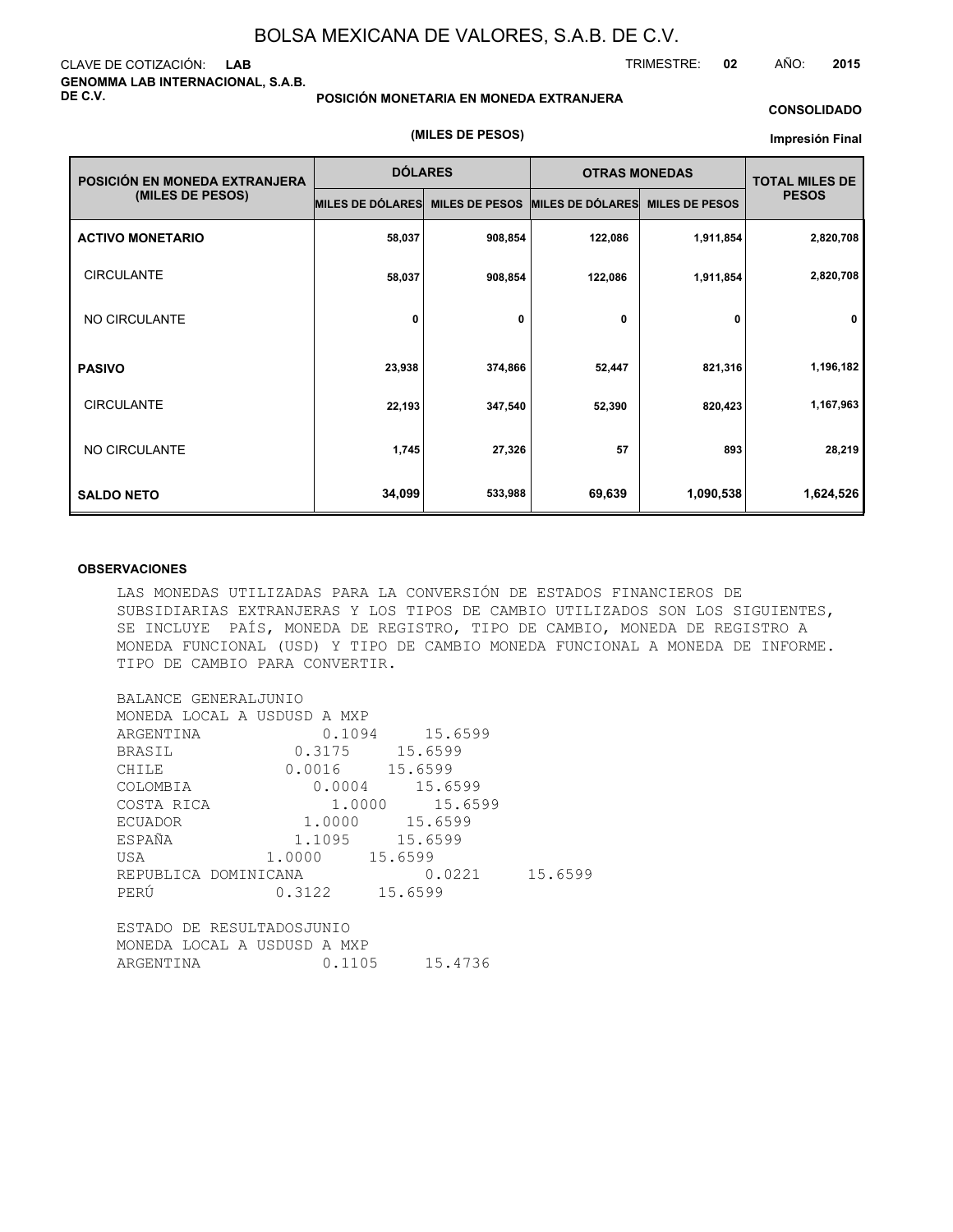### CLAVE DE COTIZACIÓN: **LAB GENOMMA LAB INTERNACIONAL, S.A.B. DE C.V.**

#### **POSICIÓN MONETARIA EN MONEDA EXTRANJERA**

#### **CONSOLIDADO**

TRIMESTRE: **02** AÑO: **2015**

#### **(MILES DE PESOS)**

#### **Impresión Final**

| POSICIÓN EN MONEDA EXTRANJERA | <b>DÓLARES</b>   |                       | <b>OTRAS MONEDAS</b>    |                       | <b>TOTAL MILES DE</b> |  |
|-------------------------------|------------------|-----------------------|-------------------------|-----------------------|-----------------------|--|
| (MILES DE PESOS)              | MILES DE DÓLARES | <b>MILES DE PESOS</b> | <b>MILES DE DÓLARES</b> | <b>MILES DE PESOS</b> | <b>PESOS</b>          |  |
| <b>ACTIVO MONETARIO</b>       | 58,037           | 908,854               | 122,086                 | 1,911,854             | 2,820,708             |  |
| <b>CIRCULANTE</b>             | 58,037           | 908,854               | 122,086                 | 1,911,854             | 2,820,708             |  |
| NO CIRCULANTE                 | 0                | 0                     | 0                       | 0                     | 0                     |  |
| <b>PASIVO</b>                 | 23,938           | 374,866               | 52,447                  | 821,316               | 1,196,182             |  |
| <b>CIRCULANTE</b>             | 22,193           | 347,540               | 52,390                  | 820,423               | 1,167,963             |  |
| NO CIRCULANTE                 | 1,745            | 27,326                | 57                      | 893                   | 28,219                |  |
| <b>SALDO NETO</b>             | 34,099           | 533,988               | 69,639                  | 1,090,538             | 1,624,526             |  |

#### **OBSERVACIONES**

LAS MONEDAS UTILIZADAS PARA LA CONVERSIÓN DE ESTADOS FINANCIEROS DE SUBSIDIARIAS EXTRANJERAS Y LOS TIPOS DE CAMBIO UTILIZADOS SON LOS SIGUIENTES, SE INCLUYE PAÍS, MONEDA DE REGISTRO, TIPO DE CAMBIO, MONEDA DE REGISTRO A MONEDA FUNCIONAL (USD) Y TIPO DE CAMBIO MONEDA FUNCIONAL A MONEDA DE INFORME. TIPO DE CAMBIO PARA CONVERTIR.

| BALANCE GENERALJUNIO        |                |                  |  |
|-----------------------------|----------------|------------------|--|
| MONEDA LOCAL A USDUSD A MXP |                |                  |  |
| ARGENTINA                   |                | 0.1094 15.6599   |  |
| BRASIL                      | 0.3175 15.6599 |                  |  |
| CHILE                       | 0.0016 15.6599 |                  |  |
| COLOMBIA                    |                | $0.0004$ 15.6599 |  |
| COSTA RICA                  |                | 1.0000 15.6599   |  |
| <b>ECUADOR</b>              | 1.0000 15.6599 |                  |  |
| 1.1095 15.6599<br>ESPAÑA    |                |                  |  |
| USA                         | 1.0000 15.6599 |                  |  |
| REPUBLICA DOMINICANA        |                | $0.0221$ 15.6599 |  |
| PERÚ                        | 0.3122 15.6599 |                  |  |
|                             |                |                  |  |
| ESTADO DE RESULTADOSJUNIO   |                |                  |  |
| MONEDA LOCAL A USDUSD A MXP |                |                  |  |
| ARGENTINA                   |                | 0.1105 15.4736   |  |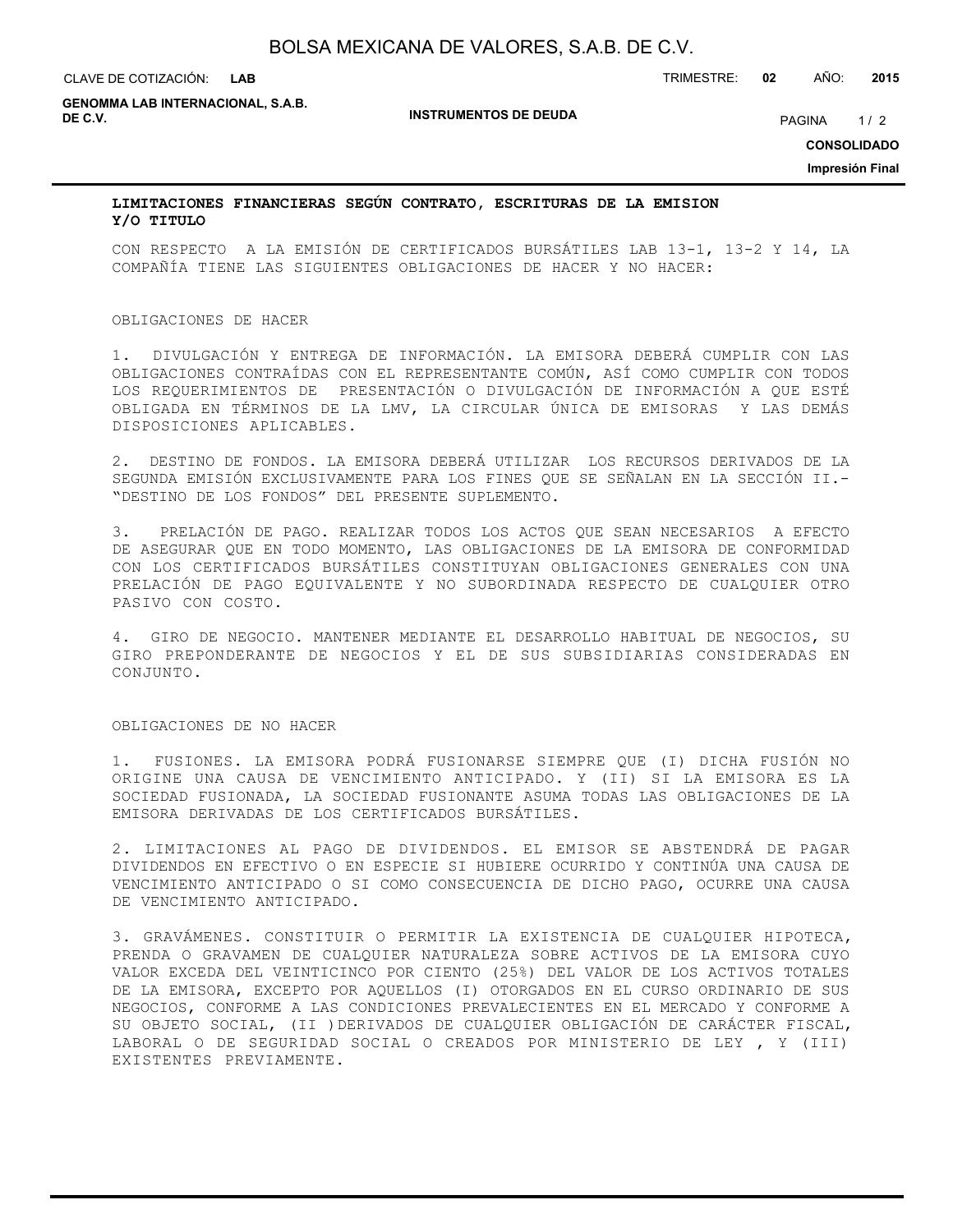#### **LAB**

CLAVE DE COTIZACIÓN: TRIMESTRE: **02** AÑO: **2015**

**GENOMMA LAB INTERNACIONAL, S.A.B. DE C.V.** PAGINA 1/2

**INSTRUMENTOS DE DEUDA**

**CONSOLIDADO**

**Impresión Final**

### **LIMITACIONES FINANCIERAS SEGÚN CONTRATO, ESCRITURAS DE LA EMISION Y/O TITULO**

CON RESPECTO A LA EMISIÓN DE CERTIFICADOS BURSÁTILES LAB 13-1, 13-2 Y 14, LA COMPAÑÍA TIENE LAS SIGUIENTES OBLIGACIONES DE HACER Y NO HACER:

#### OBLIGACIONES DE HACER

1. DIVULGACIÓN Y ENTREGA DE INFORMACIÓN. LA EMISORA DEBERÁ CUMPLIR CON LAS OBLIGACIONES CONTRAÍDAS CON EL REPRESENTANTE COMÚN, ASÍ COMO CUMPLIR CON TODOS LOS REQUERIMIENTOS DE PRESENTACIÓN O DIVULGACIÓN DE INFORMACIÓN A QUE ESTÉ OBLIGADA EN TÉRMINOS DE LA LMV, LA CIRCULAR ÚNICA DE EMISORAS Y LAS DEMÁS DISPOSICIONES APLICABLES.

2. DESTINO DE FONDOS. LA EMISORA DEBERÁ UTILIZAR LOS RECURSOS DERIVADOS DE LA SEGUNDA EMISIÓN EXCLUSIVAMENTE PARA LOS FINES QUE SE SEÑALAN EN LA SECCIÓN II.- "DESTINO DE LOS FONDOS" DEL PRESENTE SUPLEMENTO.

3. PRELACIÓN DE PAGO. REALIZAR TODOS LOS ACTOS QUE SEAN NECESARIOS A EFECTO DE ASEGURAR QUE EN TODO MOMENTO, LAS OBLIGACIONES DE LA EMISORA DE CONFORMIDAD CON LOS CERTIFICADOS BURSÁTILES CONSTITUYAN OBLIGACIONES GENERALES CON UNA PRELACIÓN DE PAGO EQUIVALENTE Y NO SUBORDINADA RESPECTO DE CUALQUIER OTRO PASIVO CON COSTO.

4. GIRO DE NEGOCIO. MANTENER MEDIANTE EL DESARROLLO HABITUAL DE NEGOCIOS, SU GIRO PREPONDERANTE DE NEGOCIOS Y EL DE SUS SUBSIDIARIAS CONSIDERADAS EN CONJUNTO.

#### OBLIGACIONES DE NO HACER

1. FUSIONES. LA EMISORA PODRÁ FUSIONARSE SIEMPRE QUE (I) DICHA FUSIÓN NO ORIGINE UNA CAUSA DE VENCIMIENTO ANTICIPADO. Y (II) SI LA EMISORA ES LA SOCIEDAD FUSIONADA, LA SOCIEDAD FUSIONANTE ASUMA TODAS LAS OBLIGACIONES DE LA EMISORA DERIVADAS DE LOS CERTIFICADOS BURSÁTILES.

2. LIMITACIONES AL PAGO DE DIVIDENDOS. EL EMISOR SE ABSTENDRÁ DE PAGAR DIVIDENDOS EN EFECTIVO O EN ESPECIE SI HUBIERE OCURRIDO Y CONTINÚA UNA CAUSA DE VENCIMIENTO ANTICIPADO O SI COMO CONSECUENCIA DE DICHO PAGO, OCURRE UNA CAUSA DE VENCIMIENTO ANTICIPADO.

3. GRAVÁMENES. CONSTITUIR O PERMITIR LA EXISTENCIA DE CUALQUIER HIPOTECA, PRENDA O GRAVAMEN DE CUALQUIER NATURALEZA SOBRE ACTIVOS DE LA EMISORA CUYO VALOR EXCEDA DEL VEINTICINCO POR CIENTO (25%) DEL VALOR DE LOS ACTIVOS TOTALES DE LA EMISORA, EXCEPTO POR AQUELLOS (I) OTORGADOS EN EL CURSO ORDINARIO DE SUS NEGOCIOS, CONFORME A LAS CONDICIONES PREVALECIENTES EN EL MERCADO Y CONFORME A SU OBJETO SOCIAL, (II )DERIVADOS DE CUALQUIER OBLIGACIÓN DE CARÁCTER FISCAL, LABORAL O DE SEGURIDAD SOCIAL O CREADOS POR MINISTERIO DE LEY , Y (III) EXISTENTES PREVIAMENTE.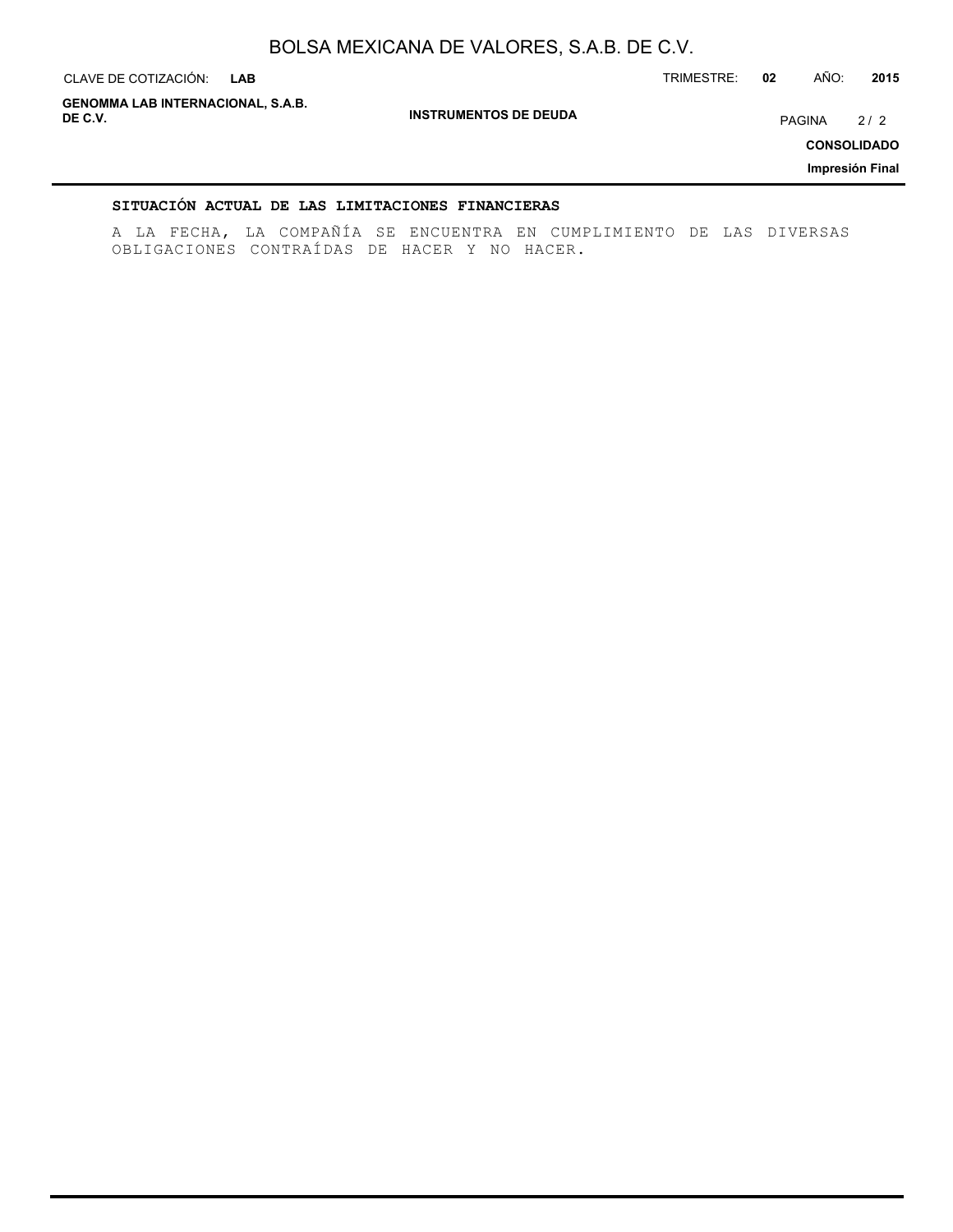**INSTRUMENTOS DE DEUDA** CLAVE DE COTIZACIÓN: TRIMESTRE: **02** AÑO: **2015 LAB CONSOLIDADO Impresión Final GENOMMA LAB INTERNACIONAL, S.A.B. DE C.V.** PAGINA 2 / 2

### **SITUACIÓN ACTUAL DE LAS LIMITACIONES FINANCIERAS**

A LA FECHA, LA COMPAÑÍA SE ENCUENTRA EN CUMPLIMIENTO DE LAS DIVERSAS OBLIGACIONES CONTRAÍDAS DE HACER Y NO HACER.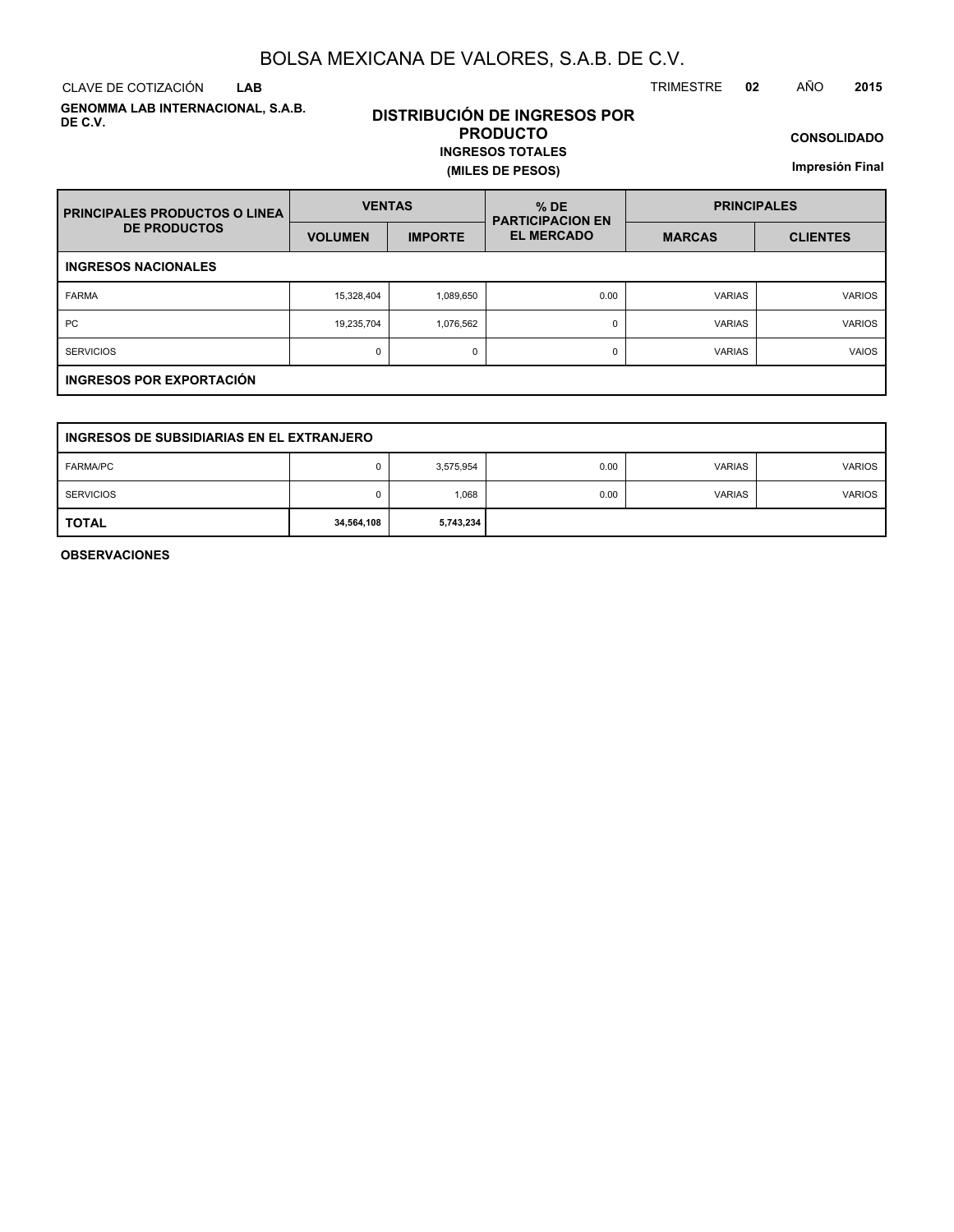CLAVE DE COTIZACIÓN TRIMESTRE **02** AÑO **2015 LAB**

**GENOMMA LAB INTERNACIONAL, S.A.B. DE C.V.**

# **DISTRIBUCIÓN DE INGRESOS POR PRODUCTO INGRESOS TOTALES**

**(MILES DE PESOS)**

**CONSOLIDADO**

**Impresión Final**

| <b>PRINCIPALES PRODUCTOS O LINEA</b> | <b>VENTAS</b>  |                | $%$ DE<br><b>PARTICIPACION EN</b> | <b>PRINCIPALES</b> |                 |  |  |  |  |  |  |
|--------------------------------------|----------------|----------------|-----------------------------------|--------------------|-----------------|--|--|--|--|--|--|
| <b>DE PRODUCTOS</b>                  | <b>VOLUMEN</b> | <b>IMPORTE</b> | <b>EL MERCADO</b>                 | <b>MARCAS</b>      | <b>CLIENTES</b> |  |  |  |  |  |  |
| <b>INGRESOS NACIONALES</b>           |                |                |                                   |                    |                 |  |  |  |  |  |  |
| <b>FARMA</b>                         | 15,328,404     | 1,089,650      | 0.00                              | <b>VARIAS</b>      | <b>VARIOS</b>   |  |  |  |  |  |  |
| <b>PC</b>                            | 19,235,704     | 1,076,562      | 0                                 | <b>VARIAS</b>      | <b>VARIOS</b>   |  |  |  |  |  |  |
| <b>SERVICIOS</b>                     | 0              | 0              | 0                                 | <b>VARIAS</b>      | <b>VAIOS</b>    |  |  |  |  |  |  |
| INGRESOS POR EXPORTACIÓN             |                |                |                                   |                    |                 |  |  |  |  |  |  |

| INGRESOS DE SUBSIDIARIAS EN EL EXTRANJERO |            |           |      |               |               |  |  |  |  |  |
|-------------------------------------------|------------|-----------|------|---------------|---------------|--|--|--|--|--|
| <b>FARMA/PC</b>                           |            | 3,575,954 | 0.00 | <b>VARIAS</b> | <b>VARIOS</b> |  |  |  |  |  |
| <b>SERVICIOS</b>                          | 0          | 1,068     | 0.00 | <b>VARIAS</b> | <b>VARIOS</b> |  |  |  |  |  |
| <b>TOTAL</b>                              | 34,564,108 | 5,743,234 |      |               |               |  |  |  |  |  |

**OBSERVACIONES**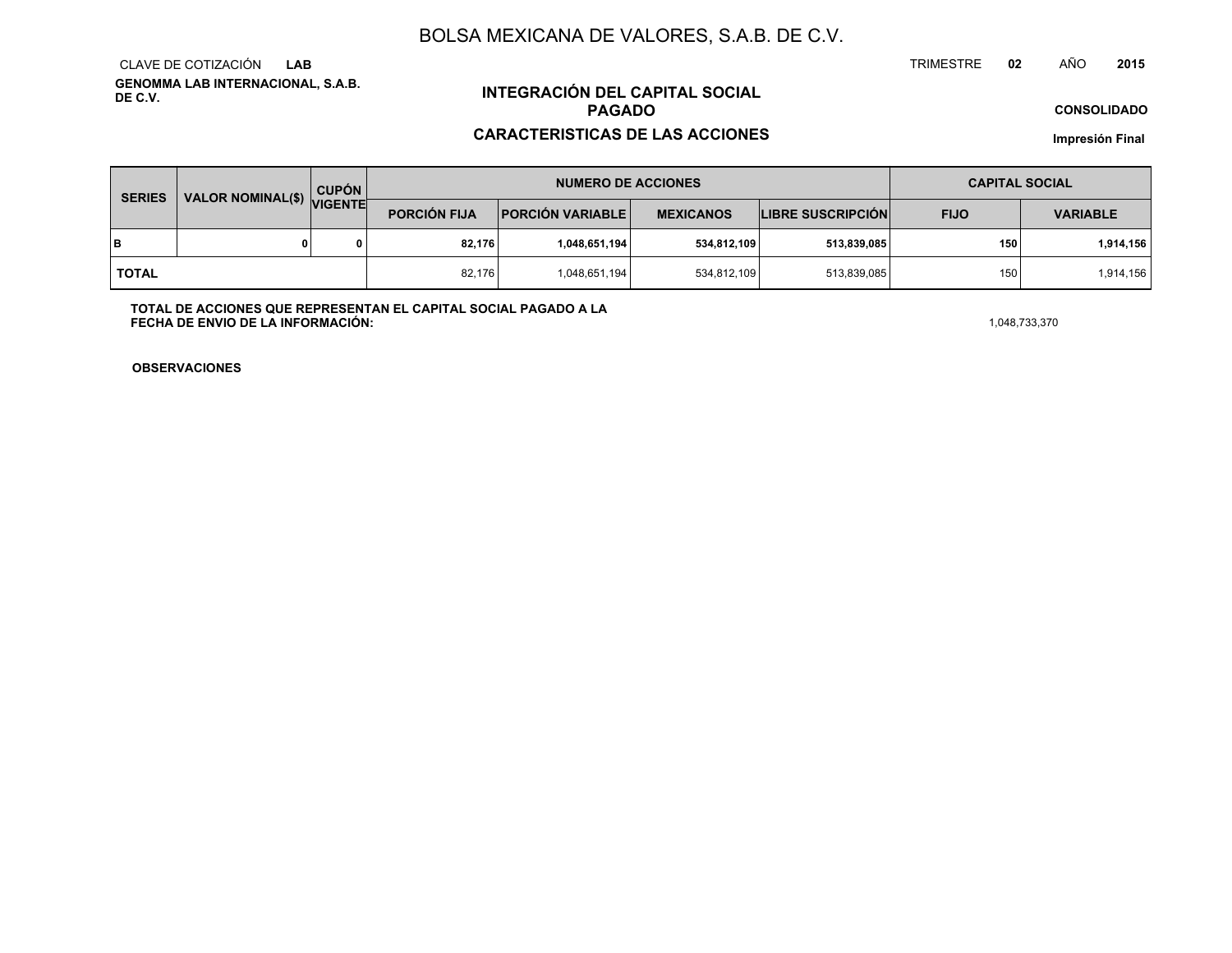**GENOMMA LAB INTERNACIONAL, S.A.B. DE C.V.**CLAVE DE COTIZACIÓN**LAB**

# **INTEGRACIÓN DEL CAPITAL SOCIALPAGADO**

### **CARACTERISTICAS DE LAS ACCIONES**

**CONSOLIDADO**

**Impresión Final**

| <b>SERIES</b> | VALOR NOMINAL(\$) VIGENTE | <b>CUPÓN</b> | <b>NUMERO DE ACCIONES</b> |                         |                  |                          | <b>CAPITAL SOCIAL</b> |                 |
|---------------|---------------------------|--------------|---------------------------|-------------------------|------------------|--------------------------|-----------------------|-----------------|
|               |                           |              | <b>PORCIÓN FIJA</b>       | <b>PORCIÓN VARIABLE</b> | <b>MEXICANOS</b> | <b>LIBRE SUSCRIPCIÓN</b> | <b>FIJO</b>           | <b>VARIABLE</b> |
| lв            |                           |              | 82,176                    | 1,048,651,194           | 534,812,109      | 513,839,085              | 150                   | 1,914,156       |
| <b>TOTAL</b>  |                           |              | 82,176                    | 1,048,651,194           | 534,812,109      | 513,839,085              | 150                   | 1,914,156       |

**TOTAL DE ACCIONES QUE REPRESENTAN EL CAPITAL SOCIAL PAGADO A LAFECHA DE ENVIO DE LA INFORMACIÓN:** $1,048,733,370$ 

TRIMESTRE

**OBSERVACIONES**

 **<sup>02</sup>** AÑO**<sup>2015</sup>**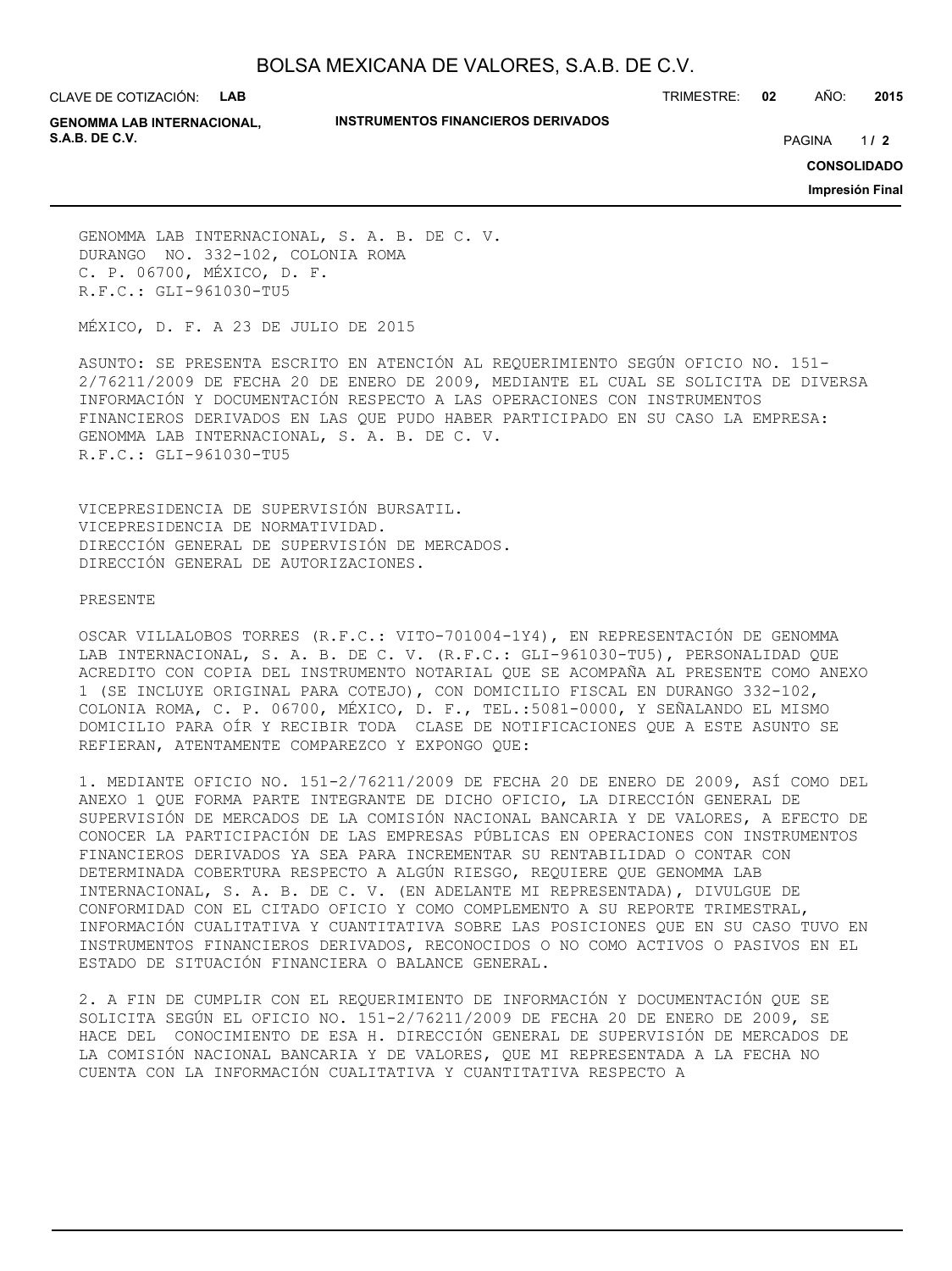CLAVE DE COTIZACIÓN: **LAB**

#### **INSTRUMENTOS FINANCIEROS DERIVADOS**

TRIMESTRE: **02** AÑO: **2015**

**GENOMMA LAB INTERNACIONAL, S.A.B. DE C.V.** PAGINA **/ 2**

 $1/2$ 

**CONSOLIDADO**

**Impresión Final**

GENOMMA LAB INTERNACIONAL, S. A. B. DE C. V. DURANGO NO. 332-102, COLONIA ROMA C. P. 06700, MÉXICO, D. F. R.F.C.: GLI-961030-TU5

MÉXICO, D. F. A 23 DE JULIO DE 2015

ASUNTO: SE PRESENTA ESCRITO EN ATENCIÓN AL REQUERIMIENTO SEGÚN OFICIO NO. 151- 2/76211/2009 DE FECHA 20 DE ENERO DE 2009, MEDIANTE EL CUAL SE SOLICITA DE DIVERSA INFORMACIÓN Y DOCUMENTACIÓN RESPECTO A LAS OPERACIONES CON INSTRUMENTOS FINANCIEROS DERIVADOS EN LAS QUE PUDO HABER PARTICIPADO EN SU CASO LA EMPRESA: GENOMMA LAB INTERNACIONAL, S. A. B. DE C. V. R.F.C.: GLI-961030-TU5

VICEPRESIDENCIA DE SUPERVISIÓN BURSATIL. VICEPRESIDENCIA DE NORMATIVIDAD. DIRECCIÓN GENERAL DE SUPERVISIÓN DE MERCADOS. DIRECCIÓN GENERAL DE AUTORIZACIONES.

#### PRESENTE

OSCAR VILLALOBOS TORRES (R.F.C.: VITO-701004-1Y4), EN REPRESENTACIÓN DE GENOMMA LAB INTERNACIONAL, S. A. B. DE C. V. (R.F.C.: GLI-961030-TU5), PERSONALIDAD QUE ACREDITO CON COPIA DEL INSTRUMENTO NOTARIAL QUE SE ACOMPAÑA AL PRESENTE COMO ANEXO 1 (SE INCLUYE ORIGINAL PARA COTEJO), CON DOMICILIO FISCAL EN DURANGO 332-102, COLONIA ROMA, C. P. 06700, MÉXICO, D. F., TEL.:5081-0000, Y SEÑALANDO EL MISMO DOMICILIO PARA OÍR Y RECIBIR TODA CLASE DE NOTIFICACIONES QUE A ESTE ASUNTO SE REFIERAN, ATENTAMENTE COMPAREZCO Y EXPONGO QUE:

1. MEDIANTE OFICIO NO. 151-2/76211/2009 DE FECHA 20 DE ENERO DE 2009, ASÍ COMO DEL ANEXO 1 QUE FORMA PARTE INTEGRANTE DE DICHO OFICIO, LA DIRECCIÓN GENERAL DE SUPERVISIÓN DE MERCADOS DE LA COMISIÓN NACIONAL BANCARIA Y DE VALORES, A EFECTO DE CONOCER LA PARTICIPACIÓN DE LAS EMPRESAS PÚBLICAS EN OPERACIONES CON INSTRUMENTOS FINANCIEROS DERIVADOS YA SEA PARA INCREMENTAR SU RENTABILIDAD O CONTAR CON DETERMINADA COBERTURA RESPECTO A ALGÚN RIESGO, REQUIERE QUE GENOMMA LAB INTERNACIONAL, S. A. B. DE C. V. (EN ADELANTE MI REPRESENTADA), DIVULGUE DE CONFORMIDAD CON EL CITADO OFICIO Y COMO COMPLEMENTO A SU REPORTE TRIMESTRAL, INFORMACIÓN CUALITATIVA Y CUANTITATIVA SOBRE LAS POSICIONES QUE EN SU CASO TUVO EN INSTRUMENTOS FINANCIEROS DERIVADOS, RECONOCIDOS O NO COMO ACTIVOS O PASIVOS EN EL ESTADO DE SITUACIÓN FINANCIERA O BALANCE GENERAL.

2. A FIN DE CUMPLIR CON EL REQUERIMIENTO DE INFORMACIÓN Y DOCUMENTACIÓN QUE SE SOLICITA SEGÚN EL OFICIO NO. 151-2/76211/2009 DE FECHA 20 DE ENERO DE 2009, SE HACE DEL CONOCIMIENTO DE ESA H. DIRECCIÓN GENERAL DE SUPERVISIÓN DE MERCADOS DE LA COMISIÓN NACIONAL BANCARIA Y DE VALORES, QUE MI REPRESENTADA A LA FECHA NO CUENTA CON LA INFORMACIÓN CUALITATIVA Y CUANTITATIVA RESPECTO A